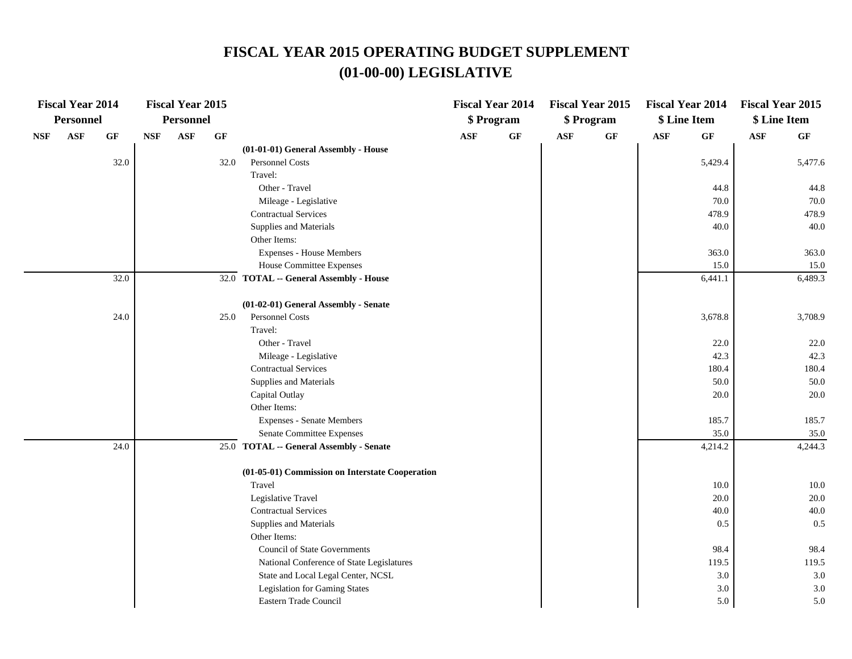|            | <b>Fiscal Year 2014</b> |                 |                             | <b>Fiscal Year 2015</b> |      |                                                 |            | <b>Fiscal Year 2014</b> |            | <b>Fiscal Year 2015</b> | <b>Fiscal Year 2014</b> |                 | <b>Fiscal Year 2015</b> |                 |
|------------|-------------------------|-----------------|-----------------------------|-------------------------|------|-------------------------------------------------|------------|-------------------------|------------|-------------------------|-------------------------|-----------------|-------------------------|-----------------|
|            | <b>Personnel</b>        |                 |                             | Personnel               |      |                                                 |            | \$ Program              |            | \$ Program              | \$ Line Item            |                 | \$ Line Item            |                 |
| <b>NSF</b> | $\mathbf{ASF}$          | $\bf{G} \bf{F}$ | $\ensuremath{\mathbf{NSF}}$ | ASF                     | GF   |                                                 | <b>ASF</b> | $\bf{G} \bf{F}$         | <b>ASF</b> | $\bf{G} \bf{F}$         | ASF                     | $\bf{G} \bf{F}$ | $\mathbf{ASF}$          | $\bf{G} \bf{F}$ |
|            |                         |                 |                             |                         |      | (01-01-01) General Assembly - House             |            |                         |            |                         |                         |                 |                         |                 |
|            |                         | 32.0            |                             |                         | 32.0 | Personnel Costs                                 |            |                         |            |                         |                         | 5,429.4         |                         | 5,477.6         |
|            |                         |                 |                             |                         |      | Travel:                                         |            |                         |            |                         |                         |                 |                         |                 |
|            |                         |                 |                             |                         |      | Other - Travel                                  |            |                         |            |                         |                         | 44.8            |                         | 44.8            |
|            |                         |                 |                             |                         |      | Mileage - Legislative                           |            |                         |            |                         |                         | 70.0            |                         | 70.0            |
|            |                         |                 |                             |                         |      | <b>Contractual Services</b>                     |            |                         |            |                         |                         | 478.9           |                         | 478.9           |
|            |                         |                 |                             |                         |      | Supplies and Materials                          |            |                         |            |                         |                         | 40.0            |                         | 40.0            |
|            |                         |                 |                             |                         |      | Other Items:                                    |            |                         |            |                         |                         |                 |                         |                 |
|            |                         |                 |                             |                         |      | <b>Expenses - House Members</b>                 |            |                         |            |                         |                         | 363.0           |                         | 363.0           |
|            |                         |                 |                             |                         |      | House Committee Expenses                        |            |                         |            |                         |                         | 15.0            |                         | 15.0            |
|            |                         | 32.0            |                             |                         |      | 32.0 TOTAL -- General Assembly - House          |            |                         |            |                         |                         | 6,441.1         |                         | 6,489.3         |
|            |                         |                 |                             |                         |      | (01-02-01) General Assembly - Senate            |            |                         |            |                         |                         |                 |                         |                 |
|            |                         | 24.0            |                             |                         | 25.0 | <b>Personnel Costs</b>                          |            |                         |            |                         |                         | 3,678.8         |                         | 3,708.9         |
|            |                         |                 |                             |                         |      | Travel:                                         |            |                         |            |                         |                         |                 |                         |                 |
|            |                         |                 |                             |                         |      | Other - Travel                                  |            |                         |            |                         |                         | 22.0            |                         | 22.0            |
|            |                         |                 |                             |                         |      | Mileage - Legislative                           |            |                         |            |                         |                         | 42.3            |                         | 42.3            |
|            |                         |                 |                             |                         |      | <b>Contractual Services</b>                     |            |                         |            |                         |                         | 180.4           |                         | 180.4           |
|            |                         |                 |                             |                         |      | Supplies and Materials                          |            |                         |            |                         |                         | 50.0            |                         | 50.0            |
|            |                         |                 |                             |                         |      | Capital Outlay                                  |            |                         |            |                         |                         | 20.0            |                         | 20.0            |
|            |                         |                 |                             |                         |      | Other Items:                                    |            |                         |            |                         |                         |                 |                         |                 |
|            |                         |                 |                             |                         |      | <b>Expenses - Senate Members</b>                |            |                         |            |                         |                         | 185.7           |                         | 185.7           |
|            |                         |                 |                             |                         |      | Senate Committee Expenses                       |            |                         |            |                         |                         | 35.0            |                         | 35.0            |
|            |                         | 24.0            |                             |                         |      | 25.0 TOTAL -- General Assembly - Senate         |            |                         |            |                         |                         | 4,214.2         |                         | 4,244.3         |
|            |                         |                 |                             |                         |      | (01-05-01) Commission on Interstate Cooperation |            |                         |            |                         |                         |                 |                         |                 |
|            |                         |                 |                             |                         |      | Travel                                          |            |                         |            |                         |                         | 10.0            |                         | 10.0            |
|            |                         |                 |                             |                         |      | Legislative Travel                              |            |                         |            |                         |                         | 20.0            |                         | 20.0            |
|            |                         |                 |                             |                         |      | <b>Contractual Services</b>                     |            |                         |            |                         |                         | 40.0            |                         | 40.0            |
|            |                         |                 |                             |                         |      | Supplies and Materials                          |            |                         |            |                         |                         | 0.5             |                         | 0.5             |
|            |                         |                 |                             |                         |      | Other Items:                                    |            |                         |            |                         |                         |                 |                         |                 |
|            |                         |                 |                             |                         |      | <b>Council of State Governments</b>             |            |                         |            |                         |                         | 98.4            |                         | 98.4            |
|            |                         |                 |                             |                         |      | National Conference of State Legislatures       |            |                         |            |                         |                         | 119.5           |                         | 119.5           |
|            |                         |                 |                             |                         |      | State and Local Legal Center, NCSL              |            |                         |            |                         |                         | 3.0             |                         | 3.0             |
|            |                         |                 |                             |                         |      | <b>Legislation for Gaming States</b>            |            |                         |            |                         |                         | 3.0             |                         | 3.0             |
|            |                         |                 |                             |                         |      | Eastern Trade Council                           |            |                         |            |                         |                         | 5.0             |                         | 5.0             |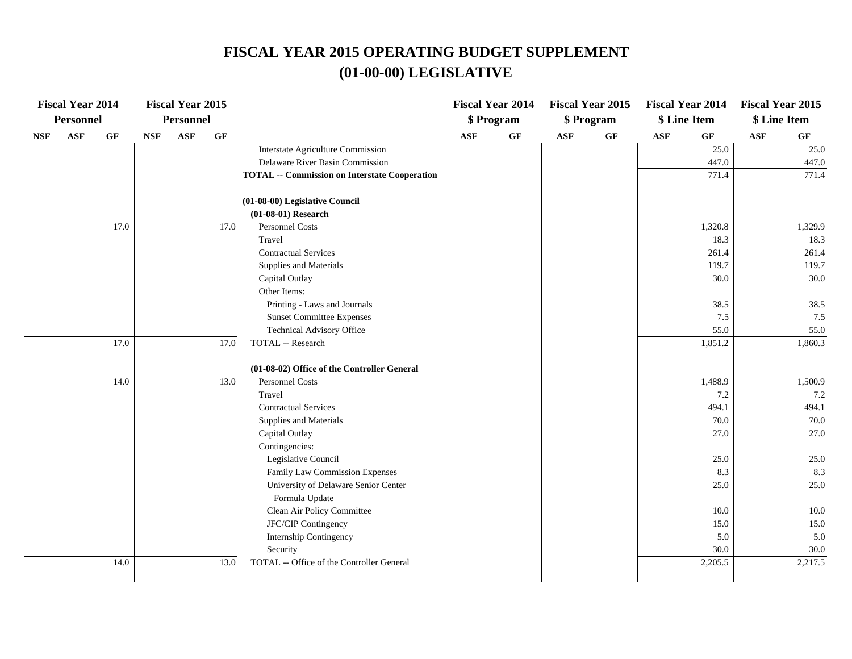|            | <b>Fiscal Year 2014</b> |                 |            | <b>Fiscal Year 2015</b> |                 |                                                      |            | <b>Fiscal Year 2014</b> |            | <b>Fiscal Year 2015</b> |            | <b>Fiscal Year 2014</b> | <b>Fiscal Year 2015</b> |                 |
|------------|-------------------------|-----------------|------------|-------------------------|-----------------|------------------------------------------------------|------------|-------------------------|------------|-------------------------|------------|-------------------------|-------------------------|-----------------|
|            | Personnel               |                 |            | <b>Personnel</b>        |                 |                                                      |            | \$ Program              |            | \$ Program              |            | \$ Line Item            | \$ Line Item            |                 |
| <b>NSF</b> | <b>ASF</b>              | $\bf{G} \bf{F}$ | <b>NSF</b> | <b>ASF</b>              | $\bf{G} \bf{F}$ |                                                      | <b>ASF</b> | $\bf{G} \bf{F}$         | <b>ASF</b> | $\bf{G} \bf{F}$         | <b>ASF</b> | GF                      | <b>ASF</b>              | $\bf{G} \bf{F}$ |
|            |                         |                 |            |                         |                 | Interstate Agriculture Commission                    |            |                         |            |                         |            | 25.0                    |                         | 25.0            |
|            |                         |                 |            |                         |                 | Delaware River Basin Commission                      |            |                         |            |                         |            | 447.0                   |                         | 447.0           |
|            |                         |                 |            |                         |                 | <b>TOTAL -- Commission on Interstate Cooperation</b> |            |                         |            |                         |            | 771.4                   |                         | 771.4           |
|            |                         |                 |            |                         |                 | (01-08-00) Legislative Council                       |            |                         |            |                         |            |                         |                         |                 |
|            |                         |                 |            |                         |                 | $(01-08-01)$ Research                                |            |                         |            |                         |            |                         |                         |                 |
|            |                         | 17.0            |            |                         | 17.0            | Personnel Costs                                      |            |                         |            |                         |            | 1,320.8                 |                         | 1,329.9         |
|            |                         |                 |            |                         |                 | Travel                                               |            |                         |            |                         |            | 18.3                    |                         | 18.3            |
|            |                         |                 |            |                         |                 | <b>Contractual Services</b>                          |            |                         |            |                         |            | 261.4                   |                         | 261.4           |
|            |                         |                 |            |                         |                 | Supplies and Materials                               |            |                         |            |                         |            | 119.7                   |                         | 119.7           |
|            |                         |                 |            |                         |                 | Capital Outlay                                       |            |                         |            |                         |            | 30.0                    |                         | 30.0            |
|            |                         |                 |            |                         |                 | Other Items:                                         |            |                         |            |                         |            |                         |                         |                 |
|            |                         |                 |            |                         |                 | Printing - Laws and Journals                         |            |                         |            |                         |            | 38.5                    |                         | 38.5            |
|            |                         |                 |            |                         |                 | <b>Sunset Committee Expenses</b>                     |            |                         |            |                         |            | 7.5                     |                         | 7.5             |
|            |                         |                 |            |                         |                 | Technical Advisory Office                            |            |                         |            |                         |            | 55.0                    |                         | 55.0            |
|            |                         | 17.0            |            |                         | 17.0            | TOTAL -- Research                                    |            |                         |            |                         |            | 1,851.2                 |                         | 1,860.3         |
|            |                         |                 |            |                         |                 | (01-08-02) Office of the Controller General          |            |                         |            |                         |            |                         |                         |                 |
|            |                         | 14.0            |            |                         | 13.0            | <b>Personnel Costs</b>                               |            |                         |            |                         |            | 1,488.9                 |                         | 1,500.9         |
|            |                         |                 |            |                         |                 | Travel                                               |            |                         |            |                         |            | 7.2                     |                         | 7.2             |
|            |                         |                 |            |                         |                 | <b>Contractual Services</b>                          |            |                         |            |                         |            | 494.1                   |                         | 494.1           |
|            |                         |                 |            |                         |                 | Supplies and Materials                               |            |                         |            |                         |            | 70.0                    |                         | 70.0            |
|            |                         |                 |            |                         |                 | Capital Outlay                                       |            |                         |            |                         |            | 27.0                    |                         | 27.0            |
|            |                         |                 |            |                         |                 | Contingencies:                                       |            |                         |            |                         |            |                         |                         |                 |
|            |                         |                 |            |                         |                 | Legislative Council                                  |            |                         |            |                         |            | 25.0                    |                         | 25.0            |
|            |                         |                 |            |                         |                 | Family Law Commission Expenses                       |            |                         |            |                         |            | 8.3                     |                         | 8.3             |
|            |                         |                 |            |                         |                 | University of Delaware Senior Center                 |            |                         |            |                         |            | 25.0                    |                         | 25.0            |
|            |                         |                 |            |                         |                 | Formula Update                                       |            |                         |            |                         |            |                         |                         |                 |
|            |                         |                 |            |                         |                 | Clean Air Policy Committee                           |            |                         |            |                         |            | 10.0                    |                         | 10.0            |
|            |                         |                 |            |                         |                 | JFC/CIP Contingency                                  |            |                         |            |                         |            | 15.0                    |                         | 15.0            |
|            |                         |                 |            |                         |                 | Internship Contingency                               |            |                         |            |                         |            | 5.0                     |                         | 5.0             |
|            |                         |                 |            |                         |                 | Security                                             |            |                         |            |                         |            | 30.0                    |                         | 30.0            |
|            |                         | 14.0            |            |                         | 13.0            | TOTAL -- Office of the Controller General            |            |                         |            |                         |            | 2,205.5                 |                         | 2,217.5         |
|            |                         |                 |            |                         |                 |                                                      |            |                         |            |                         |            |                         |                         |                 |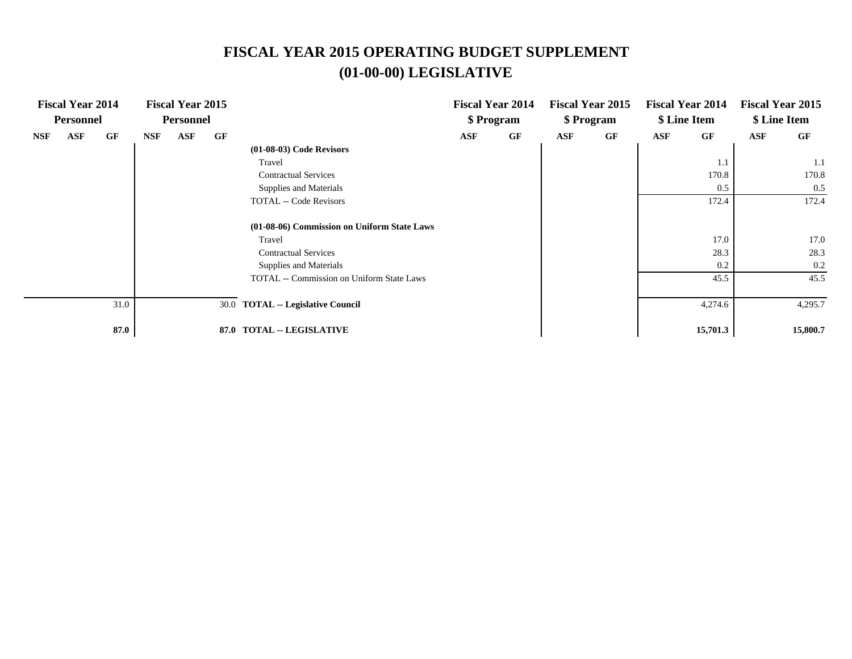|            | <b>Fiscal Year 2014</b><br><b>Personnel</b> |      |     | <b>Fiscal Year 2015</b><br><b>Personnel</b> |    |                                                  |     | <b>Fiscal Year 2014</b><br>\$ Program |            | <b>Fiscal Year 2015</b><br>\$ Program |     | <b>Fiscal Year 2014</b><br>\$ Line Item |     | <b>Fiscal Year 2015</b><br>\$ Line Item |
|------------|---------------------------------------------|------|-----|---------------------------------------------|----|--------------------------------------------------|-----|---------------------------------------|------------|---------------------------------------|-----|-----------------------------------------|-----|-----------------------------------------|
| <b>NSF</b> | ASF                                         | GF   | NSF | ASF                                         | GF |                                                  | ASF | GF                                    | <b>ASF</b> | GF                                    | ASF | GF                                      | ASF | GF                                      |
|            |                                             |      |     |                                             |    | $(01-08-03)$ Code Revisors                       |     |                                       |            |                                       |     |                                         |     |                                         |
|            |                                             |      |     |                                             |    | Travel                                           |     |                                       |            |                                       |     | 1.1                                     |     | 1.1                                     |
|            |                                             |      |     |                                             |    | <b>Contractual Services</b>                      |     |                                       |            |                                       |     | 170.8                                   |     | 170.8                                   |
|            |                                             |      |     |                                             |    | Supplies and Materials                           |     |                                       |            |                                       |     | 0.5                                     |     | 0.5                                     |
|            |                                             |      |     |                                             |    | <b>TOTAL -- Code Revisors</b>                    |     |                                       |            |                                       |     | 172.4                                   |     | 172.4                                   |
|            |                                             |      |     |                                             |    | (01-08-06) Commission on Uniform State Laws      |     |                                       |            |                                       |     |                                         |     |                                         |
|            |                                             |      |     |                                             |    | Travel                                           |     |                                       |            |                                       |     | 17.0                                    |     | 17.0                                    |
|            |                                             |      |     |                                             |    | <b>Contractual Services</b>                      |     |                                       |            |                                       |     | 28.3                                    |     | 28.3                                    |
|            |                                             |      |     |                                             |    | Supplies and Materials                           |     |                                       |            |                                       |     | 0.2                                     |     | 0.2                                     |
|            |                                             |      |     |                                             |    | <b>TOTAL</b> -- Commission on Uniform State Laws |     |                                       |            |                                       |     | 45.5                                    |     | 45.5                                    |
|            |                                             | 31.0 |     |                                             |    | 30.0 TOTAL -- Legislative Council                |     |                                       |            |                                       |     | 4,274.6                                 |     | 4,295.7                                 |
|            |                                             | 87.0 |     |                                             |    | 87.0 TOTAL -- LEGISLATIVE                        |     |                                       |            |                                       |     | 15,701.3                                |     | 15,800.7                                |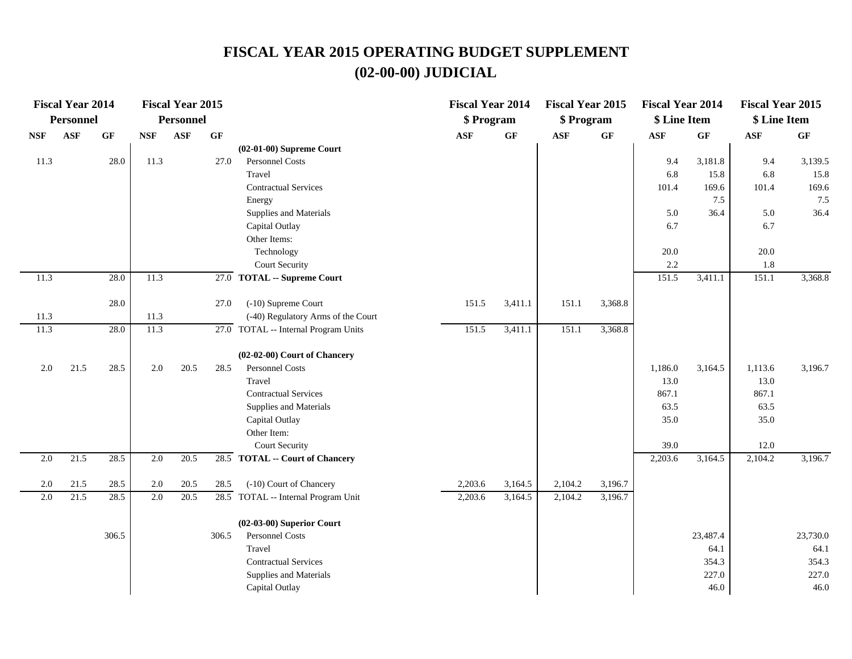|                  | <b>Fiscal Year 2014</b> |                 |                             | <b>Fiscal Year 2015</b> |       |                                                   | <b>Fiscal Year 2014</b> |                 | <b>Fiscal Year 2015</b> |                 | <b>Fiscal Year 2014</b> |                 | <b>Fiscal Year 2015</b> |          |
|------------------|-------------------------|-----------------|-----------------------------|-------------------------|-------|---------------------------------------------------|-------------------------|-----------------|-------------------------|-----------------|-------------------------|-----------------|-------------------------|----------|
|                  | <b>Personnel</b>        |                 |                             | <b>Personnel</b>        |       |                                                   | \$ Program              |                 | \$ Program              |                 | \$ Line Item            |                 | \$ Line Item            |          |
| <b>NSF</b>       | <b>ASF</b>              | $\bf{G} \bf{F}$ | $\ensuremath{\mathbf{NSF}}$ | ASF                     | GF    |                                                   | <b>ASF</b>              | $\bf{G} \bf{F}$ | $\mathbf{ASF}$          | $\bf{G} \bf{F}$ | $\mathbf{ASF}$          | $\bf{G} \bf{F}$ | $\mathbf{ASF}$          | GF       |
|                  |                         |                 |                             |                         |       | $(02-01-00)$ Supreme Court                        |                         |                 |                         |                 |                         |                 |                         |          |
| 11.3             |                         | 28.0            | 11.3                        |                         | 27.0  | Personnel Costs                                   |                         |                 |                         |                 | 9.4                     | 3,181.8         | 9.4                     | 3,139.5  |
|                  |                         |                 |                             |                         |       | Travel                                            |                         |                 |                         |                 | 6.8                     | 15.8            | 6.8                     | 15.8     |
|                  |                         |                 |                             |                         |       | <b>Contractual Services</b>                       |                         |                 |                         |                 | 101.4                   | 169.6           | 101.4                   | 169.6    |
|                  |                         |                 |                             |                         |       | Energy                                            |                         |                 |                         |                 |                         | 7.5             |                         | 7.5      |
|                  |                         |                 |                             |                         |       | Supplies and Materials                            |                         |                 |                         |                 | 5.0                     | 36.4            | 5.0                     | 36.4     |
|                  |                         |                 |                             |                         |       | Capital Outlay                                    |                         |                 |                         |                 | 6.7                     |                 | 6.7                     |          |
|                  |                         |                 |                             |                         |       | Other Items:                                      |                         |                 |                         |                 |                         |                 |                         |          |
|                  |                         |                 |                             |                         |       | Technology                                        |                         |                 |                         |                 | $20.0\,$                |                 | $20.0\,$                |          |
|                  |                         |                 |                             |                         |       | Court Security                                    |                         |                 |                         |                 | 2.2                     |                 | 1.8                     |          |
| 11.3             |                         | 28.0            | 11.3                        |                         | 27.0  | <b>TOTAL -- Supreme Court</b>                     |                         |                 |                         |                 | 151.5                   | 3,411.1         | 151.1                   | 3,368.8  |
|                  |                         | 28.0            |                             |                         | 27.0  | (-10) Supreme Court                               | 151.5                   | 3,411.1         | 151.1                   | 3,368.8         |                         |                 |                         |          |
| 11.3             |                         |                 | 11.3                        |                         |       | (-40) Regulatory Arms of the Court                |                         |                 |                         |                 |                         |                 |                         |          |
| 11.3             |                         | 28.0            | 11.3                        |                         |       | $\overline{27.0}$ TOTAL -- Internal Program Units | 151.5                   | 3,411.1         | 151.1                   | 3,368.8         |                         |                 |                         |          |
|                  |                         |                 |                             |                         |       |                                                   |                         |                 |                         |                 |                         |                 |                         |          |
|                  |                         |                 |                             |                         |       | (02-02-00) Court of Chancery                      |                         |                 |                         |                 |                         |                 |                         |          |
| 2.0              | 21.5                    | 28.5            | 2.0                         | 20.5                    | 28.5  | Personnel Costs                                   |                         |                 |                         |                 | 1,186.0                 | 3,164.5         | 1,113.6                 | 3,196.7  |
|                  |                         |                 |                             |                         |       | Travel                                            |                         |                 |                         |                 | 13.0                    |                 | 13.0                    |          |
|                  |                         |                 |                             |                         |       | <b>Contractual Services</b>                       |                         |                 |                         |                 | 867.1                   |                 | 867.1                   |          |
|                  |                         |                 |                             |                         |       | Supplies and Materials                            |                         |                 |                         |                 | 63.5                    |                 | 63.5                    |          |
|                  |                         |                 |                             |                         |       | Capital Outlay                                    |                         |                 |                         |                 | 35.0                    |                 | 35.0                    |          |
|                  |                         |                 |                             |                         |       | Other Item:                                       |                         |                 |                         |                 |                         |                 |                         |          |
|                  |                         |                 |                             |                         |       | <b>Court Security</b>                             |                         |                 |                         |                 | 39.0                    |                 | 12.0                    |          |
| 2.0              | 21.5                    | 28.5            | 2.0                         | 20.5                    |       | 28.5 TOTAL -- Court of Chancery                   |                         |                 |                         |                 | 2,203.6                 | 3,164.5         | 2,104.2                 | 3,196.7  |
| 2.0              | 21.5                    | 28.5            | 2.0                         | 20.5                    | 28.5  | (-10) Court of Chancery                           | 2,203.6                 | 3,164.5         | 2,104.2                 | 3,196.7         |                         |                 |                         |          |
| $\overline{2.0}$ | 21.5                    | 28.5            | 2.0                         | 20.5                    |       | 28.5 TOTAL -- Internal Program Unit               | 2,203.6                 | 3,164.5         | 2,104.2                 | 3,196.7         |                         |                 |                         |          |
|                  |                         |                 |                             |                         |       |                                                   |                         |                 |                         |                 |                         |                 |                         |          |
|                  |                         |                 |                             |                         |       | $(02-03-00)$ Superior Court                       |                         |                 |                         |                 |                         |                 |                         |          |
|                  |                         | 306.5           |                             |                         | 306.5 | Personnel Costs                                   |                         |                 |                         |                 |                         | 23,487.4        |                         | 23,730.0 |
|                  |                         |                 |                             |                         |       | Travel                                            |                         |                 |                         |                 |                         | 64.1            |                         | 64.1     |
|                  |                         |                 |                             |                         |       | <b>Contractual Services</b>                       |                         |                 |                         |                 |                         | 354.3           |                         | 354.3    |
|                  |                         |                 |                             |                         |       | Supplies and Materials                            |                         |                 |                         |                 |                         | 227.0           |                         | 227.0    |
|                  |                         |                 |                             |                         |       | Capital Outlay                                    |                         |                 |                         |                 |                         | 46.0            |                         | 46.0     |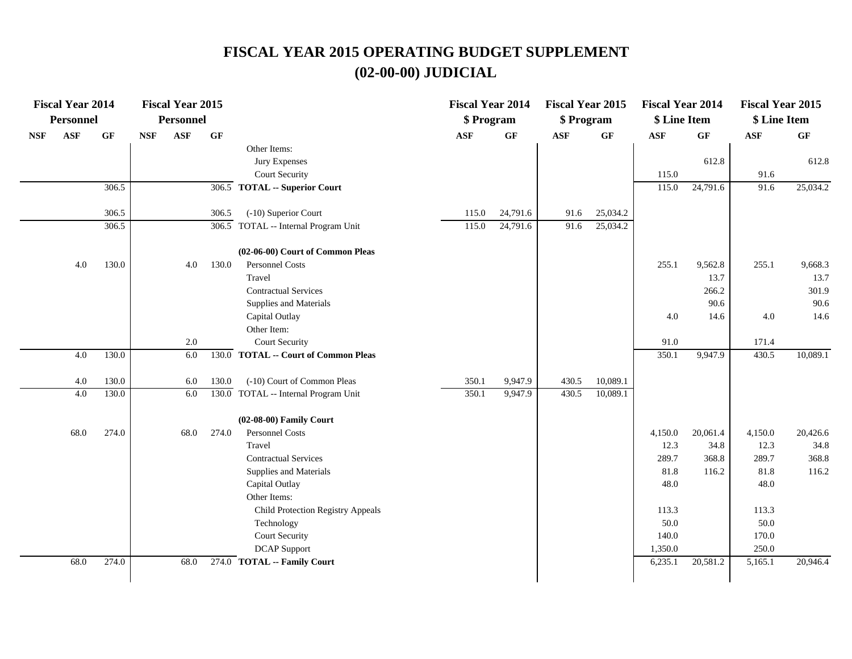|            | <b>Fiscal Year 2014</b> |                 |            | <b>Fiscal Year 2015</b> |                    |                                       | <b>Fiscal Year 2014</b> |          | <b>Fiscal Year 2015</b> |                 | <b>Fiscal Year 2014</b> |          | <b>Fiscal Year 2015</b> |          |
|------------|-------------------------|-----------------|------------|-------------------------|--------------------|---------------------------------------|-------------------------|----------|-------------------------|-----------------|-------------------------|----------|-------------------------|----------|
|            | <b>Personnel</b>        |                 |            | <b>Personnel</b>        |                    |                                       | \$ Program              |          | \$ Program              |                 | \$ Line Item            |          | \$ Line Item            |          |
| <b>NSF</b> | <b>ASF</b>              | $\bf{G} \bf{F}$ | <b>NSF</b> | <b>ASF</b>              | GF                 |                                       | <b>ASF</b>              | GF       | <b>ASF</b>              | $\bf{G} \bf{F}$ | <b>ASF</b>              | GF       | <b>ASF</b>              | GF       |
|            |                         |                 |            |                         |                    | Other Items:                          |                         |          |                         |                 |                         |          |                         |          |
|            |                         |                 |            |                         |                    | Jury Expenses                         |                         |          |                         |                 |                         | 612.8    |                         | 612.8    |
|            |                         |                 |            |                         |                    | Court Security                        |                         |          |                         |                 | 115.0                   |          | 91.6                    |          |
|            |                         | 306.5           |            |                         |                    | 306.5 TOTAL -- Superior Court         |                         |          |                         |                 | 115.0                   | 24,791.6 | 91.6                    | 25,034.2 |
|            |                         | 306.5           |            |                         | 306.5              | (-10) Superior Court                  | 115.0                   | 24,791.6 | 91.6                    | 25,034.2        |                         |          |                         |          |
|            |                         | 306.5           |            |                         | $\overline{306.5}$ | TOTAL -- Internal Program Unit        | 115.0                   | 24,791.6 | 91.6                    | 25,034.2        |                         |          |                         |          |
|            |                         |                 |            |                         |                    | (02-06-00) Court of Common Pleas      |                         |          |                         |                 |                         |          |                         |          |
|            | 4.0                     | 130.0           |            | 4.0                     | 130.0              | Personnel Costs                       |                         |          |                         |                 | 255.1                   | 9,562.8  | 255.1                   | 9,668.3  |
|            |                         |                 |            |                         |                    | Travel                                |                         |          |                         |                 |                         | 13.7     |                         | 13.7     |
|            |                         |                 |            |                         |                    | <b>Contractual Services</b>           |                         |          |                         |                 |                         | 266.2    |                         | 301.9    |
|            |                         |                 |            |                         |                    | Supplies and Materials                |                         |          |                         |                 |                         | 90.6     |                         | 90.6     |
|            |                         |                 |            |                         |                    | Capital Outlay                        |                         |          |                         |                 | 4.0                     | 14.6     | 4.0                     | 14.6     |
|            |                         |                 |            |                         |                    | Other Item:                           |                         |          |                         |                 |                         |          |                         |          |
|            |                         |                 |            | 2.0                     |                    | <b>Court Security</b>                 |                         |          |                         |                 | 91.0                    |          | 171.4                   |          |
|            | 4.0                     | 130.0           |            | 6.0                     | 130.0              | <b>TOTAL -- Court of Common Pleas</b> |                         |          |                         |                 | 350.1                   | 9,947.9  | 430.5                   | 10,089.1 |
|            | 4.0                     | 130.0           |            | 6.0                     | 130.0              | (-10) Court of Common Pleas           | 350.1                   | 9,947.9  | 430.5                   | 10,089.1        |                         |          |                         |          |
|            | 4.0                     | 130.0           |            | 6.0                     | 130.0              | TOTAL -- Internal Program Unit        | 350.1                   | 9,947.9  | 430.5                   | 10,089.1        |                         |          |                         |          |
|            |                         |                 |            |                         |                    | (02-08-00) Family Court               |                         |          |                         |                 |                         |          |                         |          |
|            | 68.0                    | 274.0           |            | 68.0                    | 274.0              | <b>Personnel Costs</b>                |                         |          |                         |                 | 4,150.0                 | 20,061.4 | 4,150.0                 | 20,426.6 |
|            |                         |                 |            |                         |                    | Travel                                |                         |          |                         |                 | 12.3                    | 34.8     | 12.3                    | 34.8     |
|            |                         |                 |            |                         |                    | <b>Contractual Services</b>           |                         |          |                         |                 | 289.7                   | 368.8    | 289.7                   | 368.8    |
|            |                         |                 |            |                         |                    | Supplies and Materials                |                         |          |                         |                 | 81.8                    | 116.2    | 81.8                    | 116.2    |
|            |                         |                 |            |                         |                    | Capital Outlay                        |                         |          |                         |                 | 48.0                    |          | 48.0                    |          |
|            |                         |                 |            |                         |                    | Other Items:                          |                         |          |                         |                 |                         |          |                         |          |
|            |                         |                 |            |                         |                    | Child Protection Registry Appeals     |                         |          |                         |                 | 113.3                   |          | 113.3                   |          |
|            |                         |                 |            |                         |                    | Technology                            |                         |          |                         |                 | 50.0                    |          | 50.0                    |          |
|            |                         |                 |            |                         |                    | <b>Court Security</b>                 |                         |          |                         |                 | 140.0                   |          | 170.0                   |          |
|            |                         |                 |            |                         |                    | <b>DCAP</b> Support                   |                         |          |                         |                 | 1,350.0                 |          | 250.0                   |          |
|            | 68.0                    | 274.0           |            | 68.0                    |                    | 274.0 TOTAL -- Family Court           |                         |          |                         |                 | 6,235.1                 | 20,581.2 | 5,165.1                 | 20,946.4 |
|            |                         |                 |            |                         |                    |                                       |                         |          |                         |                 |                         |          |                         |          |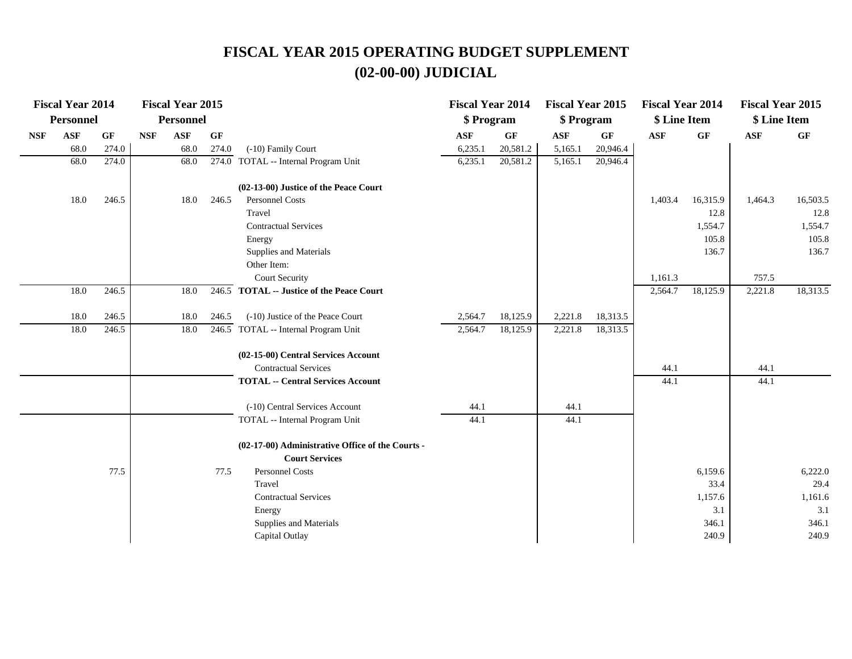|            | <b>Fiscal Year 2014</b> |       |                             | <b>Fiscal Year 2015</b> |       |                                                  | <b>Fiscal Year 2014</b> |          | <b>Fiscal Year 2015</b> |                 | <b>Fiscal Year 2014</b> |          | <b>Fiscal Year 2015</b> |          |
|------------|-------------------------|-------|-----------------------------|-------------------------|-------|--------------------------------------------------|-------------------------|----------|-------------------------|-----------------|-------------------------|----------|-------------------------|----------|
|            | <b>Personnel</b>        |       |                             | <b>Personnel</b>        |       |                                                  | \$ Program              |          | \$ Program              |                 | \$ Line Item            |          | \$ Line Item            |          |
| <b>NSF</b> | <b>ASF</b>              | GF    | $\ensuremath{\mathbf{NSF}}$ | $\mathbf{ASF}$          | GF    |                                                  | $\mathbf{ASF}$          | GF       | $\mathbf{ASF}$          | $\bf{G} \bf{F}$ | <b>ASF</b>              | GF       | $\mathbf{ASF}$          | GF       |
|            | 68.0                    | 274.0 |                             | 68.0                    | 274.0 | (-10) Family Court                               | 6,235.1                 | 20,581.2 | 5,165.1                 | 20,946.4        |                         |          |                         |          |
|            | 68.0                    | 274.0 |                             | 68.0                    |       | 274.0 TOTAL -- Internal Program Unit             | 6,235.1                 | 20,581.2 | 5,165.1                 | 20,946.4        |                         |          |                         |          |
|            |                         |       |                             |                         |       | (02-13-00) Justice of the Peace Court            |                         |          |                         |                 |                         |          |                         |          |
|            | 18.0                    | 246.5 |                             | 18.0                    | 246.5 | Personnel Costs                                  |                         |          |                         |                 | 1,403.4                 | 16,315.9 | 1,464.3                 | 16,503.5 |
|            |                         |       |                             |                         |       | Travel                                           |                         |          |                         |                 |                         | 12.8     |                         | 12.8     |
|            |                         |       |                             |                         |       | <b>Contractual Services</b>                      |                         |          |                         |                 |                         | 1,554.7  |                         | 1,554.7  |
|            |                         |       |                             |                         |       | Energy                                           |                         |          |                         |                 |                         | 105.8    |                         | 105.8    |
|            |                         |       |                             |                         |       | Supplies and Materials                           |                         |          |                         |                 |                         | 136.7    |                         | 136.7    |
|            |                         |       |                             |                         |       | Other Item:                                      |                         |          |                         |                 |                         |          |                         |          |
|            |                         |       |                             |                         |       | <b>Court Security</b>                            |                         |          |                         |                 | 1,161.3                 |          | 757.5                   |          |
|            | 18.0                    | 246.5 |                             | 18.0                    |       | 246.5 TOTAL -- Justice of the Peace Court        |                         |          |                         |                 | 2,564.7                 | 18,125.9 | 2,221.8                 | 18,313.5 |
|            | 18.0                    | 246.5 |                             | 18.0                    | 246.5 | (-10) Justice of the Peace Court                 | 2,564.7                 | 18,125.9 | 2,221.8                 | 18,313.5        |                         |          |                         |          |
|            | 18.0                    | 246.5 |                             | 18.0                    |       | 246.5 TOTAL -- Internal Program Unit             | 2,564.7                 | 18,125.9 | 2,221.8                 | 18,313.5        |                         |          |                         |          |
|            |                         |       |                             |                         |       | (02-15-00) Central Services Account              |                         |          |                         |                 |                         |          |                         |          |
|            |                         |       |                             |                         |       | <b>Contractual Services</b>                      |                         |          |                         |                 | 44.1                    |          | 44.1                    |          |
|            |                         |       |                             |                         |       | <b>TOTAL -- Central Services Account</b>         |                         |          |                         |                 | 44.1                    |          | 44.1                    |          |
|            |                         |       |                             |                         |       | (-10) Central Services Account                   | 44.1                    |          | 44.1                    |                 |                         |          |                         |          |
|            |                         |       |                             |                         |       | TOTAL -- Internal Program Unit                   | 44.1                    |          | 44.1                    |                 |                         |          |                         |          |
|            |                         |       |                             |                         |       | (02-17-00) Administrative Office of the Courts - |                         |          |                         |                 |                         |          |                         |          |
|            |                         |       |                             |                         |       | <b>Court Services</b>                            |                         |          |                         |                 |                         |          |                         |          |
|            |                         | 77.5  |                             |                         | 77.5  | Personnel Costs                                  |                         |          |                         |                 |                         | 6,159.6  |                         | 6,222.0  |
|            |                         |       |                             |                         |       | Travel                                           |                         |          |                         |                 |                         | 33.4     |                         | 29.4     |
|            |                         |       |                             |                         |       | <b>Contractual Services</b>                      |                         |          |                         |                 |                         | 1,157.6  |                         | 1,161.6  |
|            |                         |       |                             |                         |       | Energy                                           |                         |          |                         |                 |                         | 3.1      |                         | 3.1      |
|            |                         |       |                             |                         |       | Supplies and Materials                           |                         |          |                         |                 |                         | 346.1    |                         | 346.1    |
|            |                         |       |                             |                         |       | Capital Outlay                                   |                         |          |                         |                 |                         | 240.9    |                         | 240.9    |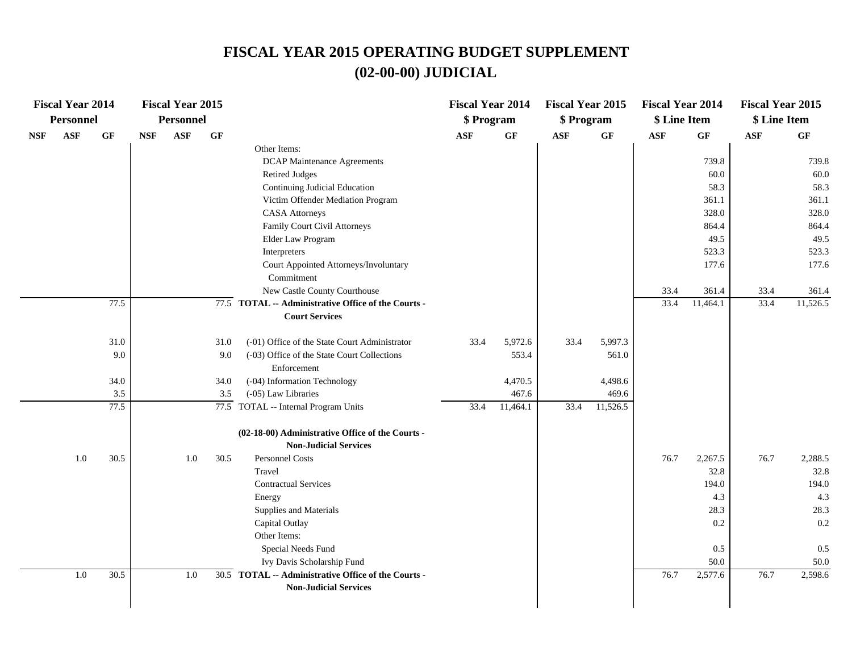| <b>Fiscal Year 2014</b>                         |            | <b>Fiscal Year 2015</b> |      |                                                     | <b>Fiscal Year 2014</b> |                 | <b>Fiscal Year 2015</b> |                 | <b>Fiscal Year 2014</b> |                 | <b>Fiscal Year 2015</b> |                 |
|-------------------------------------------------|------------|-------------------------|------|-----------------------------------------------------|-------------------------|-----------------|-------------------------|-----------------|-------------------------|-----------------|-------------------------|-----------------|
| <b>Personnel</b>                                |            | Personnel               |      |                                                     | \$ Program              |                 | \$ Program              |                 | \$ Line Item            |                 | \$ Line Item            |                 |
| $\mathbf{ASF}$<br>$\bf{G} \bf{F}$<br><b>NSF</b> | <b>NSF</b> | ASF                     | GF   |                                                     | $\mathbf{ASF}$          | $\bf{G} \bf{F}$ | $\mathbf{ASF}$          | $\bf{G} \bf{F}$ | $\mathbf{ASF}$          | $\bf{G} \bf{F}$ | ASF                     | $\bf{G} \bf{F}$ |
|                                                 |            |                         |      | Other Items:                                        |                         |                 |                         |                 |                         |                 |                         |                 |
|                                                 |            |                         |      | <b>DCAP Maintenance Agreements</b>                  |                         |                 |                         |                 |                         | 739.8           |                         | 739.8           |
|                                                 |            |                         |      | <b>Retired Judges</b>                               |                         |                 |                         |                 |                         | 60.0            |                         | 60.0            |
|                                                 |            |                         |      | Continuing Judicial Education                       |                         |                 |                         |                 |                         | 58.3            |                         | 58.3            |
|                                                 |            |                         |      | Victim Offender Mediation Program                   |                         |                 |                         |                 |                         | 361.1           |                         | 361.1           |
|                                                 |            |                         |      | <b>CASA</b> Attorneys                               |                         |                 |                         |                 |                         | 328.0           |                         | 328.0           |
|                                                 |            |                         |      | Family Court Civil Attorneys                        |                         |                 |                         |                 |                         | 864.4           |                         | 864.4           |
|                                                 |            |                         |      | Elder Law Program                                   |                         |                 |                         |                 |                         | 49.5            |                         | 49.5            |
|                                                 |            |                         |      | Interpreters                                        |                         |                 |                         |                 |                         | 523.3           |                         | 523.3           |
|                                                 |            |                         |      | Court Appointed Attorneys/Involuntary               |                         |                 |                         |                 |                         | 177.6           |                         | 177.6           |
|                                                 |            |                         |      | Commitment                                          |                         |                 |                         |                 |                         |                 |                         |                 |
|                                                 |            |                         |      | New Castle County Courthouse                        |                         |                 |                         |                 | 33.4                    | 361.4           | 33.4                    | 361.4           |
| 77.5                                            |            |                         |      | 77.5 TOTAL -- Administrative Office of the Courts - |                         |                 |                         |                 | 33.4                    | 11,464.1        | 33.4                    | 11,526.5        |
|                                                 |            |                         |      | <b>Court Services</b>                               |                         |                 |                         |                 |                         |                 |                         |                 |
| 31.0                                            |            |                         | 31.0 | (-01) Office of the State Court Administrator       | 33.4                    | 5,972.6         | 33.4                    | 5,997.3         |                         |                 |                         |                 |
| 9.0                                             |            |                         | 9.0  | (-03) Office of the State Court Collections         |                         | 553.4           |                         | 561.0           |                         |                 |                         |                 |
|                                                 |            |                         |      | Enforcement                                         |                         |                 |                         |                 |                         |                 |                         |                 |
| 34.0                                            |            |                         | 34.0 | (-04) Information Technology                        |                         | 4,470.5         |                         | 4,498.6         |                         |                 |                         |                 |
| 3.5                                             |            |                         | 3.5  | (-05) Law Libraries                                 |                         | 467.6           |                         | 469.6           |                         |                 |                         |                 |
| 77.5                                            |            |                         |      | 77.5 TOTAL -- Internal Program Units                | 33.4                    | 11,464.1        | 33.4                    | 11,526.5        |                         |                 |                         |                 |
|                                                 |            |                         |      | (02-18-00) Administrative Office of the Courts -    |                         |                 |                         |                 |                         |                 |                         |                 |
|                                                 |            |                         |      | <b>Non-Judicial Services</b>                        |                         |                 |                         |                 |                         |                 |                         |                 |
| 30.5<br>1.0                                     |            | 1.0                     | 30.5 | Personnel Costs                                     |                         |                 |                         |                 | 76.7                    | 2,267.5         | 76.7                    | 2,288.5         |
|                                                 |            |                         |      | Travel                                              |                         |                 |                         |                 |                         | 32.8            |                         | 32.8            |
|                                                 |            |                         |      | <b>Contractual Services</b>                         |                         |                 |                         |                 |                         | 194.0           |                         | 194.0           |
|                                                 |            |                         |      | Energy                                              |                         |                 |                         |                 |                         | 4.3             |                         | 4.3             |
|                                                 |            |                         |      | Supplies and Materials                              |                         |                 |                         |                 |                         | 28.3            |                         | 28.3            |
|                                                 |            |                         |      | Capital Outlay                                      |                         |                 |                         |                 |                         | 0.2             |                         | 0.2             |
|                                                 |            |                         |      | Other Items:                                        |                         |                 |                         |                 |                         |                 |                         |                 |
|                                                 |            |                         |      | Special Needs Fund                                  |                         |                 |                         |                 |                         | 0.5             |                         | 0.5             |
|                                                 |            |                         |      | Ivy Davis Scholarship Fund                          |                         |                 |                         |                 |                         | 50.0            |                         | 50.0            |
| 1.0<br>30.5                                     |            | 1.0                     |      | 30.5 TOTAL -- Administrative Office of the Courts - |                         |                 |                         |                 | 76.7                    | 2,577.6         | 76.7                    | 2,598.6         |
|                                                 |            |                         |      | <b>Non-Judicial Services</b>                        |                         |                 |                         |                 |                         |                 |                         |                 |
|                                                 |            |                         |      |                                                     |                         |                 |                         |                 |                         |                 |                         |                 |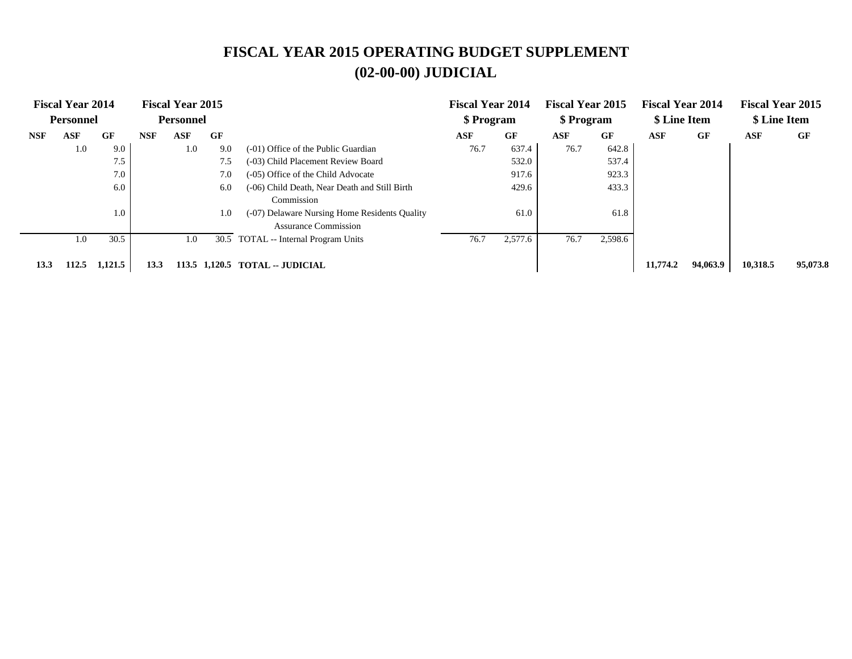|            | <b>Fiscal Year 2014</b><br><b>Personnel</b> |         |            | <b>Fiscal Year 2015</b><br><b>Personnel</b> |     |                                               | <b>Fiscal Year 2014</b><br>\$ Program |         | <b>Fiscal Year 2015</b><br>\$ Program |         | <b>Fiscal Year 2014</b><br>\$ Line Item |          | <b>Fiscal Year 2015</b><br>\$ Line Item |          |
|------------|---------------------------------------------|---------|------------|---------------------------------------------|-----|-----------------------------------------------|---------------------------------------|---------|---------------------------------------|---------|-----------------------------------------|----------|-----------------------------------------|----------|
|            |                                             |         |            |                                             |     |                                               |                                       |         |                                       |         |                                         |          |                                         |          |
| <b>NSF</b> | ASF                                         | GF      | <b>NSF</b> | <b>ASF</b>                                  | GF  |                                               | <b>ASF</b>                            | GF      | <b>ASF</b>                            | GF      | ASF                                     | GF       | <b>ASF</b>                              | GF       |
|            | 1.0                                         | 9.0     |            | 1.0                                         | 9.0 | (-01) Office of the Public Guardian           | 76.7                                  | 637.4   | 76.7                                  | 642.8   |                                         |          |                                         |          |
|            |                                             | 7.5     |            |                                             | 7.5 | (-03) Child Placement Review Board            |                                       | 532.0   |                                       | 537.4   |                                         |          |                                         |          |
|            |                                             | 7.0     |            |                                             | 7.0 | (-05) Office of the Child Advocate            |                                       | 917.6   |                                       | 923.3   |                                         |          |                                         |          |
|            |                                             | 6.0     |            |                                             | 6.0 | (-06) Child Death, Near Death and Still Birth |                                       | 429.6   |                                       | 433.3   |                                         |          |                                         |          |
|            |                                             |         |            |                                             |     | Commission                                    |                                       |         |                                       |         |                                         |          |                                         |          |
|            |                                             | 1.0     |            |                                             | 1.0 | (-07) Delaware Nursing Home Residents Quality |                                       | 61.0    |                                       | 61.8    |                                         |          |                                         |          |
|            |                                             |         |            |                                             |     | <b>Assurance Commission</b>                   |                                       |         |                                       |         |                                         |          |                                         |          |
|            | 1.0                                         | 30.5    |            | 1.0                                         |     | 30.5 TOTAL -- Internal Program Units          | 76.7                                  | 2,577.6 | 76.7                                  | 2,598.6 |                                         |          |                                         |          |
|            |                                             |         |            |                                             |     |                                               |                                       |         |                                       |         |                                         |          |                                         |          |
| 13.3       | 112.5                                       | 1,121.5 | 13.3       |                                             |     | 113.5 1,120.5 TOTAL -- JUDICIAL               |                                       |         |                                       |         | 11,774.2                                | 94,063.9 | 10,318.5                                | 95,073.8 |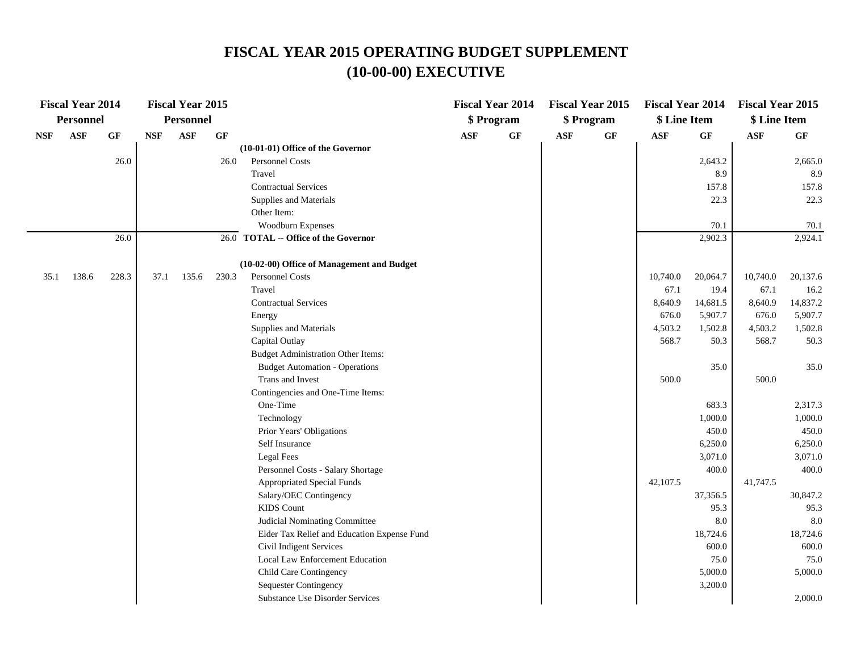|            | <b>Fiscal Year 2014</b> |       |            | <b>Fiscal Year 2015</b> |                 |                                             |     | <b>Fiscal Year 2014</b> |            | <b>Fiscal Year 2015</b> | <b>Fiscal Year 2014</b> |          | <b>Fiscal Year 2015</b> |          |
|------------|-------------------------|-------|------------|-------------------------|-----------------|---------------------------------------------|-----|-------------------------|------------|-------------------------|-------------------------|----------|-------------------------|----------|
|            | <b>Personnel</b>        |       |            | <b>Personnel</b>        |                 |                                             |     | \$ Program              |            | \$ Program              | \$ Line Item            |          | \$ Line Item            |          |
| <b>NSF</b> | <b>ASF</b>              | GF    | <b>NSF</b> | <b>ASF</b>              | $\bf{G} \bf{F}$ |                                             | ASF | <b>GF</b>               | <b>ASF</b> | GF                      | ASF                     | GF       | ASF                     | GF       |
|            |                         |       |            |                         |                 | (10-01-01) Office of the Governor           |     |                         |            |                         |                         |          |                         |          |
|            |                         | 26.0  |            |                         | 26.0            | Personnel Costs                             |     |                         |            |                         |                         | 2,643.2  |                         | 2,665.0  |
|            |                         |       |            |                         |                 | Travel                                      |     |                         |            |                         |                         | 8.9      |                         | 8.9      |
|            |                         |       |            |                         |                 | <b>Contractual Services</b>                 |     |                         |            |                         |                         | 157.8    |                         | 157.8    |
|            |                         |       |            |                         |                 | Supplies and Materials                      |     |                         |            |                         |                         | 22.3     |                         | 22.3     |
|            |                         |       |            |                         |                 | Other Item:                                 |     |                         |            |                         |                         |          |                         |          |
|            |                         |       |            |                         |                 | Woodburn Expenses                           |     |                         |            |                         |                         | 70.1     |                         | 70.1     |
|            |                         | 26.0  |            |                         |                 | 26.0 TOTAL -- Office of the Governor        |     |                         |            |                         |                         | 2,902.3  |                         | 2,924.1  |
|            |                         |       |            |                         |                 | (10-02-00) Office of Management and Budget  |     |                         |            |                         |                         |          |                         |          |
| 35.1       | 138.6                   | 228.3 | 37.1       | 135.6                   | 230.3           | Personnel Costs                             |     |                         |            |                         | 10,740.0                | 20,064.7 | 10,740.0                | 20,137.6 |
|            |                         |       |            |                         |                 | Travel                                      |     |                         |            |                         | 67.1                    | 19.4     | 67.1                    | 16.2     |
|            |                         |       |            |                         |                 | <b>Contractual Services</b>                 |     |                         |            |                         | 8,640.9                 | 14,681.5 | 8,640.9                 | 14,837.2 |
|            |                         |       |            |                         |                 | Energy                                      |     |                         |            |                         | 676.0                   | 5,907.7  | 676.0                   | 5,907.7  |
|            |                         |       |            |                         |                 | Supplies and Materials                      |     |                         |            |                         | 4,503.2                 | 1,502.8  | 4,503.2                 | 1,502.8  |
|            |                         |       |            |                         |                 | Capital Outlay                              |     |                         |            |                         | 568.7                   | 50.3     | 568.7                   | 50.3     |
|            |                         |       |            |                         |                 | <b>Budget Administration Other Items:</b>   |     |                         |            |                         |                         |          |                         |          |
|            |                         |       |            |                         |                 | <b>Budget Automation - Operations</b>       |     |                         |            |                         |                         | 35.0     |                         | 35.0     |
|            |                         |       |            |                         |                 | Trans and Invest                            |     |                         |            |                         | 500.0                   |          | 500.0                   |          |
|            |                         |       |            |                         |                 | Contingencies and One-Time Items:           |     |                         |            |                         |                         |          |                         |          |
|            |                         |       |            |                         |                 | One-Time                                    |     |                         |            |                         |                         | 683.3    |                         | 2,317.3  |
|            |                         |       |            |                         |                 | Technology                                  |     |                         |            |                         |                         | 1,000.0  |                         | 1,000.0  |
|            |                         |       |            |                         |                 | Prior Years' Obligations                    |     |                         |            |                         |                         | 450.0    |                         | 450.0    |
|            |                         |       |            |                         |                 | Self Insurance                              |     |                         |            |                         |                         | 6,250.0  |                         | 6,250.0  |
|            |                         |       |            |                         |                 | Legal Fees                                  |     |                         |            |                         |                         | 3,071.0  |                         | 3,071.0  |
|            |                         |       |            |                         |                 | Personnel Costs - Salary Shortage           |     |                         |            |                         |                         | 400.0    |                         | 400.0    |
|            |                         |       |            |                         |                 | Appropriated Special Funds                  |     |                         |            |                         | 42,107.5                |          | 41,747.5                |          |
|            |                         |       |            |                         |                 | Salary/OEC Contingency                      |     |                         |            |                         |                         | 37,356.5 |                         | 30,847.2 |
|            |                         |       |            |                         |                 | <b>KIDS</b> Count                           |     |                         |            |                         |                         | 95.3     |                         | 95.3     |
|            |                         |       |            |                         |                 | Judicial Nominating Committee               |     |                         |            |                         |                         | 8.0      |                         | 8.0      |
|            |                         |       |            |                         |                 | Elder Tax Relief and Education Expense Fund |     |                         |            |                         |                         | 18,724.6 |                         | 18,724.6 |
|            |                         |       |            |                         |                 | Civil Indigent Services                     |     |                         |            |                         |                         | 600.0    |                         | 600.0    |
|            |                         |       |            |                         |                 | Local Law Enforcement Education             |     |                         |            |                         |                         | 75.0     |                         | 75.0     |
|            |                         |       |            |                         |                 | Child Care Contingency                      |     |                         |            |                         |                         | 5,000.0  |                         | 5,000.0  |
|            |                         |       |            |                         |                 | <b>Sequester Contingency</b>                |     |                         |            |                         |                         | 3,200.0  |                         |          |
|            |                         |       |            |                         |                 | Substance Use Disorder Services             |     |                         |            |                         |                         |          |                         | 2,000.0  |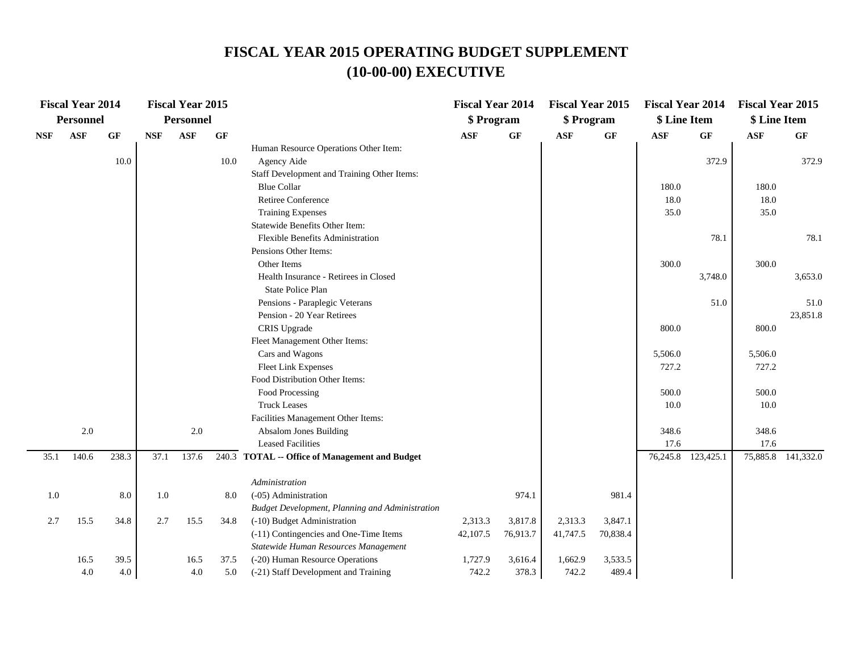|            | <b>Fiscal Year 2014</b> |                 |            | <b>Fiscal Year 2015</b> |      |                                                                         | <b>Fiscal Year 2014</b> |          | <b>Fiscal Year 2015</b> |          | <b>Fiscal Year 2014</b> |                 | <b>Fiscal Year 2015</b> |                    |
|------------|-------------------------|-----------------|------------|-------------------------|------|-------------------------------------------------------------------------|-------------------------|----------|-------------------------|----------|-------------------------|-----------------|-------------------------|--------------------|
|            | <b>Personnel</b>        |                 |            | Personnel               |      |                                                                         | \$ Program              |          | \$ Program              |          | \$ Line Item            |                 | \$ Line Item            |                    |
| <b>NSF</b> | <b>ASF</b>              | $\bf{G} \bf{F}$ | <b>NSF</b> | <b>ASF</b>              | GF   |                                                                         | <b>ASF</b>              | GF       | <b>ASF</b>              | GF       | <b>ASF</b>              | $\bf{G} \bf{F}$ | ASF                     | $\bf{G} \bf{F}$    |
|            |                         |                 |            |                         |      | Human Resource Operations Other Item:                                   |                         |          |                         |          |                         |                 |                         |                    |
|            |                         | 10.0            |            |                         | 10.0 | Agency Aide                                                             |                         |          |                         |          |                         | 372.9           |                         | 372.9              |
|            |                         |                 |            |                         |      | Staff Development and Training Other Items:                             |                         |          |                         |          |                         |                 |                         |                    |
|            |                         |                 |            |                         |      | <b>Blue Collar</b>                                                      |                         |          |                         |          | 180.0                   |                 | 180.0                   |                    |
|            |                         |                 |            |                         |      | Retiree Conference                                                      |                         |          |                         |          | 18.0                    |                 | 18.0                    |                    |
|            |                         |                 |            |                         |      | <b>Training Expenses</b>                                                |                         |          |                         |          | 35.0                    |                 | 35.0                    |                    |
|            |                         |                 |            |                         |      | Statewide Benefits Other Item:                                          |                         |          |                         |          |                         |                 |                         |                    |
|            |                         |                 |            |                         |      | Flexible Benefits Administration                                        |                         |          |                         |          |                         | 78.1            |                         | 78.1               |
|            |                         |                 |            |                         |      | Pensions Other Items:                                                   |                         |          |                         |          |                         |                 |                         |                    |
|            |                         |                 |            |                         |      | Other Items                                                             |                         |          |                         |          | 300.0                   |                 | 300.0                   |                    |
|            |                         |                 |            |                         |      | Health Insurance - Retirees in Closed                                   |                         |          |                         |          |                         | 3,748.0         |                         | 3,653.0            |
|            |                         |                 |            |                         |      | <b>State Police Plan</b>                                                |                         |          |                         |          |                         |                 |                         |                    |
|            |                         |                 |            |                         |      | Pensions - Paraplegic Veterans                                          |                         |          |                         |          |                         | 51.0            |                         | 51.0               |
|            |                         |                 |            |                         |      | Pension - 20 Year Retirees                                              |                         |          |                         |          |                         |                 |                         | 23,851.8           |
|            |                         |                 |            |                         |      | CRIS Upgrade                                                            |                         |          |                         |          | 800.0                   |                 | 800.0                   |                    |
|            |                         |                 |            |                         |      | Fleet Management Other Items:                                           |                         |          |                         |          |                         |                 |                         |                    |
|            |                         |                 |            |                         |      | Cars and Wagons                                                         |                         |          |                         |          | 5,506.0                 |                 | 5,506.0                 |                    |
|            |                         |                 |            |                         |      | Fleet Link Expenses                                                     |                         |          |                         |          | 727.2                   |                 | 727.2                   |                    |
|            |                         |                 |            |                         |      | Food Distribution Other Items:                                          |                         |          |                         |          |                         |                 |                         |                    |
|            |                         |                 |            |                         |      | Food Processing                                                         |                         |          |                         |          | 500.0                   |                 | 500.0                   |                    |
|            |                         |                 |            |                         |      | <b>Truck Leases</b>                                                     |                         |          |                         |          | 10.0                    |                 | 10.0                    |                    |
|            |                         |                 |            |                         |      | Facilities Management Other Items:                                      |                         |          |                         |          |                         |                 |                         |                    |
|            | 2.0                     |                 |            | 2.0                     |      | Absalom Jones Building                                                  |                         |          |                         |          | 348.6                   |                 | 348.6                   |                    |
|            |                         |                 |            |                         |      | <b>Leased Facilities</b>                                                |                         |          |                         |          | 17.6                    |                 | 17.6                    |                    |
| 35.1       | 140.6                   | 238.3           | 37.1       | 137.6                   |      | 240.3 TOTAL -- Office of Management and Budget                          |                         |          |                         |          | 76,245.8                | 123,425.1       |                         | 75,885.8 141,332.0 |
|            |                         |                 |            |                         |      |                                                                         |                         |          |                         |          |                         |                 |                         |                    |
|            |                         |                 |            |                         |      | Administration                                                          |                         |          |                         |          |                         |                 |                         |                    |
| 1.0        |                         | 8.0             | 1.0        |                         | 8.0  | (-05) Administration                                                    |                         | 974.1    |                         | 981.4    |                         |                 |                         |                    |
|            |                         |                 |            |                         |      | Budget Development, Planning and Administration                         |                         |          |                         |          |                         |                 |                         |                    |
| 2.7        | 15.5                    | 34.8            | 2.7        | 15.5                    | 34.8 | (-10) Budget Administration                                             | 2,313.3                 | 3,817.8  | 2,313.3                 | 3,847.1  |                         |                 |                         |                    |
|            |                         |                 |            |                         |      | (-11) Contingencies and One-Time Items                                  | 42,107.5                | 76,913.7 | 41,747.5                | 70,838.4 |                         |                 |                         |                    |
|            |                         |                 |            |                         | 37.5 | Statewide Human Resources Management<br>(-20) Human Resource Operations |                         |          | 1,662.9                 |          |                         |                 |                         |                    |
|            | 16.5                    | 39.5            |            | 16.5                    |      |                                                                         | 1,727.9                 | 3,616.4  |                         | 3,533.5  |                         |                 |                         |                    |
|            | 4.0                     | 4.0             |            | 4.0                     | 5.0  | (-21) Staff Development and Training                                    | 742.2                   | 378.3    | 742.2                   | 489.4    |                         |                 |                         |                    |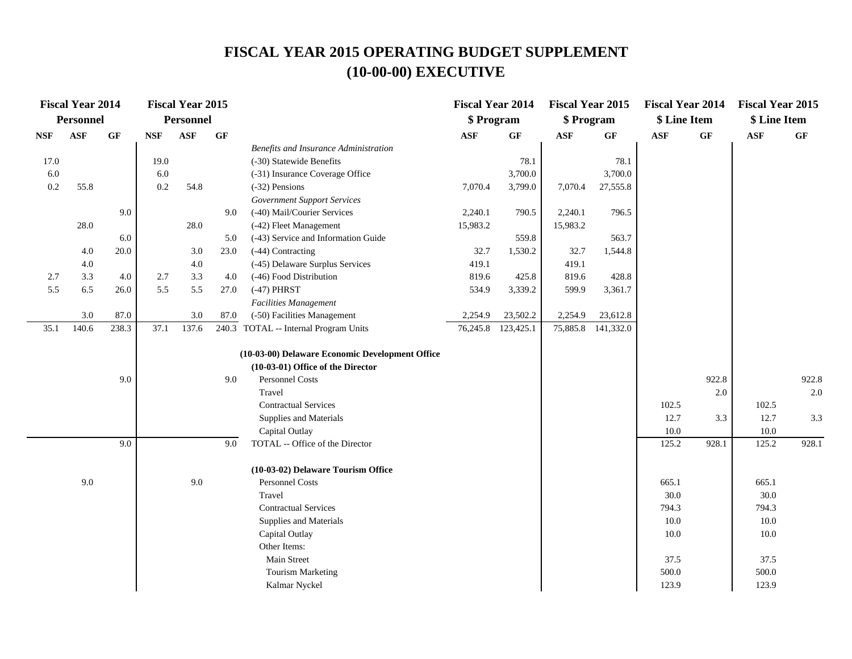|            | <b>Fiscal Year 2014</b> |           |            | <b>Fiscal Year 2015</b> |                 |                                                       | <b>Fiscal Year 2014</b> |           | <b>Fiscal Year 2015</b> |                    | <b>Fiscal Year 2014</b> |                 | <b>Fiscal Year 2015</b> |       |
|------------|-------------------------|-----------|------------|-------------------------|-----------------|-------------------------------------------------------|-------------------------|-----------|-------------------------|--------------------|-------------------------|-----------------|-------------------------|-------|
|            | <b>Personnel</b>        |           |            | <b>Personnel</b>        |                 |                                                       | \$ Program              |           | \$ Program              |                    | \$ Line Item            |                 | \$ Line Item            |       |
| <b>NSF</b> | <b>ASF</b>              | <b>GF</b> | <b>NSF</b> | ASF                     | $\bf{G} \bf{F}$ |                                                       | <b>ASF</b>              | GF        | <b>ASF</b>              | GF                 | <b>ASF</b>              | $\bf{G} \bf{F}$ | <b>ASF</b>              | GF    |
|            |                         |           |            |                         |                 | Benefits and Insurance Administration                 |                         |           |                         |                    |                         |                 |                         |       |
| 17.0       |                         |           | 19.0       |                         |                 | (-30) Statewide Benefits                              |                         | 78.1      |                         | 78.1               |                         |                 |                         |       |
| 6.0        |                         |           | 6.0        |                         |                 | (-31) Insurance Coverage Office                       |                         | 3,700.0   |                         | 3,700.0            |                         |                 |                         |       |
| 0.2        | 55.8                    |           | 0.2        | 54.8                    |                 | (-32) Pensions                                        | 7,070.4                 | 3,799.0   | 7,070.4                 | 27,555.8           |                         |                 |                         |       |
|            |                         |           |            |                         |                 | <b>Government Support Services</b>                    |                         |           |                         |                    |                         |                 |                         |       |
|            |                         | 9.0       |            |                         | 9.0             | (-40) Mail/Courier Services                           | 2,240.1                 | 790.5     | 2,240.1                 | 796.5              |                         |                 |                         |       |
|            | 28.0                    |           |            | 28.0                    |                 | (-42) Fleet Management                                | 15,983.2                |           | 15,983.2                |                    |                         |                 |                         |       |
|            |                         | 6.0       |            |                         | 5.0             | (-43) Service and Information Guide                   |                         | 559.8     |                         | 563.7              |                         |                 |                         |       |
|            | 4.0                     | 20.0      |            | 3.0                     | 23.0            | (-44) Contracting                                     | 32.7                    | 1,530.2   | 32.7                    | 1,544.8            |                         |                 |                         |       |
|            | 4.0                     |           |            | $4.0\,$                 |                 | (-45) Delaware Surplus Services                       | 419.1                   |           | 419.1                   |                    |                         |                 |                         |       |
| 2.7        | 3.3                     | 4.0       | 2.7        | 3.3                     | 4.0             | (-46) Food Distribution                               | 819.6                   | 425.8     | 819.6                   | 428.8              |                         |                 |                         |       |
| 5.5        | 6.5                     | 26.0      | 5.5        | 5.5                     | 27.0            | $(-47)$ PHRST                                         | 534.9                   | 3,339.2   | 599.9                   | 3,361.7            |                         |                 |                         |       |
|            |                         |           |            |                         |                 | Facilities Management                                 |                         |           |                         |                    |                         |                 |                         |       |
|            | 3.0                     | 87.0      |            | 3.0                     | 87.0            | (-50) Facilities Management                           | 2,254.9                 | 23,502.2  | 2,254.9                 | 23,612.8           |                         |                 |                         |       |
| 35.1       | 140.6                   | 238.3     | 37.1       | 137.6                   |                 | 240.3 TOTAL -- Internal Program Units                 | 76,245.8                | 123,425.1 |                         | 75,885.8 141,332.0 |                         |                 |                         |       |
|            |                         |           |            |                         |                 |                                                       |                         |           |                         |                    |                         |                 |                         |       |
|            |                         |           |            |                         |                 | (10-03-00) Delaware Economic Development Office       |                         |           |                         |                    |                         |                 |                         |       |
|            |                         |           |            |                         |                 | (10-03-01) Office of the Director                     |                         |           |                         |                    |                         |                 |                         |       |
|            |                         | 9.0       |            |                         | 9.0             | Personnel Costs                                       |                         |           |                         |                    |                         | 922.8           |                         | 922.8 |
|            |                         |           |            |                         |                 | Travel                                                |                         |           |                         |                    |                         | 2.0             |                         | 2.0   |
|            |                         |           |            |                         |                 | <b>Contractual Services</b>                           |                         |           |                         |                    | 102.5                   |                 | 102.5                   |       |
|            |                         |           |            |                         |                 | Supplies and Materials                                |                         |           |                         |                    | 12.7                    | 3.3             | 12.7                    | 3.3   |
|            |                         |           |            |                         |                 | Capital Outlay                                        |                         |           |                         |                    | 10.0                    |                 | 10.0                    |       |
|            |                         | 9.0       |            |                         | 9.0             | TOTAL -- Office of the Director                       |                         |           |                         |                    | 125.2                   | 928.1           | 125.2                   | 928.1 |
|            |                         |           |            |                         |                 |                                                       |                         |           |                         |                    |                         |                 |                         |       |
|            | 9.0                     |           |            | 9.0                     |                 | (10-03-02) Delaware Tourism Office<br>Personnel Costs |                         |           |                         |                    | 665.1                   |                 | 665.1                   |       |
|            |                         |           |            |                         |                 | Travel                                                |                         |           |                         |                    | 30.0                    |                 | 30.0                    |       |
|            |                         |           |            |                         |                 | <b>Contractual Services</b>                           |                         |           |                         |                    |                         |                 | 794.3                   |       |
|            |                         |           |            |                         |                 |                                                       |                         |           |                         |                    | 794.3                   |                 | $10.0\,$                |       |
|            |                         |           |            |                         |                 | Supplies and Materials<br>Capital Outlay              |                         |           |                         |                    | 10.0<br>10.0            |                 | 10.0                    |       |
|            |                         |           |            |                         |                 | Other Items:                                          |                         |           |                         |                    |                         |                 |                         |       |
|            |                         |           |            |                         |                 | Main Street                                           |                         |           |                         |                    | 37.5                    |                 | 37.5                    |       |
|            |                         |           |            |                         |                 | <b>Tourism Marketing</b>                              |                         |           |                         |                    | 500.0                   |                 | 500.0                   |       |
|            |                         |           |            |                         |                 | Kalmar Nyckel                                         |                         |           |                         |                    | 123.9                   |                 | 123.9                   |       |
|            |                         |           |            |                         |                 |                                                       |                         |           |                         |                    |                         |                 |                         |       |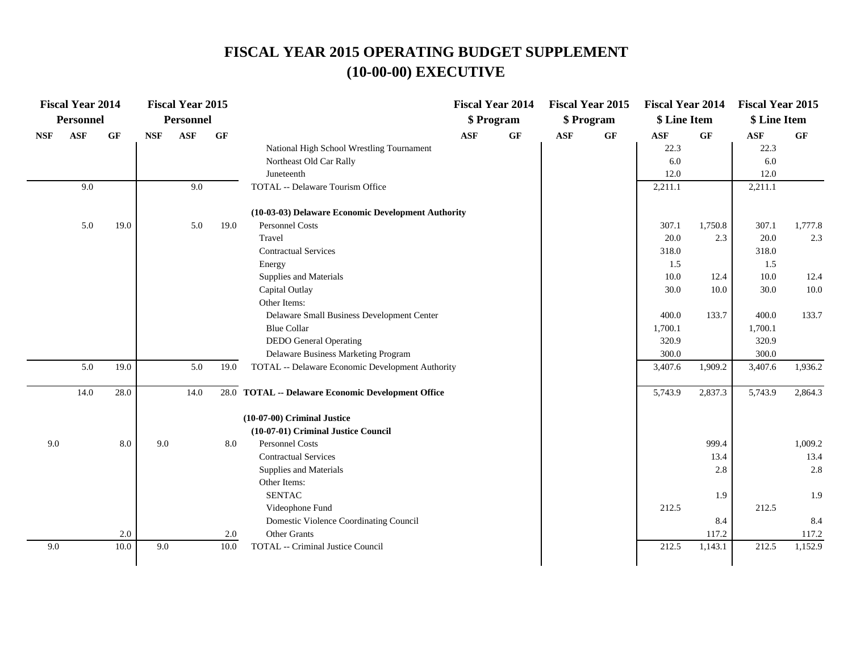|            | <b>Fiscal Year 2014</b> |      |            | <b>Fiscal Year 2015</b> |      |                                                    |            | <b>Fiscal Year 2014</b> |            | <b>Fiscal Year 2015</b> | <b>Fiscal Year 2014</b> |         | <b>Fiscal Year 2015</b> |         |
|------------|-------------------------|------|------------|-------------------------|------|----------------------------------------------------|------------|-------------------------|------------|-------------------------|-------------------------|---------|-------------------------|---------|
|            | Personnel               |      |            | Personnel               |      |                                                    |            | \$ Program              |            | \$ Program              | \$ Line Item            |         | \$ Line Item            |         |
| <b>NSF</b> | <b>ASF</b>              | GF   | <b>NSF</b> | <b>ASF</b>              | GF   |                                                    | <b>ASF</b> | $\bf{G} \bf{F}$         | <b>ASF</b> | $\bf{G} \bf{F}$         | $\mathbf{ASF}$          | GF      | ASF                     | GF      |
|            |                         |      |            |                         |      | National High School Wrestling Tournament          |            |                         |            |                         | 22.3                    |         | 22.3                    |         |
|            |                         |      |            |                         |      | Northeast Old Car Rally                            |            |                         |            |                         | 6.0                     |         | 6.0                     |         |
|            |                         |      |            |                         |      | Juneteenth                                         |            |                         |            |                         | 12.0                    |         | 12.0                    |         |
|            | 9.0                     |      |            | 9.0                     |      | TOTAL -- Delaware Tourism Office                   |            |                         |            |                         | 2,211.1                 |         | 2,211.1                 |         |
|            |                         |      |            |                         |      | (10-03-03) Delaware Economic Development Authority |            |                         |            |                         |                         |         |                         |         |
|            | 5.0                     | 19.0 |            | 5.0                     | 19.0 | Personnel Costs                                    |            |                         |            |                         | 307.1                   | 1,750.8 | 307.1                   | 1,777.8 |
|            |                         |      |            |                         |      | Travel                                             |            |                         |            |                         | 20.0                    | 2.3     | 20.0                    | 2.3     |
|            |                         |      |            |                         |      | <b>Contractual Services</b>                        |            |                         |            |                         | 318.0                   |         | 318.0                   |         |
|            |                         |      |            |                         |      | Energy                                             |            |                         |            |                         | 1.5                     |         | 1.5                     |         |
|            |                         |      |            |                         |      | Supplies and Materials                             |            |                         |            |                         | 10.0                    | 12.4    | 10.0                    | 12.4    |
|            |                         |      |            |                         |      | Capital Outlay                                     |            |                         |            |                         | 30.0                    | 10.0    | 30.0                    | 10.0    |
|            |                         |      |            |                         |      | Other Items:                                       |            |                         |            |                         |                         |         |                         |         |
|            |                         |      |            |                         |      | Delaware Small Business Development Center         |            |                         |            |                         | 400.0                   | 133.7   | 400.0                   | 133.7   |
|            |                         |      |            |                         |      | <b>Blue Collar</b>                                 |            |                         |            |                         | 1,700.1                 |         | 1,700.1                 |         |
|            |                         |      |            |                         |      | <b>DEDO</b> General Operating                      |            |                         |            |                         | 320.9                   |         | 320.9                   |         |
|            |                         |      |            |                         |      | Delaware Business Marketing Program                |            |                         |            |                         | 300.0                   |         | 300.0                   |         |
|            | 5.0                     | 19.0 |            | 5.0                     | 19.0 | TOTAL -- Delaware Economic Development Authority   |            |                         |            |                         | 3,407.6                 | 1,909.2 | 3,407.6                 | 1,936.2 |
|            | 14.0                    | 28.0 |            | 14.0                    |      | 28.0 TOTAL -- Delaware Economic Development Office |            |                         |            |                         | 5,743.9                 | 2,837.3 | 5,743.9                 | 2,864.3 |
|            |                         |      |            |                         |      | (10-07-00) Criminal Justice                        |            |                         |            |                         |                         |         |                         |         |
|            |                         |      |            |                         |      | (10-07-01) Criminal Justice Council                |            |                         |            |                         |                         |         |                         |         |
| 9.0        |                         | 8.0  | 9.0        |                         | 8.0  | <b>Personnel Costs</b>                             |            |                         |            |                         |                         | 999.4   |                         | 1,009.2 |
|            |                         |      |            |                         |      | <b>Contractual Services</b>                        |            |                         |            |                         |                         | 13.4    |                         | 13.4    |
|            |                         |      |            |                         |      | Supplies and Materials                             |            |                         |            |                         |                         | 2.8     |                         | 2.8     |
|            |                         |      |            |                         |      | Other Items:                                       |            |                         |            |                         |                         |         |                         |         |
|            |                         |      |            |                         |      | <b>SENTAC</b>                                      |            |                         |            |                         |                         | 1.9     |                         | 1.9     |
|            |                         |      |            |                         |      | Videophone Fund                                    |            |                         |            |                         | 212.5                   |         | 212.5                   |         |
|            |                         |      |            |                         |      | Domestic Violence Coordinating Council             |            |                         |            |                         |                         | 8.4     |                         | 8.4     |
|            |                         | 2.0  |            |                         | 2.0  | Other Grants                                       |            |                         |            |                         |                         | 117.2   |                         | 117.2   |
| 9.0        |                         | 10.0 | 9.0        |                         | 10.0 | TOTAL -- Criminal Justice Council                  |            |                         |            |                         | 212.5                   | 1,143.1 | 212.5                   | 1,152.9 |
|            |                         |      |            |                         |      |                                                    |            |                         |            |                         |                         |         |                         |         |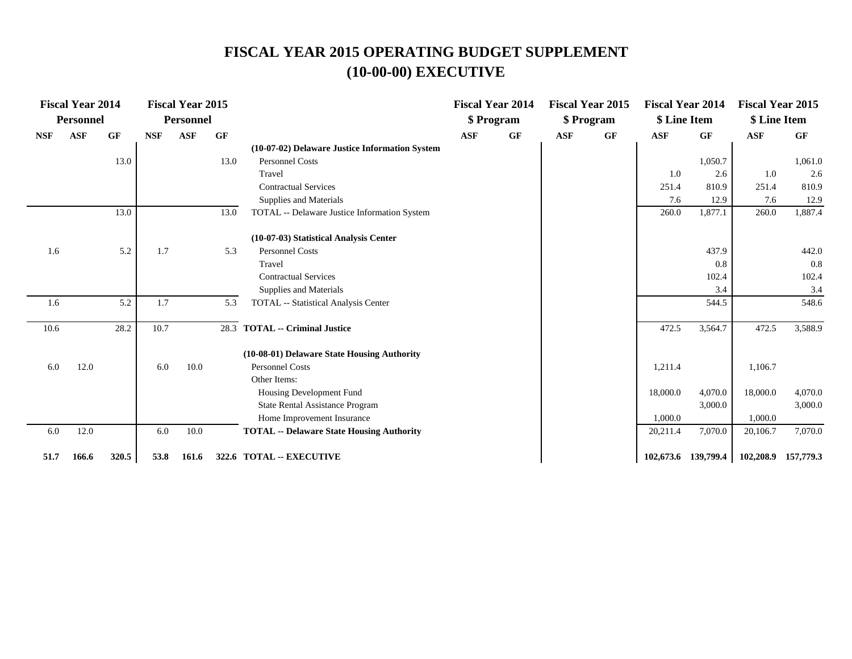|            | <b>Fiscal Year 2014</b><br><b>Personnel</b> |           |            | <b>Fiscal Year 2015</b><br><b>Personnel</b> |      |                                                  |            | <b>Fiscal Year 2014</b><br>\$ Program |            | <b>Fiscal Year 2015</b><br>\$ Program | <b>Fiscal Year 2014</b><br>\$ Line Item |                     | <b>Fiscal Year 2015</b><br>\$ Line Item |           |
|------------|---------------------------------------------|-----------|------------|---------------------------------------------|------|--------------------------------------------------|------------|---------------------------------------|------------|---------------------------------------|-----------------------------------------|---------------------|-----------------------------------------|-----------|
| <b>NSF</b> | <b>ASF</b>                                  | <b>GF</b> | <b>NSF</b> | <b>ASF</b>                                  | GF   |                                                  | <b>ASF</b> | GF                                    | <b>ASF</b> | GF                                    | <b>ASF</b>                              | <b>GF</b>           | <b>ASF</b>                              | <b>GF</b> |
|            |                                             |           |            |                                             |      | (10-07-02) Delaware Justice Information System   |            |                                       |            |                                       |                                         |                     |                                         |           |
|            |                                             | 13.0      |            |                                             | 13.0 | <b>Personnel Costs</b>                           |            |                                       |            |                                       |                                         | 1,050.7             |                                         | 1,061.0   |
|            |                                             |           |            |                                             |      | Travel                                           |            |                                       |            |                                       | 1.0                                     | 2.6                 | 1.0                                     | 2.6       |
|            |                                             |           |            |                                             |      | <b>Contractual Services</b>                      |            |                                       |            |                                       | 251.4                                   | 810.9               | 251.4                                   | 810.9     |
|            |                                             |           |            |                                             |      | Supplies and Materials                           |            |                                       |            |                                       | 7.6                                     | 12.9                | 7.6                                     | 12.9      |
|            |                                             | 13.0      |            |                                             | 13.0 | TOTAL -- Delaware Justice Information System     |            |                                       |            |                                       | 260.0                                   | 1,877.1             | 260.0                                   | 1,887.4   |
|            |                                             |           |            |                                             |      | (10-07-03) Statistical Analysis Center           |            |                                       |            |                                       |                                         |                     |                                         |           |
| 1.6        |                                             | 5.2       | 1.7        |                                             | 5.3  | <b>Personnel Costs</b>                           |            |                                       |            |                                       |                                         | 437.9               |                                         | 442.0     |
|            |                                             |           |            |                                             |      | Travel                                           |            |                                       |            |                                       |                                         | 0.8                 |                                         | 0.8       |
|            |                                             |           |            |                                             |      | <b>Contractual Services</b>                      |            |                                       |            |                                       |                                         | 102.4               |                                         | 102.4     |
|            |                                             |           |            |                                             |      | Supplies and Materials                           |            |                                       |            |                                       |                                         | 3.4                 |                                         | 3.4       |
| 1.6        |                                             | 5.2       | 1.7        |                                             | 5.3  | TOTAL -- Statistical Analysis Center             |            |                                       |            |                                       |                                         | 544.5               |                                         | 548.6     |
| 10.6       |                                             | 28.2      | 10.7       |                                             |      | 28.3 TOTAL -- Criminal Justice                   |            |                                       |            |                                       | 472.5                                   | 3,564.7             | 472.5                                   | 3,588.9   |
|            |                                             |           |            |                                             |      | (10-08-01) Delaware State Housing Authority      |            |                                       |            |                                       |                                         |                     |                                         |           |
| 6.0        | 12.0                                        |           | 6.0        | 10.0                                        |      | <b>Personnel Costs</b>                           |            |                                       |            |                                       | 1,211.4                                 |                     | 1,106.7                                 |           |
|            |                                             |           |            |                                             |      | Other Items:                                     |            |                                       |            |                                       |                                         |                     |                                         |           |
|            |                                             |           |            |                                             |      | Housing Development Fund                         |            |                                       |            |                                       | 18,000.0                                | 4,070.0             | 18,000.0                                | 4,070.0   |
|            |                                             |           |            |                                             |      | <b>State Rental Assistance Program</b>           |            |                                       |            |                                       |                                         | 3,000.0             |                                         | 3,000.0   |
|            |                                             |           |            |                                             |      | Home Improvement Insurance                       |            |                                       |            |                                       | 1,000.0                                 |                     | 1,000.0                                 |           |
| 6.0        | 12.0                                        |           | 6.0        | 10.0                                        |      | <b>TOTAL -- Delaware State Housing Authority</b> |            |                                       |            |                                       | 20,211.4                                | 7,070.0             | 20,106.7                                | 7,070.0   |
| 51.7       | 166.6                                       | 320.5     | 53.8       | 161.6                                       |      | 322.6 TOTAL -- EXECUTIVE                         |            |                                       |            |                                       |                                         | 102,673.6 139,799.4 | 102,208.9 157,779.3                     |           |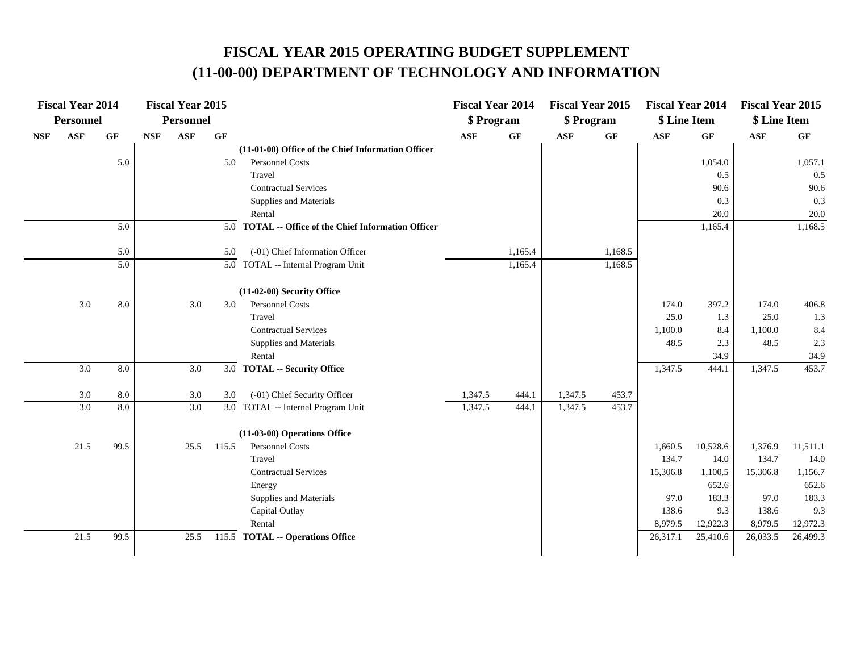## **FISCAL YEAR 2015 OPERATING BUDGET SUPPLEMENT (11-00-00) DEPARTMENT OF TECHNOLOGY AND INFORMATION**

|            | <b>Fiscal Year 2014</b> |                 |            | <b>Fiscal Year 2015</b> |       |                                                      | <b>Fiscal Year 2014</b> |           | <b>Fiscal Year 2015</b> |         | <b>Fiscal Year 2014</b> |           | <b>Fiscal Year 2015</b> |                 |
|------------|-------------------------|-----------------|------------|-------------------------|-------|------------------------------------------------------|-------------------------|-----------|-------------------------|---------|-------------------------|-----------|-------------------------|-----------------|
|            | Personnel               |                 |            | Personnel               |       |                                                      | \$ Program              |           | \$ Program              |         | \$ Line Item            |           | \$ Line Item            |                 |
| <b>NSF</b> | <b>ASF</b>              | $\bf{G} \bf{F}$ | <b>NSF</b> | ASF                     | GF    |                                                      | <b>ASF</b>              | <b>GF</b> | $\mathbf{ASF}$          | GF      | <b>ASF</b>              | <b>GF</b> | $\mathbf{ASF}$          | $\bf{G} \bf{F}$ |
|            |                         |                 |            |                         |       | (11-01-00) Office of the Chief Information Officer   |                         |           |                         |         |                         |           |                         |                 |
|            |                         | 5.0             |            |                         | 5.0   | Personnel Costs                                      |                         |           |                         |         |                         | 1,054.0   |                         | 1,057.1         |
|            |                         |                 |            |                         |       | Travel                                               |                         |           |                         |         |                         | 0.5       |                         | 0.5             |
|            |                         |                 |            |                         |       | <b>Contractual Services</b>                          |                         |           |                         |         |                         | 90.6      |                         | 90.6            |
|            |                         |                 |            |                         |       | Supplies and Materials                               |                         |           |                         |         |                         | 0.3       |                         | 0.3             |
|            |                         |                 |            |                         |       | Rental                                               |                         |           |                         |         |                         | 20.0      |                         | 20.0            |
|            |                         | 5.0             |            |                         |       | 5.0 TOTAL -- Office of the Chief Information Officer |                         |           |                         |         |                         | 1,165.4   |                         | 1,168.5         |
|            |                         | 5.0             |            |                         | 5.0   | (-01) Chief Information Officer                      |                         | 1,165.4   |                         | 1,168.5 |                         |           |                         |                 |
|            |                         | 5.0             |            |                         |       | $\overline{5.0}$ TOTAL -- Internal Program Unit      |                         | 1,165.4   |                         | 1,168.5 |                         |           |                         |                 |
|            |                         |                 |            |                         |       |                                                      |                         |           |                         |         |                         |           |                         |                 |
|            |                         |                 |            |                         |       | (11-02-00) Security Office                           |                         |           |                         |         |                         |           |                         |                 |
|            | 3.0                     | $8.0\,$         |            | 3.0                     | 3.0   | Personnel Costs                                      |                         |           |                         |         | 174.0                   | 397.2     | 174.0                   | 406.8           |
|            |                         |                 |            |                         |       | Travel                                               |                         |           |                         |         | 25.0                    | 1.3       | 25.0                    | 1.3             |
|            |                         |                 |            |                         |       | <b>Contractual Services</b>                          |                         |           |                         |         | 1,100.0                 | 8.4       | 1,100.0                 | 8.4             |
|            |                         |                 |            |                         |       | Supplies and Materials                               |                         |           |                         |         | 48.5                    | 2.3       | 48.5                    | 2.3             |
|            |                         |                 |            |                         |       | Rental                                               |                         |           |                         |         |                         | 34.9      |                         | 34.9            |
|            | 3.0                     | $8.0\,$         |            | 3.0                     |       | 3.0 TOTAL -- Security Office                         |                         |           |                         |         | 1,347.5                 | 444.1     | 1,347.5                 | 453.7           |
|            | 3.0                     | $8.0\,$         |            | $3.0\,$                 | 3.0   | (-01) Chief Security Officer                         | 1,347.5                 | 444.1     | 1,347.5                 | 453.7   |                         |           |                         |                 |
|            | 3.0                     | 8.0             |            | 3.0                     |       | 3.0 TOTAL -- Internal Program Unit                   | 1,347.5                 | 444.1     | 1,347.5                 | 453.7   |                         |           |                         |                 |
|            |                         |                 |            |                         |       |                                                      |                         |           |                         |         |                         |           |                         |                 |
|            |                         |                 |            |                         |       | (11-03-00) Operations Office                         |                         |           |                         |         |                         |           |                         |                 |
|            | 21.5                    | 99.5            |            | 25.5                    | 115.5 | Personnel Costs                                      |                         |           |                         |         | 1,660.5                 | 10,528.6  | 1,376.9                 | 11,511.1        |
|            |                         |                 |            |                         |       | Travel                                               |                         |           |                         |         | 134.7                   | 14.0      | 134.7                   | 14.0            |
|            |                         |                 |            |                         |       | <b>Contractual Services</b>                          |                         |           |                         |         | 15,306.8                | 1,100.5   | 15,306.8                | 1,156.7         |
|            |                         |                 |            |                         |       | Energy                                               |                         |           |                         |         |                         | 652.6     |                         | 652.6           |
|            |                         |                 |            |                         |       | Supplies and Materials                               |                         |           |                         |         | 97.0                    | 183.3     | 97.0                    | 183.3           |
|            |                         |                 |            |                         |       | Capital Outlay                                       |                         |           |                         |         | 138.6                   | 9.3       | 138.6                   | 9.3             |
|            |                         |                 |            |                         |       | Rental                                               |                         |           |                         |         | 8,979.5                 | 12,922.3  | 8,979.5                 | 12,972.3        |
|            | 21.5                    | 99.5            |            | 25.5                    |       | 115.5 TOTAL -- Operations Office                     |                         |           |                         |         | 26,317.1                | 25,410.6  | 26,033.5                | 26,499.3        |
|            |                         |                 |            |                         |       |                                                      |                         |           |                         |         |                         |           |                         |                 |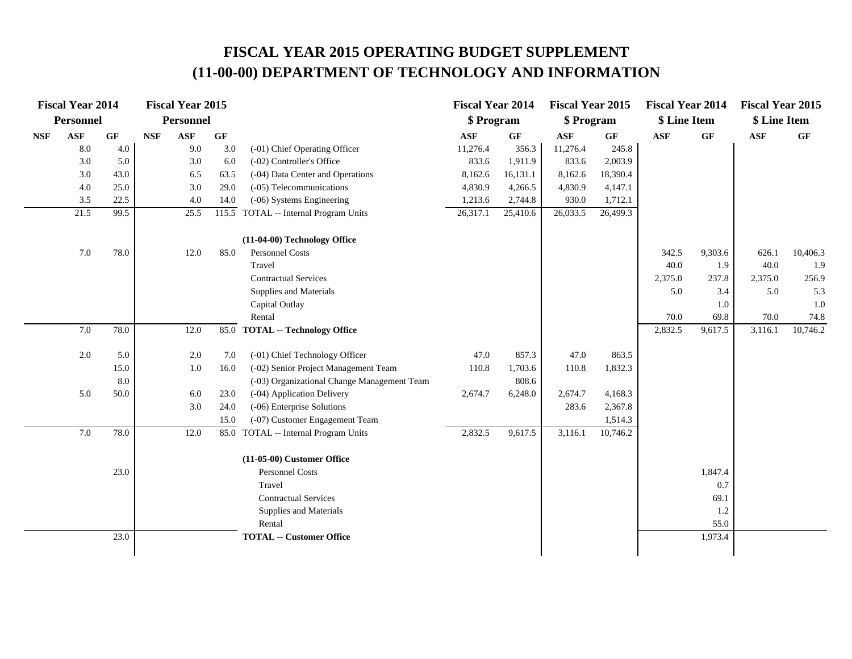## **FISCAL YEAR 2015 OPERATING BUDGET SUPPLEMENT (11-00-00) DEPARTMENT OF TECHNOLOGY AND INFORMATION**

|            | <b>Fiscal Year 2014</b> |                 |            | <b>Fiscal Year 2015</b> |                 |                                             | <b>Fiscal Year 2014</b> |                 | <b>Fiscal Year 2015</b> |          | <b>Fiscal Year 2014</b> |                 | <b>Fiscal Year 2015</b> |                 |
|------------|-------------------------|-----------------|------------|-------------------------|-----------------|---------------------------------------------|-------------------------|-----------------|-------------------------|----------|-------------------------|-----------------|-------------------------|-----------------|
|            | <b>Personnel</b>        |                 |            | Personnel               |                 |                                             | \$ Program              |                 | \$ Program              |          | \$ Line Item            |                 | \$ Line Item            |                 |
| <b>NSF</b> | ASF                     | $\bf{G} \bf{F}$ | <b>NSF</b> | $\mathbf{ASF}$          | $\bf{G} \bf{F}$ |                                             | <b>ASF</b>              | $\bf{G} \bf{F}$ | <b>ASF</b>              | GF       | <b>ASF</b>              | $\bf{G} \bf{F}$ | $\mathbf{ASF}$          | $\bf{G} \bf{F}$ |
|            | 8.0                     | 4.0             |            | 9.0                     | 3.0             | (-01) Chief Operating Officer               | 11,276.4                | 356.3           | 11,276.4                | 245.8    |                         |                 |                         |                 |
|            | 3.0                     | 5.0             |            | 3.0                     | 6.0             | (-02) Controller's Office                   | 833.6                   | 1,911.9         | 833.6                   | 2,003.9  |                         |                 |                         |                 |
|            | 3.0                     | 43.0            |            | 6.5                     | 63.5            | (-04) Data Center and Operations            | 8,162.6                 | 16,131.1        | 8,162.6                 | 18,390.4 |                         |                 |                         |                 |
|            | 4.0                     | 25.0            |            | 3.0                     | 29.0            | (-05) Telecommunications                    | 4,830.9                 | 4,266.5         | 4,830.9                 | 4,147.1  |                         |                 |                         |                 |
|            | 3.5                     | 22.5            |            | 4.0                     | 14.0            | (-06) Systems Engineering                   | 1,213.6                 | 2,744.8         | 930.0                   | 1,712.1  |                         |                 |                         |                 |
|            | 21.5                    | 99.5            |            | 25.5                    | 115.5           | TOTAL -- Internal Program Units             | 26,317.1                | 25,410.6        | 26,033.5                | 26,499.3 |                         |                 |                         |                 |
|            |                         |                 |            |                         |                 | (11-04-00) Technology Office                |                         |                 |                         |          |                         |                 |                         |                 |
|            | 7.0                     | 78.0            |            | 12.0                    | 85.0            | Personnel Costs                             |                         |                 |                         |          | 342.5                   | 9,303.6         | 626.1                   | 10,406.3        |
|            |                         |                 |            |                         |                 | Travel                                      |                         |                 |                         |          | 40.0                    | 1.9             | 40.0                    | 1.9             |
|            |                         |                 |            |                         |                 | <b>Contractual Services</b>                 |                         |                 |                         |          | 2,375.0                 | 237.8           | 2,375.0                 | 256.9           |
|            |                         |                 |            |                         |                 | Supplies and Materials                      |                         |                 |                         |          | 5.0                     | 3.4             | 5.0                     | 5.3             |
|            |                         |                 |            |                         |                 | Capital Outlay                              |                         |                 |                         |          |                         | 1.0             |                         | 1.0             |
|            |                         |                 |            |                         |                 | Rental                                      |                         |                 |                         |          | 70.0                    | 69.8            | 70.0                    | 74.8            |
|            | $7.0\,$                 | 78.0            |            | 12.0                    | 85.0            | <b>TOTAL -- Technology Office</b>           |                         |                 |                         |          | 2,832.5                 | 9,617.5         | 3,116.1                 | 10,746.2        |
|            | 2.0                     | 5.0             |            | 2.0                     | 7.0             | (-01) Chief Technology Officer              | 47.0                    | 857.3           | 47.0                    | 863.5    |                         |                 |                         |                 |
|            |                         | 15.0            |            | 1.0                     | 16.0            | (-02) Senior Project Management Team        | 110.8                   | 1,703.6         | 110.8                   | 1,832.3  |                         |                 |                         |                 |
|            |                         | 8.0             |            |                         |                 | (-03) Organizational Change Management Team |                         | 808.6           |                         |          |                         |                 |                         |                 |
|            | 5.0                     | 50.0            |            | 6.0                     | 23.0            | (-04) Application Delivery                  | 2,674.7                 | 6,248.0         | 2,674.7                 | 4,168.3  |                         |                 |                         |                 |
|            |                         |                 |            | 3.0                     | 24.0            | (-06) Enterprise Solutions                  |                         |                 | 283.6                   | 2,367.8  |                         |                 |                         |                 |
|            |                         |                 |            |                         | 15.0            | (-07) Customer Engagement Team              |                         |                 |                         | 1,514.3  |                         |                 |                         |                 |
|            | 7.0                     | 78.0            |            | 12.0                    |                 | 85.0 TOTAL -- Internal Program Units        | 2,832.5                 | 9,617.5         | 3,116.1                 | 10,746.2 |                         |                 |                         |                 |
|            |                         |                 |            |                         |                 | (11-05-00) Customer Office                  |                         |                 |                         |          |                         |                 |                         |                 |
|            |                         | 23.0            |            |                         |                 | Personnel Costs                             |                         |                 |                         |          |                         | 1,847.4         |                         |                 |
|            |                         |                 |            |                         |                 | Travel                                      |                         |                 |                         |          |                         | 0.7             |                         |                 |
|            |                         |                 |            |                         |                 | <b>Contractual Services</b>                 |                         |                 |                         |          |                         | 69.1            |                         |                 |
|            |                         |                 |            |                         |                 | Supplies and Materials                      |                         |                 |                         |          |                         | 1.2             |                         |                 |
|            |                         |                 |            |                         |                 | Rental                                      |                         |                 |                         |          |                         | 55.0            |                         |                 |
|            |                         | 23.0            |            |                         |                 | <b>TOTAL -- Customer Office</b>             |                         |                 |                         |          |                         | 1,973.4         |                         |                 |
|            |                         |                 |            |                         |                 |                                             |                         |                 |                         |          |                         |                 |                         |                 |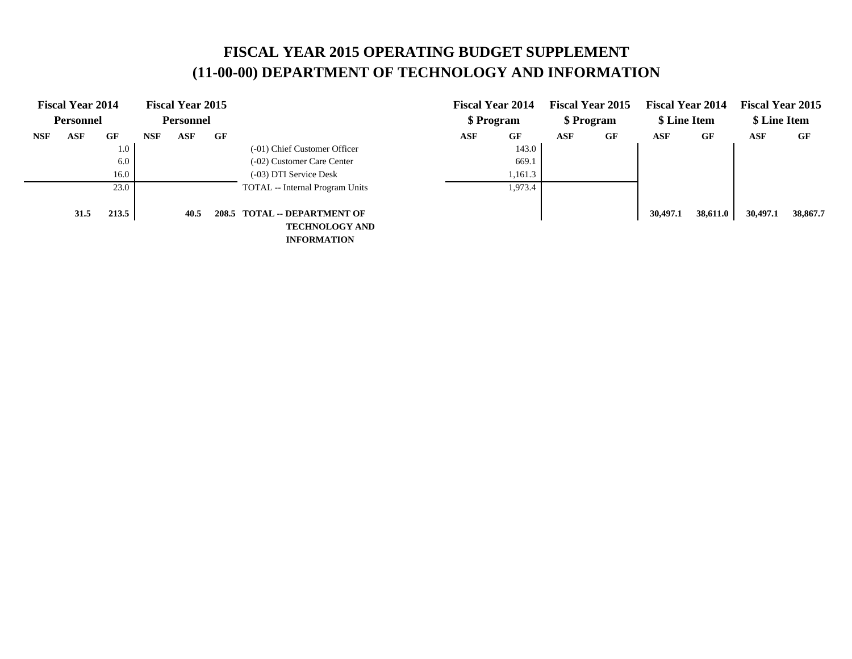# **FISCAL YEAR 2015 OPERATING BUDGET SUPPLEMENT (11-00-00) DEPARTMENT OF TECHNOLOGY AND INFORMATION**

|            | <b>Fiscal Year 2014</b> |       |            | <b>Fiscal Year 2015</b> |    |                                 |            | <b>Fiscal Year 2014</b> |     | <b>Fiscal Year 2015</b> | <b>Fiscal Year 2014</b> |          | <b>Fiscal Year 2015</b> |          |
|------------|-------------------------|-------|------------|-------------------------|----|---------------------------------|------------|-------------------------|-----|-------------------------|-------------------------|----------|-------------------------|----------|
|            | <b>Personnel</b>        |       |            | <b>Personnel</b>        |    |                                 |            | \$ Program              |     | \$ Program              | \$ Line Item            |          | \$ Line Item            |          |
| <b>NSF</b> | ASF                     | GF    | <b>NSF</b> | ASF                     | GF |                                 | <b>ASF</b> | GF                      | ASF | GF                      | ASF                     | GF       | ASF                     | GF       |
|            |                         | 1.0   |            |                         |    | (-01) Chief Customer Officer    |            | 143.0                   |     |                         |                         |          |                         |          |
|            |                         | 6.0   |            |                         |    | (-02) Customer Care Center      |            | 669.1                   |     |                         |                         |          |                         |          |
|            |                         | 16.0  |            |                         |    | (-03) DTI Service Desk          |            | 1,161.3                 |     |                         |                         |          |                         |          |
|            |                         | 23.0  |            |                         |    | TOTAL -- Internal Program Units |            | 1,973.4                 |     |                         |                         |          |                         |          |
|            |                         |       |            |                         |    |                                 |            |                         |     |                         |                         |          |                         |          |
|            | 31.5                    | 213.5 |            | 40.5                    |    | 208.5 TOTAL -- DEPARTMENT OF    |            |                         |     |                         | 30,497.1                | 38,611.0 | 30,497.1                | 38,867.7 |
|            |                         |       |            |                         |    | <b>TECHNOLOGY AND</b>           |            |                         |     |                         |                         |          |                         |          |
|            |                         |       |            |                         |    | <b>INFORMATION</b>              |            |                         |     |                         |                         |          |                         |          |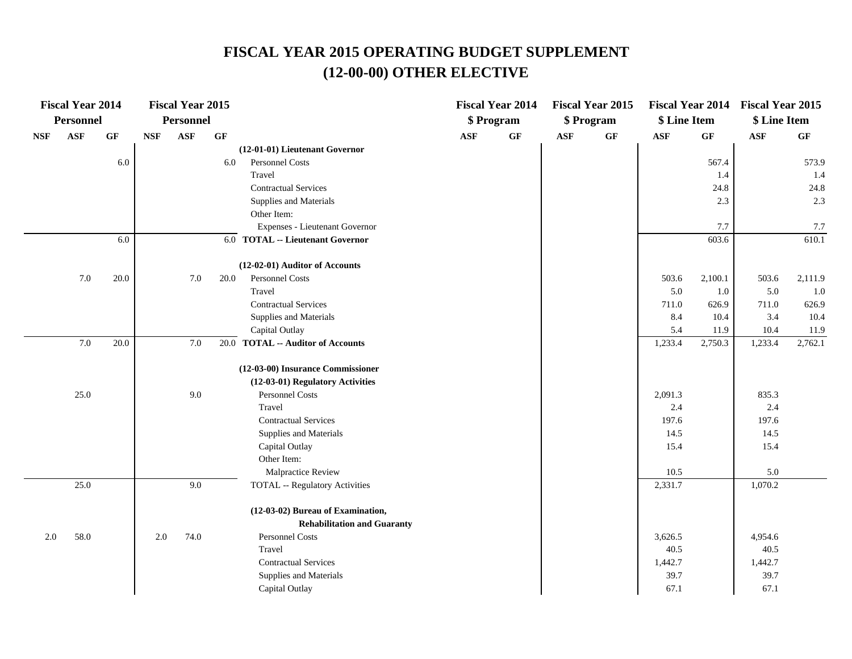|            | <b>Fiscal Year 2014</b> |      |            | <b>Fiscal Year 2015</b> |      |                                       |     | <b>Fiscal Year 2014</b> |            | <b>Fiscal Year 2015</b> |              |                 | Fiscal Year 2014 Fiscal Year 2015 |                 |
|------------|-------------------------|------|------------|-------------------------|------|---------------------------------------|-----|-------------------------|------------|-------------------------|--------------|-----------------|-----------------------------------|-----------------|
|            | Personnel               |      |            | Personnel               |      |                                       |     | \$ Program              |            | \$ Program              | \$ Line Item |                 | \$ Line Item                      |                 |
| <b>NSF</b> | <b>ASF</b>              | GF   | <b>NSF</b> | <b>ASF</b>              | GF   |                                       | ASF | GF                      | <b>ASF</b> | $\bf{G} \bf{F}$         | ASF          | $\bf{G} \bf{F}$ | ASF                               | $\bf{G} \bf{F}$ |
|            |                         |      |            |                         |      | (12-01-01) Lieutenant Governor        |     |                         |            |                         |              |                 |                                   |                 |
|            |                         | 6.0  |            |                         | 6.0  | Personnel Costs                       |     |                         |            |                         |              | 567.4           |                                   | 573.9           |
|            |                         |      |            |                         |      | Travel                                |     |                         |            |                         |              | 1.4             |                                   | 1.4             |
|            |                         |      |            |                         |      | <b>Contractual Services</b>           |     |                         |            |                         |              | 24.8            |                                   | 24.8            |
|            |                         |      |            |                         |      | Supplies and Materials                |     |                         |            |                         |              | 2.3             |                                   | 2.3             |
|            |                         |      |            |                         |      | Other Item:                           |     |                         |            |                         |              |                 |                                   |                 |
|            |                         |      |            |                         |      | Expenses - Lieutenant Governor        |     |                         |            |                         |              | 7.7             |                                   | 7.7             |
|            |                         | 6.0  |            |                         |      | 6.0 TOTAL -- Lieutenant Governor      |     |                         |            |                         |              | 603.6           |                                   | 610.1           |
|            |                         |      |            |                         |      | (12-02-01) Auditor of Accounts        |     |                         |            |                         |              |                 |                                   |                 |
|            | 7.0                     | 20.0 |            | 7.0                     | 20.0 | Personnel Costs                       |     |                         |            |                         | 503.6        | 2,100.1         | 503.6                             | 2,111.9         |
|            |                         |      |            |                         |      | Travel                                |     |                         |            |                         | 5.0          | 1.0             | 5.0                               | 1.0             |
|            |                         |      |            |                         |      | <b>Contractual Services</b>           |     |                         |            |                         | 711.0        | 626.9           | 711.0                             | 626.9           |
|            |                         |      |            |                         |      | Supplies and Materials                |     |                         |            |                         | 8.4          | 10.4            | 3.4                               | 10.4            |
|            |                         |      |            |                         |      | Capital Outlay                        |     |                         |            |                         | 5.4          | 11.9            | 10.4                              | 11.9            |
|            | 7.0                     | 20.0 |            | 7.0                     |      | 20.0 TOTAL -- Auditor of Accounts     |     |                         |            |                         | 1,233.4      | 2,750.3         | 1,233.4                           | 2,762.1         |
|            |                         |      |            |                         |      | (12-03-00) Insurance Commissioner     |     |                         |            |                         |              |                 |                                   |                 |
|            |                         |      |            |                         |      | (12-03-01) Regulatory Activities      |     |                         |            |                         |              |                 |                                   |                 |
|            | 25.0                    |      |            | 9.0                     |      | Personnel Costs                       |     |                         |            |                         | 2,091.3      |                 | 835.3                             |                 |
|            |                         |      |            |                         |      | Travel                                |     |                         |            |                         | 2.4          |                 | 2.4                               |                 |
|            |                         |      |            |                         |      | <b>Contractual Services</b>           |     |                         |            |                         | 197.6        |                 | 197.6                             |                 |
|            |                         |      |            |                         |      | Supplies and Materials                |     |                         |            |                         | 14.5         |                 | 14.5                              |                 |
|            |                         |      |            |                         |      | Capital Outlay                        |     |                         |            |                         | 15.4         |                 | 15.4                              |                 |
|            |                         |      |            |                         |      | Other Item:                           |     |                         |            |                         |              |                 |                                   |                 |
|            |                         |      |            |                         |      | Malpractice Review                    |     |                         |            |                         | 10.5         |                 | 5.0                               |                 |
|            | 25.0                    |      |            | 9.0                     |      | <b>TOTAL -- Regulatory Activities</b> |     |                         |            |                         | 2,331.7      |                 | 1,070.2                           |                 |
|            |                         |      |            |                         |      | (12-03-02) Bureau of Examination,     |     |                         |            |                         |              |                 |                                   |                 |
|            |                         |      |            |                         |      | <b>Rehabilitation and Guaranty</b>    |     |                         |            |                         |              |                 |                                   |                 |
| 2.0        | 58.0                    |      | $2.0\,$    | 74.0                    |      | Personnel Costs                       |     |                         |            |                         | 3,626.5      |                 | 4,954.6                           |                 |
|            |                         |      |            |                         |      | Travel                                |     |                         |            |                         | 40.5         |                 | 40.5                              |                 |
|            |                         |      |            |                         |      | <b>Contractual Services</b>           |     |                         |            |                         | 1,442.7      |                 | 1,442.7                           |                 |
|            |                         |      |            |                         |      | Supplies and Materials                |     |                         |            |                         | 39.7         |                 | 39.7                              |                 |
|            |                         |      |            |                         |      | Capital Outlay                        |     |                         |            |                         | 67.1         |                 | 67.1                              |                 |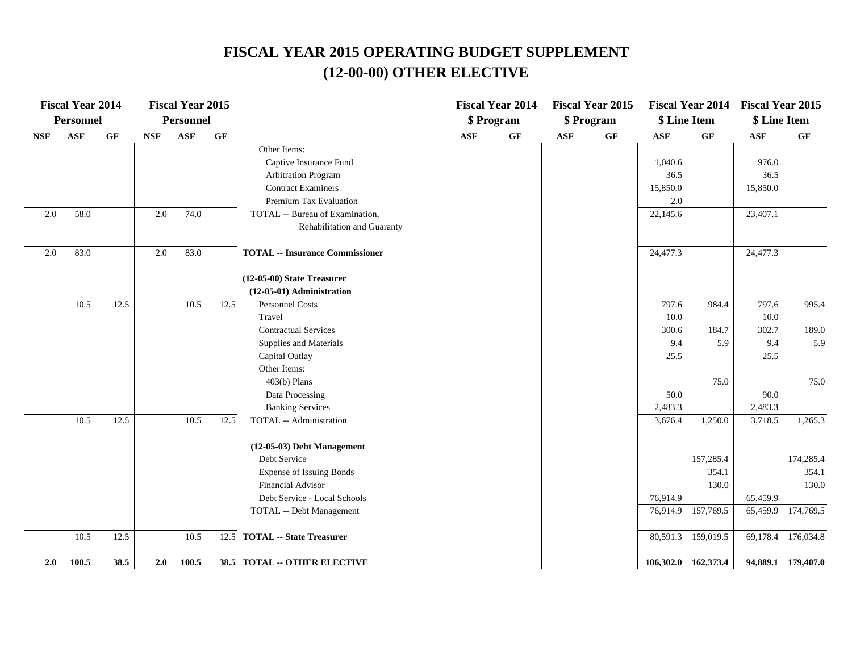|            | <b>Fiscal Year 2014</b> |                 |            | <b>Fiscal Year 2015</b> |      |                                        |            | <b>Fiscal Year 2014</b> |            | <b>Fiscal Year 2015</b> |              | <b>Fiscal Year 2014</b> | <b>Fiscal Year 2015</b> |                    |
|------------|-------------------------|-----------------|------------|-------------------------|------|----------------------------------------|------------|-------------------------|------------|-------------------------|--------------|-------------------------|-------------------------|--------------------|
|            | <b>Personnel</b>        |                 |            | <b>Personnel</b>        |      |                                        |            | \$ Program              |            | \$ Program              | \$ Line Item |                         | \$ Line Item            |                    |
| <b>NSF</b> | <b>ASF</b>              | $\bf{G} \bf{F}$ | <b>NSF</b> | <b>ASF</b>              | GF   |                                        | <b>ASF</b> | $\bf{G} \bf{F}$         | <b>ASF</b> | GF                      | ASF          | $\bf{G} \bf{F}$         | ASF                     | GF                 |
|            |                         |                 |            |                         |      | Other Items:                           |            |                         |            |                         |              |                         |                         |                    |
|            |                         |                 |            |                         |      | Captive Insurance Fund                 |            |                         |            |                         | 1,040.6      |                         | 976.0                   |                    |
|            |                         |                 |            |                         |      | <b>Arbitration Program</b>             |            |                         |            |                         | 36.5         |                         | 36.5                    |                    |
|            |                         |                 |            |                         |      | <b>Contract Examiners</b>              |            |                         |            |                         | 15,850.0     |                         | 15,850.0                |                    |
|            |                         |                 |            |                         |      | Premium Tax Evaluation                 |            |                         |            |                         | 2.0          |                         |                         |                    |
| 2.0        | 58.0                    |                 | 2.0        | 74.0                    |      | TOTAL -- Bureau of Examination,        |            |                         |            |                         | 22,145.6     |                         | 23,407.1                |                    |
|            |                         |                 |            |                         |      | Rehabilitation and Guaranty            |            |                         |            |                         |              |                         |                         |                    |
| $2.0\,$    | 83.0                    |                 | 2.0        | 83.0                    |      | <b>TOTAL -- Insurance Commissioner</b> |            |                         |            |                         | 24,477.3     |                         | 24,477.3                |                    |
|            |                         |                 |            |                         |      | (12-05-00) State Treasurer             |            |                         |            |                         |              |                         |                         |                    |
|            |                         |                 |            |                         |      | $(12-05-01)$ Administration            |            |                         |            |                         |              |                         |                         |                    |
|            | 10.5                    | 12.5            |            | 10.5                    | 12.5 | Personnel Costs                        |            |                         |            |                         | 797.6        | 984.4                   | 797.6                   | 995.4              |
|            |                         |                 |            |                         |      | Travel                                 |            |                         |            |                         | 10.0         |                         | 10.0                    |                    |
|            |                         |                 |            |                         |      | <b>Contractual Services</b>            |            |                         |            |                         | 300.6        | 184.7                   | 302.7                   | 189.0              |
|            |                         |                 |            |                         |      | Supplies and Materials                 |            |                         |            |                         | 9.4          | 5.9                     | 9.4                     | 5.9                |
|            |                         |                 |            |                         |      | Capital Outlay                         |            |                         |            |                         | 25.5         |                         | 25.5                    |                    |
|            |                         |                 |            |                         |      | Other Items:                           |            |                         |            |                         |              |                         |                         |                    |
|            |                         |                 |            |                         |      | $403(b)$ Plans                         |            |                         |            |                         |              | 75.0                    |                         | 75.0               |
|            |                         |                 |            |                         |      | Data Processing                        |            |                         |            |                         | 50.0         |                         | 90.0                    |                    |
|            |                         |                 |            |                         |      | <b>Banking Services</b>                |            |                         |            |                         | 2,483.3      |                         | 2,483.3                 |                    |
|            | 10.5                    | 12.5            |            | 10.5                    | 12.5 | TOTAL -- Administration                |            |                         |            |                         | 3,676.4      | 1,250.0                 | 3,718.5                 | 1,265.3            |
|            |                         |                 |            |                         |      | (12-05-03) Debt Management             |            |                         |            |                         |              |                         |                         |                    |
|            |                         |                 |            |                         |      | Debt Service                           |            |                         |            |                         |              | 157,285.4               |                         | 174,285.4          |
|            |                         |                 |            |                         |      | <b>Expense of Issuing Bonds</b>        |            |                         |            |                         |              | 354.1                   |                         | 354.1              |
|            |                         |                 |            |                         |      | <b>Financial Advisor</b>               |            |                         |            |                         |              | 130.0                   |                         | 130.0              |
|            |                         |                 |            |                         |      | Debt Service - Local Schools           |            |                         |            |                         | 76,914.9     |                         | 65,459.9                |                    |
|            |                         |                 |            |                         |      | TOTAL -- Debt Management               |            |                         |            |                         | 76,914.9     | 157,769.5               |                         | 65,459.9 174,769.5 |
|            | 10.5                    | 12.5            |            | 10.5                    |      | 12.5 TOTAL -- State Treasurer          |            |                         |            |                         |              | 80,591.3 159,019.5      |                         | 69,178.4 176,034.8 |
| 2.0        | 100.5                   | 38.5            | 2.0        | 100.5                   |      | 38.5 TOTAL -- OTHER ELECTIVE           |            |                         |            |                         |              | 106,302.0 162,373.4     |                         | 94,889.1 179,407.0 |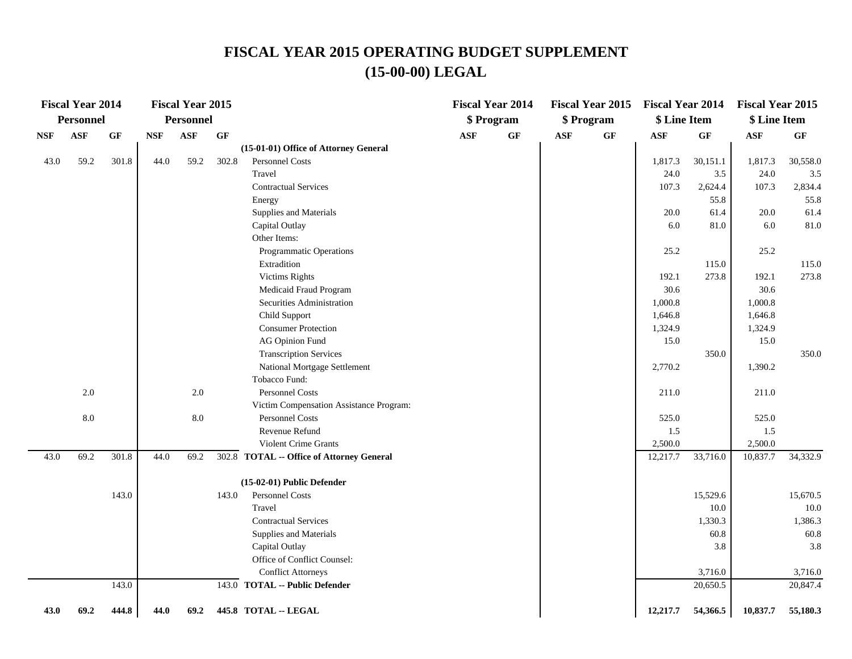### **FISCAL YEAR 2015 OPERATING BUDGET SUPPLEMENT (15-00-00) LEGAL**

|            | <b>Fiscal Year 2014</b> |                 |            | <b>Fiscal Year 2015</b> |       |                                           |     | <b>Fiscal Year 2014</b> |            | <b>Fiscal Year 2015</b> | <b>Fiscal Year 2014</b> |          | <b>Fiscal Year 2015</b> |          |
|------------|-------------------------|-----------------|------------|-------------------------|-------|-------------------------------------------|-----|-------------------------|------------|-------------------------|-------------------------|----------|-------------------------|----------|
|            | Personnel               |                 |            | <b>Personnel</b>        |       |                                           |     | \$ Program              |            | \$ Program              | \$ Line Item            |          | \$ Line Item            |          |
| <b>NSF</b> | <b>ASF</b>              | $\bf{G} \bf{F}$ | <b>NSF</b> | <b>ASF</b>              | GF    |                                           | ASF | GF                      | <b>ASF</b> | $\bf{G} \bf{F}$         | <b>ASF</b>              | GF       | <b>ASF</b>              | GF       |
|            |                         |                 |            |                         |       | (15-01-01) Office of Attorney General     |     |                         |            |                         |                         |          |                         |          |
| 43.0       | 59.2                    | 301.8           | 44.0       | 59.2                    | 302.8 | Personnel Costs                           |     |                         |            |                         | 1,817.3                 | 30,151.1 | 1,817.3                 | 30,558.0 |
|            |                         |                 |            |                         |       | Travel                                    |     |                         |            |                         | 24.0                    | 3.5      | 24.0                    | 3.5      |
|            |                         |                 |            |                         |       | <b>Contractual Services</b>               |     |                         |            |                         | 107.3                   | 2,624.4  | 107.3                   | 2,834.4  |
|            |                         |                 |            |                         |       | Energy                                    |     |                         |            |                         |                         | 55.8     |                         | 55.8     |
|            |                         |                 |            |                         |       | Supplies and Materials                    |     |                         |            |                         | 20.0                    | 61.4     | 20.0                    | 61.4     |
|            |                         |                 |            |                         |       | Capital Outlay                            |     |                         |            |                         | 6.0                     | 81.0     | 6.0                     | 81.0     |
|            |                         |                 |            |                         |       | Other Items:                              |     |                         |            |                         |                         |          |                         |          |
|            |                         |                 |            |                         |       | Programmatic Operations                   |     |                         |            |                         | 25.2                    |          | 25.2                    |          |
|            |                         |                 |            |                         |       | Extradition                               |     |                         |            |                         |                         | 115.0    |                         | 115.0    |
|            |                         |                 |            |                         |       | <b>Victims Rights</b>                     |     |                         |            |                         | 192.1                   | 273.8    | 192.1                   | 273.8    |
|            |                         |                 |            |                         |       | Medicaid Fraud Program                    |     |                         |            |                         | 30.6                    |          | 30.6                    |          |
|            |                         |                 |            |                         |       | Securities Administration                 |     |                         |            |                         | 1,000.8                 |          | 1,000.8                 |          |
|            |                         |                 |            |                         |       | Child Support                             |     |                         |            |                         | 1,646.8                 |          | 1,646.8                 |          |
|            |                         |                 |            |                         |       | <b>Consumer Protection</b>                |     |                         |            |                         | 1,324.9                 |          | 1,324.9                 |          |
|            |                         |                 |            |                         |       | <b>AG Opinion Fund</b>                    |     |                         |            |                         | 15.0                    |          | 15.0                    |          |
|            |                         |                 |            |                         |       | <b>Transcription Services</b>             |     |                         |            |                         |                         | 350.0    |                         | 350.0    |
|            |                         |                 |            |                         |       | National Mortgage Settlement              |     |                         |            |                         | 2,770.2                 |          | 1,390.2                 |          |
|            |                         |                 |            |                         |       | Tobacco Fund:                             |     |                         |            |                         |                         |          |                         |          |
|            | 2.0                     |                 |            | $2.0\,$                 |       | <b>Personnel Costs</b>                    |     |                         |            |                         | 211.0                   |          | 211.0                   |          |
|            |                         |                 |            |                         |       | Victim Compensation Assistance Program:   |     |                         |            |                         |                         |          |                         |          |
|            | $8.0\,$                 |                 |            | $8.0\,$                 |       | Personnel Costs                           |     |                         |            |                         | 525.0                   |          | 525.0                   |          |
|            |                         |                 |            |                         |       | Revenue Refund                            |     |                         |            |                         | 1.5                     |          | 1.5                     |          |
|            |                         |                 |            |                         |       | <b>Violent Crime Grants</b>               |     |                         |            |                         | 2,500.0                 |          | 2,500.0                 |          |
| 43.0       | 69.2                    | 301.8           | 44.0       | 69.2                    |       | 302.8 TOTAL -- Office of Attorney General |     |                         |            |                         | 12,217.7                | 33,716.0 | 10,837.7                | 34,332.9 |
|            |                         |                 |            |                         |       | (15-02-01) Public Defender                |     |                         |            |                         |                         |          |                         |          |
|            |                         | 143.0           |            |                         | 143.0 | Personnel Costs                           |     |                         |            |                         |                         | 15,529.6 |                         | 15,670.5 |
|            |                         |                 |            |                         |       | Travel                                    |     |                         |            |                         |                         | 10.0     |                         | 10.0     |
|            |                         |                 |            |                         |       | <b>Contractual Services</b>               |     |                         |            |                         |                         | 1,330.3  |                         | 1,386.3  |
|            |                         |                 |            |                         |       | Supplies and Materials                    |     |                         |            |                         |                         | 60.8     |                         | 60.8     |
|            |                         |                 |            |                         |       | Capital Outlay                            |     |                         |            |                         |                         | 3.8      |                         | 3.8      |
|            |                         |                 |            |                         |       | Office of Conflict Counsel:               |     |                         |            |                         |                         |          |                         |          |
|            |                         |                 |            |                         |       | <b>Conflict Attorneys</b>                 |     |                         |            |                         |                         | 3,716.0  |                         | 3,716.0  |
|            |                         | 143.0           |            |                         |       | 143.0 TOTAL -- Public Defender            |     |                         |            |                         |                         | 20,650.5 |                         | 20,847.4 |
| 43.0       | 69.2                    | 444.8           | 44.0       | 69.2                    |       | 445.8 TOTAL -- LEGAL                      |     |                         |            |                         | 12,217.7                | 54,366.5 | 10,837.7                | 55,180.3 |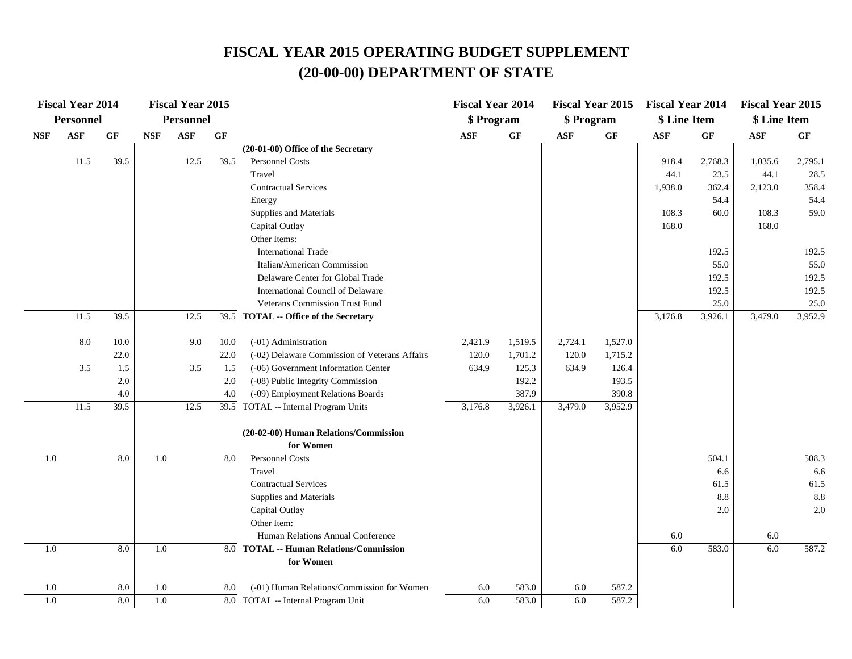|            | <b>Fiscal Year 2014</b> |           |            | <b>Fiscal Year 2015</b> |      |                                               | <b>Fiscal Year 2014</b> |                 | <b>Fiscal Year 2015</b> |                 | <b>Fiscal Year 2014</b> |                 | <b>Fiscal Year 2015</b> |                 |
|------------|-------------------------|-----------|------------|-------------------------|------|-----------------------------------------------|-------------------------|-----------------|-------------------------|-----------------|-------------------------|-----------------|-------------------------|-----------------|
|            | Personnel               |           |            | <b>Personnel</b>        |      |                                               | \$ Program              |                 | \$ Program              |                 | \$ Line Item            |                 | \$ Line Item            |                 |
| <b>NSF</b> | <b>ASF</b>              | <b>GF</b> | <b>NSF</b> | <b>ASF</b>              | GF   |                                               | $\mathbf{ASF}$          | $\bf{G} \bf{F}$ | $\mathbf{ASF}$          | $\bf{G} \bf{F}$ | <b>ASF</b>              | $\bf{G} \bf{F}$ | $\mathbf{ASF}$          | $\bf{G} \bf{F}$ |
|            |                         |           |            |                         |      | (20-01-00) Office of the Secretary            |                         |                 |                         |                 |                         |                 |                         |                 |
|            | 11.5                    | 39.5      |            | 12.5                    | 39.5 | Personnel Costs                               |                         |                 |                         |                 | 918.4                   | 2,768.3         | 1,035.6                 | 2,795.1         |
|            |                         |           |            |                         |      | Travel                                        |                         |                 |                         |                 | 44.1                    | 23.5            | 44.1                    | 28.5            |
|            |                         |           |            |                         |      | <b>Contractual Services</b>                   |                         |                 |                         |                 | 1,938.0                 | 362.4           | 2,123.0                 | 358.4           |
|            |                         |           |            |                         |      | Energy                                        |                         |                 |                         |                 |                         | 54.4            |                         | 54.4            |
|            |                         |           |            |                         |      | Supplies and Materials                        |                         |                 |                         |                 | 108.3                   | 60.0            | 108.3                   | 59.0            |
|            |                         |           |            |                         |      | Capital Outlay                                |                         |                 |                         |                 | 168.0                   |                 | 168.0                   |                 |
|            |                         |           |            |                         |      | Other Items:                                  |                         |                 |                         |                 |                         |                 |                         |                 |
|            |                         |           |            |                         |      | <b>International Trade</b>                    |                         |                 |                         |                 |                         | 192.5           |                         | 192.5           |
|            |                         |           |            |                         |      | Italian/American Commission                   |                         |                 |                         |                 |                         | 55.0            |                         | 55.0            |
|            |                         |           |            |                         |      | Delaware Center for Global Trade              |                         |                 |                         |                 |                         | 192.5           |                         | 192.5           |
|            |                         |           |            |                         |      | International Council of Delaware             |                         |                 |                         |                 |                         | 192.5           |                         | 192.5           |
|            |                         |           |            |                         |      | Veterans Commission Trust Fund                |                         |                 |                         |                 |                         | 25.0            |                         | 25.0            |
|            | 11.5                    | 39.5      |            | 12.5                    |      | 39.5 TOTAL -- Office of the Secretary         |                         |                 |                         |                 | 3,176.8                 | 3,926.1         | 3,479.0                 | 3,952.9         |
|            | $8.0\,$                 | 10.0      |            | 9.0                     | 10.0 | (-01) Administration                          | 2,421.9                 | 1,519.5         | 2,724.1                 | 1,527.0         |                         |                 |                         |                 |
|            |                         | 22.0      |            |                         | 22.0 | (-02) Delaware Commission of Veterans Affairs | 120.0                   | 1,701.2         | 120.0                   | 1,715.2         |                         |                 |                         |                 |
|            | 3.5                     | 1.5       |            | 3.5                     | 1.5  | (-06) Government Information Center           | 634.9                   | 125.3           | 634.9                   | 126.4           |                         |                 |                         |                 |
|            |                         | 2.0       |            |                         | 2.0  | (-08) Public Integrity Commission             |                         | 192.2           |                         | 193.5           |                         |                 |                         |                 |
|            |                         | 4.0       |            |                         | 4.0  | (-09) Employment Relations Boards             |                         | 387.9           |                         | 390.8           |                         |                 |                         |                 |
|            | 11.5                    | 39.5      |            | 12.5                    |      | 39.5 TOTAL -- Internal Program Units          | 3,176.8                 | 3,926.1         | 3,479.0                 | 3,952.9         |                         |                 |                         |                 |
|            |                         |           |            |                         |      | (20-02-00) Human Relations/Commission         |                         |                 |                         |                 |                         |                 |                         |                 |
|            |                         |           |            |                         |      | for Women                                     |                         |                 |                         |                 |                         |                 |                         |                 |
| 1.0        |                         | 8.0       | 1.0        |                         | 8.0  | Personnel Costs                               |                         |                 |                         |                 |                         | 504.1           |                         | 508.3           |
|            |                         |           |            |                         |      | Travel                                        |                         |                 |                         |                 |                         | 6.6             |                         | 6.6             |
|            |                         |           |            |                         |      | <b>Contractual Services</b>                   |                         |                 |                         |                 |                         | 61.5            |                         | 61.5            |
|            |                         |           |            |                         |      | Supplies and Materials                        |                         |                 |                         |                 |                         | 8.8             |                         | 8.8             |
|            |                         |           |            |                         |      | Capital Outlay                                |                         |                 |                         |                 |                         | 2.0             |                         | 2.0             |
|            |                         |           |            |                         |      | Other Item:                                   |                         |                 |                         |                 |                         |                 |                         |                 |
|            |                         |           |            |                         |      | Human Relations Annual Conference             |                         |                 |                         |                 | 6.0                     |                 | 6.0                     |                 |
| 1.0        |                         | 8.0       | 1.0        |                         |      | 8.0 TOTAL -- Human Relations/Commission       |                         |                 |                         |                 | 6.0                     | 583.0           | 6.0                     | 587.2           |
|            |                         |           |            |                         |      | for Women                                     |                         |                 |                         |                 |                         |                 |                         |                 |
| 1.0        |                         | 8.0       | 1.0        |                         | 8.0  | (-01) Human Relations/Commission for Women    | 6.0                     | 583.0           | 6.0                     | 587.2           |                         |                 |                         |                 |
| 1.0        |                         | 8.0       | 1.0        |                         |      | 8.0 TOTAL -- Internal Program Unit            | 6.0                     | 583.0           | 6.0                     | 587.2           |                         |                 |                         |                 |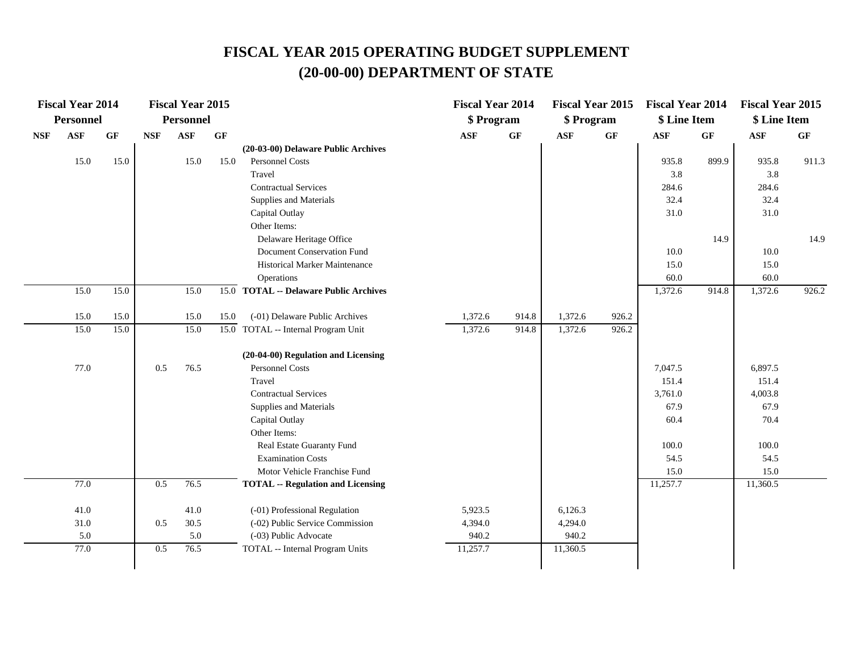|            | <b>Fiscal Year 2014</b> |                 |            | <b>Fiscal Year 2015</b> |                 |                                          | <b>Fiscal Year 2014</b> |                 | <b>Fiscal Year 2015</b> |                 | <b>Fiscal Year 2014</b> |                 | <b>Fiscal Year 2015</b> |                 |
|------------|-------------------------|-----------------|------------|-------------------------|-----------------|------------------------------------------|-------------------------|-----------------|-------------------------|-----------------|-------------------------|-----------------|-------------------------|-----------------|
|            | <b>Personnel</b>        |                 |            | <b>Personnel</b>        |                 |                                          | \$ Program              |                 | \$Program               |                 | \$ Line Item            |                 | \$ Line Item            |                 |
| <b>NSF</b> | ASF                     | $\bf{G} \bf{F}$ | <b>NSF</b> | ASF                     | $\bf{G} \bf{F}$ |                                          | $\mathbf{ASF}$          | $\bf{G} \bf{F}$ | $\mathbf{ASF}$          | $\bf{G} \bf{F}$ | ASF                     | $\bf{G} \bf{F}$ | $\mathbf{ASF}$          | $\bf{G} \bf{F}$ |
|            |                         |                 |            |                         |                 | (20-03-00) Delaware Public Archives      |                         |                 |                         |                 |                         |                 |                         |                 |
|            | 15.0                    | 15.0            |            | 15.0                    | 15.0            | <b>Personnel Costs</b>                   |                         |                 |                         |                 | 935.8                   | 899.9           | 935.8                   | 911.3           |
|            |                         |                 |            |                         |                 | Travel                                   |                         |                 |                         |                 | 3.8                     |                 | 3.8                     |                 |
|            |                         |                 |            |                         |                 | <b>Contractual Services</b>              |                         |                 |                         |                 | 284.6                   |                 | 284.6                   |                 |
|            |                         |                 |            |                         |                 | Supplies and Materials                   |                         |                 |                         |                 | 32.4                    |                 | 32.4                    |                 |
|            |                         |                 |            |                         |                 | Capital Outlay                           |                         |                 |                         |                 | 31.0                    |                 | 31.0                    |                 |
|            |                         |                 |            |                         |                 | Other Items:                             |                         |                 |                         |                 |                         |                 |                         |                 |
|            |                         |                 |            |                         |                 | Delaware Heritage Office                 |                         |                 |                         |                 |                         | 14.9            |                         | 14.9            |
|            |                         |                 |            |                         |                 | Document Conservation Fund               |                         |                 |                         |                 | 10.0                    |                 | 10.0                    |                 |
|            |                         |                 |            |                         |                 | Historical Marker Maintenance            |                         |                 |                         |                 | 15.0                    |                 | 15.0                    |                 |
|            |                         |                 |            |                         |                 | Operations                               |                         |                 |                         |                 | 60.0                    |                 | 60.0                    |                 |
|            | 15.0                    | 15.0            |            | 15.0                    |                 | 15.0 TOTAL -- Delaware Public Archives   |                         |                 |                         |                 | 1,372.6                 | 914.8           | 1,372.6                 | 926.2           |
|            | 15.0                    | 15.0            |            | 15.0                    | 15.0            | (-01) Delaware Public Archives           | 1,372.6                 | 914.8           | 1,372.6                 | 926.2           |                         |                 |                         |                 |
|            | 15.0                    | 15.0            |            | 15.0                    |                 | 15.0 TOTAL -- Internal Program Unit      | 1,372.6                 | 914.8           | 1,372.6                 | 926.2           |                         |                 |                         |                 |
|            |                         |                 |            |                         |                 |                                          |                         |                 |                         |                 |                         |                 |                         |                 |
|            |                         |                 |            |                         |                 | (20-04-00) Regulation and Licensing      |                         |                 |                         |                 |                         |                 |                         |                 |
|            | 77.0                    |                 | 0.5        | 76.5                    |                 | Personnel Costs                          |                         |                 |                         |                 | 7,047.5                 |                 | 6,897.5                 |                 |
|            |                         |                 |            |                         |                 | Travel                                   |                         |                 |                         |                 | 151.4                   |                 | 151.4                   |                 |
|            |                         |                 |            |                         |                 | <b>Contractual Services</b>              |                         |                 |                         |                 | 3,761.0                 |                 | 4,003.8                 |                 |
|            |                         |                 |            |                         |                 | Supplies and Materials                   |                         |                 |                         |                 | 67.9                    |                 | 67.9                    |                 |
|            |                         |                 |            |                         |                 | Capital Outlay                           |                         |                 |                         |                 | 60.4                    |                 | 70.4                    |                 |
|            |                         |                 |            |                         |                 | Other Items:                             |                         |                 |                         |                 |                         |                 |                         |                 |
|            |                         |                 |            |                         |                 | Real Estate Guaranty Fund                |                         |                 |                         |                 | 100.0                   |                 | 100.0                   |                 |
|            |                         |                 |            |                         |                 | <b>Examination Costs</b>                 |                         |                 |                         |                 | 54.5                    |                 | 54.5                    |                 |
|            |                         |                 |            |                         |                 | Motor Vehicle Franchise Fund             |                         |                 |                         |                 | 15.0                    |                 | 15.0                    |                 |
|            | 77.0                    |                 | 0.5        | 76.5                    |                 | <b>TOTAL -- Regulation and Licensing</b> |                         |                 |                         |                 | 11,257.7                |                 | 11,360.5                |                 |
|            | 41.0                    |                 |            | 41.0                    |                 | (-01) Professional Regulation            | 5,923.5                 |                 | 6,126.3                 |                 |                         |                 |                         |                 |
|            | 31.0                    |                 | 0.5        | 30.5                    |                 | (-02) Public Service Commission          | 4,394.0                 |                 | 4,294.0                 |                 |                         |                 |                         |                 |
|            | 5.0                     |                 |            | 5.0                     |                 | (-03) Public Advocate                    | 940.2                   |                 | 940.2                   |                 |                         |                 |                         |                 |
|            | 77.0                    |                 | 0.5        | 76.5                    |                 | TOTAL -- Internal Program Units          | 11,257.7                |                 | 11,360.5                |                 |                         |                 |                         |                 |
|            |                         |                 |            |                         |                 |                                          |                         |                 |                         |                 |                         |                 |                         |                 |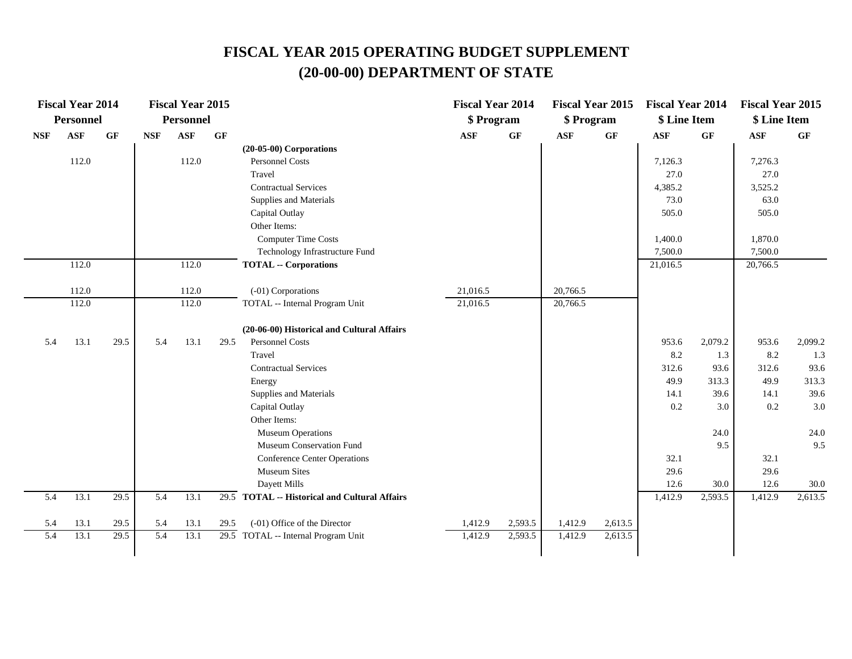|                             | <b>Fiscal Year 2014</b> |                   |            | <b>Fiscal Year 2015</b> |                 |                                                      | <b>Fiscal Year 2014</b> |         | <b>Fiscal Year 2015</b> |         | <b>Fiscal Year 2014</b> |         | <b>Fiscal Year 2015</b> |         |
|-----------------------------|-------------------------|-------------------|------------|-------------------------|-----------------|------------------------------------------------------|-------------------------|---------|-------------------------|---------|-------------------------|---------|-------------------------|---------|
|                             | <b>Personnel</b>        |                   |            | <b>Personnel</b>        |                 |                                                      | \$ Program              |         | \$ Program              |         | \$ Line Item            |         | \$ Line Item            |         |
| $\ensuremath{\mathbf{NSF}}$ | $\mathbf{ASF}$          | <b>GF</b>         | <b>NSF</b> | <b>ASF</b>              | $\bf{G} \bf{F}$ |                                                      | $\mathbf{ASF}$          | GF      | $\mathbf{ASF}$          | GF      | $\mathbf{ASF}$          | GF      | $\mathbf{ASF}$          | GF      |
|                             |                         |                   |            |                         |                 | $(20-05-00)$ Corporations                            |                         |         |                         |         |                         |         |                         |         |
|                             | 112.0                   |                   |            | 112.0                   |                 | <b>Personnel Costs</b>                               |                         |         |                         |         | 7,126.3                 |         | 7,276.3                 |         |
|                             |                         |                   |            |                         |                 | Travel                                               |                         |         |                         |         | 27.0                    |         | 27.0                    |         |
|                             |                         |                   |            |                         |                 | <b>Contractual Services</b>                          |                         |         |                         |         | 4,385.2                 |         | 3,525.2                 |         |
|                             |                         |                   |            |                         |                 | Supplies and Materials                               |                         |         |                         |         | 73.0                    |         | 63.0                    |         |
|                             |                         |                   |            |                         |                 | Capital Outlay                                       |                         |         |                         |         | 505.0                   |         | 505.0                   |         |
|                             |                         |                   |            |                         |                 | Other Items:                                         |                         |         |                         |         |                         |         |                         |         |
|                             |                         |                   |            |                         |                 | <b>Computer Time Costs</b>                           |                         |         |                         |         | 1,400.0                 |         | 1,870.0                 |         |
|                             |                         |                   |            |                         |                 | Technology Infrastructure Fund                       |                         |         |                         |         | 7,500.0                 |         | 7,500.0                 |         |
|                             | 112.0                   |                   |            | 112.0                   |                 | <b>TOTAL -- Corporations</b>                         |                         |         |                         |         | 21,016.5                |         | 20,766.5                |         |
|                             |                         |                   |            |                         |                 |                                                      |                         |         |                         |         |                         |         |                         |         |
|                             | 112.0<br>112.0          |                   |            | 112.0<br>112.0          |                 | (-01) Corporations<br>TOTAL -- Internal Program Unit | 21,016.5<br>21,016.5    |         | 20,766.5                |         |                         |         |                         |         |
|                             |                         |                   |            |                         |                 |                                                      |                         |         | 20,766.5                |         |                         |         |                         |         |
|                             |                         |                   |            |                         |                 | (20-06-00) Historical and Cultural Affairs           |                         |         |                         |         |                         |         |                         |         |
| 5.4                         | 13.1                    | 29.5              | 5.4        | 13.1                    | 29.5            | <b>Personnel Costs</b>                               |                         |         |                         |         | 953.6                   | 2,079.2 | 953.6                   | 2,099.2 |
|                             |                         |                   |            |                         |                 | Travel                                               |                         |         |                         |         | 8.2                     | 1.3     | 8.2                     | 1.3     |
|                             |                         |                   |            |                         |                 | <b>Contractual Services</b>                          |                         |         |                         |         | 312.6                   | 93.6    | 312.6                   | 93.6    |
|                             |                         |                   |            |                         |                 | Energy                                               |                         |         |                         |         | 49.9                    | 313.3   | 49.9                    | 313.3   |
|                             |                         |                   |            |                         |                 | Supplies and Materials                               |                         |         |                         |         | 14.1                    | 39.6    | 14.1                    | 39.6    |
|                             |                         |                   |            |                         |                 | Capital Outlay                                       |                         |         |                         |         | 0.2                     | 3.0     | 0.2                     | 3.0     |
|                             |                         |                   |            |                         |                 | Other Items:                                         |                         |         |                         |         |                         |         |                         |         |
|                             |                         |                   |            |                         |                 | <b>Museum Operations</b>                             |                         |         |                         |         |                         | 24.0    |                         | 24.0    |
|                             |                         |                   |            |                         |                 | Museum Conservation Fund                             |                         |         |                         |         |                         | 9.5     |                         | 9.5     |
|                             |                         |                   |            |                         |                 | <b>Conference Center Operations</b>                  |                         |         |                         |         | 32.1                    |         | 32.1                    |         |
|                             |                         |                   |            |                         |                 | <b>Museum Sites</b>                                  |                         |         |                         |         | 29.6                    |         | 29.6                    |         |
|                             |                         |                   |            |                         |                 | Dayett Mills                                         |                         |         |                         |         | 12.6                    | 30.0    | 12.6                    | 30.0    |
| 5.4                         | 13.1                    | 29.5              | 5.4        | 13.1                    |                 | 29.5 TOTAL -- Historical and Cultural Affairs        |                         |         |                         |         | 1,412.9                 | 2,593.5 | 1,412.9                 | 2,613.5 |
| 5.4                         | 13.1                    | 29.5              | 5.4        | 13.1                    | 29.5            | (-01) Office of the Director                         | 1,412.9                 | 2,593.5 | 1,412.9                 | 2,613.5 |                         |         |                         |         |
| $\overline{5.4}$            | 13.1                    | $\overline{29.5}$ | 5.4        | 13.1                    |                 | 29.5 TOTAL -- Internal Program Unit                  | 1,412.9                 | 2,593.5 | 1,412.9                 | 2,613.5 |                         |         |                         |         |
|                             |                         |                   |            |                         |                 |                                                      |                         |         |                         |         |                         |         |                         |         |
|                             |                         |                   |            |                         |                 |                                                      |                         |         |                         |         |                         |         |                         |         |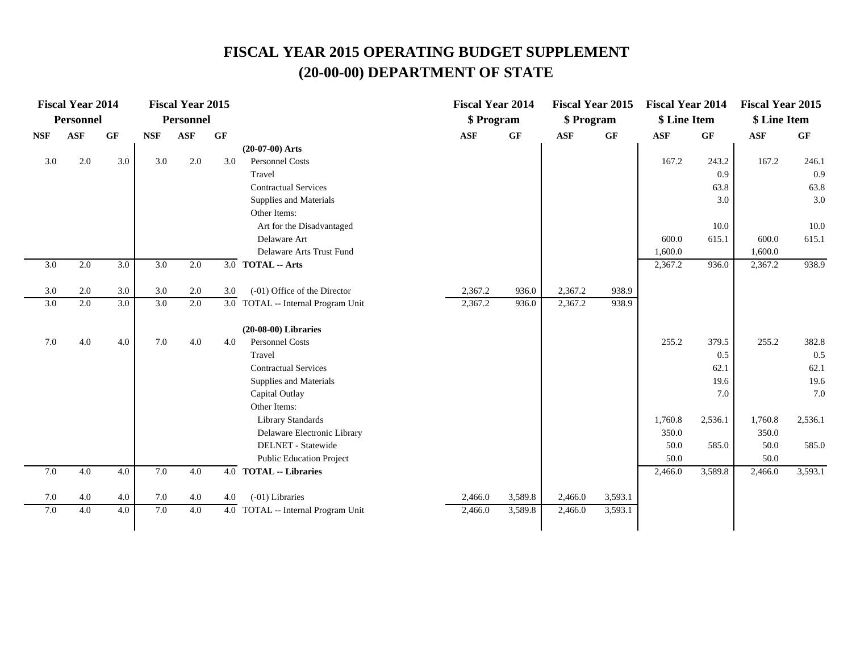|            | <b>Fiscal Year 2014</b> |     |            | <b>Fiscal Year 2015</b> |           |                                    | <b>Fiscal Year 2014</b> |                 | <b>Fiscal Year 2015</b> |         | <b>Fiscal Year 2014</b> |         | <b>Fiscal Year 2015</b> |         |
|------------|-------------------------|-----|------------|-------------------------|-----------|------------------------------------|-------------------------|-----------------|-------------------------|---------|-------------------------|---------|-------------------------|---------|
|            | Personnel               |     |            | <b>Personnel</b>        |           |                                    | \$ Program              |                 | \$ Program              |         | \$ Line Item            |         | \$ Line Item            |         |
| <b>NSF</b> | <b>ASF</b>              | GF  | <b>NSF</b> | ASF                     | <b>GF</b> |                                    | <b>ASF</b>              | $\bf{G} \bf{F}$ | <b>ASF</b>              | GF      | <b>ASF</b>              | GF      | <b>ASF</b>              | GF      |
|            |                         |     |            |                         |           | $(20-07-00)$ Arts                  |                         |                 |                         |         |                         |         |                         |         |
| 3.0        | 2.0                     | 3.0 | 3.0        | 2.0                     | 3.0       | <b>Personnel Costs</b>             |                         |                 |                         |         | 167.2                   | 243.2   | 167.2                   | 246.1   |
|            |                         |     |            |                         |           | Travel                             |                         |                 |                         |         |                         | 0.9     |                         | 0.9     |
|            |                         |     |            |                         |           | <b>Contractual Services</b>        |                         |                 |                         |         |                         | 63.8    |                         | 63.8    |
|            |                         |     |            |                         |           | Supplies and Materials             |                         |                 |                         |         |                         | 3.0     |                         | 3.0     |
|            |                         |     |            |                         |           | Other Items:                       |                         |                 |                         |         |                         |         |                         |         |
|            |                         |     |            |                         |           | Art for the Disadvantaged          |                         |                 |                         |         |                         | 10.0    |                         | 10.0    |
|            |                         |     |            |                         |           | Delaware Art                       |                         |                 |                         |         | 600.0                   | 615.1   | 600.0                   | 615.1   |
|            |                         |     |            |                         |           | Delaware Arts Trust Fund           |                         |                 |                         |         | 1,600.0                 |         | 1,600.0                 |         |
| 3.0        | 2.0                     | 3.0 | 3.0        | 2.0                     |           | 3.0 TOTAL -- Arts                  |                         |                 |                         |         | 2,367.2                 | 936.0   | 2,367.2                 | 938.9   |
|            |                         |     |            |                         |           |                                    |                         |                 |                         |         |                         |         |                         |         |
| 3.0        | 2.0                     | 3.0 | 3.0        | 2.0                     | 3.0       | (-01) Office of the Director       | 2,367.2                 | 936.0           | 2,367.2                 | 938.9   |                         |         |                         |         |
| 3.0        | 2.0                     | 3.0 | 3.0        | 2.0                     |           | 3.0 TOTAL -- Internal Program Unit | 2,367.2                 | 936.0           | 2,367.2                 | 938.9   |                         |         |                         |         |
|            |                         |     |            |                         |           | $(20-08-00)$ Libraries             |                         |                 |                         |         |                         |         |                         |         |
| 7.0        | 4.0                     | 4.0 | 7.0        | 4.0                     | 4.0       | <b>Personnel Costs</b>             |                         |                 |                         |         | 255.2                   | 379.5   | 255.2                   | 382.8   |
|            |                         |     |            |                         |           | Travel                             |                         |                 |                         |         |                         | 0.5     |                         | 0.5     |
|            |                         |     |            |                         |           | <b>Contractual Services</b>        |                         |                 |                         |         |                         | 62.1    |                         | 62.1    |
|            |                         |     |            |                         |           | Supplies and Materials             |                         |                 |                         |         |                         | 19.6    |                         | 19.6    |
|            |                         |     |            |                         |           | Capital Outlay                     |                         |                 |                         |         |                         | 7.0     |                         | 7.0     |
|            |                         |     |            |                         |           | Other Items:                       |                         |                 |                         |         |                         |         |                         |         |
|            |                         |     |            |                         |           | Library Standards                  |                         |                 |                         |         | 1,760.8                 | 2,536.1 | 1,760.8                 | 2,536.1 |
|            |                         |     |            |                         |           | Delaware Electronic Library        |                         |                 |                         |         | 350.0                   |         | 350.0                   |         |
|            |                         |     |            |                         |           | <b>DELNET</b> - Statewide          |                         |                 |                         |         | 50.0                    | 585.0   | 50.0                    | 585.0   |
|            |                         |     |            |                         |           | <b>Public Education Project</b>    |                         |                 |                         |         | 50.0                    |         | 50.0                    |         |
| 7.0        | 4.0                     | 4.0 | 7.0        | 4.0                     |           | 4.0 TOTAL -- Libraries             |                         |                 |                         |         | 2,466.0                 | 3,589.8 | 2,466.0                 | 3,593.1 |
| 7.0        | 4.0                     | 4.0 | 7.0        | 4.0                     | 4.0       | (-01) Libraries                    | 2,466.0                 | 3,589.8         | 2,466.0                 | 3,593.1 |                         |         |                         |         |
| 7.0        | 4.0                     | 4.0 | 7.0        | 4.0                     |           | 4.0 TOTAL -- Internal Program Unit | 2,466.0                 | 3,589.8         | 2,466.0                 | 3,593.1 |                         |         |                         |         |
|            |                         |     |            |                         |           |                                    |                         |                 |                         |         |                         |         |                         |         |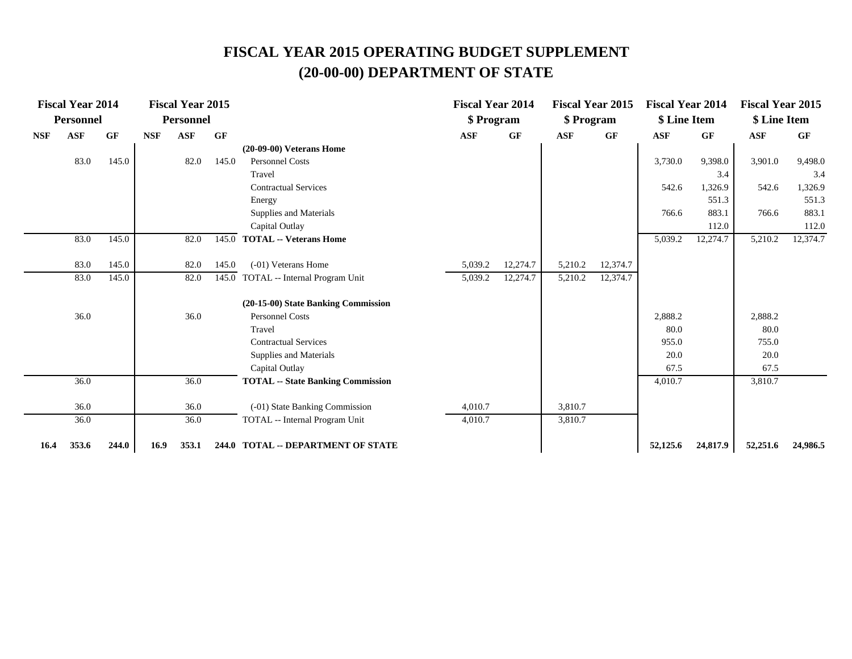|            | <b>Fiscal Year 2014</b> |           |            | <b>Fiscal Year 2015</b> |       |                                          | <b>Fiscal Year 2014</b> |          |            | <b>Fiscal Year 2015</b> | <b>Fiscal Year 2014</b> |           | <b>Fiscal Year 2015</b> |           |
|------------|-------------------------|-----------|------------|-------------------------|-------|------------------------------------------|-------------------------|----------|------------|-------------------------|-------------------------|-----------|-------------------------|-----------|
|            | <b>Personnel</b>        |           |            | <b>Personnel</b>        |       |                                          | \$ Program              |          | \$ Program |                         | \$ Line Item            |           | \$ Line Item            |           |
| <b>NSF</b> | <b>ASF</b>              | <b>GF</b> | <b>NSF</b> | <b>ASF</b>              | GF    |                                          | ASF                     | GF       | <b>ASF</b> | GF                      | ASF                     | <b>GF</b> | ASF                     | <b>GF</b> |
|            |                         |           |            |                         |       | $(20-09-00)$ Veterans Home               |                         |          |            |                         |                         |           |                         |           |
|            | 83.0                    | 145.0     |            | 82.0                    | 145.0 | <b>Personnel Costs</b>                   |                         |          |            |                         | 3,730.0                 | 9,398.0   | 3,901.0                 | 9,498.0   |
|            |                         |           |            |                         |       | Travel                                   |                         |          |            |                         |                         | 3.4       |                         | 3.4       |
|            |                         |           |            |                         |       | <b>Contractual Services</b>              |                         |          |            |                         | 542.6                   | 1,326.9   | 542.6                   | 1,326.9   |
|            |                         |           |            |                         |       | Energy                                   |                         |          |            |                         |                         | 551.3     |                         | 551.3     |
|            |                         |           |            |                         |       | Supplies and Materials                   |                         |          |            |                         | 766.6                   | 883.1     | 766.6                   | 883.1     |
|            |                         |           |            |                         |       | Capital Outlay                           |                         |          |            |                         |                         | 112.0     |                         | 112.0     |
|            | 83.0                    | 145.0     |            | 82.0                    | 145.0 | <b>TOTAL -- Veterans Home</b>            |                         |          |            |                         | 5,039.2                 | 12,274.7  | 5,210.2                 | 12,374.7  |
|            | 83.0                    | 145.0     |            | 82.0                    | 145.0 | (-01) Veterans Home                      | 5,039.2                 | 12,274.7 | 5,210.2    | 12,374.7                |                         |           |                         |           |
|            | 83.0                    | 145.0     |            | 82.0                    |       | 145.0 TOTAL -- Internal Program Unit     | 5,039.2                 | 12,274.7 | 5,210.2    | 12,374.7                |                         |           |                         |           |
|            |                         |           |            |                         |       | (20-15-00) State Banking Commission      |                         |          |            |                         |                         |           |                         |           |
|            | 36.0                    |           |            | 36.0                    |       | <b>Personnel Costs</b>                   |                         |          |            |                         | 2,888.2                 |           | 2,888.2                 |           |
|            |                         |           |            |                         |       | Travel                                   |                         |          |            |                         | 80.0                    |           | 80.0                    |           |
|            |                         |           |            |                         |       | <b>Contractual Services</b>              |                         |          |            |                         | 955.0                   |           | 755.0                   |           |
|            |                         |           |            |                         |       | Supplies and Materials                   |                         |          |            |                         | 20.0                    |           | 20.0                    |           |
|            |                         |           |            |                         |       | Capital Outlay                           |                         |          |            |                         | 67.5                    |           | 67.5                    |           |
|            | 36.0                    |           |            | 36.0                    |       | <b>TOTAL -- State Banking Commission</b> |                         |          |            |                         | 4,010.7                 |           | 3,810.7                 |           |
|            | 36.0                    |           |            | 36.0                    |       | (-01) State Banking Commission           | 4,010.7                 |          | 3,810.7    |                         |                         |           |                         |           |
|            | 36.0                    |           |            | 36.0                    |       | TOTAL -- Internal Program Unit           | 4,010.7                 |          | 3,810.7    |                         |                         |           |                         |           |
| 16.4       | 353.6                   | 244.0     | 16.9       | 353.1                   |       | 244.0 TOTAL -- DEPARTMENT OF STATE       |                         |          |            |                         | 52,125.6                | 24,817.9  | 52,251.6                | 24,986.5  |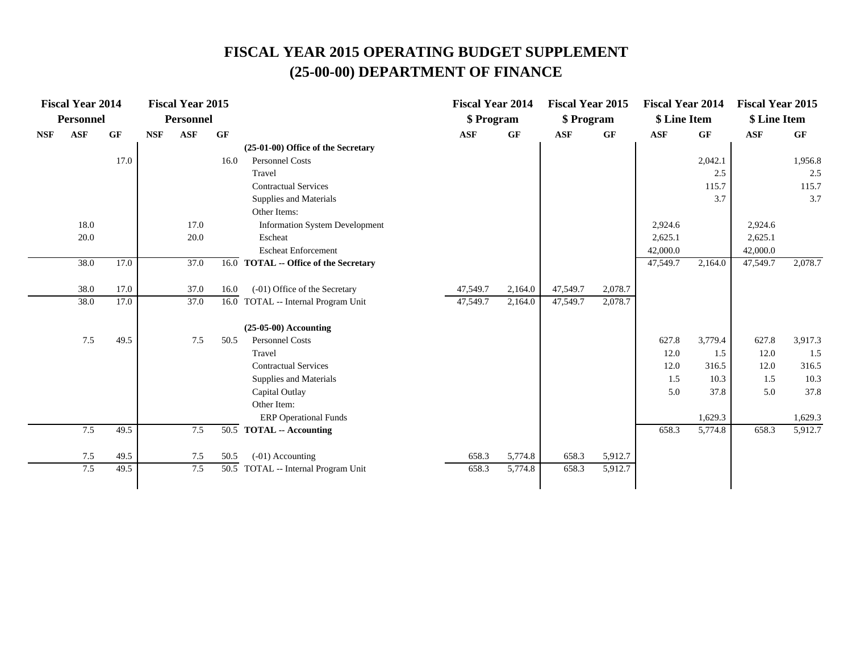|            | <b>Fiscal Year 2014</b> |      |            | <b>Fiscal Year 2015</b> |      |                                       | <b>Fiscal Year 2014</b> |         | <b>Fiscal Year 2015</b> |                 | <b>Fiscal Year 2014</b> |         | <b>Fiscal Year 2015</b> |                 |
|------------|-------------------------|------|------------|-------------------------|------|---------------------------------------|-------------------------|---------|-------------------------|-----------------|-------------------------|---------|-------------------------|-----------------|
|            | <b>Personnel</b>        |      |            | <b>Personnel</b>        |      |                                       | \$ Program              |         | \$ Program              |                 | \$ Line Item            |         | \$ Line Item            |                 |
| <b>NSF</b> | <b>ASF</b>              | GF   | <b>NSF</b> | <b>ASF</b>              | GF   |                                       | <b>ASF</b>              | GF      | <b>ASF</b>              | $\bf{G} \bf{F}$ | <b>ASF</b>              | GF      | <b>ASF</b>              | $\bf{G} \bf{F}$ |
|            |                         |      |            |                         |      | (25-01-00) Office of the Secretary    |                         |         |                         |                 |                         |         |                         |                 |
|            |                         | 17.0 |            |                         | 16.0 | <b>Personnel Costs</b>                |                         |         |                         |                 |                         | 2,042.1 |                         | 1,956.8         |
|            |                         |      |            |                         |      | Travel                                |                         |         |                         |                 |                         | 2.5     |                         | 2.5             |
|            |                         |      |            |                         |      | <b>Contractual Services</b>           |                         |         |                         |                 |                         | 115.7   |                         | 115.7           |
|            |                         |      |            |                         |      | Supplies and Materials                |                         |         |                         |                 |                         | 3.7     |                         | 3.7             |
|            |                         |      |            |                         |      | Other Items:                          |                         |         |                         |                 |                         |         |                         |                 |
|            | 18.0                    |      |            | 17.0                    |      | <b>Information System Development</b> |                         |         |                         |                 | 2,924.6                 |         | 2,924.6                 |                 |
|            | 20.0                    |      |            | 20.0                    |      | Escheat                               |                         |         |                         |                 | 2,625.1                 |         | 2,625.1                 |                 |
|            |                         |      |            |                         |      | <b>Escheat Enforcement</b>            |                         |         |                         |                 | 42,000.0                |         | 42,000.0                |                 |
|            | 38.0                    | 17.0 |            | 37.0                    |      | 16.0 TOTAL -- Office of the Secretary |                         |         |                         |                 | 47,549.7                | 2,164.0 | 47,549.7                | 2,078.7         |
|            | 38.0                    | 17.0 |            | 37.0                    | 16.0 | (-01) Office of the Secretary         | 47,549.7                | 2,164.0 | 47,549.7                | 2,078.7         |                         |         |                         |                 |
|            | 38.0                    | 17.0 |            | 37.0                    |      | 16.0 TOTAL -- Internal Program Unit   | 47,549.7                | 2,164.0 | 47,549.7                | 2,078.7         |                         |         |                         |                 |
|            |                         |      |            |                         |      | $(25-05-00)$ Accounting               |                         |         |                         |                 |                         |         |                         |                 |
|            | 7.5                     | 49.5 |            | 7.5                     | 50.5 | <b>Personnel Costs</b>                |                         |         |                         |                 | 627.8                   | 3,779.4 | 627.8                   | 3,917.3         |
|            |                         |      |            |                         |      | Travel                                |                         |         |                         |                 | 12.0                    | 1.5     | 12.0                    | 1.5             |
|            |                         |      |            |                         |      | <b>Contractual Services</b>           |                         |         |                         |                 | 12.0                    | 316.5   | 12.0                    | 316.5           |
|            |                         |      |            |                         |      | Supplies and Materials                |                         |         |                         |                 | 1.5                     | 10.3    | 1.5                     | 10.3            |
|            |                         |      |            |                         |      | Capital Outlay                        |                         |         |                         |                 | 5.0                     | 37.8    | 5.0                     | 37.8            |
|            |                         |      |            |                         |      | Other Item:                           |                         |         |                         |                 |                         |         |                         |                 |
|            |                         |      |            |                         |      | <b>ERP</b> Operational Funds          |                         |         |                         |                 |                         | 1,629.3 |                         | 1,629.3         |
|            | 7.5                     | 49.5 |            | 7.5                     |      | $\overline{50.5}$ TOTAL -- Accounting |                         |         |                         |                 | 658.3                   | 5,774.8 | 658.3                   | 5,912.7         |
|            | 7.5                     | 49.5 |            | 7.5                     | 50.5 | (-01) Accounting                      | 658.3                   | 5,774.8 | 658.3                   | 5,912.7         |                         |         |                         |                 |
|            | 7.5                     | 49.5 |            | 7.5                     |      | 50.5 TOTAL -- Internal Program Unit   | 658.3                   | 5,774.8 | 658.3                   | 5,912.7         |                         |         |                         |                 |
|            |                         |      |            |                         |      |                                       |                         |         |                         |                 |                         |         |                         |                 |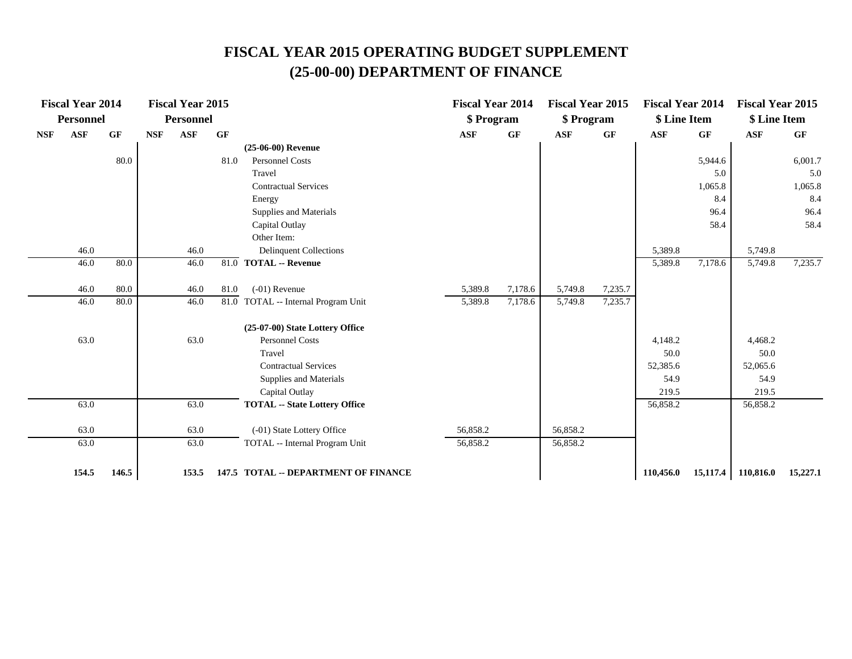|            | <b>Fiscal Year 2014</b> |       |            | <b>Fiscal Year 2015</b> |      |                                      | <b>Fiscal Year 2014</b> |                 | <b>Fiscal Year 2015</b> |         | <b>Fiscal Year 2014</b> |          | <b>Fiscal Year 2015</b> |          |
|------------|-------------------------|-------|------------|-------------------------|------|--------------------------------------|-------------------------|-----------------|-------------------------|---------|-------------------------|----------|-------------------------|----------|
|            | <b>Personnel</b>        |       |            | <b>Personnel</b>        |      |                                      | \$ Program              |                 | \$ Program              |         | \$ Line Item            |          | \$ Line Item            |          |
| <b>NSF</b> | <b>ASF</b>              | GF    | <b>NSF</b> | ASF                     | GF   |                                      | ASF                     | $\bf{G} \bf{F}$ | ASF                     | GF      | <b>ASF</b>              | GF       | ASF                     | GF       |
|            |                         |       |            |                         |      | $(25-06-00)$ Revenue                 |                         |                 |                         |         |                         |          |                         |          |
|            |                         | 80.0  |            |                         | 81.0 | Personnel Costs                      |                         |                 |                         |         |                         | 5,944.6  |                         | 6,001.7  |
|            |                         |       |            |                         |      | Travel                               |                         |                 |                         |         |                         | 5.0      |                         | 5.0      |
|            |                         |       |            |                         |      | <b>Contractual Services</b>          |                         |                 |                         |         |                         | 1,065.8  |                         | 1,065.8  |
|            |                         |       |            |                         |      | Energy                               |                         |                 |                         |         |                         | 8.4      |                         | 8.4      |
|            |                         |       |            |                         |      | Supplies and Materials               |                         |                 |                         |         |                         | 96.4     |                         | 96.4     |
|            |                         |       |            |                         |      | Capital Outlay                       |                         |                 |                         |         |                         | 58.4     |                         | 58.4     |
|            |                         |       |            |                         |      | Other Item:                          |                         |                 |                         |         |                         |          |                         |          |
|            | 46.0                    |       |            | 46.0                    |      | <b>Delinquent Collections</b>        |                         |                 |                         |         | 5,389.8                 |          | 5,749.8                 |          |
|            | 46.0                    | 80.0  |            | 46.0                    |      | 81.0 TOTAL -- Revenue                |                         |                 |                         |         | 5,389.8                 | 7,178.6  | 5,749.8                 | 7,235.7  |
|            | 46.0                    | 80.0  |            | 46.0                    | 81.0 | $(-01)$ Revenue                      | 5,389.8                 | 7,178.6         | 5,749.8                 | 7,235.7 |                         |          |                         |          |
|            | 46.0                    | 80.0  |            | 46.0                    |      | 81.0 TOTAL -- Internal Program Unit  | 5,389.8                 | 7,178.6         | 5,749.8                 | 7,235.7 |                         |          |                         |          |
|            |                         |       |            |                         |      | (25-07-00) State Lottery Office      |                         |                 |                         |         |                         |          |                         |          |
|            | 63.0                    |       |            | 63.0                    |      | Personnel Costs                      |                         |                 |                         |         | 4,148.2                 |          | 4,468.2                 |          |
|            |                         |       |            |                         |      | Travel                               |                         |                 |                         |         | 50.0                    |          | 50.0                    |          |
|            |                         |       |            |                         |      | <b>Contractual Services</b>          |                         |                 |                         |         | 52,385.6                |          | 52,065.6                |          |
|            |                         |       |            |                         |      | Supplies and Materials               |                         |                 |                         |         | 54.9                    |          | 54.9                    |          |
|            |                         |       |            |                         |      | Capital Outlay                       |                         |                 |                         |         | 219.5                   |          | 219.5                   |          |
|            | 63.0                    |       |            | 63.0                    |      | <b>TOTAL -- State Lottery Office</b> |                         |                 |                         |         | 56,858.2                |          | 56,858.2                |          |
|            | 63.0                    |       |            | 63.0                    |      | (-01) State Lottery Office           | 56,858.2                |                 | 56,858.2                |         |                         |          |                         |          |
|            | 63.0                    |       |            | 63.0                    |      | TOTAL -- Internal Program Unit       | 56,858.2                |                 | 56,858.2                |         |                         |          |                         |          |
|            | 154.5                   | 146.5 |            | 153.5                   |      | 147.5 TOTAL -- DEPARTMENT OF FINANCE |                         |                 |                         |         | 110,456.0               | 15,117.4 | 110,816.0               | 15,227.1 |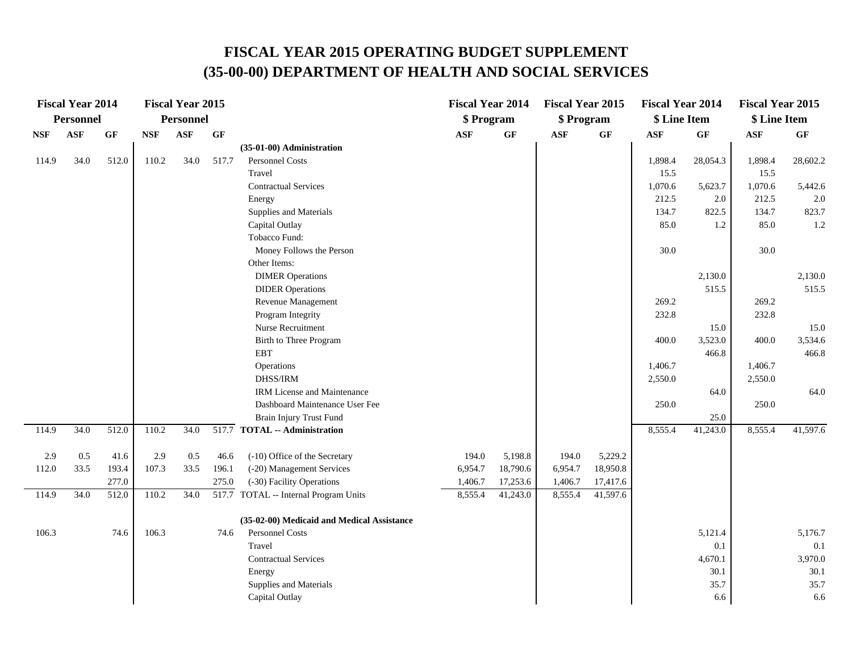|       | <b>Fiscal Year 2014</b> |       |            | <b>Fiscal Year 2015</b> |       |                                            | <b>Fiscal Year 2014</b> |                 | <b>Fiscal Year 2015</b> |                 | <b>Fiscal Year 2014</b> |              | <b>Fiscal Year 2015</b> |              |
|-------|-------------------------|-------|------------|-------------------------|-------|--------------------------------------------|-------------------------|-----------------|-------------------------|-----------------|-------------------------|--------------|-------------------------|--------------|
|       | <b>Personnel</b>        |       |            | <b>Personnel</b>        |       |                                            | \$ Program              |                 | \$ Program              |                 | \$ Line Item            |              | \$ Line Item            |              |
| NSF   | <b>ASF</b>              | GF    | <b>NSF</b> | <b>ASF</b>              | GF    |                                            | <b>ASF</b>              | $\bf{G} \bf{F}$ | $\mathbf{ASF}$          | $\bf{G} \bf{F}$ | <b>ASF</b>              | GF           | <b>ASF</b>              | GF           |
|       |                         |       |            |                         |       | (35-01-00) Administration                  |                         |                 |                         |                 |                         |              |                         |              |
| 114.9 | 34.0                    | 512.0 | 110.2      | 34.0                    | 517.7 | Personnel Costs                            |                         |                 |                         |                 | 1,898.4                 | 28,054.3     | 1,898.4                 | 28,602.2     |
|       |                         |       |            |                         |       | Travel                                     |                         |                 |                         |                 | 15.5                    |              | 15.5                    |              |
|       |                         |       |            |                         |       | <b>Contractual Services</b>                |                         |                 |                         |                 | 1,070.6                 | 5,623.7      | 1,070.6                 | 5,442.6      |
|       |                         |       |            |                         |       | Energy                                     |                         |                 |                         |                 | 212.5                   | 2.0          | 212.5                   | 2.0          |
|       |                         |       |            |                         |       | Supplies and Materials                     |                         |                 |                         |                 | 134.7                   | 822.5        | 134.7                   | 823.7        |
|       |                         |       |            |                         |       | Capital Outlay                             |                         |                 |                         |                 | 85.0                    | 1.2          | 85.0                    | 1.2          |
|       |                         |       |            |                         |       | Tobacco Fund:                              |                         |                 |                         |                 |                         |              |                         |              |
|       |                         |       |            |                         |       | Money Follows the Person                   |                         |                 |                         |                 | 30.0                    |              | 30.0                    |              |
|       |                         |       |            |                         |       | Other Items:                               |                         |                 |                         |                 |                         |              |                         |              |
|       |                         |       |            |                         |       | <b>DIMER Operations</b>                    |                         |                 |                         |                 |                         | 2,130.0      |                         | 2,130.0      |
|       |                         |       |            |                         |       | <b>DIDER Operations</b>                    |                         |                 |                         |                 |                         | 515.5        |                         | 515.5        |
|       |                         |       |            |                         |       | Revenue Management                         |                         |                 |                         |                 | 269.2                   |              | 269.2                   |              |
|       |                         |       |            |                         |       | Program Integrity                          |                         |                 |                         |                 | 232.8                   |              | 232.8                   |              |
|       |                         |       |            |                         |       | Nurse Recruitment                          |                         |                 |                         |                 |                         | 15.0         |                         | 15.0         |
|       |                         |       |            |                         |       | Birth to Three Program                     |                         |                 |                         |                 | 400.0                   | 3,523.0      | 400.0                   | 3,534.6      |
|       |                         |       |            |                         |       | <b>EBT</b>                                 |                         |                 |                         |                 |                         | 466.8        |                         | 466.8        |
|       |                         |       |            |                         |       | Operations                                 |                         |                 |                         |                 | 1,406.7                 |              | 1,406.7                 |              |
|       |                         |       |            |                         |       | DHSS/IRM                                   |                         |                 |                         |                 | 2,550.0                 |              | 2,550.0                 |              |
|       |                         |       |            |                         |       | <b>IRM License and Maintenance</b>         |                         |                 |                         |                 |                         | 64.0         |                         | 64.0         |
|       |                         |       |            |                         |       | Dashboard Maintenance User Fee             |                         |                 |                         |                 | 250.0                   |              | 250.0                   |              |
|       |                         |       |            |                         |       | Brain Injury Trust Fund                    |                         |                 |                         |                 |                         | 25.0         |                         |              |
| 114.9 | 34.0                    | 512.0 | 110.2      | 34.0                    |       | 517.7 TOTAL -- Administration              |                         |                 |                         |                 | 8,555.4                 | 41,243.0     | 8,555.4                 | 41,597.6     |
| 2.9   | 0.5                     | 41.6  | 2.9        | 0.5                     | 46.6  | (-10) Office of the Secretary              | 194.0                   | 5,198.8         | 194.0                   | 5,229.2         |                         |              |                         |              |
| 112.0 | 33.5                    | 193.4 | 107.3      | 33.5                    | 196.1 | (-20) Management Services                  | 6,954.7                 | 18,790.6        | 6,954.7                 | 18,950.8        |                         |              |                         |              |
|       |                         | 277.0 |            |                         | 275.0 | (-30) Facility Operations                  | 1,406.7                 | 17,253.6        | 1,406.7                 | 17,417.6        |                         |              |                         |              |
| 114.9 | 34.0                    | 512.0 | 110.2      | 34.0                    | 517.7 | TOTAL -- Internal Program Units            | 8,555.4                 | 41,243.0        | 8,555.4                 | 41,597.6        |                         |              |                         |              |
|       |                         |       |            |                         |       |                                            |                         |                 |                         |                 |                         |              |                         |              |
|       |                         |       |            |                         |       | (35-02-00) Medicaid and Medical Assistance |                         |                 |                         |                 |                         |              |                         |              |
| 106.3 |                         | 74.6  | 106.3      |                         | 74.6  | Personnel Costs                            |                         |                 |                         |                 |                         | 5,121.4      |                         | 5,176.7      |
|       |                         |       |            |                         |       | Travel                                     |                         |                 |                         |                 |                         | 0.1          |                         | 0.1          |
|       |                         |       |            |                         |       | <b>Contractual Services</b>                |                         |                 |                         |                 |                         | 4,670.1      |                         | 3,970.0      |
|       |                         |       |            |                         |       | Energy                                     |                         |                 |                         |                 |                         | 30.1<br>35.7 |                         | 30.1<br>35.7 |
|       |                         |       |            |                         |       | Supplies and Materials                     |                         |                 |                         |                 |                         |              |                         |              |
|       |                         |       |            |                         |       | Capital Outlay                             |                         |                 |                         |                 |                         | 6.6          |                         | 6.6          |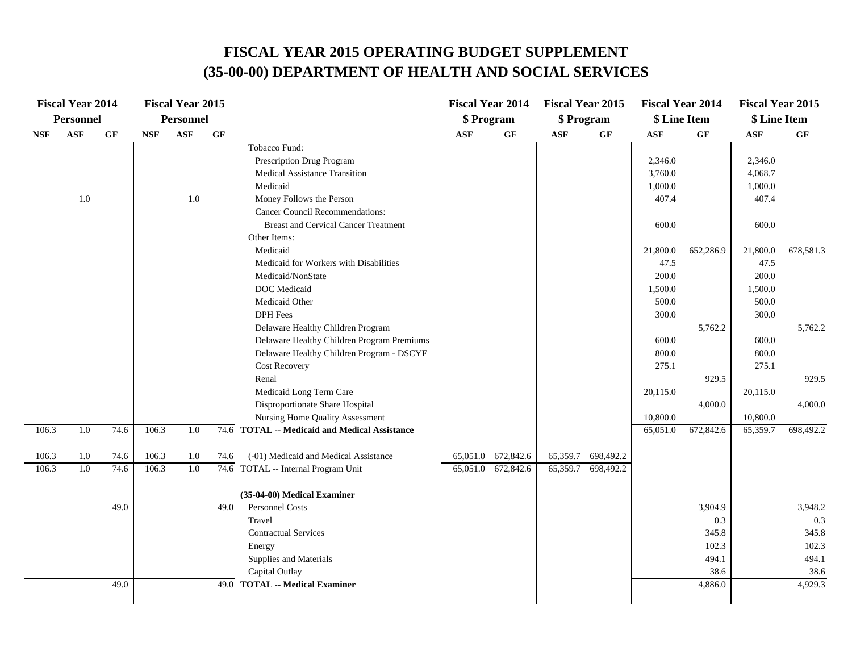|            | <b>Fiscal Year 2014</b> |      |            | <b>Fiscal Year 2015</b> |                 |                                               | <b>Fiscal Year 2014</b> |                 | <b>Fiscal Year 2015</b> |           | <b>Fiscal Year 2014</b> |           | <b>Fiscal Year 2015</b> |           |
|------------|-------------------------|------|------------|-------------------------|-----------------|-----------------------------------------------|-------------------------|-----------------|-------------------------|-----------|-------------------------|-----------|-------------------------|-----------|
|            | Personnel               |      |            | <b>Personnel</b>        |                 |                                               | \$ Program              |                 | \$ Program              |           | \$ Line Item            |           | \$ Line Item            |           |
| <b>NSF</b> | <b>ASF</b>              | GF   | <b>NSF</b> | <b>ASF</b>              | $\bf{G} \bf{F}$ |                                               | <b>ASF</b>              | $\bf{G} \bf{F}$ | $\mathbf{ASF}$          | GF        | <b>ASF</b>              | GF        | $\mathbf{ASF}$          | <b>GF</b> |
|            |                         |      |            |                         |                 | Tobacco Fund:                                 |                         |                 |                         |           |                         |           |                         |           |
|            |                         |      |            |                         |                 | Prescription Drug Program                     |                         |                 |                         |           | 2,346.0                 |           | 2,346.0                 |           |
|            |                         |      |            |                         |                 | <b>Medical Assistance Transition</b>          |                         |                 |                         |           | 3,760.0                 |           | 4,068.7                 |           |
|            |                         |      |            |                         |                 | Medicaid                                      |                         |                 |                         |           | 1,000.0                 |           | 1,000.0                 |           |
|            | 1.0                     |      |            | $1.0\,$                 |                 | Money Follows the Person                      |                         |                 |                         |           | 407.4                   |           | 407.4                   |           |
|            |                         |      |            |                         |                 | <b>Cancer Council Recommendations:</b>        |                         |                 |                         |           |                         |           |                         |           |
|            |                         |      |            |                         |                 | <b>Breast and Cervical Cancer Treatment</b>   |                         |                 |                         |           | 600.0                   |           | 600.0                   |           |
|            |                         |      |            |                         |                 | Other Items:                                  |                         |                 |                         |           |                         |           |                         |           |
|            |                         |      |            |                         |                 | Medicaid                                      |                         |                 |                         |           | 21,800.0                | 652,286.9 | 21,800.0                | 678,581.3 |
|            |                         |      |            |                         |                 | Medicaid for Workers with Disabilities        |                         |                 |                         |           | 47.5                    |           | 47.5                    |           |
|            |                         |      |            |                         |                 | Medicaid/NonState                             |                         |                 |                         |           | 200.0                   |           | 200.0                   |           |
|            |                         |      |            |                         |                 | <b>DOC</b> Medicaid                           |                         |                 |                         |           | 1,500.0                 |           | 1,500.0                 |           |
|            |                         |      |            |                         |                 | Medicaid Other                                |                         |                 |                         |           | 500.0                   |           | 500.0                   |           |
|            |                         |      |            |                         |                 | <b>DPH</b> Fees                               |                         |                 |                         |           | 300.0                   |           | 300.0                   |           |
|            |                         |      |            |                         |                 | Delaware Healthy Children Program             |                         |                 |                         |           |                         | 5,762.2   |                         | 5,762.2   |
|            |                         |      |            |                         |                 | Delaware Healthy Children Program Premiums    |                         |                 |                         |           | 600.0                   |           | 600.0                   |           |
|            |                         |      |            |                         |                 | Delaware Healthy Children Program - DSCYF     |                         |                 |                         |           | 800.0                   |           | 800.0                   |           |
|            |                         |      |            |                         |                 | <b>Cost Recovery</b>                          |                         |                 |                         |           | 275.1                   |           | 275.1                   |           |
|            |                         |      |            |                         |                 | Renal                                         |                         |                 |                         |           |                         | 929.5     |                         | 929.5     |
|            |                         |      |            |                         |                 | Medicaid Long Term Care                       |                         |                 |                         |           | 20,115.0                |           | 20,115.0                |           |
|            |                         |      |            |                         |                 | Disproportionate Share Hospital               |                         |                 |                         |           |                         | 4,000.0   |                         | 4,000.0   |
|            |                         |      |            |                         |                 | Nursing Home Quality Assessment               |                         |                 |                         |           | 10,800.0                |           | 10,800.0                |           |
| 106.3      | 1.0                     | 74.6 | 106.3      | 1.0                     |                 | 74.6 TOTAL -- Medicaid and Medical Assistance |                         |                 |                         |           | 65,051.0                | 672,842.6 | 65,359.7                | 698,492.2 |
| 106.3      | 1.0                     | 74.6 | 106.3      | 1.0                     | 74.6            | (-01) Medicaid and Medical Assistance         | 65,051.0                | 672,842.6       | 65,359.7                | 698,492.2 |                         |           |                         |           |
| 106.3      | 1.0                     | 74.6 | 106.3      | 1.0                     |                 | 74.6 TOTAL -- Internal Program Unit           | 65,051.0                | 672,842.6       | 65,359.7                | 698,492.2 |                         |           |                         |           |
|            |                         |      |            |                         |                 |                                               |                         |                 |                         |           |                         |           |                         |           |
|            |                         |      |            |                         |                 | (35-04-00) Medical Examiner                   |                         |                 |                         |           |                         |           |                         |           |
|            |                         | 49.0 |            |                         | 49.0            | Personnel Costs                               |                         |                 |                         |           |                         | 3,904.9   |                         | 3,948.2   |
|            |                         |      |            |                         |                 | Travel                                        |                         |                 |                         |           |                         | 0.3       |                         | 0.3       |
|            |                         |      |            |                         |                 | <b>Contractual Services</b>                   |                         |                 |                         |           |                         | 345.8     |                         | 345.8     |
|            |                         |      |            |                         |                 | Energy                                        |                         |                 |                         |           |                         | 102.3     |                         | 102.3     |
|            |                         |      |            |                         |                 | Supplies and Materials                        |                         |                 |                         |           |                         | 494.1     |                         | 494.1     |
|            |                         | 49.0 |            |                         |                 | Capital Outlay                                |                         |                 |                         |           |                         | 38.6      |                         | 38.6      |
|            |                         |      |            |                         | 49.0            | <b>TOTAL -- Medical Examiner</b>              |                         |                 |                         |           |                         | 4,886.0   |                         | 4,929.3   |
|            |                         |      |            |                         |                 |                                               |                         |                 |                         |           |                         |           |                         |           |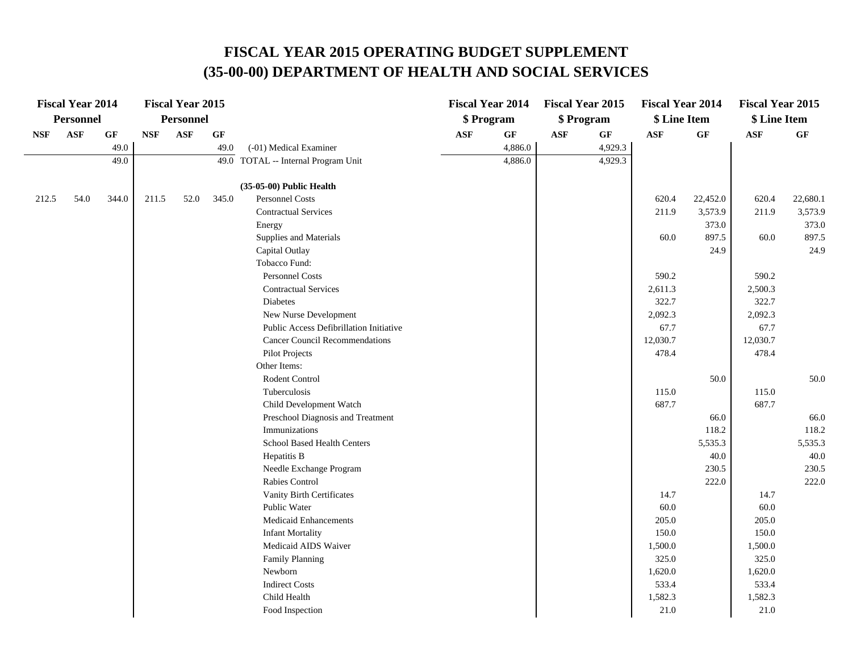|            | <b>Fiscal Year 2014</b> |                 |            | <b>Fiscal Year 2015</b> |                 |                                         |                | <b>Fiscal Year 2014</b> |            | <b>Fiscal Year 2015</b> | <b>Fiscal Year 2014</b> |                 | <b>Fiscal Year 2015</b> |          |
|------------|-------------------------|-----------------|------------|-------------------------|-----------------|-----------------------------------------|----------------|-------------------------|------------|-------------------------|-------------------------|-----------------|-------------------------|----------|
|            | <b>Personnel</b>        |                 |            | <b>Personnel</b>        |                 |                                         |                | \$ Program              |            | \$ Program              | \$ Line Item            |                 | \$ Line Item            |          |
| <b>NSF</b> | <b>ASF</b>              | $\bf{G} \bf{F}$ | <b>NSF</b> | <b>ASF</b>              | $\bf{G} \bf{F}$ |                                         | $\mathbf{ASF}$ | GF                      | <b>ASF</b> | GF                      | <b>ASF</b>              | $\bf{G} \bf{F}$ | ASF                     | GF       |
|            |                         | 49.0            |            |                         | 49.0            | (-01) Medical Examiner                  |                | 4,886.0                 |            | 4,929.3                 |                         |                 |                         |          |
|            |                         | 49.0            |            |                         |                 | 49.0 TOTAL -- Internal Program Unit     |                | 4,886.0                 |            | 4,929.3                 |                         |                 |                         |          |
|            |                         |                 |            |                         |                 |                                         |                |                         |            |                         |                         |                 |                         |          |
|            |                         |                 |            |                         |                 | (35-05-00) Public Health                |                |                         |            |                         |                         |                 |                         |          |
| 212.5      | 54.0                    | 344.0           | 211.5      | 52.0                    | 345.0           | <b>Personnel Costs</b>                  |                |                         |            |                         | 620.4                   | 22,452.0        | 620.4                   | 22,680.1 |
|            |                         |                 |            |                         |                 | <b>Contractual Services</b>             |                |                         |            |                         | 211.9                   | 3,573.9         | 211.9                   | 3,573.9  |
|            |                         |                 |            |                         |                 | Energy                                  |                |                         |            |                         |                         | 373.0           |                         | 373.0    |
|            |                         |                 |            |                         |                 | Supplies and Materials                  |                |                         |            |                         | 60.0                    | 897.5           | 60.0                    | 897.5    |
|            |                         |                 |            |                         |                 | Capital Outlay                          |                |                         |            |                         |                         | 24.9            |                         | 24.9     |
|            |                         |                 |            |                         |                 | Tobacco Fund:                           |                |                         |            |                         |                         |                 |                         |          |
|            |                         |                 |            |                         |                 | <b>Personnel Costs</b>                  |                |                         |            |                         | 590.2                   |                 | 590.2                   |          |
|            |                         |                 |            |                         |                 | <b>Contractual Services</b>             |                |                         |            |                         | 2,611.3                 |                 | 2,500.3                 |          |
|            |                         |                 |            |                         |                 | Diabetes                                |                |                         |            |                         | 322.7                   |                 | 322.7                   |          |
|            |                         |                 |            |                         |                 | New Nurse Development                   |                |                         |            |                         | 2,092.3                 |                 | 2,092.3                 |          |
|            |                         |                 |            |                         |                 | Public Access Defibrillation Initiative |                |                         |            |                         | 67.7                    |                 | 67.7                    |          |
|            |                         |                 |            |                         |                 | <b>Cancer Council Recommendations</b>   |                |                         |            |                         | 12,030.7                |                 | 12,030.7                |          |
|            |                         |                 |            |                         |                 | <b>Pilot Projects</b>                   |                |                         |            |                         | 478.4                   |                 | 478.4                   |          |
|            |                         |                 |            |                         |                 | Other Items:                            |                |                         |            |                         |                         |                 |                         |          |
|            |                         |                 |            |                         |                 | Rodent Control                          |                |                         |            |                         |                         | 50.0            |                         | 50.0     |
|            |                         |                 |            |                         |                 | Tuberculosis                            |                |                         |            |                         | 115.0                   |                 | 115.0                   |          |
|            |                         |                 |            |                         |                 | Child Development Watch                 |                |                         |            |                         | 687.7                   |                 | 687.7                   |          |
|            |                         |                 |            |                         |                 | Preschool Diagnosis and Treatment       |                |                         |            |                         |                         | 66.0            |                         | 66.0     |
|            |                         |                 |            |                         |                 | Immunizations                           |                |                         |            |                         |                         | 118.2           |                         | 118.2    |
|            |                         |                 |            |                         |                 | School Based Health Centers             |                |                         |            |                         |                         | 5,535.3         |                         | 5,535.3  |
|            |                         |                 |            |                         |                 | Hepatitis B                             |                |                         |            |                         |                         | 40.0            |                         | 40.0     |
|            |                         |                 |            |                         |                 | Needle Exchange Program                 |                |                         |            |                         |                         | 230.5           |                         | 230.5    |
|            |                         |                 |            |                         |                 | Rabies Control                          |                |                         |            |                         |                         | 222.0           |                         | 222.0    |
|            |                         |                 |            |                         |                 | Vanity Birth Certificates               |                |                         |            |                         | 14.7                    |                 | 14.7                    |          |
|            |                         |                 |            |                         |                 | Public Water                            |                |                         |            |                         | 60.0                    |                 | 60.0                    |          |
|            |                         |                 |            |                         |                 | <b>Medicaid Enhancements</b>            |                |                         |            |                         | 205.0                   |                 | 205.0                   |          |
|            |                         |                 |            |                         |                 | <b>Infant Mortality</b>                 |                |                         |            |                         | 150.0                   |                 | 150.0                   |          |
|            |                         |                 |            |                         |                 | Medicaid AIDS Waiver                    |                |                         |            |                         | 1,500.0                 |                 | 1,500.0                 |          |
|            |                         |                 |            |                         |                 | <b>Family Planning</b>                  |                |                         |            |                         | 325.0                   |                 | 325.0                   |          |
|            |                         |                 |            |                         |                 | Newborn                                 |                |                         |            |                         | 1,620.0                 |                 | 1,620.0                 |          |
|            |                         |                 |            |                         |                 | <b>Indirect Costs</b>                   |                |                         |            |                         | 533.4                   |                 | 533.4                   |          |
|            |                         |                 |            |                         |                 | Child Health                            |                |                         |            |                         | 1,582.3                 |                 | 1,582.3                 |          |
|            |                         |                 |            |                         |                 | Food Inspection                         |                |                         |            |                         | 21.0                    |                 | 21.0                    |          |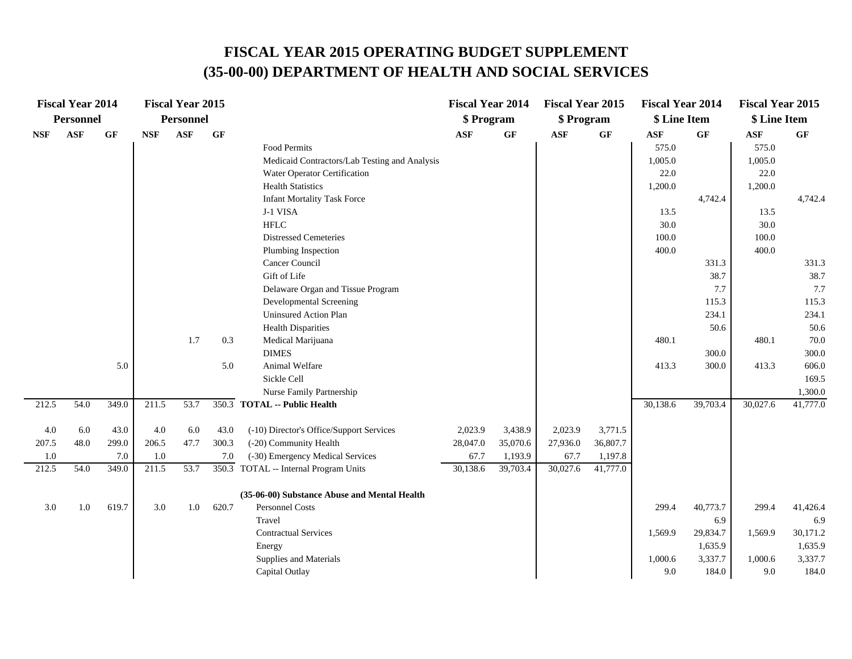|            | <b>Fiscal Year 2014</b> |                 |            | <b>Fiscal Year 2015</b> |           |                                               | <b>Fiscal Year 2014</b> |                 | <b>Fiscal Year 2015</b> |          | <b>Fiscal Year 2014</b> |           | <b>Fiscal Year 2015</b> |                 |
|------------|-------------------------|-----------------|------------|-------------------------|-----------|-----------------------------------------------|-------------------------|-----------------|-------------------------|----------|-------------------------|-----------|-------------------------|-----------------|
|            | <b>Personnel</b>        |                 |            | <b>Personnel</b>        |           |                                               | \$ Program              |                 | \$ Program              |          | \$ Line Item            |           | \$ Line Item            |                 |
| <b>NSF</b> | <b>ASF</b>              | $\bf{G} \bf{F}$ | <b>NSF</b> | <b>ASF</b>              | <b>GF</b> |                                               | <b>ASF</b>              | $\bf{G} \bf{F}$ | <b>ASF</b>              | GF       | $\mathbf{ASF}$          | <b>GF</b> | <b>ASF</b>              | $\bf{G} \bf{F}$ |
|            |                         |                 |            |                         |           | <b>Food Permits</b>                           |                         |                 |                         |          | 575.0                   |           | 575.0                   |                 |
|            |                         |                 |            |                         |           | Medicaid Contractors/Lab Testing and Analysis |                         |                 |                         |          | 1,005.0                 |           | 1,005.0                 |                 |
|            |                         |                 |            |                         |           | Water Operator Certification                  |                         |                 |                         |          | 22.0                    |           | 22.0                    |                 |
|            |                         |                 |            |                         |           | <b>Health Statistics</b>                      |                         |                 |                         |          | 1,200.0                 |           | 1,200.0                 |                 |
|            |                         |                 |            |                         |           | <b>Infant Mortality Task Force</b>            |                         |                 |                         |          |                         | 4,742.4   |                         | 4,742.4         |
|            |                         |                 |            |                         |           | J-1 VISA                                      |                         |                 |                         |          | 13.5                    |           | 13.5                    |                 |
|            |                         |                 |            |                         |           | ${\rm HFLC}$                                  |                         |                 |                         |          | 30.0                    |           | 30.0                    |                 |
|            |                         |                 |            |                         |           | <b>Distressed Cemeteries</b>                  |                         |                 |                         |          | 100.0                   |           | 100.0                   |                 |
|            |                         |                 |            |                         |           | Plumbing Inspection                           |                         |                 |                         |          | 400.0                   |           | 400.0                   |                 |
|            |                         |                 |            |                         |           | Cancer Council                                |                         |                 |                         |          |                         | 331.3     |                         | 331.3           |
|            |                         |                 |            |                         |           | Gift of Life                                  |                         |                 |                         |          |                         | 38.7      |                         | 38.7            |
|            |                         |                 |            |                         |           | Delaware Organ and Tissue Program             |                         |                 |                         |          |                         | 7.7       |                         | 7.7             |
|            |                         |                 |            |                         |           | <b>Developmental Screening</b>                |                         |                 |                         |          |                         | 115.3     |                         | 115.3           |
|            |                         |                 |            |                         |           | <b>Uninsured Action Plan</b>                  |                         |                 |                         |          |                         | 234.1     |                         | 234.1           |
|            |                         |                 |            |                         |           | <b>Health Disparities</b>                     |                         |                 |                         |          |                         | 50.6      |                         | 50.6            |
|            |                         |                 |            | 1.7                     | 0.3       | Medical Marijuana                             |                         |                 |                         |          | 480.1                   |           | 480.1                   | 70.0            |
|            |                         |                 |            |                         |           | <b>DIMES</b>                                  |                         |                 |                         |          |                         | 300.0     |                         | 300.0           |
|            |                         | 5.0             |            |                         | 5.0       | Animal Welfare                                |                         |                 |                         |          | 413.3                   | 300.0     | 413.3                   | 606.0           |
|            |                         |                 |            |                         |           | Sickle Cell                                   |                         |                 |                         |          |                         |           |                         | 169.5           |
|            |                         |                 |            |                         |           | Nurse Family Partnership                      |                         |                 |                         |          |                         |           |                         | 1,300.0         |
| 212.5      | 54.0                    | 349.0           | 211.5      | 53.7                    |           | 350.3 TOTAL -- Public Health                  |                         |                 |                         |          | 30,138.6                | 39,703.4  | 30,027.6                | 41,777.0        |
| 4.0        | 6.0                     | 43.0            | 4.0        | 6.0                     | 43.0      | (-10) Director's Office/Support Services      | 2,023.9                 | 3,438.9         | 2,023.9                 | 3,771.5  |                         |           |                         |                 |
| 207.5      | 48.0                    | 299.0           | 206.5      | 47.7                    | 300.3     | (-20) Community Health                        | 28,047.0                | 35,070.6        | 27,936.0                | 36,807.7 |                         |           |                         |                 |
| 1.0        |                         | 7.0             | $1.0\,$    |                         | 7.0       | (-30) Emergency Medical Services              | 67.7                    | 1,193.9         | 67.7                    | 1,197.8  |                         |           |                         |                 |
| 212.5      | 54.0                    | 349.0           | 211.5      | 53.7                    |           | 350.3 TOTAL -- Internal Program Units         | 30,138.6                | 39,703.4        | 30,027.6                | 41,777.0 |                         |           |                         |                 |
|            |                         |                 |            |                         |           | (35-06-00) Substance Abuse and Mental Health  |                         |                 |                         |          |                         |           |                         |                 |
| 3.0        | 1.0                     | 619.7           | 3.0        | 1.0                     | 620.7     | Personnel Costs                               |                         |                 |                         |          | 299.4                   | 40,773.7  | 299.4                   | 41,426.4        |
|            |                         |                 |            |                         |           | Travel                                        |                         |                 |                         |          |                         | 6.9       |                         | 6.9             |
|            |                         |                 |            |                         |           | <b>Contractual Services</b>                   |                         |                 |                         |          | 1,569.9                 | 29,834.7  | 1,569.9                 | 30,171.2        |
|            |                         |                 |            |                         |           | Energy                                        |                         |                 |                         |          |                         | 1,635.9   |                         | 1,635.9         |
|            |                         |                 |            |                         |           | Supplies and Materials                        |                         |                 |                         |          | 1,000.6                 | 3,337.7   | 1,000.6                 | 3,337.7         |
|            |                         |                 |            |                         |           | Capital Outlay                                |                         |                 |                         |          | 9.0                     | 184.0     | 9.0                     | 184.0           |
|            |                         |                 |            |                         |           |                                               |                         |                 |                         |          |                         |           |                         |                 |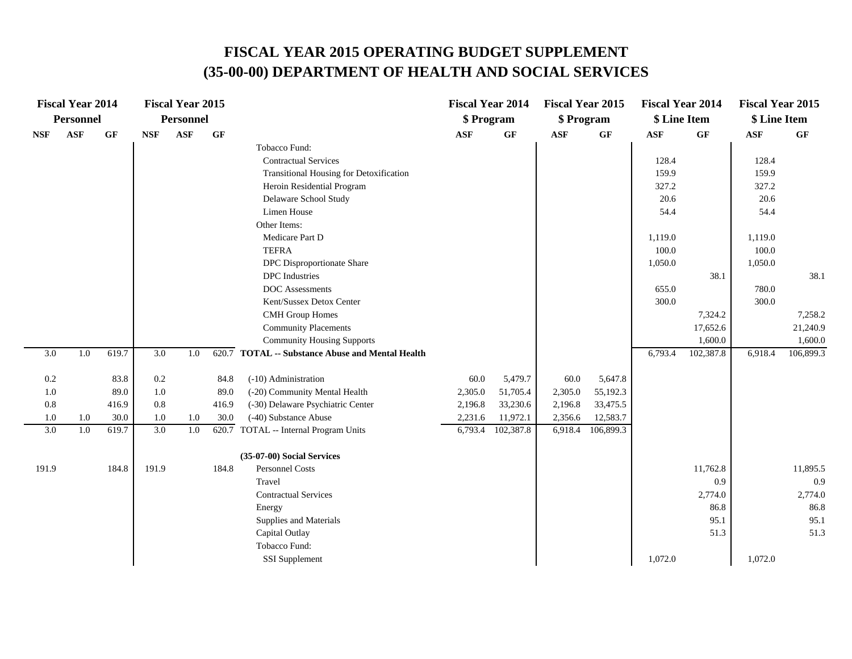|            | <b>Fiscal Year 2014</b> |       |                  | <b>Fiscal Year 2015</b> |       |                                                  | <b>Fiscal Year 2014</b> |           | <b>Fiscal Year 2015</b> |                 | <b>Fiscal Year 2014</b> |           | <b>Fiscal Year 2015</b> |                 |
|------------|-------------------------|-------|------------------|-------------------------|-------|--------------------------------------------------|-------------------------|-----------|-------------------------|-----------------|-------------------------|-----------|-------------------------|-----------------|
|            | <b>Personnel</b>        |       |                  | <b>Personnel</b>        |       |                                                  | \$ Program              |           | \$ Program              |                 | \$ Line Item            |           | \$ Line Item            |                 |
| <b>NSF</b> | $\mathbf{ASF}$          | GF    | <b>NSF</b>       | <b>ASF</b>              | GF    |                                                  | <b>ASF</b>              | GF        | $\mathbf{ASF}$          | $\bf{G} \bf{F}$ | $\mathbf{ASF}$          | GF        | ASF                     | $\bf{G} \bf{F}$ |
|            |                         |       |                  |                         |       | Tobacco Fund:                                    |                         |           |                         |                 |                         |           |                         |                 |
|            |                         |       |                  |                         |       | <b>Contractual Services</b>                      |                         |           |                         |                 | 128.4                   |           | 128.4                   |                 |
|            |                         |       |                  |                         |       | Transitional Housing for Detoxification          |                         |           |                         |                 | 159.9                   |           | 159.9                   |                 |
|            |                         |       |                  |                         |       | Heroin Residential Program                       |                         |           |                         |                 | 327.2                   |           | 327.2                   |                 |
|            |                         |       |                  |                         |       | Delaware School Study                            |                         |           |                         |                 | 20.6                    |           | 20.6                    |                 |
|            |                         |       |                  |                         |       | Limen House                                      |                         |           |                         |                 | 54.4                    |           | 54.4                    |                 |
|            |                         |       |                  |                         |       | Other Items:                                     |                         |           |                         |                 |                         |           |                         |                 |
|            |                         |       |                  |                         |       | Medicare Part D                                  |                         |           |                         |                 | 1,119.0                 |           | 1,119.0                 |                 |
|            |                         |       |                  |                         |       | <b>TEFRA</b>                                     |                         |           |                         |                 | 100.0                   |           | 100.0                   |                 |
|            |                         |       |                  |                         |       | DPC Disproportionate Share                       |                         |           |                         |                 | 1,050.0                 |           | 1,050.0                 |                 |
|            |                         |       |                  |                         |       | <b>DPC</b> Industries                            |                         |           |                         |                 |                         | 38.1      |                         | 38.1            |
|            |                         |       |                  |                         |       | DOC Assessments                                  |                         |           |                         |                 | 655.0                   |           | 780.0                   |                 |
|            |                         |       |                  |                         |       | Kent/Sussex Detox Center                         |                         |           |                         |                 | 300.0                   |           | 300.0                   |                 |
|            |                         |       |                  |                         |       | <b>CMH</b> Group Homes                           |                         |           |                         |                 |                         | 7,324.2   |                         | 7,258.2         |
|            |                         |       |                  |                         |       | <b>Community Placements</b>                      |                         |           |                         |                 |                         | 17,652.6  |                         | 21,240.9        |
|            |                         |       |                  |                         |       | <b>Community Housing Supports</b>                |                         |           |                         |                 |                         | 1,600.0   |                         | 1,600.0         |
| 3.0        | 1.0                     | 619.7 | $\overline{3.0}$ | 1.0                     |       | 620.7 TOTAL -- Substance Abuse and Mental Health |                         |           |                         |                 | 6,793.4                 | 102,387.8 | 6,918.4                 | 106,899.3       |
| 0.2        |                         | 83.8  | $0.2\,$          |                         | 84.8  | (-10) Administration                             | 60.0                    | 5,479.7   | 60.0                    | 5,647.8         |                         |           |                         |                 |
| 1.0        |                         | 89.0  | 1.0              |                         | 89.0  | (-20) Community Mental Health                    | 2,305.0                 | 51,705.4  | 2,305.0                 | 55,192.3        |                         |           |                         |                 |
| 0.8        |                         | 416.9 | $0.8\,$          |                         | 416.9 | (-30) Delaware Psychiatric Center                | 2,196.8                 | 33,230.6  | 2,196.8                 | 33,475.5        |                         |           |                         |                 |
| 1.0        | 1.0                     | 30.0  | 1.0              | 1.0                     | 30.0  | (-40) Substance Abuse                            | 2,231.6                 | 11,972.1  | 2,356.6                 | 12,583.7        |                         |           |                         |                 |
| 3.0        | 1.0                     | 619.7 | 3.0              | 1.0                     | 620.7 | TOTAL -- Internal Program Units                  | 6,793.4                 | 102,387.8 | 6,918.4                 | 106,899.3       |                         |           |                         |                 |
|            |                         |       |                  |                         |       | (35-07-00) Social Services                       |                         |           |                         |                 |                         |           |                         |                 |
| 191.9      |                         | 184.8 | 191.9            |                         | 184.8 | Personnel Costs                                  |                         |           |                         |                 |                         | 11,762.8  |                         | 11,895.5        |
|            |                         |       |                  |                         |       | Travel                                           |                         |           |                         |                 |                         | 0.9       |                         | 0.9             |
|            |                         |       |                  |                         |       | <b>Contractual Services</b>                      |                         |           |                         |                 |                         | 2,774.0   |                         | 2,774.0         |
|            |                         |       |                  |                         |       | Energy                                           |                         |           |                         |                 |                         | 86.8      |                         | 86.8            |
|            |                         |       |                  |                         |       | Supplies and Materials                           |                         |           |                         |                 |                         | 95.1      |                         | 95.1            |
|            |                         |       |                  |                         |       | Capital Outlay                                   |                         |           |                         |                 |                         | 51.3      |                         | 51.3            |
|            |                         |       |                  |                         |       |                                                  |                         |           |                         |                 |                         |           |                         |                 |
|            |                         |       |                  |                         |       | Tobacco Fund:                                    |                         |           |                         |                 |                         |           |                         |                 |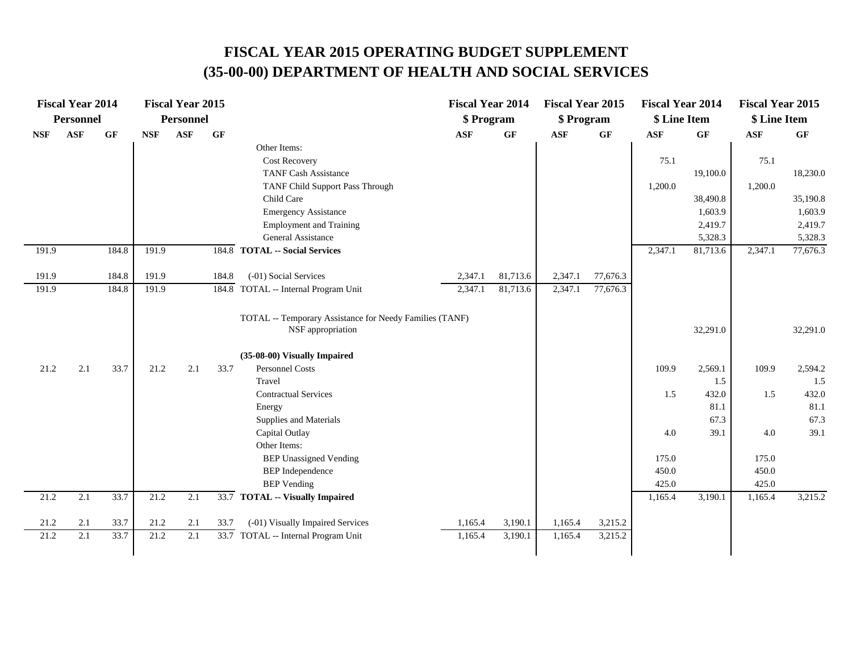|            | <b>Fiscal Year 2014</b> |       |            | <b>Fiscal Year 2015</b> |           |                                                                              | <b>Fiscal Year 2014</b> |           | <b>Fiscal Year 2015</b> |                 | <b>Fiscal Year 2014</b> |          | <b>Fiscal Year 2015</b> |          |
|------------|-------------------------|-------|------------|-------------------------|-----------|------------------------------------------------------------------------------|-------------------------|-----------|-------------------------|-----------------|-------------------------|----------|-------------------------|----------|
|            | <b>Personnel</b>        |       |            | <b>Personnel</b>        |           |                                                                              | \$ Program              |           | \$ Program              |                 | \$ Line Item            |          | \$ Line Item            |          |
| <b>NSF</b> | ASF                     | GF    | <b>NSF</b> | ASF                     | <b>GF</b> |                                                                              | <b>ASF</b>              | <b>GF</b> | <b>ASF</b>              | $\bf{G} \bf{F}$ | ASF                     | GF       | <b>ASF</b>              | GF       |
|            |                         |       |            |                         |           | Other Items:                                                                 |                         |           |                         |                 |                         |          |                         |          |
|            |                         |       |            |                         |           | <b>Cost Recovery</b>                                                         |                         |           |                         |                 | 75.1                    |          | 75.1                    |          |
|            |                         |       |            |                         |           | <b>TANF Cash Assistance</b>                                                  |                         |           |                         |                 |                         | 19,100.0 |                         | 18,230.0 |
|            |                         |       |            |                         |           | TANF Child Support Pass Through                                              |                         |           |                         |                 | 1,200.0                 |          | 1,200.0                 |          |
|            |                         |       |            |                         |           | Child Care                                                                   |                         |           |                         |                 |                         | 38,490.8 |                         | 35,190.8 |
|            |                         |       |            |                         |           | <b>Emergency Assistance</b>                                                  |                         |           |                         |                 |                         | 1,603.9  |                         | 1,603.9  |
|            |                         |       |            |                         |           | <b>Employment and Training</b>                                               |                         |           |                         |                 |                         | 2,419.7  |                         | 2,419.7  |
|            |                         |       |            |                         |           | General Assistance                                                           |                         |           |                         |                 |                         | 5,328.3  |                         | 5,328.3  |
| 191.9      |                         | 184.8 | 191.9      |                         | 184.8     | <b>TOTAL -- Social Services</b>                                              |                         |           |                         |                 | 2,347.1                 | 81,713.6 | 2,347.1                 | 77,676.3 |
| 191.9      |                         | 184.8 | 191.9      |                         | 184.8     | (-01) Social Services                                                        | 2,347.1                 | 81,713.6  | 2,347.1                 | 77,676.3        |                         |          |                         |          |
| 191.9      |                         | 184.8 | 191.9      |                         |           | 184.8 TOTAL -- Internal Program Unit                                         | 2,347.1                 | 81,713.6  | 2,347.1                 | 77,676.3        |                         |          |                         |          |
|            |                         |       |            |                         |           | TOTAL -- Temporary Assistance for Needy Families (TANF)<br>NSF appropriation |                         |           |                         |                 |                         | 32,291.0 |                         | 32,291.0 |
|            |                         |       |            |                         |           | (35-08-00) Visually Impaired                                                 |                         |           |                         |                 |                         |          |                         |          |
| 21.2       | 2.1                     | 33.7  | 21.2       | 2.1                     | 33.7      | <b>Personnel Costs</b>                                                       |                         |           |                         |                 | 109.9                   | 2,569.1  | 109.9                   | 2,594.2  |
|            |                         |       |            |                         |           | Travel                                                                       |                         |           |                         |                 |                         | 1.5      |                         | 1.5      |
|            |                         |       |            |                         |           | <b>Contractual Services</b>                                                  |                         |           |                         |                 | 1.5                     | 432.0    | 1.5                     | 432.0    |
|            |                         |       |            |                         |           | Energy                                                                       |                         |           |                         |                 |                         | 81.1     |                         | 81.1     |
|            |                         |       |            |                         |           | Supplies and Materials                                                       |                         |           |                         |                 |                         | 67.3     |                         | 67.3     |
|            |                         |       |            |                         |           | Capital Outlay                                                               |                         |           |                         |                 | 4.0                     | 39.1     | 4.0                     | 39.1     |
|            |                         |       |            |                         |           | Other Items:                                                                 |                         |           |                         |                 |                         |          |                         |          |
|            |                         |       |            |                         |           | <b>BEP Unassigned Vending</b>                                                |                         |           |                         |                 | 175.0                   |          | 175.0                   |          |
|            |                         |       |            |                         |           | <b>BEP</b> Independence                                                      |                         |           |                         |                 | 450.0                   |          | 450.0                   |          |
|            |                         |       |            |                         |           | <b>BEP</b> Vending                                                           |                         |           |                         |                 | 425.0                   |          | 425.0                   |          |
| 21.2       | 2.1                     | 33.7  | 21.2       | 2.1                     |           | 33.7 TOTAL -- Visually Impaired                                              |                         |           |                         |                 | 1,165.4                 | 3,190.1  | 1,165.4                 | 3,215.2  |
| 21.2       | 2.1                     | 33.7  | 21.2       | 2.1                     | 33.7      | (-01) Visually Impaired Services                                             | 1,165.4                 | 3,190.1   | 1,165.4                 | 3,215.2         |                         |          |                         |          |
| 21.2       | 2.1                     | 33.7  | 21.2       | 2.1                     |           | 33.7 TOTAL -- Internal Program Unit                                          | 1,165.4                 | 3,190.1   | 1,165.4                 | 3,215.2         |                         |          |                         |          |
|            |                         |       |            |                         |           |                                                                              |                         |           |                         |                 |                         |          |                         |          |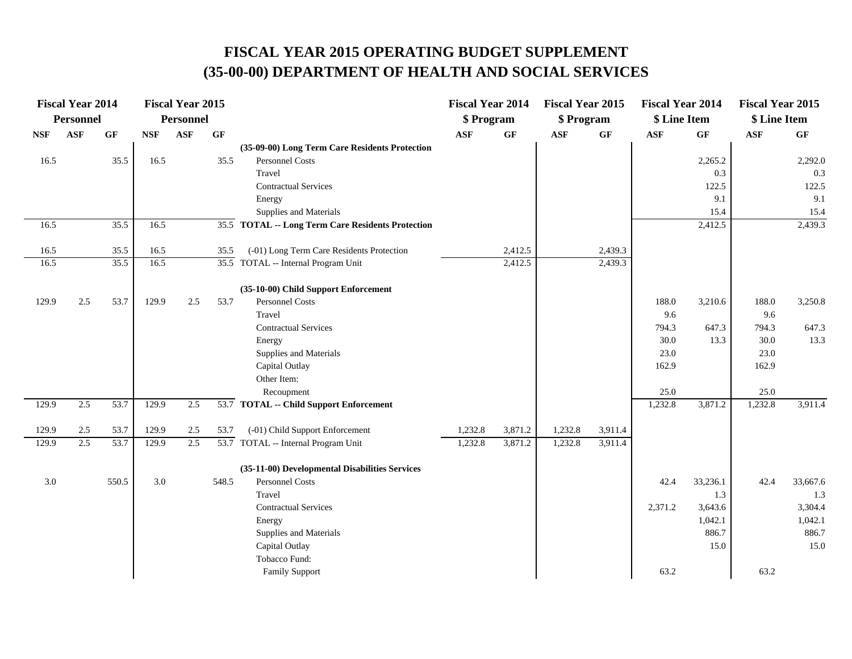|            | <b>Fiscal Year 2014</b> |                 |            | <b>Fiscal Year 2015</b> |       |                                                   | <b>Fiscal Year 2014</b> |         | <b>Fiscal Year 2015</b> |         | <b>Fiscal Year 2014</b> |          | <b>Fiscal Year 2015</b> |                 |
|------------|-------------------------|-----------------|------------|-------------------------|-------|---------------------------------------------------|-------------------------|---------|-------------------------|---------|-------------------------|----------|-------------------------|-----------------|
|            | Personnel               |                 |            | Personnel               |       |                                                   | \$ Program              |         | \$ Program              |         | \$ Line Item            |          | \$ Line Item            |                 |
| <b>NSF</b> | <b>ASF</b>              | $\bf{G} \bf{F}$ | <b>NSF</b> | <b>ASF</b>              | GF    |                                                   | <b>ASF</b>              | GF      | <b>ASF</b>              | GF      | <b>ASF</b>              | GF       | $\mathbf{ASF}$          | $\bf{G} \bf{F}$ |
|            |                         |                 |            |                         |       | (35-09-00) Long Term Care Residents Protection    |                         |         |                         |         |                         |          |                         |                 |
| 16.5       |                         | 35.5            | 16.5       |                         | 35.5  | Personnel Costs                                   |                         |         |                         |         |                         | 2,265.2  |                         | 2,292.0         |
|            |                         |                 |            |                         |       | Travel                                            |                         |         |                         |         |                         | 0.3      |                         | 0.3             |
|            |                         |                 |            |                         |       | <b>Contractual Services</b>                       |                         |         |                         |         |                         | 122.5    |                         | 122.5           |
|            |                         |                 |            |                         |       | Energy                                            |                         |         |                         |         |                         | 9.1      |                         | 9.1             |
|            |                         |                 |            |                         |       | Supplies and Materials                            |                         |         |                         |         |                         | 15.4     |                         | 15.4            |
| 16.5       |                         | 35.5            | 16.5       |                         |       | 35.5 TOTAL -- Long Term Care Residents Protection |                         |         |                         |         |                         | 2,412.5  |                         | 2,439.3         |
| 16.5       |                         | 35.5            | 16.5       |                         | 35.5  | (-01) Long Term Care Residents Protection         |                         | 2,412.5 |                         | 2,439.3 |                         |          |                         |                 |
| 16.5       |                         | 35.5            | 16.5       |                         |       | 35.5 TOTAL -- Internal Program Unit               |                         | 2,412.5 |                         | 2,439.3 |                         |          |                         |                 |
|            |                         |                 |            |                         |       | (35-10-00) Child Support Enforcement              |                         |         |                         |         |                         |          |                         |                 |
| 129.9      | 2.5                     | 53.7            | 129.9      | 2.5                     | 53.7  | <b>Personnel Costs</b>                            |                         |         |                         |         | 188.0                   | 3,210.6  | 188.0                   | 3,250.8         |
|            |                         |                 |            |                         |       | Travel                                            |                         |         |                         |         | 9.6                     |          | 9.6                     |                 |
|            |                         |                 |            |                         |       | <b>Contractual Services</b>                       |                         |         |                         |         | 794.3                   | 647.3    | 794.3                   | 647.3           |
|            |                         |                 |            |                         |       | Energy                                            |                         |         |                         |         | 30.0                    | 13.3     | 30.0                    | 13.3            |
|            |                         |                 |            |                         |       | Supplies and Materials                            |                         |         |                         |         | 23.0                    |          | 23.0                    |                 |
|            |                         |                 |            |                         |       | Capital Outlay                                    |                         |         |                         |         | 162.9                   |          | 162.9                   |                 |
|            |                         |                 |            |                         |       | Other Item:                                       |                         |         |                         |         |                         |          |                         |                 |
|            |                         |                 |            |                         |       | Recoupment                                        |                         |         |                         |         | 25.0                    |          | 25.0                    |                 |
| 129.9      | 2.5                     | 53.7            | 129.9      | 2.5                     |       | 53.7 TOTAL -- Child Support Enforcement           |                         |         |                         |         | 1,232.8                 | 3,871.2  | 1,232.8                 | 3,911.4         |
| 129.9      | 2.5                     | 53.7            | 129.9      | 2.5                     | 53.7  | (-01) Child Support Enforcement                   | 1,232.8                 | 3,871.2 | 1,232.8                 | 3,911.4 |                         |          |                         |                 |
| 129.9      | 2.5                     | 53.7            | 129.9      | 2.5                     |       | 53.7 TOTAL -- Internal Program Unit               | 1,232.8                 | 3,871.2 | 1,232.8                 | 3,911.4 |                         |          |                         |                 |
|            |                         |                 |            |                         |       | (35-11-00) Developmental Disabilities Services    |                         |         |                         |         |                         |          |                         |                 |
| 3.0        |                         | 550.5           | 3.0        |                         | 548.5 | Personnel Costs                                   |                         |         |                         |         | 42.4                    | 33,236.1 | 42.4                    | 33,667.6        |
|            |                         |                 |            |                         |       | Travel                                            |                         |         |                         |         |                         | 1.3      |                         | 1.3             |
|            |                         |                 |            |                         |       | <b>Contractual Services</b>                       |                         |         |                         |         | 2,371.2                 | 3,643.6  |                         | 3,304.4         |
|            |                         |                 |            |                         |       | Energy                                            |                         |         |                         |         |                         | 1,042.1  |                         | 1,042.1         |
|            |                         |                 |            |                         |       | Supplies and Materials                            |                         |         |                         |         |                         | 886.7    |                         | 886.7           |
|            |                         |                 |            |                         |       | Capital Outlay                                    |                         |         |                         |         |                         | 15.0     |                         | 15.0            |
|            |                         |                 |            |                         |       | Tobacco Fund:                                     |                         |         |                         |         |                         |          |                         |                 |
|            |                         |                 |            |                         |       | <b>Family Support</b>                             |                         |         |                         |         | 63.2                    |          | 63.2                    |                 |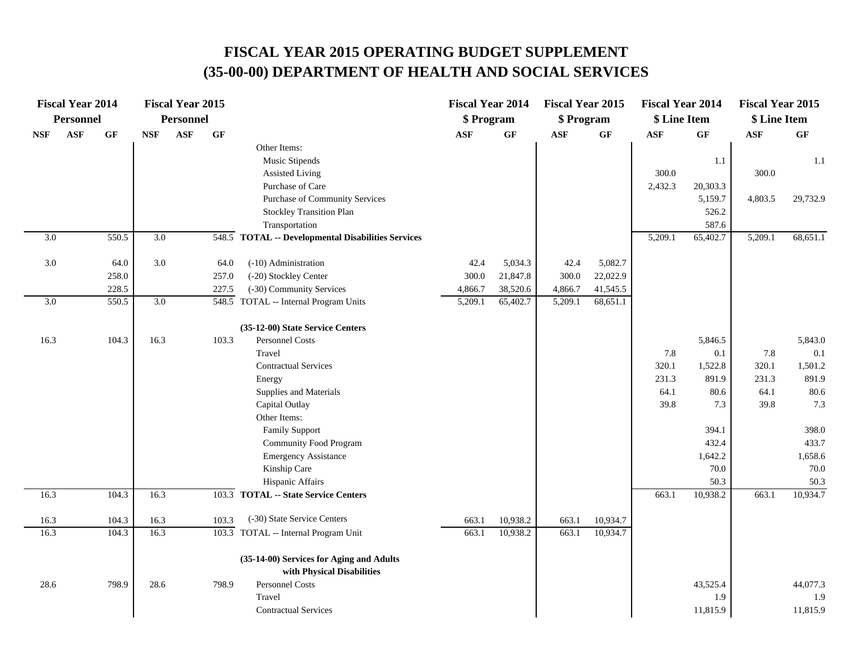|                  | <b>Fiscal Year 2014</b> |       |                  | <b>Fiscal Year 2015</b> |       |                                                    | <b>Fiscal Year 2014</b> |                 | <b>Fiscal Year 2015</b> |                 | <b>Fiscal Year 2014</b> |                 | <b>Fiscal Year 2015</b> |          |
|------------------|-------------------------|-------|------------------|-------------------------|-------|----------------------------------------------------|-------------------------|-----------------|-------------------------|-----------------|-------------------------|-----------------|-------------------------|----------|
|                  | <b>Personnel</b>        |       |                  | <b>Personnel</b>        |       |                                                    | \$ Program              |                 | \$ Program              |                 | \$ Line Item            |                 | \$ Line Item            |          |
| <b>NSF</b>       | ASF                     | GF    | <b>NSF</b>       | ASF                     | GF    |                                                    | <b>ASF</b>              | $\bf{G} \bf{F}$ | <b>ASF</b>              | $\bf{G} \bf{F}$ | ASF                     | $\bf{G} \bf{F}$ | $\mathbf{ASF}$          | GF       |
|                  |                         |       |                  |                         |       | Other Items:                                       |                         |                 |                         |                 |                         |                 |                         |          |
|                  |                         |       |                  |                         |       | Music Stipends<br><b>Assisted Living</b>           |                         |                 |                         |                 | 300.0                   | 1.1             | 300.0                   | 1.1      |
|                  |                         |       |                  |                         |       | Purchase of Care                                   |                         |                 |                         |                 | 2,432.3                 | 20,303.3        |                         |          |
|                  |                         |       |                  |                         |       | Purchase of Community Services                     |                         |                 |                         |                 |                         | 5,159.7         |                         | 29,732.9 |
|                  |                         |       |                  |                         |       | <b>Stockley Transition Plan</b>                    |                         |                 |                         |                 |                         | 526.2           | 4,803.5                 |          |
|                  |                         |       |                  |                         |       | Transportation                                     |                         |                 |                         |                 |                         | 587.6           |                         |          |
| 3.0              |                         | 550.5 | $\overline{3.0}$ |                         |       | 548.5 TOTAL -- Developmental Disabilities Services |                         |                 |                         |                 | 5,209.1                 | 65,402.7        | 5,209.1                 | 68,651.1 |
|                  |                         |       |                  |                         |       |                                                    |                         |                 |                         |                 |                         |                 |                         |          |
| 3.0              |                         | 64.0  | 3.0              |                         | 64.0  | (-10) Administration                               | 42.4                    | 5,034.3         | 42.4                    | 5,082.7         |                         |                 |                         |          |
|                  |                         | 258.0 |                  |                         | 257.0 | (-20) Stockley Center                              | 300.0                   | 21,847.8        | 300.0                   | 22,022.9        |                         |                 |                         |          |
|                  |                         | 228.5 |                  |                         | 227.5 | (-30) Community Services                           | 4,866.7                 | 38,520.6        | 4,866.7                 | 41,545.5        |                         |                 |                         |          |
| $\overline{3.0}$ |                         | 550.5 | $\overline{3.0}$ |                         |       | 548.5 TOTAL -- Internal Program Units              | 5,209.1                 | 65,402.7        | 5,209.1                 | 68,651.1        |                         |                 |                         |          |
|                  |                         |       |                  |                         |       | (35-12-00) State Service Centers                   |                         |                 |                         |                 |                         |                 |                         |          |
| 16.3             |                         | 104.3 | 16.3             |                         | 103.3 | Personnel Costs                                    |                         |                 |                         |                 |                         | 5,846.5         |                         | 5,843.0  |
|                  |                         |       |                  |                         |       | Travel                                             |                         |                 |                         |                 | 7.8                     | 0.1             | 7.8                     | 0.1      |
|                  |                         |       |                  |                         |       | <b>Contractual Services</b>                        |                         |                 |                         |                 | 320.1                   | 1,522.8         | 320.1                   | 1,501.2  |
|                  |                         |       |                  |                         |       | Energy                                             |                         |                 |                         |                 | 231.3                   | 891.9           | 231.3                   | 891.9    |
|                  |                         |       |                  |                         |       | Supplies and Materials                             |                         |                 |                         |                 | 64.1                    | 80.6            | 64.1                    | 80.6     |
|                  |                         |       |                  |                         |       | Capital Outlay                                     |                         |                 |                         |                 | 39.8                    | 7.3             | 39.8                    | 7.3      |
|                  |                         |       |                  |                         |       | Other Items:                                       |                         |                 |                         |                 |                         |                 |                         |          |
|                  |                         |       |                  |                         |       | <b>Family Support</b>                              |                         |                 |                         |                 |                         | 394.1           |                         | 398.0    |
|                  |                         |       |                  |                         |       | Community Food Program                             |                         |                 |                         |                 |                         | 432.4           |                         | 433.7    |
|                  |                         |       |                  |                         |       | <b>Emergency Assistance</b>                        |                         |                 |                         |                 |                         | 1,642.2         |                         | 1,658.6  |
|                  |                         |       |                  |                         |       | Kinship Care                                       |                         |                 |                         |                 |                         | 70.0            |                         | 70.0     |
|                  |                         |       |                  |                         |       | Hispanic Affairs                                   |                         |                 |                         |                 |                         | 50.3            |                         | 50.3     |
| 16.3             |                         | 104.3 | 16.3             |                         |       | 103.3 TOTAL -- State Service Centers               |                         |                 |                         |                 | 663.1                   | 10,938.2        | 663.1                   | 10,934.7 |
| 16.3             |                         | 104.3 | 16.3             |                         | 103.3 | (-30) State Service Centers                        | 663.1                   | 10,938.2        | 663.1                   | 10,934.7        |                         |                 |                         |          |
| 16.3             |                         | 104.3 | 16.3             |                         |       | 103.3 TOTAL -- Internal Program Unit               | 663.1                   | 10,938.2        | 663.1                   | 10,934.7        |                         |                 |                         |          |
|                  |                         |       |                  |                         |       | (35-14-00) Services for Aging and Adults           |                         |                 |                         |                 |                         |                 |                         |          |
|                  |                         |       |                  |                         |       | with Physical Disabilities                         |                         |                 |                         |                 |                         |                 |                         |          |
| 28.6             |                         | 798.9 | 28.6             |                         | 798.9 | Personnel Costs                                    |                         |                 |                         |                 |                         | 43,525.4        |                         | 44,077.3 |
|                  |                         |       |                  |                         |       | Travel                                             |                         |                 |                         |                 |                         | 1.9             |                         | 1.9      |
|                  |                         |       |                  |                         |       | <b>Contractual Services</b>                        |                         |                 |                         |                 |                         | 11,815.9        |                         | 11,815.9 |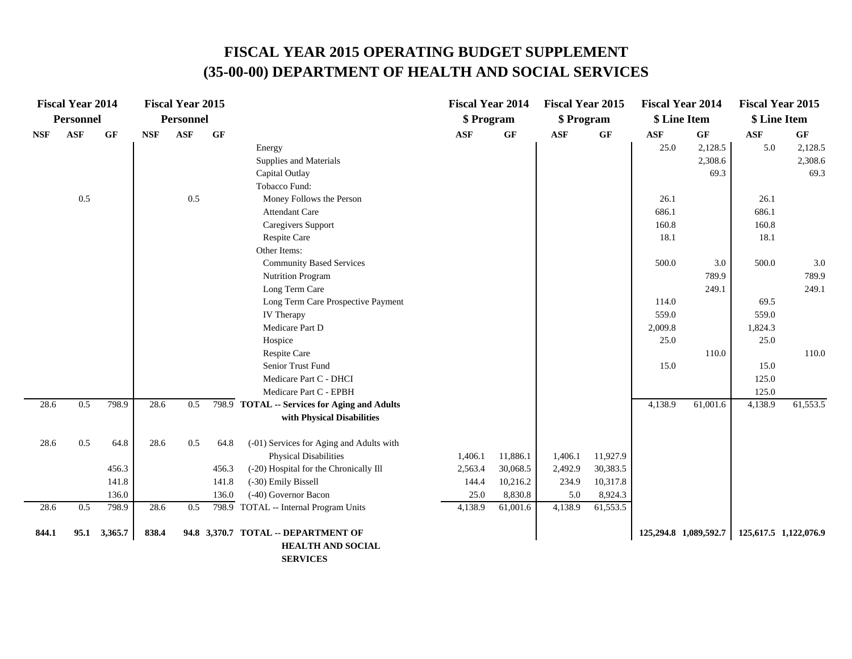|            | <b>Fiscal Year 2014</b> |         |                   | <b>Fiscal Year 2015</b> |       |                                              | <b>Fiscal Year 2014</b> |          | <b>Fiscal Year 2015</b> |          |            | <b>Fiscal Year 2014</b> | <b>Fiscal Year 2015</b> |                       |
|------------|-------------------------|---------|-------------------|-------------------------|-------|----------------------------------------------|-------------------------|----------|-------------------------|----------|------------|-------------------------|-------------------------|-----------------------|
|            | <b>Personnel</b>        |         |                   | <b>Personnel</b>        |       |                                              | \$ Program              |          | \$ Program              |          |            | \$ Line Item            | \$ Line Item            |                       |
| <b>NSF</b> | ASF                     | GF      | <b>NSF</b>        | <b>ASF</b>              | GF    |                                              | <b>ASF</b>              | GF       | <b>ASF</b>              | GF       | <b>ASF</b> | <b>GF</b>               | <b>ASF</b>              | GF                    |
|            |                         |         |                   |                         |       | Energy                                       |                         |          |                         |          | 25.0       | 2,128.5                 | 5.0                     | 2,128.5               |
|            |                         |         |                   |                         |       | Supplies and Materials                       |                         |          |                         |          |            | 2,308.6                 |                         | 2,308.6               |
|            |                         |         |                   |                         |       | Capital Outlay                               |                         |          |                         |          |            | 69.3                    |                         | 69.3                  |
|            |                         |         |                   |                         |       | Tobacco Fund:                                |                         |          |                         |          |            |                         |                         |                       |
|            | 0.5                     |         |                   | 0.5                     |       | Money Follows the Person                     |                         |          |                         |          | 26.1       |                         | 26.1                    |                       |
|            |                         |         |                   |                         |       | Attendant Care                               |                         |          |                         |          | 686.1      |                         | 686.1                   |                       |
|            |                         |         |                   |                         |       | Caregivers Support                           |                         |          |                         |          | 160.8      |                         | 160.8                   |                       |
|            |                         |         |                   |                         |       | Respite Care                                 |                         |          |                         |          | 18.1       |                         | 18.1                    |                       |
|            |                         |         |                   |                         |       | Other Items:                                 |                         |          |                         |          |            |                         |                         |                       |
|            |                         |         |                   |                         |       | <b>Community Based Services</b>              |                         |          |                         |          | 500.0      | 3.0                     | 500.0                   | $3.0\,$               |
|            |                         |         |                   |                         |       | Nutrition Program                            |                         |          |                         |          |            | 789.9                   |                         | 789.9                 |
|            |                         |         |                   |                         |       | Long Term Care                               |                         |          |                         |          |            | 249.1                   |                         | 249.1                 |
|            |                         |         |                   |                         |       | Long Term Care Prospective Payment           |                         |          |                         |          | 114.0      |                         | 69.5                    |                       |
|            |                         |         |                   |                         |       | IV Therapy                                   |                         |          |                         |          | 559.0      |                         | 559.0                   |                       |
|            |                         |         |                   |                         |       | Medicare Part D                              |                         |          |                         |          | 2,009.8    |                         | 1,824.3                 |                       |
|            |                         |         |                   |                         |       | Hospice                                      |                         |          |                         |          | 25.0       |                         | 25.0                    |                       |
|            |                         |         |                   |                         |       | Respite Care                                 |                         |          |                         |          |            | 110.0                   |                         | 110.0                 |
|            |                         |         |                   |                         |       | Senior Trust Fund                            |                         |          |                         |          | 15.0       |                         | 15.0                    |                       |
|            |                         |         |                   |                         |       | Medicare Part C - DHCI                       |                         |          |                         |          |            |                         | 125.0                   |                       |
|            |                         |         |                   |                         |       | Medicare Part C - EPBH                       |                         |          |                         |          |            |                         | 125.0                   |                       |
| 28.6       | 0.5                     | 798.9   | $\overline{28.6}$ | 0.5                     |       | 798.9 TOTAL -- Services for Aging and Adults |                         |          |                         |          | 4,138.9    | 61,001.6                | 4,138.9                 | 61,553.5              |
|            |                         |         |                   |                         |       | with Physical Disabilities                   |                         |          |                         |          |            |                         |                         |                       |
| 28.6       | 0.5                     | 64.8    | 28.6              | 0.5                     | 64.8  | (-01) Services for Aging and Adults with     |                         |          |                         |          |            |                         |                         |                       |
|            |                         |         |                   |                         |       | <b>Physical Disabilities</b>                 | 1,406.1                 | 11,886.1 | 1,406.1                 | 11,927.9 |            |                         |                         |                       |
|            |                         | 456.3   |                   |                         | 456.3 | (-20) Hospital for the Chronically Ill       | 2,563.4                 | 30,068.5 | 2,492.9                 | 30,383.5 |            |                         |                         |                       |
|            |                         | 141.8   |                   |                         | 141.8 | (-30) Emily Bissell                          | 144.4                   | 10,216.2 | 234.9                   | 10,317.8 |            |                         |                         |                       |
|            |                         | 136.0   |                   |                         | 136.0 | (-40) Governor Bacon                         | 25.0                    | 8,830.8  | 5.0                     | 8,924.3  |            |                         |                         |                       |
| 28.6       | 0.5                     | 798.9   | 28.6              | 0.5                     |       | 798.9 TOTAL -- Internal Program Units        | 4,138.9                 | 61,001.6 | 4,138.9                 | 61,553.5 |            |                         |                         |                       |
| 844.1      | 95.1                    | 3,365.7 | 838.4             |                         |       | 94.8 3,370.7 TOTAL -- DEPARTMENT OF          |                         |          |                         |          |            | 125,294.8 1,089,592.7   |                         | 125,617.5 1,122,076.9 |
|            |                         |         |                   |                         |       | <b>HEALTH AND SOCIAL</b>                     |                         |          |                         |          |            |                         |                         |                       |
|            |                         |         |                   |                         |       |                                              |                         |          |                         |          |            |                         |                         |                       |

 **SERVICES**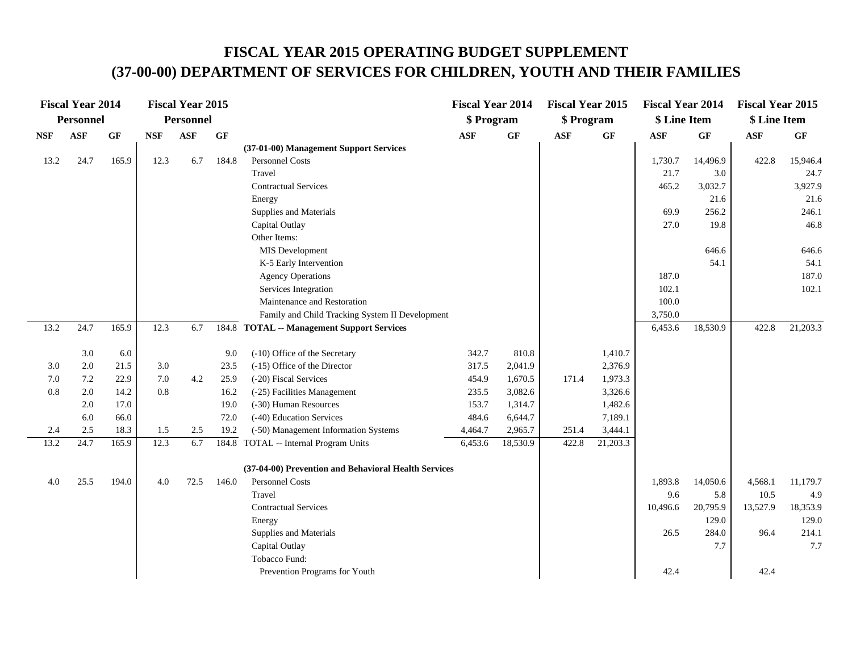### **FISCAL YEAR 2015 OPERATING BUDGET SUPPLEMENT (37-00-00) DEPARTMENT OF SERVICES FOR CHILDREN, YOUTH AND THEIR FAMILIES**

|            | <b>Fiscal Year 2014</b> |       |            | <b>Fiscal Year 2015</b> |                 |                                                      | <b>Fiscal Year 2014</b> |           | <b>Fiscal Year 2015</b> |                 | <b>Fiscal Year 2014</b> |          | <b>Fiscal Year 2015</b> |          |
|------------|-------------------------|-------|------------|-------------------------|-----------------|------------------------------------------------------|-------------------------|-----------|-------------------------|-----------------|-------------------------|----------|-------------------------|----------|
|            | <b>Personnel</b>        |       |            | <b>Personnel</b>        |                 |                                                      | \$ Program              |           | \$ Program              |                 | \$ Line Item            |          | \$ Line Item            |          |
| <b>NSF</b> | <b>ASF</b>              | GF    | <b>NSF</b> | <b>ASF</b>              | $\bf{G} \bf{F}$ |                                                      | <b>ASF</b>              | <b>GF</b> | <b>ASF</b>              | $\bf{G} \bf{F}$ | <b>ASF</b>              | GF       | ASF                     | GF       |
|            |                         |       |            |                         |                 | (37-01-00) Management Support Services               |                         |           |                         |                 |                         |          |                         |          |
| 13.2       | 24.7                    | 165.9 | 12.3       | 6.7                     | 184.8           | Personnel Costs                                      |                         |           |                         |                 | 1,730.7                 | 14,496.9 | 422.8                   | 15,946.4 |
|            |                         |       |            |                         |                 | Travel                                               |                         |           |                         |                 | 21.7                    | 3.0      |                         | 24.7     |
|            |                         |       |            |                         |                 | <b>Contractual Services</b>                          |                         |           |                         |                 | 465.2                   | 3,032.7  |                         | 3,927.9  |
|            |                         |       |            |                         |                 | Energy                                               |                         |           |                         |                 |                         | 21.6     |                         | 21.6     |
|            |                         |       |            |                         |                 | Supplies and Materials                               |                         |           |                         |                 | 69.9                    | 256.2    |                         | 246.1    |
|            |                         |       |            |                         |                 | Capital Outlay                                       |                         |           |                         |                 | 27.0                    | 19.8     |                         | 46.8     |
|            |                         |       |            |                         |                 | Other Items:                                         |                         |           |                         |                 |                         |          |                         |          |
|            |                         |       |            |                         |                 | MIS Development                                      |                         |           |                         |                 |                         | 646.6    |                         | 646.6    |
|            |                         |       |            |                         |                 | K-5 Early Intervention                               |                         |           |                         |                 |                         | 54.1     |                         | 54.1     |
|            |                         |       |            |                         |                 | <b>Agency Operations</b>                             |                         |           |                         |                 | 187.0                   |          |                         | 187.0    |
|            |                         |       |            |                         |                 | Services Integration                                 |                         |           |                         |                 | 102.1                   |          |                         | 102.1    |
|            |                         |       |            |                         |                 | Maintenance and Restoration                          |                         |           |                         |                 | 100.0                   |          |                         |          |
|            |                         |       |            |                         |                 | Family and Child Tracking System II Development      |                         |           |                         |                 | 3,750.0                 |          |                         |          |
| 13.2       | 24.7                    | 165.9 | 12.3       | 6.7                     |                 | 184.8 TOTAL -- Management Support Services           |                         |           |                         |                 | 6,453.6                 | 18,530.9 | 422.8                   | 21,203.3 |
|            |                         |       |            |                         |                 |                                                      |                         |           |                         |                 |                         |          |                         |          |
|            | 3.0                     | 6.0   |            |                         | 9.0             | (-10) Office of the Secretary                        | 342.7                   | 810.8     |                         | 1,410.7         |                         |          |                         |          |
| 3.0        | 2.0                     | 21.5  | 3.0        |                         | 23.5            | (-15) Office of the Director                         | 317.5                   | 2,041.9   |                         | 2,376.9         |                         |          |                         |          |
| 7.0        | 7.2                     | 22.9  | 7.0        | 4.2                     | 25.9            | (-20) Fiscal Services                                | 454.9                   | 1,670.5   | 171.4                   | 1,973.3         |                         |          |                         |          |
| 0.8        | 2.0                     | 14.2  | 0.8        |                         | 16.2            | (-25) Facilities Management                          | 235.5                   | 3,082.6   |                         | 3,326.6         |                         |          |                         |          |
|            | 2.0                     | 17.0  |            |                         | 19.0            | (-30) Human Resources                                | 153.7                   | 1,314.7   |                         | 1,482.6         |                         |          |                         |          |
|            | 6.0                     | 66.0  |            |                         | 72.0            | (-40) Education Services                             | 484.6                   | 6,644.7   |                         | 7,189.1         |                         |          |                         |          |
| 2.4        | 2.5                     | 18.3  | 1.5        | 2.5                     | 19.2            | (-50) Management Information Systems                 | 4,464.7                 | 2,965.7   | 251.4                   | 3,444.1         |                         |          |                         |          |
| 13.2       | 24.7                    | 165.9 | 12.3       | 6.7                     | 184.8           | TOTAL -- Internal Program Units                      | 6,453.6                 | 18,530.9  | 422.8                   | 21,203.3        |                         |          |                         |          |
|            |                         |       |            |                         |                 | (37-04-00) Prevention and Behavioral Health Services |                         |           |                         |                 |                         |          |                         |          |
| 4.0        | 25.5                    | 194.0 | 4.0        | 72.5                    | 146.0           | Personnel Costs                                      |                         |           |                         |                 | 1,893.8                 | 14,050.6 | 4,568.1                 | 11,179.7 |
|            |                         |       |            |                         |                 | Travel                                               |                         |           |                         |                 | 9.6                     | 5.8      | 10.5                    | 4.9      |
|            |                         |       |            |                         |                 | <b>Contractual Services</b>                          |                         |           |                         |                 | 10,496.6                | 20,795.9 | 13,527.9                | 18,353.9 |
|            |                         |       |            |                         |                 | Energy                                               |                         |           |                         |                 |                         | 129.0    |                         | 129.0    |
|            |                         |       |            |                         |                 | Supplies and Materials                               |                         |           |                         |                 | 26.5                    | 284.0    | 96.4                    | 214.1    |
|            |                         |       |            |                         |                 | Capital Outlay                                       |                         |           |                         |                 |                         | 7.7      |                         | 7.7      |
|            |                         |       |            |                         |                 | Tobacco Fund:                                        |                         |           |                         |                 |                         |          |                         |          |
|            |                         |       |            |                         |                 | Prevention Programs for Youth                        |                         |           |                         |                 | 42.4                    |          | 42.4                    |          |
|            |                         |       |            |                         |                 |                                                      |                         |           |                         |                 |                         |          |                         |          |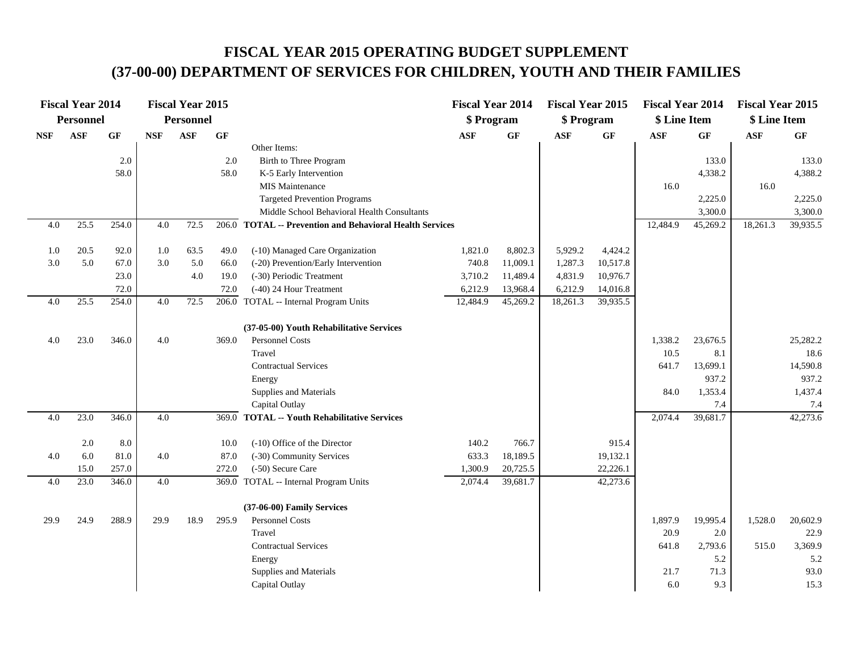# **FISCAL YEAR 2015 OPERATING BUDGET SUPPLEMENT (37-00-00) DEPARTMENT OF SERVICES FOR CHILDREN, YOUTH AND THEIR FAMILIES**

|            | <b>Fiscal Year 2014</b> |           |            | <b>Fiscal Year 2015</b> |                 |                                                          | <b>Fiscal Year 2014</b> |          | <b>Fiscal Year 2015</b> |          | <b>Fiscal Year 2014</b> |          | <b>Fiscal Year 2015</b> |                 |
|------------|-------------------------|-----------|------------|-------------------------|-----------------|----------------------------------------------------------|-------------------------|----------|-------------------------|----------|-------------------------|----------|-------------------------|-----------------|
|            | Personnel               |           |            | <b>Personnel</b>        |                 |                                                          | \$ Program              |          | \$ Program              |          | \$ Line Item            |          | \$ Line Item            |                 |
| <b>NSF</b> | <b>ASF</b>              | <b>GF</b> | <b>NSF</b> | <b>ASF</b>              | $\bf{G} \bf{F}$ |                                                          | $\mathbf{ASF}$          | GF       | <b>ASF</b>              | GF       | <b>ASF</b>              | GF       | <b>ASF</b>              | $\bf{G} \bf{F}$ |
|            |                         |           |            |                         |                 | Other Items:                                             |                         |          |                         |          |                         |          |                         |                 |
|            |                         | 2.0       |            |                         | 2.0             | Birth to Three Program                                   |                         |          |                         |          |                         | 133.0    |                         | 133.0           |
|            |                         | 58.0      |            |                         | 58.0            | K-5 Early Intervention                                   |                         |          |                         |          |                         | 4,338.2  |                         | 4,388.2         |
|            |                         |           |            |                         |                 | <b>MIS Maintenance</b>                                   |                         |          |                         |          | 16.0                    |          | 16.0                    |                 |
|            |                         |           |            |                         |                 | <b>Targeted Prevention Programs</b>                      |                         |          |                         |          |                         | 2,225.0  |                         | 2,225.0         |
|            |                         |           |            |                         |                 | Middle School Behavioral Health Consultants              |                         |          |                         |          |                         | 3,300.0  |                         | 3,300.0         |
| 4.0        | 25.5                    | 254.0     | 4.0        | 72.5                    |                 | 206.0 TOTAL -- Prevention and Behavioral Health Services |                         |          |                         |          | 12,484.9                | 45,269.2 | 18,261.3                | 39,935.5        |
| 1.0        | 20.5                    | 92.0      | 1.0        | 63.5                    | 49.0            | (-10) Managed Care Organization                          | 1,821.0                 | 8,802.3  | 5,929.2                 | 4,424.2  |                         |          |                         |                 |
| 3.0        | 5.0                     | 67.0      | 3.0        | 5.0                     | 66.0            | (-20) Prevention/Early Intervention                      | 740.8                   | 11,009.1 | 1,287.3                 | 10,517.8 |                         |          |                         |                 |
|            |                         | 23.0      |            | 4.0                     | 19.0            | (-30) Periodic Treatment                                 | 3,710.2                 | 11,489.4 | 4,831.9                 | 10,976.7 |                         |          |                         |                 |
|            |                         | 72.0      |            |                         | 72.0            | (-40) 24 Hour Treatment                                  | 6,212.9                 | 13,968.4 | 6,212.9                 | 14,016.8 |                         |          |                         |                 |
| 4.0        | 25.5                    | 254.0     | 4.0        | 72.5                    |                 | 206.0 TOTAL -- Internal Program Units                    | 12,484.9                | 45,269.2 | 18,261.3                | 39,935.5 |                         |          |                         |                 |
|            |                         |           |            |                         |                 | (37-05-00) Youth Rehabilitative Services                 |                         |          |                         |          |                         |          |                         |                 |
| 4.0        | 23.0                    | 346.0     | 4.0        |                         | 369.0           | Personnel Costs                                          |                         |          |                         |          | 1,338.2                 | 23,676.5 |                         | 25,282.2        |
|            |                         |           |            |                         |                 | Travel                                                   |                         |          |                         |          | 10.5                    | 8.1      |                         | 18.6            |
|            |                         |           |            |                         |                 | <b>Contractual Services</b>                              |                         |          |                         |          | 641.7                   | 13,699.1 |                         | 14,590.8        |
|            |                         |           |            |                         |                 | Energy                                                   |                         |          |                         |          |                         | 937.2    |                         | 937.2           |
|            |                         |           |            |                         |                 | Supplies and Materials                                   |                         |          |                         |          | 84.0                    | 1,353.4  |                         | 1,437.4         |
|            |                         |           |            |                         |                 | Capital Outlay                                           |                         |          |                         |          |                         | 7.4      |                         | 7.4             |
| 4.0        | 23.0                    | 346.0     | 4.0        |                         | 369.0           | <b>TOTAL -- Youth Rehabilitative Services</b>            |                         |          |                         |          | 2,074.4                 | 39,681.7 |                         | 42,273.6        |
|            | 2.0                     | 8.0       |            |                         | 10.0            | (-10) Office of the Director                             | 140.2                   | 766.7    |                         | 915.4    |                         |          |                         |                 |
| 4.0        | 6.0                     | 81.0      | 4.0        |                         | 87.0            | (-30) Community Services                                 | 633.3                   | 18,189.5 |                         | 19,132.1 |                         |          |                         |                 |
|            | 15.0                    | 257.0     |            |                         | 272.0           | (-50) Secure Care                                        | 1,300.9                 | 20,725.5 |                         | 22,226.1 |                         |          |                         |                 |
| 4.0        | 23.0                    | 346.0     | 4.0        |                         |                 | 369.0 TOTAL -- Internal Program Units                    | 2,074.4                 | 39,681.7 |                         | 42,273.6 |                         |          |                         |                 |
|            |                         |           |            |                         |                 | (37-06-00) Family Services                               |                         |          |                         |          |                         |          |                         |                 |
| 29.9       | 24.9                    | 288.9     | 29.9       | 18.9                    | 295.9           | Personnel Costs                                          |                         |          |                         |          | 1,897.9                 | 19,995.4 | 1,528.0                 | 20,602.9        |
|            |                         |           |            |                         |                 | Travel                                                   |                         |          |                         |          | 20.9                    | 2.0      |                         | 22.9            |
|            |                         |           |            |                         |                 | <b>Contractual Services</b>                              |                         |          |                         |          | 641.8                   | 2,793.6  | 515.0                   | 3,369.9         |
|            |                         |           |            |                         |                 | Energy                                                   |                         |          |                         |          |                         | 5.2      |                         | 5.2             |
|            |                         |           |            |                         |                 | Supplies and Materials                                   |                         |          |                         |          | 21.7                    | 71.3     |                         | 93.0            |
|            |                         |           |            |                         |                 | Capital Outlay                                           |                         |          |                         |          | 6.0                     | 9.3      |                         | 15.3            |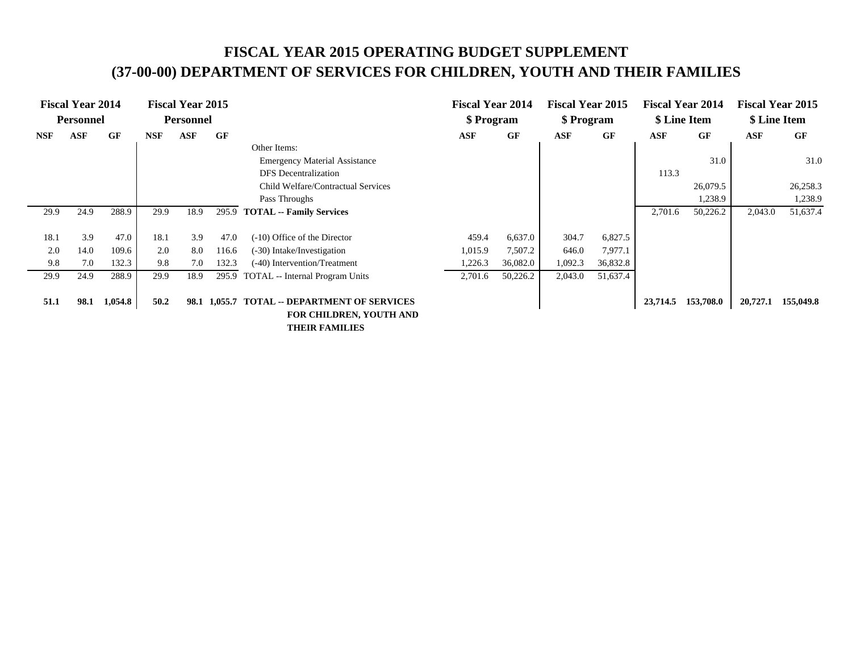# **FISCAL YEAR 2015 OPERATING BUDGET SUPPLEMENT (37-00-00) DEPARTMENT OF SERVICES FOR CHILDREN, YOUTH AND THEIR FAMILIES**

|            | <b>Fiscal Year 2014</b><br><b>Personnel</b> |         |            | <b>Fiscal Year 2015</b><br>Personnel |         |                                                                   | <b>Fiscal Year 2014</b><br>\$ Program |          | <b>Fiscal Year 2015</b><br>\$ Program |          | <b>Fiscal Year 2014</b> | \$ Line Item | \$ Line Item | <b>Fiscal Year 2015</b> |
|------------|---------------------------------------------|---------|------------|--------------------------------------|---------|-------------------------------------------------------------------|---------------------------------------|----------|---------------------------------------|----------|-------------------------|--------------|--------------|-------------------------|
| <b>NSF</b> | <b>ASF</b>                                  | GF      | <b>NSF</b> | ASF                                  | GF      |                                                                   | ASF                                   | GF       | <b>ASF</b>                            | GF       | <b>ASF</b>              | GF           | <b>ASF</b>   | GF                      |
|            |                                             |         |            |                                      |         | Other Items:                                                      |                                       |          |                                       |          |                         |              |              |                         |
|            |                                             |         |            |                                      |         | <b>Emergency Material Assistance</b>                              |                                       |          |                                       |          |                         | 31.0         |              | 31.0                    |
|            |                                             |         |            |                                      |         | <b>DFS</b> Decentralization                                       |                                       |          |                                       |          | 113.3                   |              |              |                         |
|            |                                             |         |            |                                      |         | Child Welfare/Contractual Services                                |                                       |          |                                       |          |                         | 26,079.5     |              | 26,258.3                |
|            |                                             |         |            |                                      |         | Pass Throughs                                                     |                                       |          |                                       |          |                         | 1,238.9      |              | 1,238.9                 |
| 29.9       | 24.9                                        | 288.9   | 29.9       | 18.9                                 | 295.9   | <b>TOTAL -- Family Services</b>                                   |                                       |          |                                       |          | 2,701.6                 | 50,226.2     | 2,043.0      | 51,637.4                |
|            |                                             |         |            |                                      |         |                                                                   |                                       |          |                                       |          |                         |              |              |                         |
| 18.1       | 3.9                                         | 47.0    | 18.1       | 3.9                                  | 47.0    | (-10) Office of the Director                                      | 459.4                                 | 6,637.0  | 304.7                                 | 6,827.5  |                         |              |              |                         |
| 2.0        | 14.0                                        | 109.6   | 2.0        | 8.0                                  | 116.6   | (-30) Intake/Investigation                                        | 1,015.9                               | 7,507.2  | 646.0                                 | 7,977.1  |                         |              |              |                         |
| 9.8        | 7.0                                         | 132.3   | 9.8        | 7.0                                  | 132.3   | (-40) Intervention/Treatment                                      | 1,226.3                               | 36,082.0 | 1,092.3                               | 36,832.8 |                         |              |              |                         |
| 29.9       | 24.9                                        | 288.9   | 29.9       | 18.9                                 | 295.9   | <b>TOTAL</b> -- Internal Program Units                            | 2,701.6                               | 50,226.2 | 2,043.0                               | 51,637.4 |                         |              |              |                         |
| 51.1       | 98.1                                        | 1,054.8 | 50.2       | 98.1                                 | 1,055.7 | <b>TOTAL -- DEPARTMENT OF SERVICES</b><br>FOR CHILDREN, YOUTH AND |                                       |          |                                       |          | 23,714.5                | 153,708.0    | 20,727.1     | 155,049.8               |

 **THEIR FAMILIES**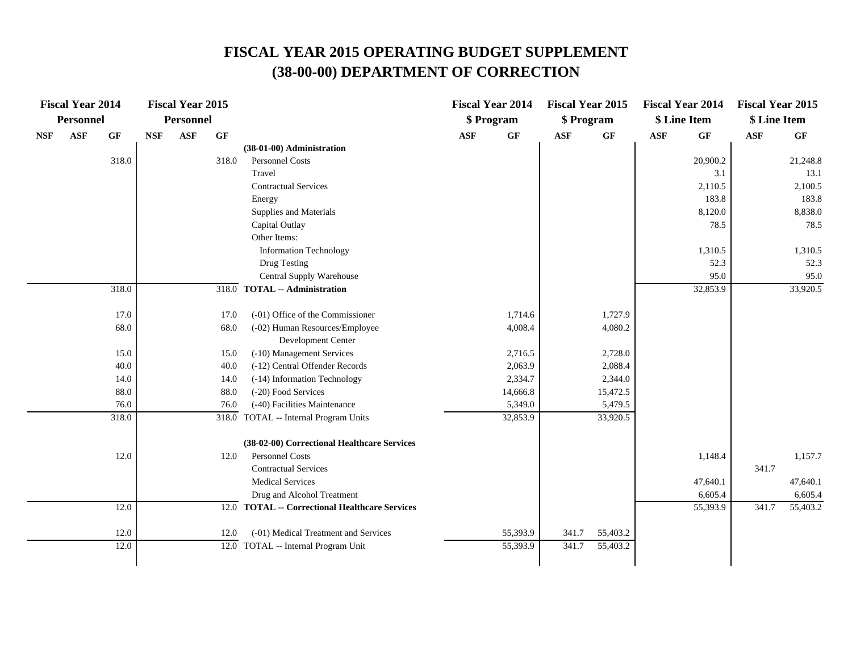|            | <b>Fiscal Year 2014</b> |       |            | <b>Fiscal Year 2015</b> |                 |                                                  |            | <b>Fiscal Year 2014</b> | <b>Fiscal Year 2015</b> |                 |                | <b>Fiscal Year 2014</b> | <b>Fiscal Year 2015</b> |                 |
|------------|-------------------------|-------|------------|-------------------------|-----------------|--------------------------------------------------|------------|-------------------------|-------------------------|-----------------|----------------|-------------------------|-------------------------|-----------------|
|            | Personnel               |       |            | <b>Personnel</b>        |                 |                                                  |            | \$ Program              | \$ Program              |                 |                | \$ Line Item            | \$ Line Item            |                 |
| <b>NSF</b> | <b>ASF</b>              | GF    | $\bf{NSF}$ | <b>ASF</b>              | $\bf{G} \bf{F}$ |                                                  | <b>ASF</b> | $\bf{G} \bf{F}$         | <b>ASF</b>              | $\bf{G} \bf{F}$ | $\mathbf{ASF}$ | GF                      | $\mathbf{ASF}$          | $\bf{G} \bf{F}$ |
|            |                         |       |            |                         |                 | (38-01-00) Administration                        |            |                         |                         |                 |                |                         |                         |                 |
|            |                         | 318.0 |            |                         | 318.0           | Personnel Costs                                  |            |                         |                         |                 |                | 20,900.2                |                         | 21,248.8        |
|            |                         |       |            |                         |                 | Travel                                           |            |                         |                         |                 |                | 3.1                     |                         | 13.1            |
|            |                         |       |            |                         |                 | <b>Contractual Services</b>                      |            |                         |                         |                 |                | 2,110.5                 |                         | 2,100.5         |
|            |                         |       |            |                         |                 | Energy                                           |            |                         |                         |                 |                | 183.8                   |                         | 183.8           |
|            |                         |       |            |                         |                 | Supplies and Materials                           |            |                         |                         |                 |                | 8,120.0                 |                         | 8,838.0         |
|            |                         |       |            |                         |                 | Capital Outlay                                   |            |                         |                         |                 |                | 78.5                    |                         | 78.5            |
|            |                         |       |            |                         |                 | Other Items:                                     |            |                         |                         |                 |                |                         |                         |                 |
|            |                         |       |            |                         |                 | Information Technology                           |            |                         |                         |                 |                | 1,310.5                 |                         | 1,310.5         |
|            |                         |       |            |                         |                 | Drug Testing                                     |            |                         |                         |                 |                | 52.3                    |                         | 52.3            |
|            |                         |       |            |                         |                 | Central Supply Warehouse                         |            |                         |                         |                 |                | 95.0                    |                         | 95.0            |
|            |                         | 318.0 |            |                         |                 | 318.0 TOTAL -- Administration                    |            |                         |                         |                 |                | 32,853.9                |                         | 33,920.5        |
|            |                         |       |            |                         |                 |                                                  |            |                         |                         |                 |                |                         |                         |                 |
|            |                         | 17.0  |            |                         | 17.0            | (-01) Office of the Commissioner                 |            | 1,714.6                 |                         | 1,727.9         |                |                         |                         |                 |
|            |                         | 68.0  |            |                         | 68.0            | (-02) Human Resources/Employee                   |            | 4,008.4                 |                         | 4,080.2         |                |                         |                         |                 |
|            |                         |       |            |                         |                 | Development Center                               |            |                         |                         |                 |                |                         |                         |                 |
|            |                         | 15.0  |            |                         | 15.0            | (-10) Management Services                        |            | 2,716.5                 |                         | 2,728.0         |                |                         |                         |                 |
|            |                         | 40.0  |            |                         | 40.0            | (-12) Central Offender Records                   |            | 2,063.9                 |                         | 2,088.4         |                |                         |                         |                 |
|            |                         | 14.0  |            |                         | 14.0            | (-14) Information Technology                     |            | 2,334.7                 |                         | 2,344.0         |                |                         |                         |                 |
|            |                         | 88.0  |            |                         | 88.0            | (-20) Food Services                              |            | 14,666.8                |                         | 15,472.5        |                |                         |                         |                 |
|            |                         | 76.0  |            |                         | 76.0            | (-40) Facilities Maintenance                     |            | 5,349.0                 |                         | 5,479.5         |                |                         |                         |                 |
|            |                         | 318.0 |            |                         |                 | 318.0 TOTAL -- Internal Program Units            |            | 32,853.9                |                         | 33,920.5        |                |                         |                         |                 |
|            |                         |       |            |                         |                 |                                                  |            |                         |                         |                 |                |                         |                         |                 |
|            |                         |       |            |                         |                 | (38-02-00) Correctional Healthcare Services      |            |                         |                         |                 |                |                         |                         |                 |
|            |                         | 12.0  |            |                         | 12.0            | Personnel Costs                                  |            |                         |                         |                 |                | 1,148.4                 |                         | 1,157.7         |
|            |                         |       |            |                         |                 | <b>Contractual Services</b>                      |            |                         |                         |                 |                |                         | 341.7                   |                 |
|            |                         |       |            |                         |                 | <b>Medical Services</b>                          |            |                         |                         |                 |                | 47,640.1                |                         | 47,640.1        |
|            |                         |       |            |                         |                 | Drug and Alcohol Treatment                       |            |                         |                         |                 |                | 6,605.4                 |                         | 6,605.4         |
|            |                         | 12.0  |            |                         | 12.0            | <b>TOTAL -- Correctional Healthcare Services</b> |            |                         |                         |                 |                | 55,393.9                | 341.7                   | 55,403.2        |
|            |                         |       |            |                         |                 |                                                  |            |                         |                         |                 |                |                         |                         |                 |
|            |                         | 12.0  |            |                         | 12.0            | (-01) Medical Treatment and Services             |            | 55,393.9                | 341.7                   | 55,403.2        |                |                         |                         |                 |
|            |                         | 12.0  |            |                         |                 | 12.0 TOTAL -- Internal Program Unit              |            | 55,393.9                | 341.7                   | 55,403.2        |                |                         |                         |                 |
|            |                         |       |            |                         |                 |                                                  |            |                         |                         |                 |                |                         |                         |                 |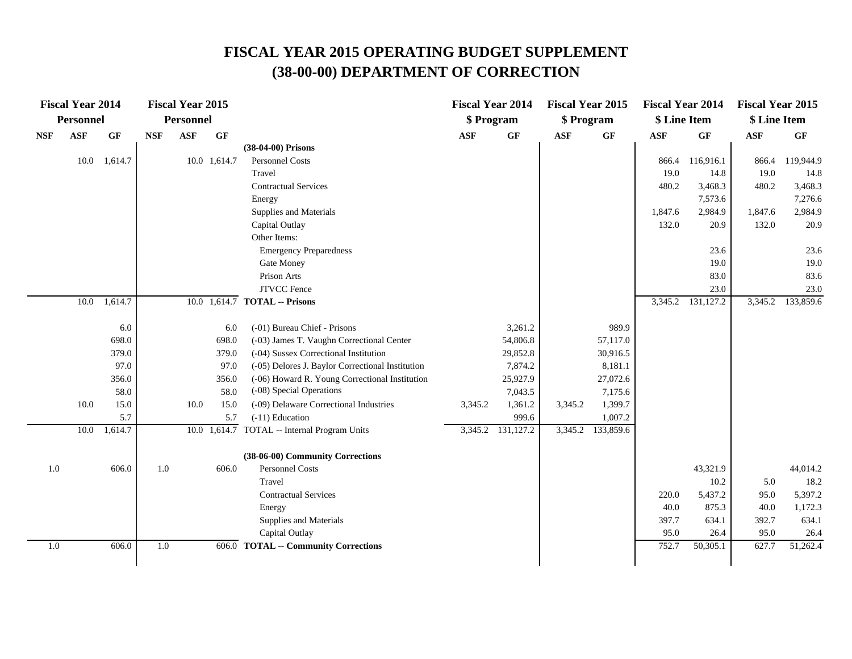|            | <b>Fiscal Year 2014</b> |           |            | <b>Fiscal Year 2015</b> |              |                                                  | <b>Fiscal Year 2014</b> |                   | <b>Fiscal Year 2015</b> |                 | <b>Fiscal Year 2014</b> |           | <b>Fiscal Year 2015</b> |                 |
|------------|-------------------------|-----------|------------|-------------------------|--------------|--------------------------------------------------|-------------------------|-------------------|-------------------------|-----------------|-------------------------|-----------|-------------------------|-----------------|
|            | Personnel               |           |            | Personnel               |              |                                                  | \$ Program              |                   | \$ Program              |                 | \$ Line Item            |           | \$ Line Item            |                 |
| <b>NSF</b> | <b>ASF</b>              | <b>GF</b> | <b>NSF</b> | <b>ASF</b>              | GF           |                                                  | <b>ASF</b>              | $\bf{G} \bf{F}$   | <b>ASF</b>              | $\bf{G} \bf{F}$ | ASF                     | GF        | $\mathbf{ASF}$          | $\bf{G} \bf{F}$ |
|            |                         |           |            |                         |              | (38-04-00) Prisons                               |                         |                   |                         |                 |                         |           |                         |                 |
|            | 10.0                    | 1,614.7   |            |                         | 10.0 1,614.7 | Personnel Costs                                  |                         |                   |                         |                 | 866.4                   | 116,916.1 | 866.4                   | 119,944.9       |
|            |                         |           |            |                         |              | Travel                                           |                         |                   |                         |                 | 19.0                    | 14.8      | 19.0                    | 14.8            |
|            |                         |           |            |                         |              | <b>Contractual Services</b>                      |                         |                   |                         |                 | 480.2                   | 3,468.3   | 480.2                   | 3,468.3         |
|            |                         |           |            |                         |              | Energy                                           |                         |                   |                         |                 |                         | 7,573.6   |                         | 7,276.6         |
|            |                         |           |            |                         |              | Supplies and Materials                           |                         |                   |                         |                 | 1,847.6                 | 2,984.9   | 1,847.6                 | 2,984.9         |
|            |                         |           |            |                         |              | Capital Outlay                                   |                         |                   |                         |                 | 132.0                   | 20.9      | 132.0                   | 20.9            |
|            |                         |           |            |                         |              | Other Items:                                     |                         |                   |                         |                 |                         |           |                         |                 |
|            |                         |           |            |                         |              | <b>Emergency Preparedness</b>                    |                         |                   |                         |                 |                         | 23.6      |                         | 23.6            |
|            |                         |           |            |                         |              | Gate Money                                       |                         |                   |                         |                 |                         | 19.0      |                         | 19.0            |
|            |                         |           |            |                         |              | Prison Arts                                      |                         |                   |                         |                 |                         | 83.0      |                         | 83.6            |
|            |                         |           |            |                         |              | <b>JTVCC</b> Fence                               |                         |                   |                         |                 |                         | 23.0      |                         | 23.0            |
|            | 10.0                    | 1,614.7   |            |                         |              | 10.0 1,614.7 TOTAL -- Prisons                    |                         |                   |                         |                 | 3,345.2                 | 131,127.2 | 3,345.2                 | 133,859.6       |
|            |                         |           |            |                         |              |                                                  |                         |                   |                         |                 |                         |           |                         |                 |
|            |                         | 6.0       |            |                         | 6.0          | (-01) Bureau Chief - Prisons                     |                         | 3,261.2           |                         | 989.9           |                         |           |                         |                 |
|            |                         | 698.0     |            |                         | 698.0        | (-03) James T. Vaughn Correctional Center        |                         | 54,806.8          |                         | 57,117.0        |                         |           |                         |                 |
|            |                         | 379.0     |            |                         | 379.0        | (-04) Sussex Correctional Institution            |                         | 29,852.8          |                         | 30,916.5        |                         |           |                         |                 |
|            |                         | 97.0      |            |                         | 97.0         | (-05) Delores J. Baylor Correctional Institution |                         | 7,874.2           |                         | 8,181.1         |                         |           |                         |                 |
|            |                         | 356.0     |            |                         | 356.0        | (-06) Howard R. Young Correctional Institution   |                         | 25,927.9          |                         | 27,072.6        |                         |           |                         |                 |
|            |                         | 58.0      |            |                         | 58.0         | (-08) Special Operations                         |                         | 7,043.5           |                         | 7,175.6         |                         |           |                         |                 |
|            | 10.0                    | 15.0      |            | 10.0                    | 15.0         | (-09) Delaware Correctional Industries           | 3,345.2                 | 1,361.2           | 3,345.2                 | 1,399.7         |                         |           |                         |                 |
|            |                         | 5.7       |            |                         | 5.7          | $(-11)$ Education                                |                         | 999.6             |                         | 1,007.2         |                         |           |                         |                 |
|            | 10.0                    | 1,614.7   |            |                         |              | 10.0 1,614.7 TOTAL -- Internal Program Units     |                         | 3,345.2 131,127.2 | 3,345.2                 | 133,859.6       |                         |           |                         |                 |
|            |                         |           |            |                         |              | (38-06-00) Community Corrections                 |                         |                   |                         |                 |                         |           |                         |                 |
| 1.0        |                         | 606.0     | 1.0        |                         | 606.0        | <b>Personnel Costs</b>                           |                         |                   |                         |                 |                         | 43,321.9  |                         | 44,014.2        |
|            |                         |           |            |                         |              | Travel                                           |                         |                   |                         |                 |                         | 10.2      | 5.0                     | 18.2            |
|            |                         |           |            |                         |              | <b>Contractual Services</b>                      |                         |                   |                         |                 | 220.0                   | 5,437.2   | 95.0                    | 5,397.2         |
|            |                         |           |            |                         |              | Energy                                           |                         |                   |                         |                 | 40.0                    | 875.3     | 40.0                    | 1,172.3         |
|            |                         |           |            |                         |              | Supplies and Materials                           |                         |                   |                         |                 | 397.7                   | 634.1     | 392.7                   | 634.1           |
|            |                         |           |            |                         |              | Capital Outlay                                   |                         |                   |                         |                 | 95.0                    | 26.4      | 95.0                    | 26.4            |
| 1.0        |                         | 606.0     | $1.0\,$    |                         |              | 606.0 TOTAL -- Community Corrections             |                         |                   |                         |                 | 752.7                   | 50,305.1  | 627.7                   | 51,262.4        |
|            |                         |           |            |                         |              |                                                  |                         |                   |                         |                 |                         |           |                         |                 |
|            |                         |           |            |                         |              |                                                  |                         |                   |                         |                 |                         |           |                         |                 |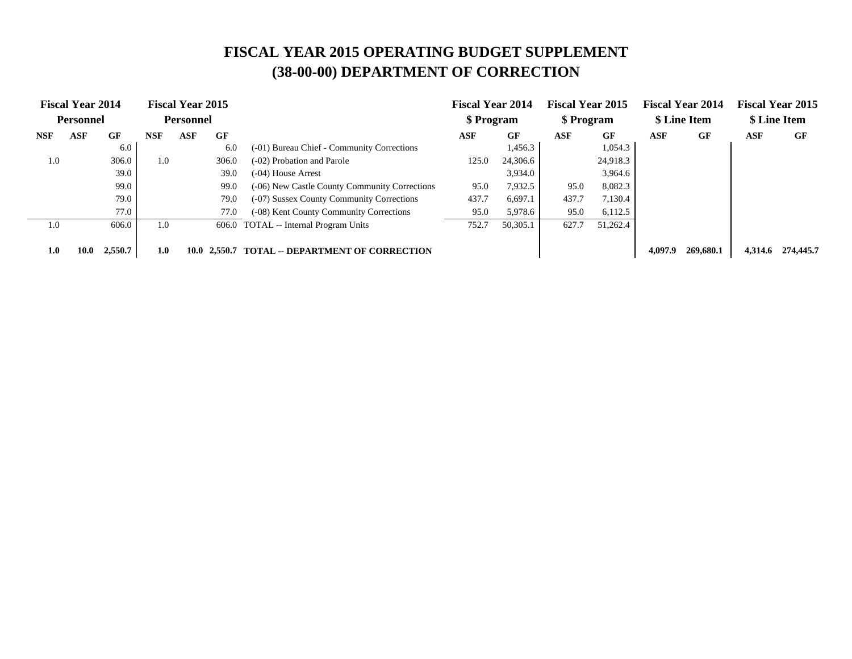|            | <b>Fiscal Year 2014</b> |         |            | <b>Fiscal Year 2015</b> |              |                                               | <b>Fiscal Year 2014</b> |          | <b>Fiscal Year 2015</b> |          |         | <b>Fiscal Year 2014</b> |         | <b>Fiscal Year 2015</b> |
|------------|-------------------------|---------|------------|-------------------------|--------------|-----------------------------------------------|-------------------------|----------|-------------------------|----------|---------|-------------------------|---------|-------------------------|
|            | <b>Personnel</b>        |         |            | <b>Personnel</b>        |              |                                               | \$ Program              |          | \$ Program              |          |         | \$ Line Item            |         | \$ Line Item            |
| <b>NSF</b> | ASF                     | GF      | <b>NSF</b> | ASF                     | GF           |                                               | ASF                     | GF       | ASF                     | GF       | ASF     | GF                      | ASF     | GF                      |
|            |                         | 6.0     |            |                         | 6.0          | (-01) Bureau Chief - Community Corrections    |                         | 1,456.3  |                         | 1,054.3  |         |                         |         |                         |
| 1.0        |                         | 306.0   | 1.0        |                         | 306.0        | (-02) Probation and Parole                    | 125.0                   | 24,306.6 |                         | 24,918.3 |         |                         |         |                         |
|            |                         | 39.0    |            |                         | 39.0         | $(-04)$ House Arrest                          |                         | 3,934.0  |                         | 3,964.6  |         |                         |         |                         |
|            |                         | 99.0    |            |                         | 99.0         | (-06) New Castle County Community Corrections | 95.0                    | 7,932.5  | 95.0                    | 8,082.3  |         |                         |         |                         |
|            |                         | 79.0    |            |                         | 79.0         | (-07) Sussex County Community Corrections     | 437.7                   | 6,697.1  | 437.7                   | 7,130.4  |         |                         |         |                         |
|            |                         | 77.0    |            |                         | 77.0         | (-08) Kent County Community Corrections       | 95.0                    | 5,978.6  | 95.0                    | 6,112.5  |         |                         |         |                         |
| 1.0        |                         | 606.0   | 1.0        |                         |              | 606.0 TOTAL -- Internal Program Units         | 752.7                   | 50,305.1 | 627.7                   | 51,262.4 |         |                         |         |                         |
| 1.0        | 10.0                    | 2,550.7 | 1.0        |                         | 10.0 2.550.7 | <b>TOTAL -- DEPARTMENT OF CORRECTION</b>      |                         |          |                         |          | 4.097.9 | 269,680.1               | 4.314.6 | 274,445.7               |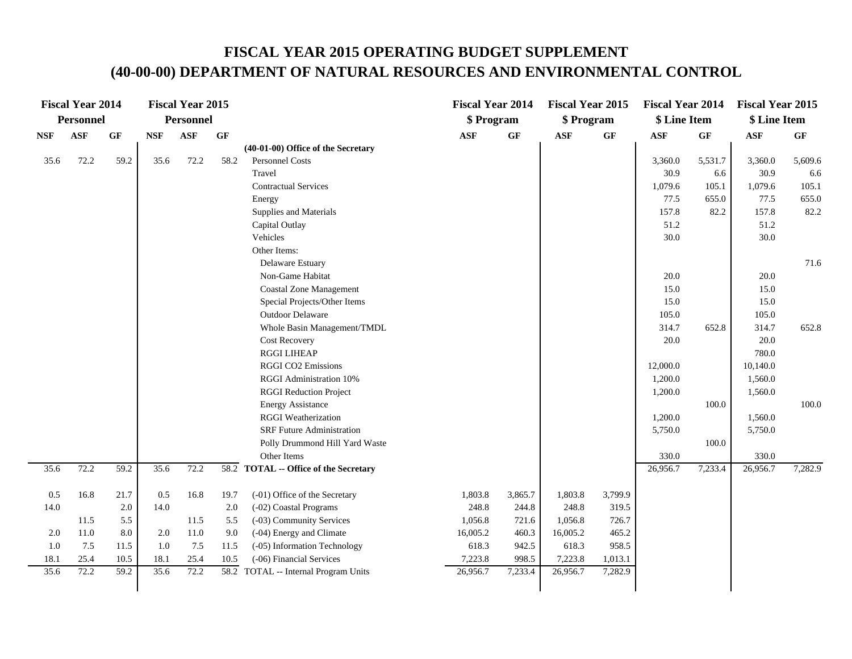|            | <b>Fiscal Year 2014</b> |                 |            | <b>Fiscal Year 2015</b> |                 |                                       | <b>Fiscal Year 2014</b> |                 | <b>Fiscal Year 2015</b> |         | <b>Fiscal Year 2014</b> |         | <b>Fiscal Year 2015</b> |                 |
|------------|-------------------------|-----------------|------------|-------------------------|-----------------|---------------------------------------|-------------------------|-----------------|-------------------------|---------|-------------------------|---------|-------------------------|-----------------|
|            | <b>Personnel</b>        |                 |            | Personnel               |                 |                                       | \$ Program              |                 | \$ Program              |         | \$ Line Item            |         | \$ Line Item            |                 |
| <b>NSF</b> | $\mathbf{ASF}$          | $\bf{G} \bf{F}$ | <b>NSF</b> | <b>ASF</b>              | $\bf{G} \bf{F}$ |                                       | <b>ASF</b>              | $\bf{G} \bf{F}$ | $\mathbf{ASF}$          | GF      | <b>ASF</b>              | GF      | <b>ASF</b>              | $\bf{G} \bf{F}$ |
|            |                         |                 |            |                         |                 | (40-01-00) Office of the Secretary    |                         |                 |                         |         |                         |         |                         |                 |
| 35.6       | 72.2                    | 59.2            | 35.6       | 72.2                    | 58.2            | Personnel Costs                       |                         |                 |                         |         | 3,360.0                 | 5,531.7 | 3,360.0                 | 5,609.6         |
|            |                         |                 |            |                         |                 | Travel                                |                         |                 |                         |         | 30.9                    | 6.6     | 30.9                    | 6.6             |
|            |                         |                 |            |                         |                 | <b>Contractual Services</b>           |                         |                 |                         |         | 1,079.6                 | 105.1   | 1,079.6                 | 105.1           |
|            |                         |                 |            |                         |                 | Energy                                |                         |                 |                         |         | 77.5                    | 655.0   | 77.5                    | 655.0           |
|            |                         |                 |            |                         |                 | Supplies and Materials                |                         |                 |                         |         | 157.8                   | 82.2    | 157.8                   | 82.2            |
|            |                         |                 |            |                         |                 | Capital Outlay                        |                         |                 |                         |         | 51.2                    |         | 51.2                    |                 |
|            |                         |                 |            |                         |                 | Vehicles                              |                         |                 |                         |         | 30.0                    |         | 30.0                    |                 |
|            |                         |                 |            |                         |                 | Other Items:                          |                         |                 |                         |         |                         |         |                         |                 |
|            |                         |                 |            |                         |                 | Delaware Estuary                      |                         |                 |                         |         |                         |         |                         | 71.6            |
|            |                         |                 |            |                         |                 | Non-Game Habitat                      |                         |                 |                         |         | 20.0                    |         | 20.0                    |                 |
|            |                         |                 |            |                         |                 | <b>Coastal Zone Management</b>        |                         |                 |                         |         | 15.0                    |         | 15.0                    |                 |
|            |                         |                 |            |                         |                 | Special Projects/Other Items          |                         |                 |                         |         | 15.0                    |         | 15.0                    |                 |
|            |                         |                 |            |                         |                 | Outdoor Delaware                      |                         |                 |                         |         | 105.0                   |         | 105.0                   |                 |
|            |                         |                 |            |                         |                 | Whole Basin Management/TMDL           |                         |                 |                         |         | 314.7                   | 652.8   | 314.7                   | 652.8           |
|            |                         |                 |            |                         |                 | Cost Recovery                         |                         |                 |                         |         | 20.0                    |         | 20.0                    |                 |
|            |                         |                 |            |                         |                 | <b>RGGI LIHEAP</b>                    |                         |                 |                         |         |                         |         | 780.0                   |                 |
|            |                         |                 |            |                         |                 | <b>RGGI CO2 Emissions</b>             |                         |                 |                         |         | 12,000.0                |         | 10,140.0                |                 |
|            |                         |                 |            |                         |                 | RGGI Administration 10%               |                         |                 |                         |         | 1,200.0                 |         | 1,560.0                 |                 |
|            |                         |                 |            |                         |                 | <b>RGGI Reduction Project</b>         |                         |                 |                         |         | 1,200.0                 |         | 1,560.0                 |                 |
|            |                         |                 |            |                         |                 | <b>Energy Assistance</b>              |                         |                 |                         |         |                         | 100.0   |                         | 100.0           |
|            |                         |                 |            |                         |                 | <b>RGGI</b> Weatherization            |                         |                 |                         |         | 1,200.0                 |         | 1,560.0                 |                 |
|            |                         |                 |            |                         |                 | <b>SRF Future Administration</b>      |                         |                 |                         |         | 5,750.0                 |         | 5,750.0                 |                 |
|            |                         |                 |            |                         |                 | Polly Drummond Hill Yard Waste        |                         |                 |                         |         |                         | 100.0   |                         |                 |
|            |                         |                 |            |                         |                 | Other Items                           |                         |                 |                         |         | 330.0                   |         | 330.0                   |                 |
| 35.6       | 72.2                    | 59.2            | 35.6       | 72.2                    |                 | 58.2 TOTAL -- Office of the Secretary |                         |                 |                         |         | 26,956.7                | 7,233.4 | 26,956.7                | 7,282.9         |
| 0.5        | 16.8                    | 21.7            | 0.5        | 16.8                    | 19.7            | (-01) Office of the Secretary         | 1,803.8                 | 3,865.7         | 1,803.8                 | 3,799.9 |                         |         |                         |                 |
| 14.0       |                         | 2.0             | 14.0       |                         | 2.0             | (-02) Coastal Programs                | 248.8                   | 244.8           | 248.8                   | 319.5   |                         |         |                         |                 |
|            | 11.5                    | 5.5             |            | 11.5                    | 5.5             | (-03) Community Services              | 1,056.8                 | 721.6           | 1,056.8                 | 726.7   |                         |         |                         |                 |
| 2.0        | 11.0                    | 8.0             | 2.0        | 11.0                    | 9.0             | (-04) Energy and Climate              | 16,005.2                | 460.3           | 16,005.2                | 465.2   |                         |         |                         |                 |
| 1.0        | 7.5                     | 11.5            | 1.0        | 7.5                     | 11.5            | (-05) Information Technology          | 618.3                   | 942.5           | 618.3                   | 958.5   |                         |         |                         |                 |
| 18.1       | 25.4                    | 10.5            | 18.1       | 25.4                    | 10.5            | (-06) Financial Services              | 7,223.8                 | 998.5           | 7,223.8                 | 1,013.1 |                         |         |                         |                 |
| 35.6       | 72.2                    | 59.2            | 35.6       | 72.2                    |                 | 58.2 TOTAL -- Internal Program Units  | 26,956.7                | 7,233.4         | 26,956.7                | 7,282.9 |                         |         |                         |                 |
|            |                         |                 |            |                         |                 |                                       |                         |                 |                         |         |                         |         |                         |                 |
|            |                         |                 |            |                         |                 |                                       |                         |                 |                         |         |                         |         |                         |                 |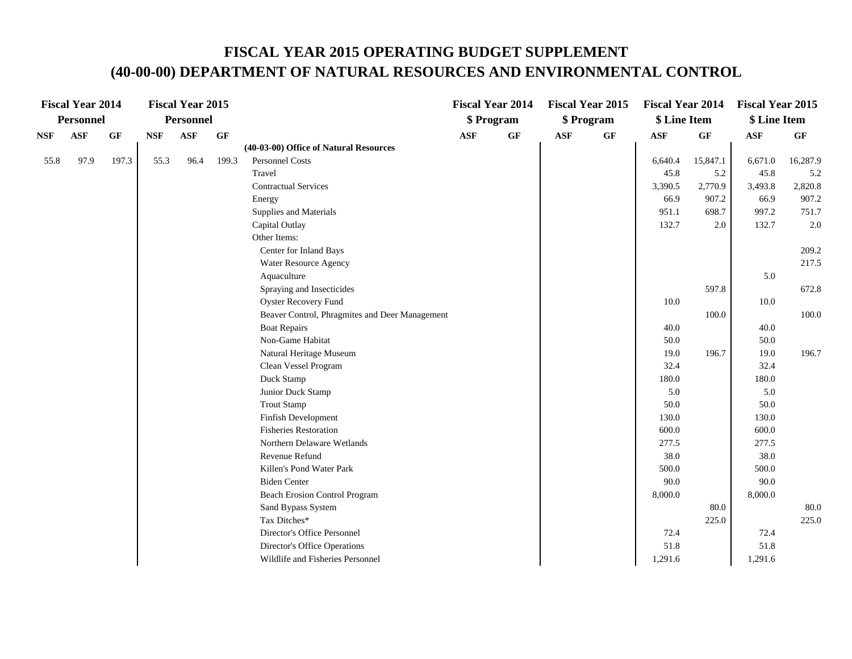|            | <b>Fiscal Year 2014</b> |                 |            | <b>Fiscal Year 2015</b> |       |                                                |            | <b>Fiscal Year 2014</b> |            | <b>Fiscal Year 2015</b> | <b>Fiscal Year 2014</b> |                 | <b>Fiscal Year 2015</b> |          |
|------------|-------------------------|-----------------|------------|-------------------------|-------|------------------------------------------------|------------|-------------------------|------------|-------------------------|-------------------------|-----------------|-------------------------|----------|
|            | <b>Personnel</b>        |                 |            | <b>Personnel</b>        |       |                                                |            | \$ Program              |            | \$ Program              | \$ Line Item            |                 | \$ Line Item            |          |
| <b>NSF</b> | <b>ASF</b>              | $\bf{G} \bf{F}$ | <b>NSF</b> | <b>ASF</b>              | GF    |                                                | <b>ASF</b> | GF                      | <b>ASF</b> | $\bf{G} \bf{F}$         | <b>ASF</b>              | $\bf{G} \bf{F}$ | $\mathbf{ASF}$          | GF       |
|            |                         |                 |            |                         |       | (40-03-00) Office of Natural Resources         |            |                         |            |                         |                         |                 |                         |          |
| 55.8       | 97.9                    | 197.3           | 55.3       | 96.4                    | 199.3 | Personnel Costs                                |            |                         |            |                         | 6,640.4                 | 15,847.1        | 6,671.0                 | 16,287.9 |
|            |                         |                 |            |                         |       | Travel                                         |            |                         |            |                         | 45.8                    | 5.2             | 45.8                    | 5.2      |
|            |                         |                 |            |                         |       | <b>Contractual Services</b>                    |            |                         |            |                         | 3,390.5                 | 2,770.9         | 3,493.8                 | 2,820.8  |
|            |                         |                 |            |                         |       | Energy                                         |            |                         |            |                         | 66.9                    | 907.2           | 66.9                    | 907.2    |
|            |                         |                 |            |                         |       | Supplies and Materials                         |            |                         |            |                         | 951.1                   | 698.7           | 997.2                   | 751.7    |
|            |                         |                 |            |                         |       | Capital Outlay                                 |            |                         |            |                         | 132.7                   | 2.0             | 132.7                   | 2.0      |
|            |                         |                 |            |                         |       | Other Items:                                   |            |                         |            |                         |                         |                 |                         |          |
|            |                         |                 |            |                         |       | Center for Inland Bays                         |            |                         |            |                         |                         |                 |                         | 209.2    |
|            |                         |                 |            |                         |       | Water Resource Agency                          |            |                         |            |                         |                         |                 |                         | 217.5    |
|            |                         |                 |            |                         |       | Aquaculture                                    |            |                         |            |                         |                         |                 | 5.0                     |          |
|            |                         |                 |            |                         |       | Spraying and Insecticides                      |            |                         |            |                         |                         | 597.8           |                         | 672.8    |
|            |                         |                 |            |                         |       | <b>Oyster Recovery Fund</b>                    |            |                         |            |                         | 10.0                    |                 | 10.0                    |          |
|            |                         |                 |            |                         |       | Beaver Control, Phragmites and Deer Management |            |                         |            |                         |                         | 100.0           |                         | 100.0    |
|            |                         |                 |            |                         |       | <b>Boat Repairs</b>                            |            |                         |            |                         | 40.0                    |                 | 40.0                    |          |
|            |                         |                 |            |                         |       | Non-Game Habitat                               |            |                         |            |                         | 50.0                    |                 | 50.0                    |          |
|            |                         |                 |            |                         |       | Natural Heritage Museum                        |            |                         |            |                         | 19.0                    | 196.7           | 19.0                    | 196.7    |
|            |                         |                 |            |                         |       | Clean Vessel Program                           |            |                         |            |                         | 32.4                    |                 | 32.4                    |          |
|            |                         |                 |            |                         |       | Duck Stamp                                     |            |                         |            |                         | 180.0                   |                 | 180.0                   |          |
|            |                         |                 |            |                         |       | Junior Duck Stamp                              |            |                         |            |                         | 5.0                     |                 | 5.0                     |          |
|            |                         |                 |            |                         |       | <b>Trout Stamp</b>                             |            |                         |            |                         | 50.0                    |                 | 50.0                    |          |
|            |                         |                 |            |                         |       | Finfish Development                            |            |                         |            |                         | 130.0                   |                 | 130.0                   |          |
|            |                         |                 |            |                         |       | <b>Fisheries Restoration</b>                   |            |                         |            |                         | 600.0                   |                 | 600.0                   |          |
|            |                         |                 |            |                         |       | Northern Delaware Wetlands                     |            |                         |            |                         | 277.5                   |                 | 277.5                   |          |
|            |                         |                 |            |                         |       | Revenue Refund                                 |            |                         |            |                         | 38.0                    |                 | 38.0                    |          |
|            |                         |                 |            |                         |       | Killen's Pond Water Park                       |            |                         |            |                         | 500.0                   |                 | 500.0                   |          |
|            |                         |                 |            |                         |       | <b>Biden Center</b>                            |            |                         |            |                         | 90.0                    |                 | 90.0                    |          |
|            |                         |                 |            |                         |       | <b>Beach Erosion Control Program</b>           |            |                         |            |                         | 8,000.0                 |                 | 8,000.0                 |          |
|            |                         |                 |            |                         |       | Sand Bypass System                             |            |                         |            |                         |                         | 80.0            |                         | 80.0     |
|            |                         |                 |            |                         |       | Tax Ditches*                                   |            |                         |            |                         |                         | 225.0           |                         | 225.0    |
|            |                         |                 |            |                         |       | Director's Office Personnel                    |            |                         |            |                         | 72.4                    |                 | 72.4                    |          |
|            |                         |                 |            |                         |       | Director's Office Operations                   |            |                         |            |                         | 51.8                    |                 | 51.8                    |          |
|            |                         |                 |            |                         |       | Wildlife and Fisheries Personnel               |            |                         |            |                         | 1,291.6                 |                 | 1,291.6                 |          |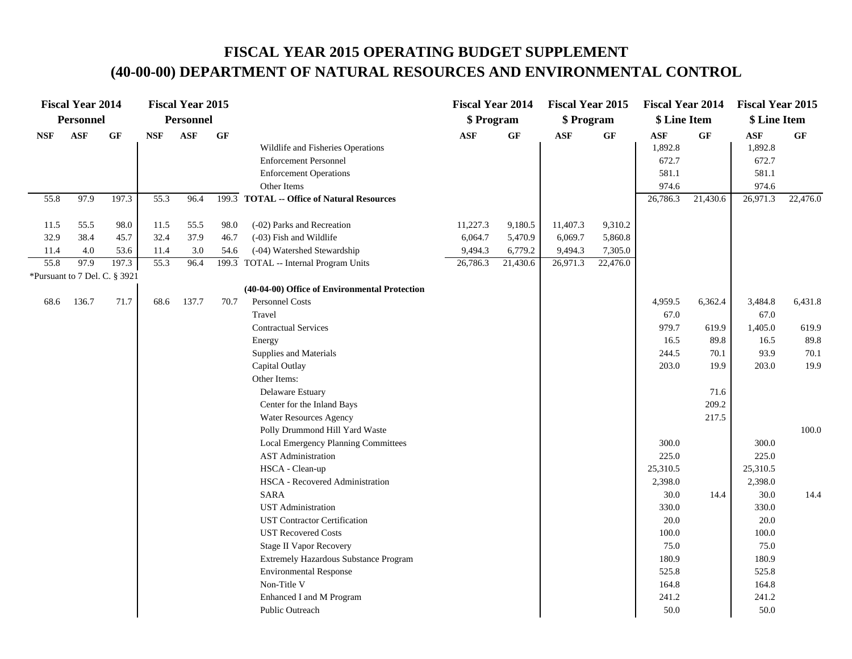|            | <b>Fiscal Year 2014</b> |                               |            | <b>Fiscal Year 2015</b> |      |                                               | <b>Fiscal Year 2014</b> |          | <b>Fiscal Year 2015</b> |                 | <b>Fiscal Year 2014</b> |           | <b>Fiscal Year 2015</b> |           |
|------------|-------------------------|-------------------------------|------------|-------------------------|------|-----------------------------------------------|-------------------------|----------|-------------------------|-----------------|-------------------------|-----------|-------------------------|-----------|
|            | Personnel               |                               |            | <b>Personnel</b>        |      |                                               | \$ Program              |          | \$ Program              |                 | \$ Line Item            |           | \$ Line Item            |           |
| <b>NSF</b> | <b>ASF</b>              | <b>GF</b>                     | <b>NSF</b> | <b>ASF</b>              | GF   |                                               | <b>ASF</b>              | GF       | $\mathbf{ASF}$          | $\bf{G} \bf{F}$ | $\mathbf{ASF}$          | <b>GF</b> | <b>ASF</b>              | <b>GF</b> |
|            |                         |                               |            |                         |      | Wildlife and Fisheries Operations             |                         |          |                         |                 | 1,892.8                 |           | 1,892.8                 |           |
|            |                         |                               |            |                         |      | <b>Enforcement Personnel</b>                  |                         |          |                         |                 | 672.7                   |           | 672.7                   |           |
|            |                         |                               |            |                         |      | <b>Enforcement Operations</b>                 |                         |          |                         |                 | 581.1                   |           | 581.1                   |           |
|            |                         |                               |            |                         |      | Other Items                                   |                         |          |                         |                 | 974.6                   |           | 974.6                   |           |
| 55.8       | 97.9                    | 197.3                         | 55.3       | 96.4                    |      | 199.3 TOTAL -- Office of Natural Resources    |                         |          |                         |                 | 26,786.3                | 21,430.6  | 26,971.3                | 22,476.0  |
| 11.5       | 55.5                    | 98.0                          | 11.5       | 55.5                    | 98.0 | (-02) Parks and Recreation                    | 11,227.3                | 9,180.5  | 11,407.3                | 9,310.2         |                         |           |                         |           |
| 32.9       | 38.4                    | 45.7                          | 32.4       | 37.9                    | 46.7 | (-03) Fish and Wildlife                       | 6,064.7                 | 5,470.9  | 6,069.7                 | 5,860.8         |                         |           |                         |           |
| 11.4       | 4.0                     | 53.6                          | 11.4       | 3.0                     | 54.6 | (-04) Watershed Stewardship                   | 9,494.3                 | 6,779.2  | 9,494.3                 | 7,305.0         |                         |           |                         |           |
| 55.8       | 97.9                    | 197.3                         | 55.3       | 96.4                    |      | 199.3 TOTAL -- Internal Program Units         | 26,786.3                | 21,430.6 | 26,971.3                | 22,476.0        |                         |           |                         |           |
|            |                         | *Pursuant to 7 Del. C. § 3921 |            |                         |      |                                               |                         |          |                         |                 |                         |           |                         |           |
|            |                         |                               |            |                         |      | (40-04-00) Office of Environmental Protection |                         |          |                         |                 |                         |           |                         |           |
| 68.6       | 136.7                   | 71.7                          | 68.6       | 137.7                   | 70.7 | Personnel Costs                               |                         |          |                         |                 | 4,959.5                 | 6,362.4   | 3,484.8                 | 6,431.8   |
|            |                         |                               |            |                         |      | Travel                                        |                         |          |                         |                 | 67.0                    |           | 67.0                    |           |
|            |                         |                               |            |                         |      | <b>Contractual Services</b>                   |                         |          |                         |                 | 979.7                   | 619.9     | 1,405.0                 | 619.9     |
|            |                         |                               |            |                         |      | Energy                                        |                         |          |                         |                 | 16.5                    | 89.8      | 16.5                    | 89.8      |
|            |                         |                               |            |                         |      | Supplies and Materials                        |                         |          |                         |                 | 244.5                   | 70.1      | 93.9                    | 70.1      |
|            |                         |                               |            |                         |      | Capital Outlay                                |                         |          |                         |                 | 203.0                   | 19.9      | 203.0                   | 19.9      |
|            |                         |                               |            |                         |      | Other Items:                                  |                         |          |                         |                 |                         |           |                         |           |
|            |                         |                               |            |                         |      | Delaware Estuary                              |                         |          |                         |                 |                         | 71.6      |                         |           |
|            |                         |                               |            |                         |      | Center for the Inland Bays                    |                         |          |                         |                 |                         | 209.2     |                         |           |
|            |                         |                               |            |                         |      | Water Resources Agency                        |                         |          |                         |                 |                         | 217.5     |                         |           |
|            |                         |                               |            |                         |      | Polly Drummond Hill Yard Waste                |                         |          |                         |                 |                         |           |                         | 100.0     |
|            |                         |                               |            |                         |      | Local Emergency Planning Committees           |                         |          |                         |                 | 300.0                   |           | 300.0                   |           |
|            |                         |                               |            |                         |      | <b>AST</b> Administration                     |                         |          |                         |                 | 225.0                   |           | 225.0                   |           |
|            |                         |                               |            |                         |      | HSCA - Clean-up                               |                         |          |                         |                 | 25,310.5                |           | 25,310.5                |           |
|            |                         |                               |            |                         |      | HSCA - Recovered Administration               |                         |          |                         |                 | 2,398.0                 |           | 2,398.0                 |           |
|            |                         |                               |            |                         |      | <b>SARA</b>                                   |                         |          |                         |                 | 30.0                    | 14.4      | 30.0                    | 14.4      |
|            |                         |                               |            |                         |      | <b>UST</b> Administration                     |                         |          |                         |                 | 330.0                   |           | 330.0                   |           |
|            |                         |                               |            |                         |      | <b>UST Contractor Certification</b>           |                         |          |                         |                 | 20.0                    |           | 20.0                    |           |
|            |                         |                               |            |                         |      | <b>UST Recovered Costs</b>                    |                         |          |                         |                 | 100.0                   |           | 100.0                   |           |
|            |                         |                               |            |                         |      | <b>Stage II Vapor Recovery</b>                |                         |          |                         |                 | 75.0                    |           | 75.0                    |           |
|            |                         |                               |            |                         |      | Extremely Hazardous Substance Program         |                         |          |                         |                 | 180.9                   |           | 180.9                   |           |
|            |                         |                               |            |                         |      | <b>Environmental Response</b>                 |                         |          |                         |                 | 525.8                   |           | 525.8                   |           |
|            |                         |                               |            |                         |      | Non-Title V                                   |                         |          |                         |                 | 164.8                   |           | 164.8                   |           |
|            |                         |                               |            |                         |      | Enhanced I and M Program                      |                         |          |                         |                 | 241.2                   |           | 241.2                   |           |
|            |                         |                               |            |                         |      | Public Outreach                               |                         |          |                         |                 | 50.0                    |           | 50.0                    |           |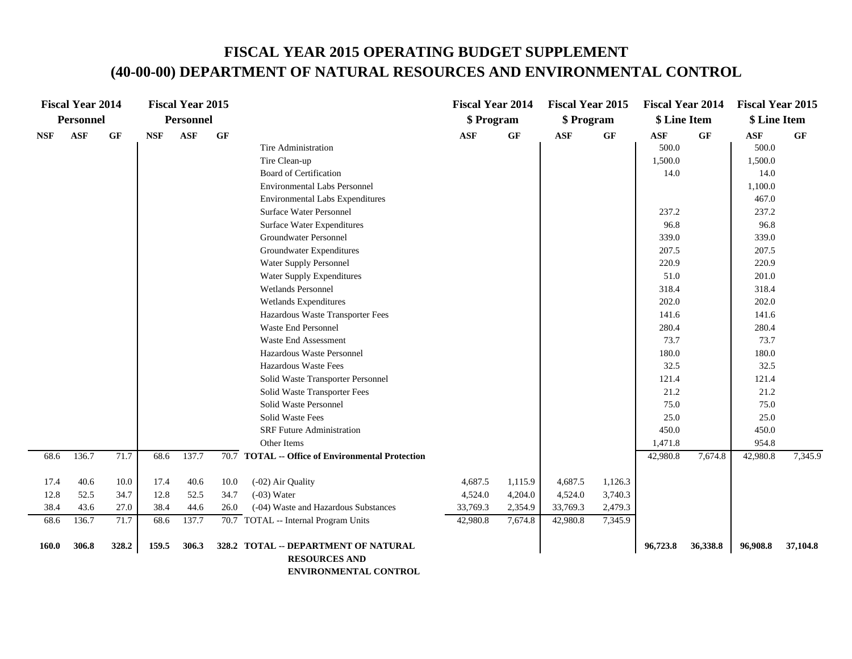|                              | <b>Fiscal Year 2014</b>       |                              |                              | <b>Fiscal Year 2015</b>       |                      |                                                                                                                                                                                                                                                                                                                                                                                                                                                                                                                                                                                                                                                           | <b>Fiscal Year 2014</b>                    |                                          | <b>Fiscal Year 2015</b>                    |                                          | <b>Fiscal Year 2014</b>                                                                                                                                                                  |                 | <b>Fiscal Year 2015</b>                                                                                                                                                                                           |          |
|------------------------------|-------------------------------|------------------------------|------------------------------|-------------------------------|----------------------|-----------------------------------------------------------------------------------------------------------------------------------------------------------------------------------------------------------------------------------------------------------------------------------------------------------------------------------------------------------------------------------------------------------------------------------------------------------------------------------------------------------------------------------------------------------------------------------------------------------------------------------------------------------|--------------------------------------------|------------------------------------------|--------------------------------------------|------------------------------------------|------------------------------------------------------------------------------------------------------------------------------------------------------------------------------------------|-----------------|-------------------------------------------------------------------------------------------------------------------------------------------------------------------------------------------------------------------|----------|
|                              | Personnel                     |                              |                              | <b>Personnel</b>              |                      |                                                                                                                                                                                                                                                                                                                                                                                                                                                                                                                                                                                                                                                           | \$ Program                                 |                                          | \$ Program                                 |                                          | \$ Line Item                                                                                                                                                                             |                 | \$ Line Item                                                                                                                                                                                                      |          |
| <b>NSF</b>                   | <b>ASF</b>                    | GF                           | <b>NSF</b>                   | <b>ASF</b>                    | GF                   | Tire Administration<br>Tire Clean-up<br><b>Board of Certification</b><br><b>Environmental Labs Personnel</b><br><b>Environmental Labs Expenditures</b><br><b>Surface Water Personnel</b><br><b>Surface Water Expenditures</b><br>Groundwater Personnel<br>Groundwater Expenditures<br>Water Supply Personnel<br>Water Supply Expenditures<br>Wetlands Personnel<br>Wetlands Expenditures<br>Hazardous Waste Transporter Fees<br>Waste End Personnel<br><b>Waste End Assessment</b><br>Hazardous Waste Personnel<br>Hazardous Waste Fees<br>Solid Waste Transporter Personnel<br>Solid Waste Transporter Fees<br>Solid Waste Personnel<br>Solid Waste Fees | <b>ASF</b>                                 | $\bf{G} \bf{F}$                          | <b>ASF</b>                                 | $\bf{G} \bf{F}$                          | <b>ASF</b><br>500.0<br>1,500.0<br>14.0<br>237.2<br>96.8<br>339.0<br>207.5<br>220.9<br>51.0<br>318.4<br>202.0<br>141.6<br>280.4<br>73.7<br>180.0<br>32.5<br>121.4<br>21.2<br>75.0<br>25.0 | $\bf{G} \bf{F}$ | $\mathbf{ASF}$<br>500.0<br>1,500.0<br>14.0<br>1,100.0<br>467.0<br>237.2<br>96.8<br>339.0<br>207.5<br>220.9<br>201.0<br>318.4<br>202.0<br>141.6<br>280.4<br>73.7<br>180.0<br>32.5<br>121.4<br>21.2<br>75.0<br>25.0 | GF       |
|                              |                               |                              |                              |                               |                      | <b>SRF Future Administration</b>                                                                                                                                                                                                                                                                                                                                                                                                                                                                                                                                                                                                                          |                                            |                                          |                                            |                                          | 450.0                                                                                                                                                                                    |                 | 450.0                                                                                                                                                                                                             |          |
|                              |                               |                              |                              |                               |                      | Other Items                                                                                                                                                                                                                                                                                                                                                                                                                                                                                                                                                                                                                                               |                                            |                                          |                                            |                                          | 1,471.8                                                                                                                                                                                  |                 | 954.8                                                                                                                                                                                                             |          |
| 68.6                         | 136.7                         | 71.7                         | 68.6                         | 137.7                         |                      | 70.7 TOTAL -- Office of Environmental Protection                                                                                                                                                                                                                                                                                                                                                                                                                                                                                                                                                                                                          |                                            |                                          |                                            |                                          | 42,980.8                                                                                                                                                                                 | 7,674.8         | 42,980.8                                                                                                                                                                                                          | 7,345.9  |
| 17.4<br>12.8<br>38.4<br>68.6 | 40.6<br>52.5<br>43.6<br>136.7 | 10.0<br>34.7<br>27.0<br>71.7 | 17.4<br>12.8<br>38.4<br>68.6 | 40.6<br>52.5<br>44.6<br>137.7 | 10.0<br>34.7<br>26.0 | (-02) Air Quality<br>$(-03)$ Water<br>(-04) Waste and Hazardous Substances<br>70.7 TOTAL -- Internal Program Units                                                                                                                                                                                                                                                                                                                                                                                                                                                                                                                                        | 4,687.5<br>4,524.0<br>33,769.3<br>42,980.8 | 1,115.9<br>4,204.0<br>2,354.9<br>7,674.8 | 4,687.5<br>4,524.0<br>33,769.3<br>42,980.8 | 1,126.3<br>3,740.3<br>2,479.3<br>7,345.9 |                                                                                                                                                                                          |                 |                                                                                                                                                                                                                   |          |
| <b>160.0</b>                 | 306.8                         | 328.2                        | 159.5                        | 306.3                         |                      | 328.2 TOTAL -- DEPARTMENT OF NATURAL<br><b>RESOURCES AND</b>                                                                                                                                                                                                                                                                                                                                                                                                                                                                                                                                                                                              |                                            |                                          |                                            |                                          | 96,723.8                                                                                                                                                                                 | 36,338.8        | 96,908.8                                                                                                                                                                                                          | 37,104.8 |

 **ENVIRONMENTAL CONTROL**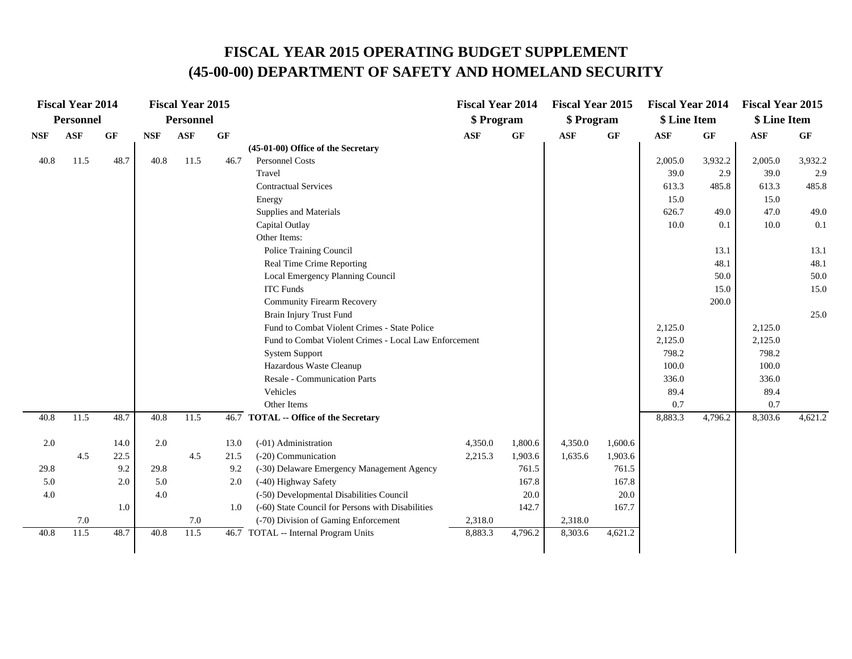|            | <b>Fiscal Year 2014</b> |      |            | <b>Fiscal Year 2015</b> |           |                                                       | <b>Fiscal Year 2014</b> |         | <b>Fiscal Year 2015</b> |         | <b>Fiscal Year 2014</b> |         | <b>Fiscal Year 2015</b> |         |
|------------|-------------------------|------|------------|-------------------------|-----------|-------------------------------------------------------|-------------------------|---------|-------------------------|---------|-------------------------|---------|-------------------------|---------|
|            | <b>Personnel</b>        |      |            | <b>Personnel</b>        |           |                                                       | \$ Program              |         | \$ Program              |         | \$ Line Item            |         | \$ Line Item            |         |
| <b>NSF</b> | $\mathbf{ASF}$          | GF   | <b>NSF</b> | <b>ASF</b>              | <b>GF</b> |                                                       | ASF                     | GF      | ASF                     | GF      | ASF                     | GF      | $\mathbf{ASF}$          | GF      |
|            |                         |      |            |                         |           | (45-01-00) Office of the Secretary                    |                         |         |                         |         |                         |         |                         |         |
| 40.8       | 11.5                    | 48.7 | 40.8       | 11.5                    | 46.7      | <b>Personnel Costs</b>                                |                         |         |                         |         | 2,005.0                 | 3,932.2 | 2,005.0                 | 3,932.2 |
|            |                         |      |            |                         |           | Travel                                                |                         |         |                         |         | 39.0                    | 2.9     | 39.0                    | 2.9     |
|            |                         |      |            |                         |           | <b>Contractual Services</b>                           |                         |         |                         |         | 613.3                   | 485.8   | 613.3                   | 485.8   |
|            |                         |      |            |                         |           | Energy                                                |                         |         |                         |         | 15.0                    |         | 15.0                    |         |
|            |                         |      |            |                         |           | Supplies and Materials                                |                         |         |                         |         | 626.7                   | 49.0    | 47.0                    | 49.0    |
|            |                         |      |            |                         |           | Capital Outlay                                        |                         |         |                         |         | 10.0                    | 0.1     | 10.0                    | 0.1     |
|            |                         |      |            |                         |           | Other Items:                                          |                         |         |                         |         |                         |         |                         |         |
|            |                         |      |            |                         |           | Police Training Council                               |                         |         |                         |         |                         | 13.1    |                         | 13.1    |
|            |                         |      |            |                         |           | Real Time Crime Reporting                             |                         |         |                         |         |                         | 48.1    |                         | 48.1    |
|            |                         |      |            |                         |           | Local Emergency Planning Council                      |                         |         |                         |         |                         | 50.0    |                         | 50.0    |
|            |                         |      |            |                         |           | <b>ITC Funds</b>                                      |                         |         |                         |         |                         | 15.0    |                         | 15.0    |
|            |                         |      |            |                         |           | <b>Community Firearm Recovery</b>                     |                         |         |                         |         |                         | 200.0   |                         |         |
|            |                         |      |            |                         |           | Brain Injury Trust Fund                               |                         |         |                         |         |                         |         |                         | 25.0    |
|            |                         |      |            |                         |           | Fund to Combat Violent Crimes - State Police          |                         |         |                         |         | 2,125.0                 |         | 2,125.0                 |         |
|            |                         |      |            |                         |           | Fund to Combat Violent Crimes - Local Law Enforcement |                         |         |                         |         | 2,125.0                 |         | 2,125.0                 |         |
|            |                         |      |            |                         |           | <b>System Support</b>                                 |                         |         |                         |         | 798.2                   |         | 798.2                   |         |
|            |                         |      |            |                         |           | Hazardous Waste Cleanup                               |                         |         |                         |         | 100.0                   |         | 100.0                   |         |
|            |                         |      |            |                         |           | <b>Resale - Communication Parts</b>                   |                         |         |                         |         | 336.0                   |         | 336.0                   |         |
|            |                         |      |            |                         |           | Vehicles                                              |                         |         |                         |         | 89.4                    |         | 89.4                    |         |
|            |                         |      |            |                         |           | Other Items                                           |                         |         |                         |         | 0.7                     |         | 0.7                     |         |
| 40.8       | 11.5                    | 48.7 | 40.8       | 11.5                    |           | 46.7 TOTAL -- Office of the Secretary                 |                         |         |                         |         | 8,883.3                 | 4,796.2 | 8,303.6                 | 4,621.2 |
| 2.0        |                         | 14.0 | 2.0        |                         | 13.0      | (-01) Administration                                  | 4,350.0                 | 1,800.6 | 4,350.0                 | 1,600.6 |                         |         |                         |         |
|            | 4.5                     | 22.5 |            | 4.5                     | 21.5      | (-20) Communication                                   | 2,215.3                 | 1,903.6 | 1,635.6                 | 1,903.6 |                         |         |                         |         |
| 29.8       |                         | 9.2  | 29.8       |                         | 9.2       | (-30) Delaware Emergency Management Agency            |                         | 761.5   |                         | 761.5   |                         |         |                         |         |
| 5.0        |                         | 2.0  | 5.0        |                         | 2.0       | (-40) Highway Safety                                  |                         | 167.8   |                         | 167.8   |                         |         |                         |         |
| 4.0        |                         |      | 4.0        |                         |           | (-50) Developmental Disabilities Council              |                         | 20.0    |                         | 20.0    |                         |         |                         |         |
|            |                         | 1.0  |            |                         | 1.0       | (-60) State Council for Persons with Disabilities     |                         | 142.7   |                         | 167.7   |                         |         |                         |         |
|            | 7.0                     |      |            | 7.0                     |           | (-70) Division of Gaming Enforcement                  | 2,318.0                 |         | 2,318.0                 |         |                         |         |                         |         |
| 40.8       | 11.5                    | 48.7 | 40.8       | 11.5                    |           | 46.7 TOTAL -- Internal Program Units                  | 8,883.3                 | 4,796.2 | 8,303.6                 | 4,621.2 |                         |         |                         |         |
|            |                         |      |            |                         |           |                                                       |                         |         |                         |         |                         |         |                         |         |
|            |                         |      |            |                         |           |                                                       |                         |         |                         |         |                         |         |                         |         |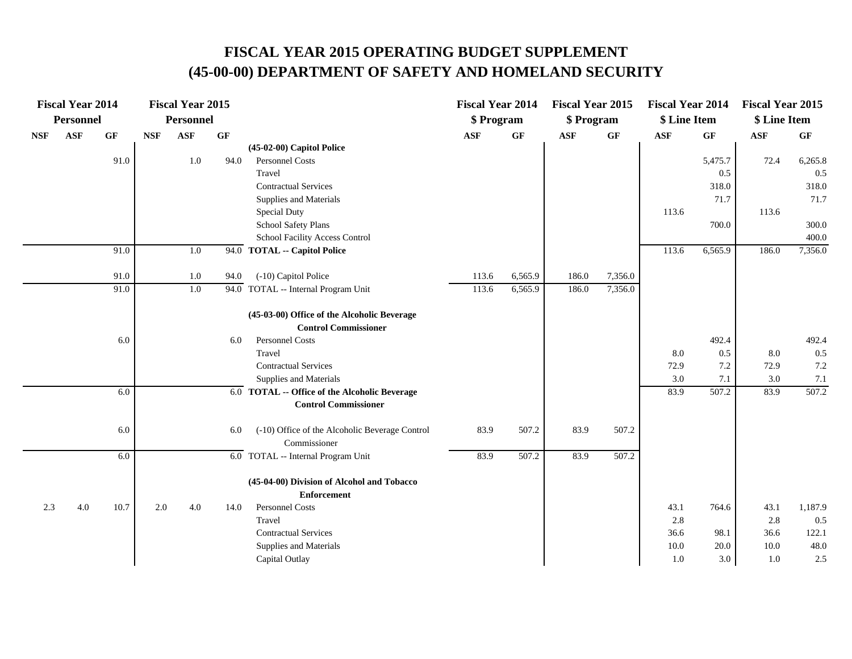|            |            | <b>Fiscal Year 2014</b> |            | <b>Fiscal Year 2015</b> |      |                                                                | <b>Fiscal Year 2014</b> |         | <b>Fiscal Year 2015</b> |         | <b>Fiscal Year 2014</b> |           | <b>Fiscal Year 2015</b> |                 |
|------------|------------|-------------------------|------------|-------------------------|------|----------------------------------------------------------------|-------------------------|---------|-------------------------|---------|-------------------------|-----------|-------------------------|-----------------|
|            | Personnel  |                         |            | Personnel               |      |                                                                | \$ Program              |         | \$ Program              |         | \$ Line Item            |           | \$ Line Item            |                 |
| <b>NSF</b> | <b>ASF</b> | GF                      | <b>NSF</b> | <b>ASF</b>              | GF   |                                                                | $\mathbf{ASF}$          | GF      | <b>ASF</b>              | GF      | <b>ASF</b>              | <b>GF</b> | <b>ASF</b>              | $\bf{G} \bf{F}$ |
|            |            |                         |            |                         |      | (45-02-00) Capitol Police                                      |                         |         |                         |         |                         |           |                         |                 |
|            |            | 91.0                    |            | 1.0                     | 94.0 | Personnel Costs                                                |                         |         |                         |         |                         | 5,475.7   | 72.4                    | 6,265.8         |
|            |            |                         |            |                         |      | Travel                                                         |                         |         |                         |         |                         | 0.5       |                         | 0.5             |
|            |            |                         |            |                         |      | <b>Contractual Services</b>                                    |                         |         |                         |         |                         | 318.0     |                         | 318.0           |
|            |            |                         |            |                         |      | Supplies and Materials                                         |                         |         |                         |         |                         | 71.7      |                         | 71.7            |
|            |            |                         |            |                         |      | Special Duty                                                   |                         |         |                         |         | 113.6                   |           | 113.6                   |                 |
|            |            |                         |            |                         |      | School Safety Plans                                            |                         |         |                         |         |                         | 700.0     |                         | 300.0           |
|            |            |                         |            |                         |      | School Facility Access Control                                 |                         |         |                         |         |                         |           |                         | 400.0           |
|            |            | 91.0                    |            | 1.0                     | 94.0 | <b>TOTAL -- Capitol Police</b>                                 |                         |         |                         |         | 113.6                   | 6,565.9   | 186.0                   | 7,356.0         |
|            |            | 91.0                    |            | 1.0                     | 94.0 | (-10) Capitol Police                                           | 113.6                   | 6,565.9 | 186.0                   | 7,356.0 |                         |           |                         |                 |
|            |            | 91.0                    |            | 1.0                     | 94.0 | TOTAL -- Internal Program Unit                                 | 113.6                   | 6,565.9 | 186.0                   | 7,356.0 |                         |           |                         |                 |
|            |            |                         |            |                         |      | (45-03-00) Office of the Alcoholic Beverage                    |                         |         |                         |         |                         |           |                         |                 |
|            |            |                         |            |                         |      | <b>Control Commissioner</b>                                    |                         |         |                         |         |                         |           |                         |                 |
|            |            | 6.0                     |            |                         | 6.0  | Personnel Costs                                                |                         |         |                         |         |                         | 492.4     |                         | 492.4           |
|            |            |                         |            |                         |      | Travel                                                         |                         |         |                         |         | 8.0                     | 0.5       | 8.0                     | 0.5             |
|            |            |                         |            |                         |      | <b>Contractual Services</b>                                    |                         |         |                         |         | 72.9                    | 7.2       | 72.9                    | 7.2             |
|            |            |                         |            |                         |      | Supplies and Materials                                         |                         |         |                         |         | 3.0                     | 7.1       | 3.0                     | 7.1             |
|            |            | 6.0                     |            |                         |      | 6.0 TOTAL -- Office of the Alcoholic Beverage                  |                         |         |                         |         | 83.9                    | 507.2     | 83.9                    | 507.2           |
|            |            |                         |            |                         |      | <b>Control Commissioner</b>                                    |                         |         |                         |         |                         |           |                         |                 |
|            |            | 6.0                     |            |                         | 6.0  | (-10) Office of the Alcoholic Beverage Control<br>Commissioner | 83.9                    | 507.2   | 83.9                    | 507.2   |                         |           |                         |                 |
|            |            | 6.0                     |            |                         |      | 6.0 TOTAL -- Internal Program Unit                             | 83.9                    | 507.2   | 83.9                    | 507.2   |                         |           |                         |                 |
|            |            |                         |            |                         |      | (45-04-00) Division of Alcohol and Tobacco                     |                         |         |                         |         |                         |           |                         |                 |
|            |            |                         |            |                         |      | <b>Enforcement</b>                                             |                         |         |                         |         |                         |           |                         |                 |
| 2.3        | 4.0        | 10.7                    | 2.0        | 4.0                     | 14.0 | Personnel Costs                                                |                         |         |                         |         | 43.1                    | 764.6     | 43.1                    | 1,187.9         |
|            |            |                         |            |                         |      | Travel                                                         |                         |         |                         |         | 2.8                     |           | 2.8                     | 0.5             |
|            |            |                         |            |                         |      | <b>Contractual Services</b>                                    |                         |         |                         |         | 36.6                    | 98.1      | 36.6                    | 122.1           |
|            |            |                         |            |                         |      | Supplies and Materials                                         |                         |         |                         |         | 10.0                    | 20.0      | 10.0                    | 48.0            |
|            |            |                         |            |                         |      | Capital Outlay                                                 |                         |         |                         |         | 1.0                     | 3.0       | 1.0                     | 2.5             |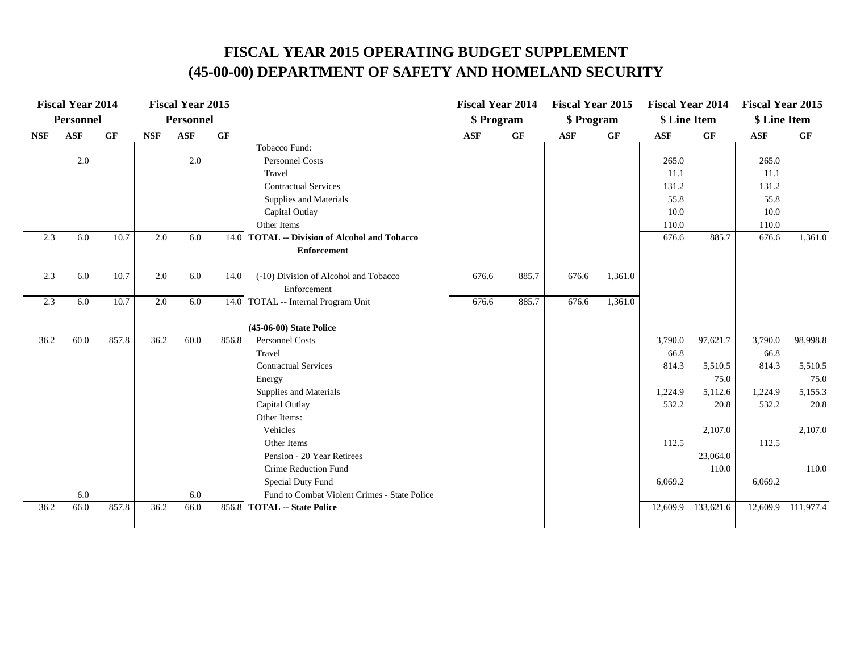|            | <b>Fiscal Year 2014</b> |       |            | <b>Fiscal Year 2015</b> |           |                                                 | <b>Fiscal Year 2014</b> |       | <b>Fiscal Year 2015</b> |                 | <b>Fiscal Year 2014</b> |           | <b>Fiscal Year 2015</b> |                    |
|------------|-------------------------|-------|------------|-------------------------|-----------|-------------------------------------------------|-------------------------|-------|-------------------------|-----------------|-------------------------|-----------|-------------------------|--------------------|
|            | <b>Personnel</b>        |       |            | <b>Personnel</b>        |           |                                                 | \$ Program              |       | \$ Program              |                 | \$ Line Item            |           | \$ Line Item            |                    |
| <b>NSF</b> | <b>ASF</b>              | GF    | <b>NSF</b> | <b>ASF</b>              | <b>GF</b> |                                                 | <b>ASF</b>              | GF    | <b>ASF</b>              | $\bf{G} \bf{F}$ | <b>ASF</b>              | <b>GF</b> | <b>ASF</b>              | GF                 |
|            |                         |       |            |                         |           | Tobacco Fund:                                   |                         |       |                         |                 |                         |           |                         |                    |
|            | $2.0\,$                 |       |            | 2.0                     |           | Personnel Costs                                 |                         |       |                         |                 | 265.0                   |           | 265.0                   |                    |
|            |                         |       |            |                         |           | Travel                                          |                         |       |                         |                 | 11.1                    |           | 11.1                    |                    |
|            |                         |       |            |                         |           | <b>Contractual Services</b>                     |                         |       |                         |                 | 131.2                   |           | 131.2                   |                    |
|            |                         |       |            |                         |           | Supplies and Materials                          |                         |       |                         |                 | 55.8                    |           | 55.8                    |                    |
|            |                         |       |            |                         |           | Capital Outlay                                  |                         |       |                         |                 | 10.0                    |           | 10.0                    |                    |
|            |                         |       |            |                         |           | Other Items                                     |                         |       |                         |                 | 110.0                   |           | 110.0                   |                    |
| 2.3        | 6.0                     | 10.7  | 2.0        | 6.0                     | 14.0      | <b>TOTAL -- Division of Alcohol and Tobacco</b> |                         |       |                         |                 | 676.6                   | 885.7     | 676.6                   | 1,361.0            |
|            |                         |       |            |                         |           | <b>Enforcement</b>                              |                         |       |                         |                 |                         |           |                         |                    |
| 2.3        | 6.0                     | 10.7  | 2.0        | 6.0                     | 14.0      | (-10) Division of Alcohol and Tobacco           | 676.6                   | 885.7 | 676.6                   | 1,361.0         |                         |           |                         |                    |
|            |                         |       |            |                         |           | Enforcement                                     |                         |       |                         |                 |                         |           |                         |                    |
| 2.3        | 6.0                     | 10.7  | 2.0        | 6.0                     |           | 14.0 TOTAL -- Internal Program Unit             | 676.6                   | 885.7 | 676.6                   | 1,361.0         |                         |           |                         |                    |
|            |                         |       |            |                         |           | (45-06-00) State Police                         |                         |       |                         |                 |                         |           |                         |                    |
| 36.2       | 60.0                    | 857.8 | 36.2       | 60.0                    | 856.8     | <b>Personnel Costs</b>                          |                         |       |                         |                 | 3,790.0                 | 97,621.7  | 3,790.0                 | 98,998.8           |
|            |                         |       |            |                         |           | Travel                                          |                         |       |                         |                 | 66.8                    |           | 66.8                    |                    |
|            |                         |       |            |                         |           | <b>Contractual Services</b>                     |                         |       |                         |                 | 814.3                   | 5,510.5   | 814.3                   | 5,510.5            |
|            |                         |       |            |                         |           | Energy                                          |                         |       |                         |                 |                         | 75.0      |                         | 75.0               |
|            |                         |       |            |                         |           | Supplies and Materials                          |                         |       |                         |                 | 1,224.9                 | 5,112.6   | 1,224.9                 | 5,155.3            |
|            |                         |       |            |                         |           | Capital Outlay                                  |                         |       |                         |                 | 532.2                   | 20.8      | 532.2                   | 20.8               |
|            |                         |       |            |                         |           | Other Items:                                    |                         |       |                         |                 |                         |           |                         |                    |
|            |                         |       |            |                         |           | Vehicles                                        |                         |       |                         |                 |                         | 2,107.0   |                         | 2,107.0            |
|            |                         |       |            |                         |           | Other Items                                     |                         |       |                         |                 | 112.5                   |           | 112.5                   |                    |
|            |                         |       |            |                         |           | Pension - 20 Year Retirees                      |                         |       |                         |                 |                         | 23,064.0  |                         |                    |
|            |                         |       |            |                         |           | Crime Reduction Fund                            |                         |       |                         |                 |                         | 110.0     |                         | 110.0              |
|            |                         |       |            |                         |           | Special Duty Fund                               |                         |       |                         |                 | 6,069.2                 |           | 6,069.2                 |                    |
|            | 6.0                     |       |            | 6.0                     |           | Fund to Combat Violent Crimes - State Police    |                         |       |                         |                 |                         |           |                         |                    |
| 36.2       | 66.0                    | 857.8 | 36.2       | 66.0                    |           | 856.8 TOTAL -- State Police                     |                         |       |                         |                 | 12,609.9                | 133,621.6 |                         | 12,609.9 111,977.4 |
|            |                         |       |            |                         |           |                                                 |                         |       |                         |                 |                         |           |                         |                    |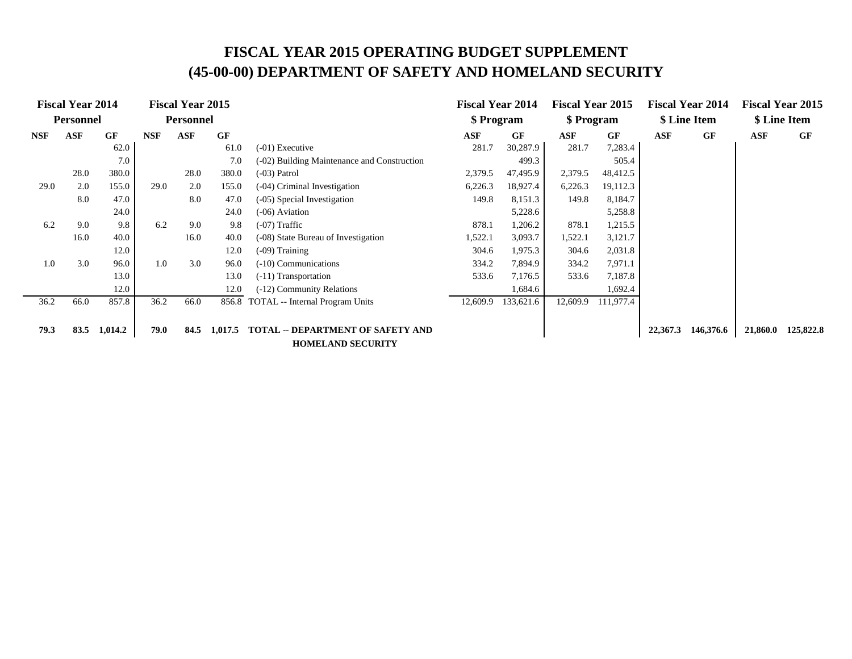|            | <b>Fiscal Year 2014</b> |           |            | <b>Fiscal Year 2015</b><br><b>Personnel</b> |           |                                             | <b>Fiscal Year 2014</b> |           | <b>Fiscal Year 2015</b> |           |          | <b>Fiscal Year 2014</b><br>\$ Line Item |          | <b>Fiscal Year 2015</b><br>\$ Line Item |
|------------|-------------------------|-----------|------------|---------------------------------------------|-----------|---------------------------------------------|-------------------------|-----------|-------------------------|-----------|----------|-----------------------------------------|----------|-----------------------------------------|
|            | <b>Personnel</b>        |           |            |                                             |           |                                             | \$ Program              |           | \$ Program              |           |          |                                         |          |                                         |
| <b>NSF</b> | <b>ASF</b>              | <b>GF</b> | <b>NSF</b> | <b>ASF</b>                                  | <b>GF</b> |                                             | ASF                     | <b>GF</b> | $\bf{ASF}$              | GF        | ASF      | <b>GF</b>                               | ASF      | GF                                      |
|            |                         | 62.0      |            |                                             | 61.0      | $(-01)$ Executive                           | 281.7                   | 30,287.9  | 281.7                   | 7,283.4   |          |                                         |          |                                         |
|            |                         | 7.0       |            |                                             | 7.0       | (-02) Building Maintenance and Construction |                         | 499.3     |                         | 505.4     |          |                                         |          |                                         |
|            | 28.0                    | 380.0     |            | 28.0                                        | 380.0     | $(-03)$ Patrol                              | 2,379.5                 | 47,495.9  | 2,379.5                 | 48,412.5  |          |                                         |          |                                         |
| 29.0       | 2.0                     | 155.0     | 29.0       | 2.0                                         | 155.0     | (-04) Criminal Investigation                | 6,226.3                 | 18,927.4  | 6,226.3                 | 19,112.3  |          |                                         |          |                                         |
|            | 8.0                     | 47.0      |            | 8.0                                         | 47.0      | (-05) Special Investigation                 | 149.8                   | 8,151.3   | 149.8                   | 8,184.7   |          |                                         |          |                                         |
|            |                         | 24.0      |            |                                             | 24.0      | $(-06)$ Aviation                            | 5,228.6                 |           |                         | 5,258.8   |          |                                         |          |                                         |
| 6.2        | 9.0                     | 9.8       | 6.2        | 9.0                                         | 9.8       | $(-07)$ Traffic                             | 878.1                   | 1,206.2   | 878.1                   | 1,215.5   |          |                                         |          |                                         |
|            | 16.0                    | 40.0      |            | 16.0                                        | 40.0      | (-08) State Bureau of Investigation         | 1,522.1                 | 3,093.7   | 1,522.1                 | 3,121.7   |          |                                         |          |                                         |
|            |                         | 12.0      |            |                                             | 12.0      | $(-09)$ Training                            | 304.6                   | 1,975.3   | 304.6                   | 2,031.8   |          |                                         |          |                                         |
| 1.0        | 3.0                     | 96.0      | 1.0        | 3.0                                         | 96.0      | $(-10)$ Communications                      | 334.2                   | 7,894.9   | 334.2                   | 7,971.1   |          |                                         |          |                                         |
|            |                         | 13.0      |            |                                             | 13.0      | (-11) Transportation                        | 533.6                   | 7,176.5   | 533.6                   | 7,187.8   |          |                                         |          |                                         |
|            |                         | 12.0      |            |                                             | 12.0      | (-12) Community Relations                   |                         | 1,684.6   |                         | 1,692.4   |          |                                         |          |                                         |
| 36.2       | 66.0                    | 857.8     | 36.2       | 66.0                                        | 856.8     | TOTAL -- Internal Program Units             | 12,609.9                | 133,621.6 | 12,609.9                | 111,977.4 |          |                                         |          |                                         |
|            |                         |           |            |                                             |           |                                             |                         |           |                         |           |          |                                         |          |                                         |
| 79.3       | 83.5                    | 1,014.2   | 79.0       | 84.5                                        | 1,017.5   | <b>TOTAL -- DEPARTMENT OF SAFETY AND</b>    |                         |           |                         |           | 22,367.3 | 146,376.6                               | 21,860.0 | 125,822.8                               |
|            |                         |           |            |                                             |           | <b>HOMELAND SECURITY</b>                    |                         |           |                         |           |          |                                         |          |                                         |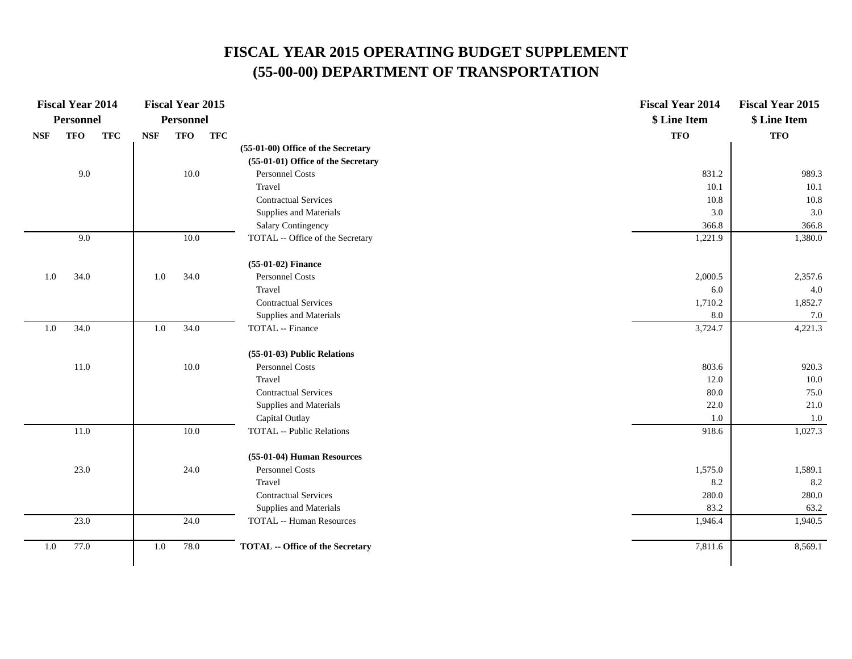|                             | <b>Fiscal Year 2014</b> |            |            | <b>Fiscal Year 2015</b> |            |                                         | <b>Fiscal Year 2014</b> | <b>Fiscal Year 2015</b> |
|-----------------------------|-------------------------|------------|------------|-------------------------|------------|-----------------------------------------|-------------------------|-------------------------|
|                             | <b>Personnel</b>        |            |            | <b>Personnel</b>        |            |                                         | \$ Line Item            | \$ Line Item            |
| $\ensuremath{\mathbf{NSF}}$ | <b>TFO</b>              | <b>TFC</b> | <b>NSF</b> | <b>TFO</b>              | <b>TFC</b> |                                         | <b>TFO</b>              | <b>TFO</b>              |
|                             |                         |            |            |                         |            | (55-01-00) Office of the Secretary      |                         |                         |
|                             |                         |            |            |                         |            | (55-01-01) Office of the Secretary      |                         |                         |
|                             | 9.0                     |            |            | 10.0                    |            | Personnel Costs                         | 831.2                   | 989.3                   |
|                             |                         |            |            |                         |            | Travel                                  | 10.1                    | 10.1                    |
|                             |                         |            |            |                         |            | <b>Contractual Services</b>             | 10.8                    | $10.8\,$                |
|                             |                         |            |            |                         |            | Supplies and Materials                  | 3.0                     | 3.0                     |
|                             |                         |            |            |                         |            | Salary Contingency                      | 366.8                   | 366.8                   |
|                             | 9.0                     |            |            | 10.0                    |            | TOTAL -- Office of the Secretary        | 1,221.9                 | 1,380.0                 |
|                             |                         |            |            |                         |            | (55-01-02) Finance                      |                         |                         |
| 1.0                         | 34.0                    |            | $1.0\,$    | 34.0                    |            | Personnel Costs                         | 2,000.5                 | 2,357.6                 |
|                             |                         |            |            |                         |            | Travel                                  | 6.0                     | $4.0\,$                 |
|                             |                         |            |            |                         |            | <b>Contractual Services</b>             | 1,710.2                 | 1,852.7                 |
|                             |                         |            |            |                         |            | Supplies and Materials                  | 8.0                     | $7.0\,$                 |
| $1.0\,$                     | 34.0                    |            | $1.0\,$    | 34.0                    |            | TOTAL -- Finance                        | 3,724.7                 | 4,221.3                 |
|                             |                         |            |            |                         |            | (55-01-03) Public Relations             |                         |                         |
|                             | $11.0\,$                |            |            | $10.0\,$                |            | Personnel Costs                         | 803.6                   | 920.3                   |
|                             |                         |            |            |                         |            | Travel                                  | 12.0                    | 10.0                    |
|                             |                         |            |            |                         |            | <b>Contractual Services</b>             | 80.0                    | 75.0                    |
|                             |                         |            |            |                         |            | Supplies and Materials                  | 22.0                    | 21.0                    |
|                             |                         |            |            |                         |            | Capital Outlay                          | 1.0                     | $1.0\,$                 |
|                             | $11.0\,$                |            |            | $10.0\,$                |            | <b>TOTAL</b> -- Public Relations        | 918.6                   | 1,027.3                 |
|                             |                         |            |            |                         |            | (55-01-04) Human Resources              |                         |                         |
|                             | 23.0                    |            |            | 24.0                    |            | Personnel Costs                         | 1,575.0                 | 1,589.1                 |
|                             |                         |            |            |                         |            | Travel                                  | 8.2                     | 8.2                     |
|                             |                         |            |            |                         |            | <b>Contractual Services</b>             | 280.0                   | 280.0                   |
|                             |                         |            |            |                         |            | Supplies and Materials                  | 83.2                    | 63.2                    |
|                             | 23.0                    |            |            | 24.0                    |            | <b>TOTAL -- Human Resources</b>         | 1,946.4                 | 1,940.5                 |
| 1.0                         | 77.0                    |            | 1.0        | 78.0                    |            | <b>TOTAL</b> -- Office of the Secretary | 7,811.6                 | 8,569.1                 |
|                             |                         |            |            |                         |            |                                         |                         |                         |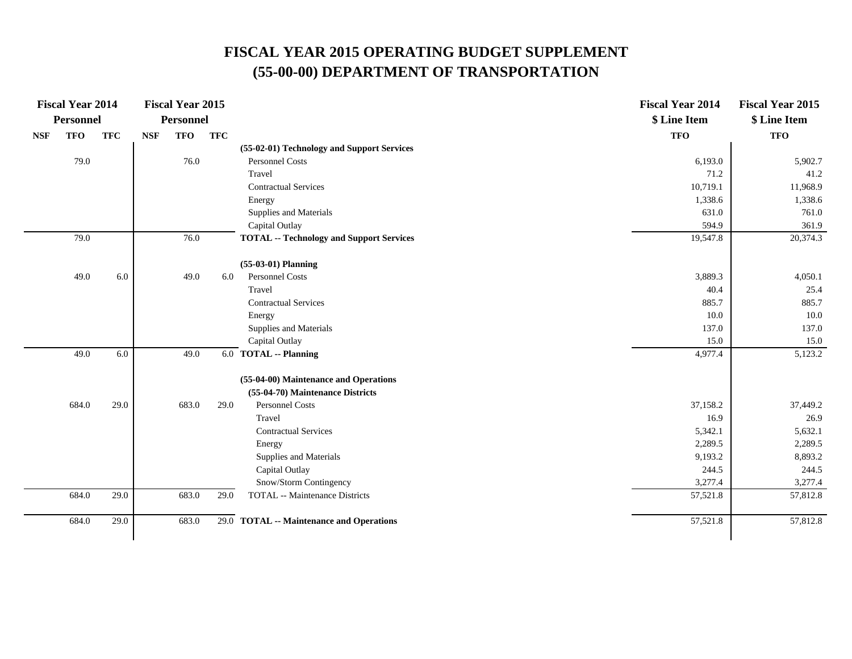|            | <b>Fiscal Year 2014</b> |            |            | <b>Fiscal Year 2015</b> |            |                                                 | <b>Fiscal Year 2014</b> | <b>Fiscal Year 2015</b> |
|------------|-------------------------|------------|------------|-------------------------|------------|-------------------------------------------------|-------------------------|-------------------------|
|            | Personnel               |            |            | <b>Personnel</b>        |            |                                                 | \$ Line Item            | \$ Line Item            |
| <b>NSF</b> | <b>TFO</b>              | <b>TFC</b> | <b>NSF</b> | <b>TFO</b>              | <b>TFC</b> |                                                 | <b>TFO</b>              | <b>TFO</b>              |
|            |                         |            |            |                         |            | (55-02-01) Technology and Support Services      |                         |                         |
|            | 79.0                    |            |            | 76.0                    |            | <b>Personnel Costs</b>                          | 6,193.0                 | 5,902.7                 |
|            |                         |            |            |                         |            | Travel                                          | 71.2                    | 41.2                    |
|            |                         |            |            |                         |            | <b>Contractual Services</b>                     | 10,719.1                | 11,968.9                |
|            |                         |            |            |                         |            | Energy                                          | 1,338.6                 | 1,338.6                 |
|            |                         |            |            |                         |            | Supplies and Materials                          | 631.0                   | 761.0                   |
|            |                         |            |            |                         |            | Capital Outlay                                  | 594.9                   | 361.9                   |
|            | 79.0                    |            |            | 76.0                    |            | <b>TOTAL -- Technology and Support Services</b> | 19,547.8                | 20,374.3                |
|            |                         |            |            |                         |            | $(55-03-01)$ Planning                           |                         |                         |
|            | 49.0                    | 6.0        |            | 49.0                    | 6.0        | <b>Personnel Costs</b>                          | 3,889.3                 | 4,050.1                 |
|            |                         |            |            |                         |            | Travel                                          | 40.4                    | 25.4                    |
|            |                         |            |            |                         |            | <b>Contractual Services</b>                     | 885.7                   | 885.7                   |
|            |                         |            |            |                         |            | Energy                                          | 10.0                    | 10.0                    |
|            |                         |            |            |                         |            | Supplies and Materials                          | 137.0                   | 137.0                   |
|            |                         |            |            |                         |            | Capital Outlay                                  | 15.0                    | 15.0                    |
|            | 49.0                    | 6.0        |            | 49.0                    |            | 6.0 TOTAL -- Planning                           | 4,977.4                 | 5,123.2                 |
|            |                         |            |            |                         |            | (55-04-00) Maintenance and Operations           |                         |                         |
|            |                         |            |            |                         |            | (55-04-70) Maintenance Districts                |                         |                         |
|            | 684.0                   | 29.0       |            | 683.0                   | 29.0       | <b>Personnel Costs</b>                          | 37,158.2                | 37,449.2                |
|            |                         |            |            |                         |            | Travel                                          | 16.9                    | 26.9                    |
|            |                         |            |            |                         |            | <b>Contractual Services</b>                     | 5,342.1                 | 5,632.1                 |
|            |                         |            |            |                         |            | Energy                                          | 2,289.5                 | 2,289.5                 |
|            |                         |            |            |                         |            | Supplies and Materials                          | 9,193.2                 | 8,893.2                 |
|            |                         |            |            |                         |            | Capital Outlay                                  | 244.5                   | 244.5                   |
|            |                         |            |            |                         |            | Snow/Storm Contingency                          | 3,277.4                 | 3,277.4                 |
|            | 684.0                   | 29.0       |            | 683.0                   | 29.0       | <b>TOTAL</b> -- Maintenance Districts           | 57,521.8                | 57,812.8                |
|            | 684.0                   | 29.0       |            | 683.0                   |            | 29.0 TOTAL -- Maintenance and Operations        | 57,521.8                | 57,812.8                |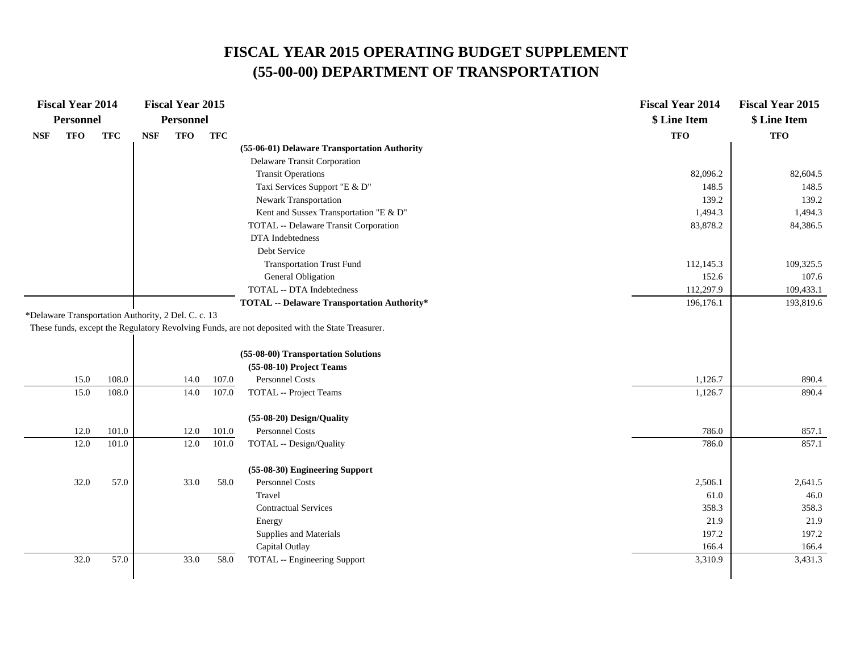|            | <b>Fiscal Year 2014</b>                             |            |            | <b>Fiscal Year 2015</b> |            |                                                                                                 | <b>Fiscal Year 2014</b> | <b>Fiscal Year 2015</b> |
|------------|-----------------------------------------------------|------------|------------|-------------------------|------------|-------------------------------------------------------------------------------------------------|-------------------------|-------------------------|
|            | <b>Personnel</b>                                    |            |            | <b>Personnel</b>        |            |                                                                                                 | \$ Line Item            | \$ Line Item            |
| <b>NSF</b> | <b>TFO</b>                                          | <b>TFC</b> | <b>NSF</b> | <b>TFO</b>              | <b>TFC</b> |                                                                                                 | <b>TFO</b>              | <b>TFO</b>              |
|            |                                                     |            |            |                         |            | (55-06-01) Delaware Transportation Authority                                                    |                         |                         |
|            |                                                     |            |            |                         |            | Delaware Transit Corporation                                                                    |                         |                         |
|            |                                                     |            |            |                         |            | <b>Transit Operations</b>                                                                       | 82,096.2                | 82,604.5                |
|            |                                                     |            |            |                         |            | Taxi Services Support "E & D"                                                                   | 148.5                   | 148.5                   |
|            |                                                     |            |            |                         |            | Newark Transportation                                                                           | 139.2                   | 139.2                   |
|            |                                                     |            |            |                         |            | Kent and Sussex Transportation "E & D"                                                          | 1,494.3                 | 1,494.3                 |
|            |                                                     |            |            |                         |            | TOTAL -- Delaware Transit Corporation                                                           | 83,878.2                | 84,386.5                |
|            |                                                     |            |            |                         |            | DTA Indebtedness                                                                                |                         |                         |
|            |                                                     |            |            |                         |            | Debt Service                                                                                    |                         |                         |
|            |                                                     |            |            |                         |            | <b>Transportation Trust Fund</b>                                                                | 112,145.3               | 109,325.5               |
|            |                                                     |            |            |                         |            | General Obligation                                                                              | 152.6                   | 107.6                   |
|            |                                                     |            |            |                         |            | TOTAL -- DTA Indebtedness                                                                       | 112,297.9               | 109,433.1               |
|            |                                                     |            |            |                         |            | <b>TOTAL -- Delaware Transportation Authority*</b>                                              | 196,176.1               | 193,819.6               |
|            | *Delaware Transportation Authority, 2 Del. C. c. 13 |            |            |                         |            |                                                                                                 |                         |                         |
|            |                                                     |            |            |                         |            | These funds, except the Regulatory Revolving Funds, are not deposited with the State Treasurer. |                         |                         |
|            |                                                     |            |            |                         |            |                                                                                                 |                         |                         |
|            |                                                     |            |            |                         |            | (55-08-00) Transportation Solutions                                                             |                         |                         |
|            |                                                     |            |            |                         |            | (55-08-10) Project Teams                                                                        |                         |                         |
|            | 15.0                                                | 108.0      |            | 14.0                    | 107.0      | Personnel Costs                                                                                 | 1,126.7                 | 890.4                   |
|            | 15.0                                                | 108.0      |            | 14.0                    | 107.0      | TOTAL -- Project Teams                                                                          | 1,126.7                 | 890.4                   |
|            |                                                     |            |            |                         |            |                                                                                                 |                         |                         |
|            |                                                     |            |            |                         |            | (55-08-20) Design/Quality                                                                       |                         |                         |
|            | 12.0                                                | 101.0      |            | 12.0                    | 101.0      | Personnel Costs                                                                                 | 786.0                   | 857.1                   |
|            | 12.0                                                | 101.0      |            | 12.0                    | 101.0      | TOTAL -- Design/Quality                                                                         | 786.0                   | 857.1                   |
|            |                                                     |            |            |                         |            | (55-08-30) Engineering Support                                                                  |                         |                         |
|            | 32.0                                                | 57.0       |            | 33.0                    | 58.0       | Personnel Costs                                                                                 | 2,506.1                 | 2,641.5                 |
|            |                                                     |            |            |                         |            | Travel                                                                                          | 61.0                    | 46.0                    |
|            |                                                     |            |            |                         |            | <b>Contractual Services</b>                                                                     | 358.3                   | 358.3                   |
|            |                                                     |            |            |                         |            | Energy                                                                                          | 21.9                    | 21.9                    |
|            |                                                     |            |            |                         |            | Supplies and Materials                                                                          | 197.2                   | 197.2                   |
|            |                                                     |            |            |                         |            | Capital Outlay                                                                                  | 166.4                   | 166.4                   |
|            | 32.0                                                | 57.0       |            | 33.0                    | 58.0       | <b>TOTAL</b> -- Engineering Support                                                             | 3,310.9                 | 3,431.3                 |
|            |                                                     |            |            |                         |            |                                                                                                 |                         |                         |
|            |                                                     |            |            |                         |            |                                                                                                 |                         |                         |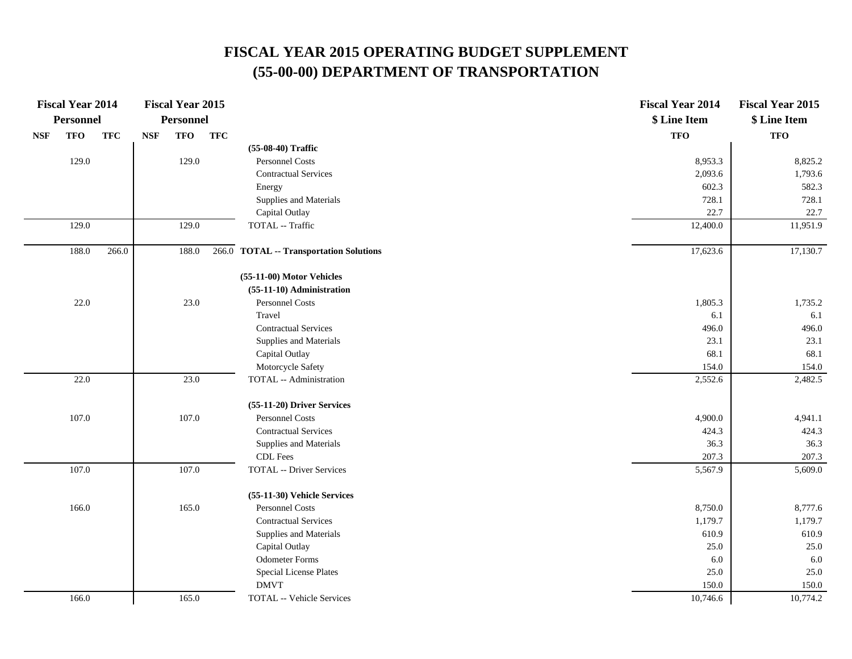| <b>Fiscal Year 2014</b>  |            | <b>Fiscal Year 2015</b>  |            |                                         | <b>Fiscal Year 2014</b> | <b>Fiscal Year 2015</b> |
|--------------------------|------------|--------------------------|------------|-----------------------------------------|-------------------------|-------------------------|
| Personnel                |            | <b>Personnel</b>         |            |                                         | \$ Line Item            | \$ Line Item            |
| <b>TFO</b><br><b>NSF</b> | <b>TFC</b> | <b>TFO</b><br><b>NSF</b> | <b>TFC</b> |                                         | <b>TFO</b>              | <b>TFO</b>              |
|                          |            |                          |            | (55-08-40) Traffic                      |                         |                         |
| 129.0                    |            | 129.0                    |            | Personnel Costs                         | 8,953.3                 | 8,825.2                 |
|                          |            |                          |            | <b>Contractual Services</b>             | 2,093.6                 | 1,793.6                 |
|                          |            |                          |            | Energy                                  | 602.3                   | 582.3                   |
|                          |            |                          |            | Supplies and Materials                  | 728.1                   | 728.1                   |
|                          |            |                          |            | Capital Outlay                          | 22.7                    | 22.7                    |
| 129.0                    |            | 129.0                    |            | TOTAL -- Traffic                        | 12,400.0                | 11,951.9                |
| 188.0                    | 266.0      | 188.0                    |            | 266.0 TOTAL -- Transportation Solutions | 17,623.6                | 17,130.7                |
|                          |            |                          |            | (55-11-00) Motor Vehicles               |                         |                         |
|                          |            |                          |            | (55-11-10) Administration               |                         |                         |
| 22.0                     |            | 23.0                     |            | Personnel Costs                         | 1,805.3                 | 1,735.2                 |
|                          |            |                          |            | Travel                                  | 6.1                     | 6.1                     |
|                          |            |                          |            | <b>Contractual Services</b>             | 496.0                   | 496.0                   |
|                          |            |                          |            | Supplies and Materials                  | 23.1                    | 23.1                    |
|                          |            |                          |            | Capital Outlay                          | 68.1                    | 68.1                    |
|                          |            |                          |            | Motorcycle Safety                       | 154.0                   | 154.0                   |
| 22.0                     |            | 23.0                     |            | TOTAL -- Administration                 | 2,552.6                 | 2,482.5                 |
|                          |            |                          |            | (55-11-20) Driver Services              |                         |                         |
| 107.0                    |            | 107.0                    |            | <b>Personnel Costs</b>                  | 4,900.0                 | 4,941.1                 |
|                          |            |                          |            | <b>Contractual Services</b>             | 424.3                   | 424.3                   |
|                          |            |                          |            | Supplies and Materials                  | 36.3                    | 36.3                    |
|                          |            |                          |            | CDL Fees                                | 207.3                   | 207.3                   |
| 107.0                    |            | 107.0                    |            | <b>TOTAL -- Driver Services</b>         | 5,567.9                 | 5,609.0                 |
|                          |            |                          |            | (55-11-30) Vehicle Services             |                         |                         |
| 166.0                    |            | 165.0                    |            | <b>Personnel Costs</b>                  | 8,750.0                 | 8,777.6                 |
|                          |            |                          |            | <b>Contractual Services</b>             | 1,179.7                 | 1,179.7                 |
|                          |            |                          |            | Supplies and Materials                  | 610.9                   | 610.9                   |
|                          |            |                          |            | Capital Outlay                          | 25.0                    | 25.0                    |
|                          |            |                          |            | <b>Odometer Forms</b>                   | 6.0                     | 6.0                     |
|                          |            |                          |            | <b>Special License Plates</b>           | 25.0                    | 25.0                    |
|                          |            |                          |            | <b>DMVT</b>                             | 150.0                   | 150.0                   |
| 166.0                    |            | 165.0                    |            | TOTAL -- Vehicle Services               | 10,746.6                | 10,774.2                |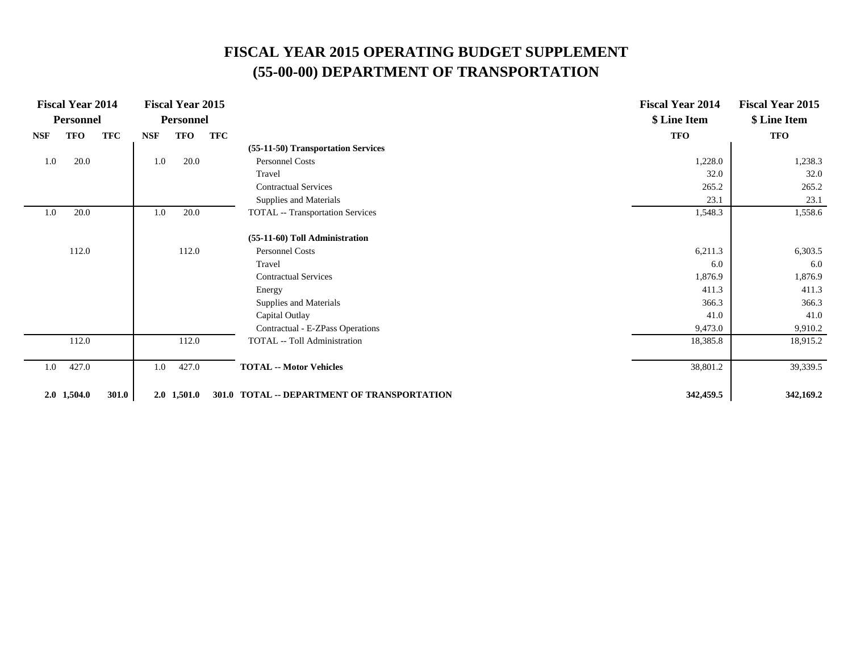|            | <b>Fiscal Year 2014</b><br><b>Personnel</b> |            |            | <b>Fiscal Year 2015</b><br>Personnel |     |                                             | <b>Fiscal Year 2014</b><br>\$ Line Item | <b>Fiscal Year 2015</b><br>\$ Line Item |
|------------|---------------------------------------------|------------|------------|--------------------------------------|-----|---------------------------------------------|-----------------------------------------|-----------------------------------------|
| <b>NSF</b> | <b>TFO</b>                                  | <b>TFC</b> | <b>NSF</b> | TFO                                  | TFC |                                             | <b>TFO</b>                              | <b>TFO</b>                              |
|            |                                             |            |            |                                      |     | (55-11-50) Transportation Services          |                                         |                                         |
| 1.0        | 20.0                                        |            | 1.0        | 20.0                                 |     | Personnel Costs                             | 1,228.0                                 | 1,238.3                                 |
|            |                                             |            |            |                                      |     | Travel                                      | 32.0                                    | 32.0                                    |
|            |                                             |            |            |                                      |     | <b>Contractual Services</b>                 | 265.2                                   | 265.2                                   |
|            |                                             |            |            |                                      |     | Supplies and Materials                      | 23.1                                    | 23.1                                    |
| 1.0        | 20.0                                        |            | 1.0        | 20.0                                 |     | <b>TOTAL</b> -- Transportation Services     | 1,548.3                                 | 1,558.6                                 |
|            |                                             |            |            |                                      |     | (55-11-60) Toll Administration              |                                         |                                         |
|            | 112.0                                       |            |            | 112.0                                |     | Personnel Costs                             | 6,211.3                                 | 6,303.5                                 |
|            |                                             |            |            |                                      |     | Travel                                      | 6.0                                     | 6.0                                     |
|            |                                             |            |            |                                      |     | <b>Contractual Services</b>                 | 1,876.9                                 | 1,876.9                                 |
|            |                                             |            |            |                                      |     | Energy                                      | 411.3                                   | 411.3                                   |
|            |                                             |            |            |                                      |     | Supplies and Materials                      | 366.3                                   | 366.3                                   |
|            |                                             |            |            |                                      |     | Capital Outlay                              | 41.0                                    | 41.0                                    |
|            |                                             |            |            |                                      |     | Contractual - E-ZPass Operations            | 9,473.0                                 | 9,910.2                                 |
|            | 112.0                                       |            |            | 112.0                                |     | TOTAL -- Toll Administration                | 18,385.8                                | 18,915.2                                |
| 1.0        | 427.0                                       |            | 1.0        | 427.0                                |     | <b>TOTAL -- Motor Vehicles</b>              | 38,801.2                                | 39,339.5                                |
|            | $2.0$ 1,504.0                               | 301.0      |            | $2.0$ 1,501.0                        |     | 301.0 TOTAL -- DEPARTMENT OF TRANSPORTATION | 342,459.5                               | 342,169.2                               |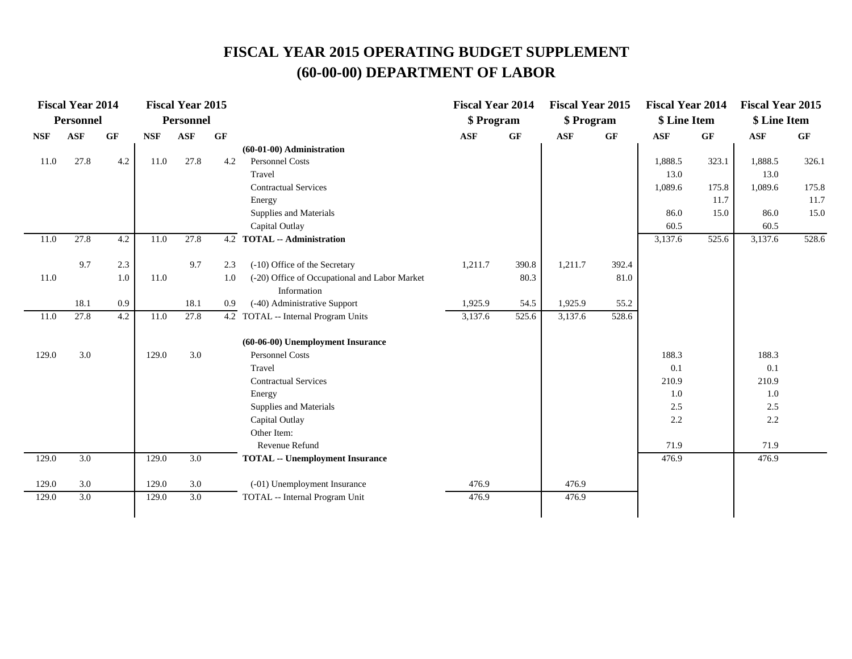|            | <b>Fiscal Year 2014</b> |     |            | <b>Fiscal Year 2015</b> |     |                                               | <b>Fiscal Year 2014</b> |                 | <b>Fiscal Year 2015</b> |                 | <b>Fiscal Year 2014</b> |       | <b>Fiscal Year 2015</b> |                 |
|------------|-------------------------|-----|------------|-------------------------|-----|-----------------------------------------------|-------------------------|-----------------|-------------------------|-----------------|-------------------------|-------|-------------------------|-----------------|
|            | <b>Personnel</b>        |     |            | <b>Personnel</b>        |     |                                               | \$ Program              |                 | \$ Program              |                 | \$ Line Item            |       | \$ Line Item            |                 |
| <b>NSF</b> | <b>ASF</b>              | GF  | <b>NSF</b> | <b>ASF</b>              | GF  |                                               | <b>ASF</b>              | $\bf{G} \bf{F}$ | <b>ASF</b>              | $\bf{G} \bf{F}$ | <b>ASF</b>              | GF    | <b>ASF</b>              | $\bf{G} \bf{F}$ |
|            |                         |     |            |                         |     | (60-01-00) Administration                     |                         |                 |                         |                 |                         |       |                         |                 |
| 11.0       | 27.8                    | 4.2 | 11.0       | 27.8                    | 4.2 | Personnel Costs                               |                         |                 |                         |                 | 1,888.5                 | 323.1 | 1,888.5                 | 326.1           |
|            |                         |     |            |                         |     | Travel                                        |                         |                 |                         |                 | 13.0                    |       | 13.0                    |                 |
|            |                         |     |            |                         |     | <b>Contractual Services</b>                   |                         |                 |                         |                 | 1,089.6                 | 175.8 | 1,089.6                 | 175.8           |
|            |                         |     |            |                         |     | Energy                                        |                         |                 |                         |                 |                         | 11.7  |                         | 11.7            |
|            |                         |     |            |                         |     | Supplies and Materials                        |                         |                 |                         |                 | 86.0                    | 15.0  | 86.0                    | 15.0            |
|            |                         |     |            |                         |     | Capital Outlay                                |                         |                 |                         |                 | 60.5                    |       | 60.5                    |                 |
| 11.0       | 27.8                    | 4.2 | 11.0       | 27.8                    |     | $\overline{4.2}$ TOTAL -- Administration      |                         |                 |                         |                 | 3,137.6                 | 525.6 | 3,137.6                 | 528.6           |
|            | 9.7                     | 2.3 |            | 9.7                     | 2.3 | (-10) Office of the Secretary                 | 1,211.7                 | 390.8           | 1,211.7                 | 392.4           |                         |       |                         |                 |
| 11.0       |                         | 1.0 | 11.0       |                         | 1.0 | (-20) Office of Occupational and Labor Market |                         | 80.3            |                         | 81.0            |                         |       |                         |                 |
|            |                         |     |            |                         |     | Information                                   |                         |                 |                         |                 |                         |       |                         |                 |
|            | 18.1                    | 0.9 |            | 18.1                    | 0.9 | (-40) Administrative Support                  | 1,925.9                 | 54.5            | 1,925.9                 | 55.2            |                         |       |                         |                 |
| 11.0       | 27.8                    | 4.2 | 11.0       | 27.8                    |     | 4.2 TOTAL -- Internal Program Units           | 3,137.6                 | 525.6           | 3,137.6                 | 528.6           |                         |       |                         |                 |
|            |                         |     |            |                         |     | (60-06-00) Unemployment Insurance             |                         |                 |                         |                 |                         |       |                         |                 |
| 129.0      | 3.0                     |     | 129.0      | 3.0                     |     | Personnel Costs                               |                         |                 |                         |                 | 188.3                   |       | 188.3                   |                 |
|            |                         |     |            |                         |     | Travel                                        |                         |                 |                         |                 | 0.1                     |       | 0.1                     |                 |
|            |                         |     |            |                         |     | <b>Contractual Services</b>                   |                         |                 |                         |                 | 210.9                   |       | 210.9                   |                 |
|            |                         |     |            |                         |     | Energy                                        |                         |                 |                         |                 | 1.0                     |       | 1.0                     |                 |
|            |                         |     |            |                         |     | Supplies and Materials                        |                         |                 |                         |                 | 2.5                     |       | 2.5                     |                 |
|            |                         |     |            |                         |     | Capital Outlay                                |                         |                 |                         |                 | 2.2                     |       | $2.2\,$                 |                 |
|            |                         |     |            |                         |     | Other Item:                                   |                         |                 |                         |                 |                         |       |                         |                 |
|            |                         |     |            |                         |     | Revenue Refund                                |                         |                 |                         |                 | 71.9                    |       | 71.9                    |                 |
| 129.0      | 3.0                     |     | 129.0      | $\overline{3.0}$        |     | <b>TOTAL -- Unemployment Insurance</b>        |                         |                 |                         |                 | 476.9                   |       | 476.9                   |                 |
| 129.0      | 3.0                     |     | 129.0      | 3.0                     |     | (-01) Unemployment Insurance                  | 476.9                   |                 | 476.9                   |                 |                         |       |                         |                 |
| 129.0      | 3.0                     |     | 129.0      | 3.0                     |     | TOTAL -- Internal Program Unit                | 476.9                   |                 | 476.9                   |                 |                         |       |                         |                 |
|            |                         |     |            |                         |     |                                               |                         |                 |                         |                 |                         |       |                         |                 |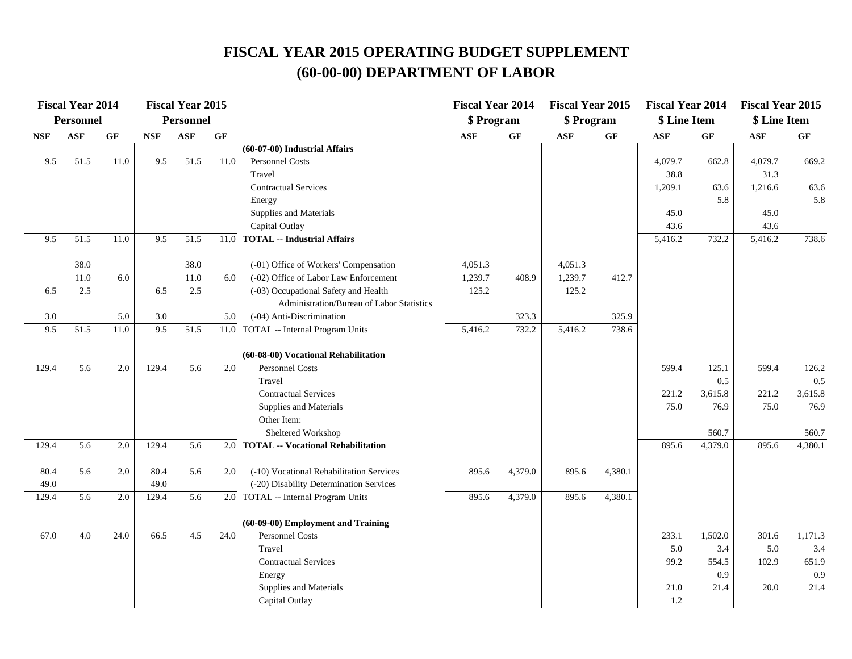|            | <b>Fiscal Year 2014</b> |                 |            | <b>Fiscal Year 2015</b> |         |                                           | <b>Fiscal Year 2014</b> |                 | <b>Fiscal Year 2015</b> |         | <b>Fiscal Year 2014</b> |         | <b>Fiscal Year 2015</b> |                 |
|------------|-------------------------|-----------------|------------|-------------------------|---------|-------------------------------------------|-------------------------|-----------------|-------------------------|---------|-------------------------|---------|-------------------------|-----------------|
|            | <b>Personnel</b>        |                 |            | <b>Personnel</b>        |         |                                           | \$ Program              |                 | \$ Program              |         | \$ Line Item            |         | \$ Line Item            |                 |
| <b>NSF</b> | <b>ASF</b>              | $\bf{G} \bf{F}$ | <b>NSF</b> | <b>ASF</b>              | GF      |                                           | <b>ASF</b>              | $\bf{G} \bf{F}$ | <b>ASF</b>              | GF      | ASF                     | GF      | ASF                     | $\bf{G} \bf{F}$ |
|            |                         |                 |            |                         |         | (60-07-00) Industrial Affairs             |                         |                 |                         |         |                         |         |                         |                 |
| 9.5        | 51.5                    | 11.0            | 9.5        | 51.5                    | 11.0    | Personnel Costs                           |                         |                 |                         |         | 4,079.7                 | 662.8   | 4,079.7                 | 669.2           |
|            |                         |                 |            |                         |         | Travel                                    |                         |                 |                         |         | 38.8                    |         | 31.3                    |                 |
|            |                         |                 |            |                         |         | <b>Contractual Services</b>               |                         |                 |                         |         | 1,209.1                 | 63.6    | 1,216.6                 | 63.6            |
|            |                         |                 |            |                         |         | Energy                                    |                         |                 |                         |         |                         | 5.8     |                         | 5.8             |
|            |                         |                 |            |                         |         | Supplies and Materials                    |                         |                 |                         |         | 45.0                    |         | 45.0                    |                 |
|            |                         |                 |            |                         |         | Capital Outlay                            |                         |                 |                         |         | 43.6                    |         | 43.6                    |                 |
| 9.5        | 51.5                    | 11.0            | 9.5        | 51.5                    | 11.0    | <b>TOTAL -- Industrial Affairs</b>        |                         |                 |                         |         | 5,416.2                 | 732.2   | 5,416.2                 | 738.6           |
|            | 38.0                    |                 |            | 38.0                    |         | (-01) Office of Workers' Compensation     | 4,051.3                 |                 | 4,051.3                 |         |                         |         |                         |                 |
|            | 11.0                    | 6.0             |            | 11.0                    | 6.0     | (-02) Office of Labor Law Enforcement     | 1,239.7                 | 408.9           | 1,239.7                 | 412.7   |                         |         |                         |                 |
| 6.5        | 2.5                     |                 | 6.5        | 2.5                     |         | (-03) Occupational Safety and Health      | 125.2                   |                 | 125.2                   |         |                         |         |                         |                 |
|            |                         |                 |            |                         |         | Administration/Bureau of Labor Statistics |                         |                 |                         |         |                         |         |                         |                 |
| 3.0        |                         | 5.0             | 3.0        |                         | 5.0     | (-04) Anti-Discrimination                 |                         | 323.3           |                         | 325.9   |                         |         |                         |                 |
| 9.5        | 51.5                    | 11.0            | 9.5        | 51.5                    |         | 11.0 TOTAL -- Internal Program Units      | 5,416.2                 | 732.2           | 5,416.2                 | 738.6   |                         |         |                         |                 |
|            |                         |                 |            |                         |         | (60-08-00) Vocational Rehabilitation      |                         |                 |                         |         |                         |         |                         |                 |
| 129.4      | 5.6                     | 2.0             | 129.4      | 5.6                     | $2.0\,$ | <b>Personnel Costs</b>                    |                         |                 |                         |         | 599.4                   | 125.1   | 599.4                   | 126.2           |
|            |                         |                 |            |                         |         | Travel                                    |                         |                 |                         |         |                         | 0.5     |                         | 0.5             |
|            |                         |                 |            |                         |         | <b>Contractual Services</b>               |                         |                 |                         |         | 221.2                   | 3,615.8 | 221.2                   | 3,615.8         |
|            |                         |                 |            |                         |         | Supplies and Materials                    |                         |                 |                         |         | 75.0                    | 76.9    | 75.0                    | 76.9            |
|            |                         |                 |            |                         |         | Other Item:                               |                         |                 |                         |         |                         |         |                         |                 |
|            |                         |                 |            |                         |         | Sheltered Workshop                        |                         |                 |                         |         |                         | 560.7   |                         | 560.7           |
| 129.4      | 5.6                     | 2.0             | 129.4      | $\overline{5.6}$        |         | 2.0 TOTAL -- Vocational Rehabilitation    |                         |                 |                         |         | 895.6                   | 4,379.0 | 895.6                   | 4,380.1         |
| 80.4       | 5.6                     | 2.0             | 80.4       | 5.6                     | 2.0     | (-10) Vocational Rehabilitation Services  | 895.6                   | 4,379.0         | 895.6                   | 4,380.1 |                         |         |                         |                 |
| 49.0       |                         |                 | 49.0       |                         |         | (-20) Disability Determination Services   |                         |                 |                         |         |                         |         |                         |                 |
| 129.4      | 5.6                     | 2.0             | 129.4      | 5.6                     |         | 2.0 TOTAL -- Internal Program Units       | 895.6                   | 4,379.0         | 895.6                   | 4,380.1 |                         |         |                         |                 |
|            |                         |                 |            |                         |         | (60-09-00) Employment and Training        |                         |                 |                         |         |                         |         |                         |                 |
| 67.0       | 4.0                     | 24.0            | 66.5       | 4.5                     | 24.0    | Personnel Costs                           |                         |                 |                         |         | 233.1                   | 1,502.0 | 301.6                   | 1,171.3         |
|            |                         |                 |            |                         |         | Travel                                    |                         |                 |                         |         | 5.0                     | 3.4     | 5.0                     | 3.4             |
|            |                         |                 |            |                         |         | <b>Contractual Services</b>               |                         |                 |                         |         | 99.2                    | 554.5   | 102.9                   | 651.9           |
|            |                         |                 |            |                         |         | Energy                                    |                         |                 |                         |         |                         | 0.9     |                         | 0.9             |
|            |                         |                 |            |                         |         | Supplies and Materials                    |                         |                 |                         |         | 21.0                    | 21.4    | 20.0                    | 21.4            |
|            |                         |                 |            |                         |         | Capital Outlay                            |                         |                 |                         |         | 1.2                     |         |                         |                 |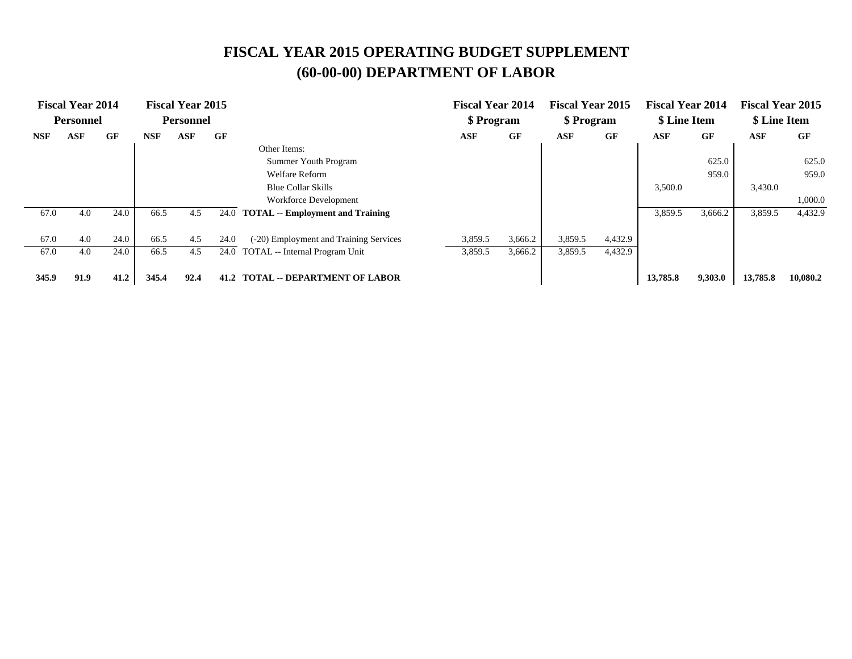| <b>Fiscal Year 2014</b> |                  |      | <b>Fiscal Year 2015</b> |                  |      | <b>Fiscal Year 2014</b>                 |            | <b>Fiscal Year 2015</b> |            | <b>Fiscal Year 2014</b> |              | <b>Fiscal Year 2015</b> |              |          |
|-------------------------|------------------|------|-------------------------|------------------|------|-----------------------------------------|------------|-------------------------|------------|-------------------------|--------------|-------------------------|--------------|----------|
|                         | <b>Personnel</b> |      |                         | <b>Personnel</b> |      |                                         | \$ Program |                         | \$ Program |                         | \$ Line Item |                         | \$ Line Item |          |
| <b>NSF</b>              | <b>ASF</b>       | GF   | <b>NSF</b>              | ASF              | GF   |                                         | ASF        | GF                      | ASF        | GF                      | <b>ASF</b>   | GF                      | ASF          | GF       |
|                         |                  |      |                         |                  |      | Other Items:                            |            |                         |            |                         |              |                         |              |          |
|                         |                  |      |                         |                  |      | Summer Youth Program                    |            |                         |            |                         |              | 625.0                   |              | 625.0    |
|                         |                  |      |                         |                  |      | <b>Welfare Reform</b>                   |            |                         |            |                         |              | 959.0                   |              | 959.0    |
|                         |                  |      |                         |                  |      | <b>Blue Collar Skills</b>               |            |                         |            |                         | 3,500.0      |                         | 3,430.0      |          |
|                         |                  |      |                         |                  |      | Workforce Development                   |            |                         |            |                         |              |                         |              | 1,000.0  |
| 67.0                    | 4.0              | 24.0 | 66.5                    | 4.5              | 24.0 | <b>TOTAL</b> -- Employment and Training |            |                         |            |                         | 3,859.5      | 3,666.2                 | 3,859.5      | 4,432.9  |
|                         |                  |      |                         |                  |      |                                         |            |                         |            |                         |              |                         |              |          |
| 67.0                    | 4.0              | 24.0 | 66.5                    | 4.5              | 24.0 | (-20) Employment and Training Services  | 3,859.5    | 3,666.2                 | 3,859.5    | 4,432.9                 |              |                         |              |          |
| 67.0                    | 4.0              | 24.0 | 66.5                    | 4.5              | 24.0 | TOTAL -- Internal Program Unit          | 3,859.5    | 3,666.2                 | 3,859.5    | 4,432.9                 |              |                         |              |          |
| 345.9                   | 91.9             | 41.2 | 345.4                   | 92.4             | 41.2 | <b>TOTAL -- DEPARTMENT OF LABOR</b>     |            |                         |            |                         | 13,785.8     | 9,303.0                 | 13,785.8     | 10,080.2 |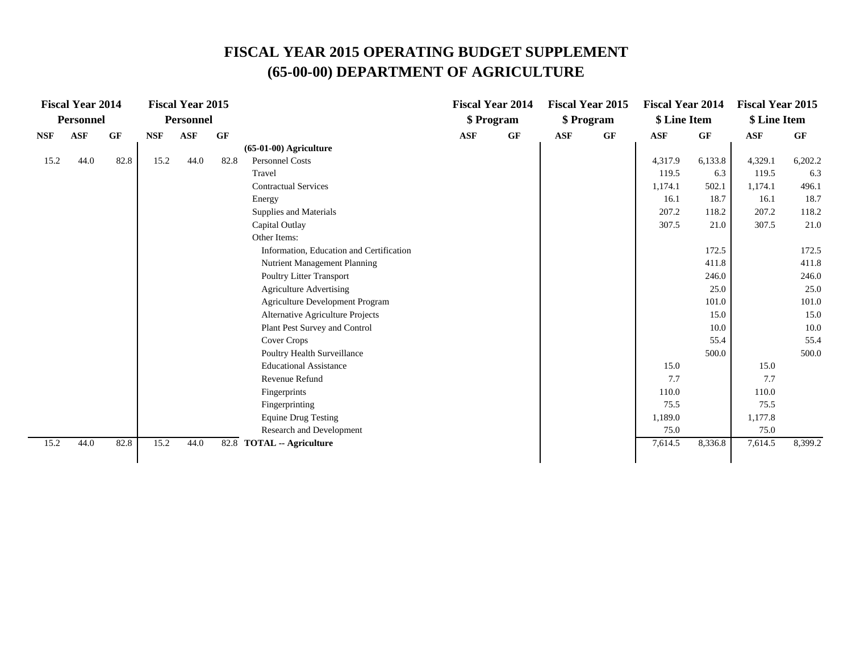# **FISCAL YEAR 2015 OPERATING BUDGET SUPPLEMENT (65-00-00) DEPARTMENT OF AGRICULTURE**

|            | <b>Fiscal Year 2014</b> |      |            | <b>Fiscal Year 2015</b> |      |                                          |            | <b>Fiscal Year 2014</b> |            | <b>Fiscal Year 2015</b> | <b>Fiscal Year 2014</b> |         | <b>Fiscal Year 2015</b> |         |
|------------|-------------------------|------|------------|-------------------------|------|------------------------------------------|------------|-------------------------|------------|-------------------------|-------------------------|---------|-------------------------|---------|
|            | <b>Personnel</b>        |      |            | <b>Personnel</b>        |      |                                          |            | \$ Program              |            | \$ Program              | \$ Line Item            |         | \$ Line Item            |         |
| <b>NSF</b> | <b>ASF</b>              | GF   | <b>NSF</b> | <b>ASF</b>              | GF   |                                          | <b>ASF</b> | <b>GF</b>               | <b>ASF</b> | GF                      | <b>ASF</b>              | GF      | <b>ASF</b>              | GF      |
|            |                         |      |            |                         |      | $(65-01-00)$ Agriculture                 |            |                         |            |                         |                         |         |                         |         |
| 15.2       | 44.0                    | 82.8 | 15.2       | 44.0                    | 82.8 | <b>Personnel Costs</b>                   |            |                         |            |                         | 4,317.9                 | 6,133.8 | 4,329.1                 | 6,202.2 |
|            |                         |      |            |                         |      | Travel                                   |            |                         |            |                         | 119.5                   | 6.3     | 119.5                   | 6.3     |
|            |                         |      |            |                         |      | <b>Contractual Services</b>              |            |                         |            |                         | 1,174.1                 | 502.1   | 1,174.1                 | 496.1   |
|            |                         |      |            |                         |      | Energy                                   |            |                         |            |                         | 16.1                    | 18.7    | 16.1                    | 18.7    |
|            |                         |      |            |                         |      | Supplies and Materials                   |            |                         |            |                         | 207.2                   | 118.2   | 207.2                   | 118.2   |
|            |                         |      |            |                         |      | Capital Outlay                           |            |                         |            |                         | 307.5                   | 21.0    | 307.5                   | 21.0    |
|            |                         |      |            |                         |      | Other Items:                             |            |                         |            |                         |                         |         |                         |         |
|            |                         |      |            |                         |      | Information, Education and Certification |            |                         |            |                         |                         | 172.5   |                         | 172.5   |
|            |                         |      |            |                         |      | Nutrient Management Planning             |            |                         |            |                         |                         | 411.8   |                         | 411.8   |
|            |                         |      |            |                         |      | Poultry Litter Transport                 |            |                         |            |                         |                         | 246.0   |                         | 246.0   |
|            |                         |      |            |                         |      | <b>Agriculture Advertising</b>           |            |                         |            |                         |                         | 25.0    |                         | 25.0    |
|            |                         |      |            |                         |      | Agriculture Development Program          |            |                         |            |                         |                         | 101.0   |                         | 101.0   |
|            |                         |      |            |                         |      | Alternative Agriculture Projects         |            |                         |            |                         |                         | 15.0    |                         | 15.0    |
|            |                         |      |            |                         |      | Plant Pest Survey and Control            |            |                         |            |                         |                         | 10.0    |                         | 10.0    |
|            |                         |      |            |                         |      | Cover Crops                              |            |                         |            |                         |                         | 55.4    |                         | 55.4    |
|            |                         |      |            |                         |      | Poultry Health Surveillance              |            |                         |            |                         |                         | 500.0   |                         | 500.0   |
|            |                         |      |            |                         |      | <b>Educational Assistance</b>            |            |                         |            |                         | 15.0                    |         | 15.0                    |         |
|            |                         |      |            |                         |      | Revenue Refund                           |            |                         |            |                         | 7.7                     |         | 7.7                     |         |
|            |                         |      |            |                         |      | Fingerprints                             |            |                         |            |                         | 110.0                   |         | 110.0                   |         |
|            |                         |      |            |                         |      | Fingerprinting                           |            |                         |            |                         | 75.5                    |         | 75.5                    |         |
|            |                         |      |            |                         |      | <b>Equine Drug Testing</b>               |            |                         |            |                         | 1,189.0                 |         | 1,177.8                 |         |
|            |                         |      |            |                         |      | Research and Development                 |            |                         |            |                         | 75.0                    |         | 75.0                    |         |
| 15.2       | 44.0                    | 82.8 | 15.2       | 44.0                    |      | 82.8 TOTAL -- Agriculture                |            |                         |            |                         | 7,614.5                 | 8,336.8 | 7,614.5                 | 8,399.2 |
|            |                         |      |            |                         |      |                                          |            |                         |            |                         |                         |         |                         |         |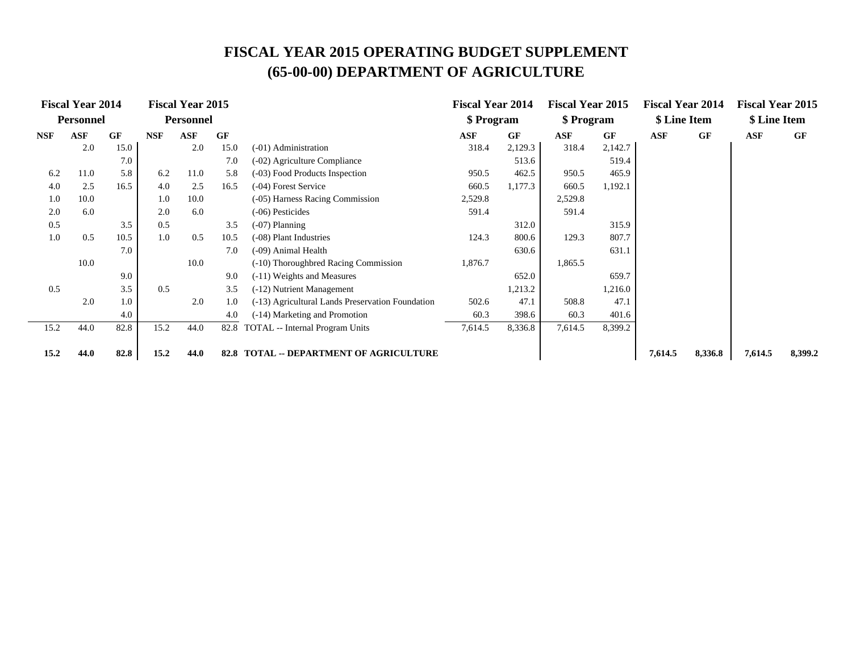# **FISCAL YEAR 2015 OPERATING BUDGET SUPPLEMENT (65-00-00) DEPARTMENT OF AGRICULTURE**

|            | <b>Fiscal Year 2014</b> |           |            | <b>Fiscal Year 2015</b> |           |                                                  | <b>Fiscal Year 2014</b> |           | <b>Fiscal Year 2015</b> |         | <b>Fiscal Year 2014</b> |           | <b>Fiscal Year 2015</b> |           |
|------------|-------------------------|-----------|------------|-------------------------|-----------|--------------------------------------------------|-------------------------|-----------|-------------------------|---------|-------------------------|-----------|-------------------------|-----------|
|            | <b>Personnel</b>        |           |            | <b>Personnel</b>        |           |                                                  | \$ Program              |           | \$ Program              |         | \$ Line Item            |           | \$ Line Item            |           |
| <b>NSF</b> | ASF                     | <b>GF</b> | <b>NSF</b> | ASF                     | <b>GF</b> |                                                  | ASF                     | <b>GF</b> | ASF                     | GF      | ASF                     | <b>GF</b> | <b>ASF</b>              | <b>GF</b> |
|            | 2.0                     | 15.0      |            | 2.0                     | 15.0      | (-01) Administration                             | 318.4                   | 2,129.3   | 318.4                   | 2,142.7 |                         |           |                         |           |
|            |                         | 7.0       |            |                         | 7.0       | (-02) Agriculture Compliance                     |                         | 513.6     |                         | 519.4   |                         |           |                         |           |
| 6.2        | 11.0                    | 5.8       | 6.2        | 11.0                    | 5.8       | (-03) Food Products Inspection                   | 950.5                   | 462.5     | 950.5                   | 465.9   |                         |           |                         |           |
| 4.0        | 2.5                     | 16.5      | 4.0        | 2.5                     | 16.5      | (-04) Forest Service                             | 660.5                   | 1,177.3   | 660.5                   | 1,192.1 |                         |           |                         |           |
| 1.0        | 10.0                    |           | 1.0        | 10.0                    |           | (-05) Harness Racing Commission                  | 2,529.8                 |           | 2,529.8                 |         |                         |           |                         |           |
| 2.0        | 6.0                     |           | 2.0        | 6.0                     |           | (-06) Pesticides                                 | 591.4                   |           | 591.4                   |         |                         |           |                         |           |
| 0.5        |                         | 3.5       | 0.5        |                         | 3.5       | $(-07)$ Planning                                 | 312.0                   |           |                         | 315.9   |                         |           |                         |           |
| 1.0        | 0.5                     | 10.5      | 1.0        | 0.5                     | 10.5      | (-08) Plant Industries                           | 124.3                   | 800.6     | 129.3                   | 807.7   |                         |           |                         |           |
|            |                         | 7.0       |            |                         | 7.0       | (-09) Animal Health                              |                         | 630.6     |                         | 631.1   |                         |           |                         |           |
|            | 10.0                    |           |            | 10.0                    |           | (-10) Thoroughbred Racing Commission             | 1,876.7                 |           | 1,865.5                 |         |                         |           |                         |           |
|            |                         | 9.0       |            |                         | 9.0       | (-11) Weights and Measures                       |                         | 652.0     |                         | 659.7   |                         |           |                         |           |
| 0.5        |                         | 3.5       | 0.5        |                         | 3.5       | (-12) Nutrient Management                        |                         | 1,213.2   |                         | 1,216.0 |                         |           |                         |           |
|            | 2.0                     | 1.0       |            | 2.0                     | 1.0       | (-13) Agricultural Lands Preservation Foundation | 502.6                   | 47.1      | 508.8                   | 47.1    |                         |           |                         |           |
|            |                         | 4.0       |            |                         | 4.0       | (-14) Marketing and Promotion                    | 60.3                    | 398.6     | 60.3                    | 401.6   |                         |           |                         |           |
| 15.2       | 44.0                    | 82.8      | 15.2       | 44.0                    | 82.8      | <b>TOTAL</b> -- Internal Program Units           | 7,614.5                 | 8,336.8   | 7,614.5                 | 8,399.2 |                         |           |                         |           |
|            |                         |           |            |                         |           |                                                  |                         |           |                         |         |                         |           |                         |           |
| 15.2       | 44.0                    | 82.8      | 15.2       | 44.0                    | 82.8      | <b>TOTAL -- DEPARTMENT OF AGRICULTURE</b>        |                         |           |                         |         | 7,614.5                 | 8,336.8   | 7,614.5                 | 8,399.2   |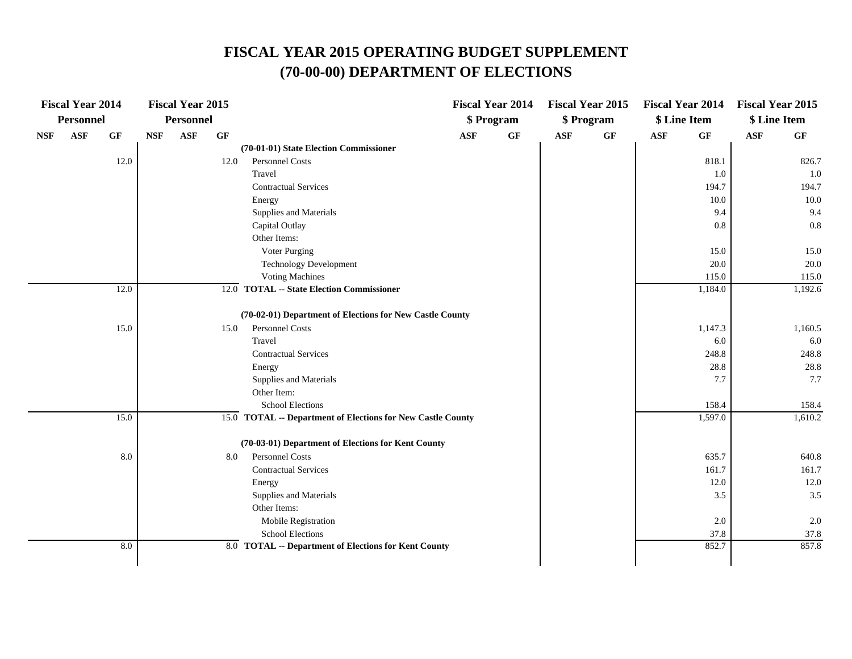|            | <b>Fiscal Year 2014</b> |                 |            | <b>Fiscal Year 2015</b> |                 |                                                             |            | <b>Fiscal Year 2014</b> |            | <b>Fiscal Year 2015</b> |            | <b>Fiscal Year 2014</b> | <b>Fiscal Year 2015</b> |                 |
|------------|-------------------------|-----------------|------------|-------------------------|-----------------|-------------------------------------------------------------|------------|-------------------------|------------|-------------------------|------------|-------------------------|-------------------------|-----------------|
|            | <b>Personnel</b>        |                 |            | <b>Personnel</b>        |                 |                                                             |            | \$ Program              |            | \$ Program              |            | \$ Line Item            | \$ Line Item            |                 |
| <b>NSF</b> | <b>ASF</b>              | $\bf{G} \bf{F}$ | <b>NSF</b> | <b>ASF</b>              | $\bf{G} \bf{F}$ |                                                             | <b>ASF</b> | GF                      | <b>ASF</b> | $\bf{G} \bf{F}$         | <b>ASF</b> | GF                      | <b>ASF</b>              | $\bf{G} \bf{F}$ |
|            |                         |                 |            |                         |                 | (70-01-01) State Election Commissioner                      |            |                         |            |                         |            |                         |                         |                 |
|            |                         | 12.0            |            |                         | 12.0            | Personnel Costs                                             |            |                         |            |                         |            | 818.1                   |                         | 826.7           |
|            |                         |                 |            |                         |                 | Travel                                                      |            |                         |            |                         |            | 1.0                     |                         | 1.0             |
|            |                         |                 |            |                         |                 | <b>Contractual Services</b>                                 |            |                         |            |                         |            | 194.7                   |                         | 194.7           |
|            |                         |                 |            |                         |                 | Energy                                                      |            |                         |            |                         |            | 10.0                    |                         | $10.0\,$        |
|            |                         |                 |            |                         |                 | Supplies and Materials                                      |            |                         |            |                         |            | 9.4                     |                         | 9.4             |
|            |                         |                 |            |                         |                 | Capital Outlay                                              |            |                         |            |                         |            | 0.8                     |                         | 0.8             |
|            |                         |                 |            |                         |                 | Other Items:                                                |            |                         |            |                         |            |                         |                         |                 |
|            |                         |                 |            |                         |                 | Voter Purging                                               |            |                         |            |                         |            | 15.0                    |                         | 15.0            |
|            |                         |                 |            |                         |                 | <b>Technology Development</b>                               |            |                         |            |                         |            | 20.0                    |                         | 20.0            |
|            |                         |                 |            |                         |                 | <b>Voting Machines</b>                                      |            |                         |            |                         |            | 115.0                   |                         | 115.0           |
|            |                         | 12.0            |            |                         |                 | 12.0 TOTAL -- State Election Commissioner                   |            |                         |            |                         |            | 1,184.0                 |                         | 1,192.6         |
|            |                         |                 |            |                         |                 | (70-02-01) Department of Elections for New Castle County    |            |                         |            |                         |            |                         |                         |                 |
|            |                         | 15.0            |            |                         | 15.0            | Personnel Costs                                             |            |                         |            |                         |            | 1,147.3                 |                         | 1,160.5         |
|            |                         |                 |            |                         |                 | Travel                                                      |            |                         |            |                         |            | 6.0                     |                         | 6.0             |
|            |                         |                 |            |                         |                 | <b>Contractual Services</b>                                 |            |                         |            |                         |            | 248.8                   |                         | 248.8           |
|            |                         |                 |            |                         |                 | Energy                                                      |            |                         |            |                         |            | 28.8                    |                         | 28.8            |
|            |                         |                 |            |                         |                 | Supplies and Materials                                      |            |                         |            |                         |            | 7.7                     |                         | 7.7             |
|            |                         |                 |            |                         |                 | Other Item:                                                 |            |                         |            |                         |            |                         |                         |                 |
|            |                         |                 |            |                         |                 | <b>School Elections</b>                                     |            |                         |            |                         |            | 158.4                   |                         | 158.4           |
|            |                         | 15.0            |            |                         |                 | 15.0 TOTAL -- Department of Elections for New Castle County |            |                         |            |                         |            | 1,597.0                 |                         | 1,610.2         |
|            |                         |                 |            |                         |                 | (70-03-01) Department of Elections for Kent County          |            |                         |            |                         |            |                         |                         |                 |
|            |                         | 8.0             |            |                         | 8.0             | Personnel Costs                                             |            |                         |            |                         |            | 635.7                   |                         | 640.8           |
|            |                         |                 |            |                         |                 | <b>Contractual Services</b>                                 |            |                         |            |                         |            | 161.7                   |                         | 161.7           |
|            |                         |                 |            |                         |                 | Energy                                                      |            |                         |            |                         |            | 12.0                    |                         | 12.0            |
|            |                         |                 |            |                         |                 | Supplies and Materials                                      |            |                         |            |                         |            | 3.5                     |                         | 3.5             |
|            |                         |                 |            |                         |                 | Other Items:                                                |            |                         |            |                         |            |                         |                         |                 |
|            |                         |                 |            |                         |                 | Mobile Registration                                         |            |                         |            |                         |            | 2.0                     |                         | 2.0             |
|            |                         |                 |            |                         |                 | School Elections                                            |            |                         |            |                         |            | 37.8                    |                         | 37.8            |
|            |                         | 8.0             |            |                         |                 | 8.0 TOTAL -- Department of Elections for Kent County        |            |                         |            |                         |            | 852.7                   |                         | 857.8           |
|            |                         |                 |            |                         |                 |                                                             |            |                         |            |                         |            |                         |                         |                 |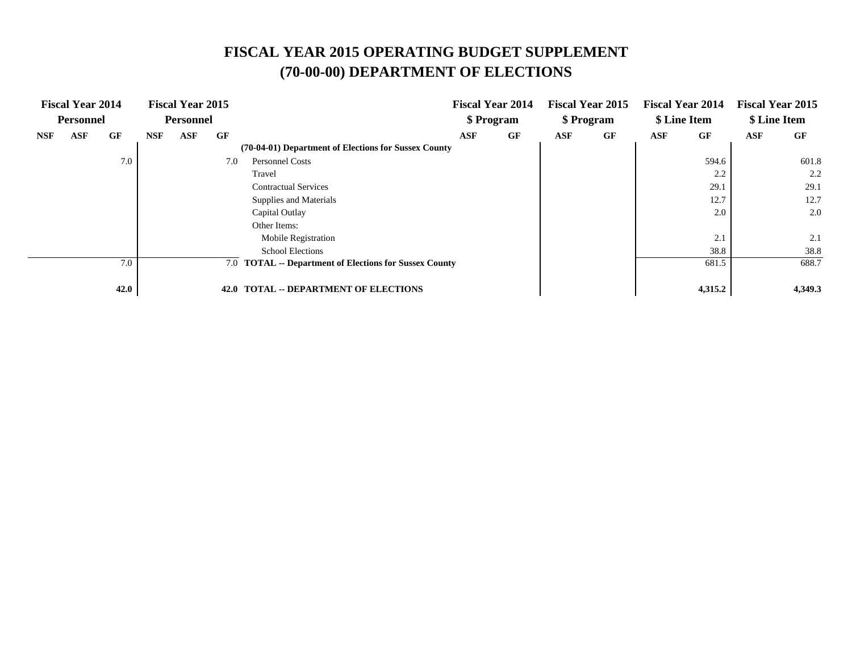|            | <b>Fiscal Year 2014</b> |      |     | <b>Fiscal Year 2015</b><br><b>Personnel</b> |      |                                                        |     | <b>Fiscal Year 2014</b> |     | <b>Fiscal Year 2015</b> |     | <b>Fiscal Year 2014</b> |     | <b>Fiscal Year 2015</b> |
|------------|-------------------------|------|-----|---------------------------------------------|------|--------------------------------------------------------|-----|-------------------------|-----|-------------------------|-----|-------------------------|-----|-------------------------|
|            | <b>Personnel</b>        |      |     |                                             |      |                                                        |     | \$ Program              |     | \$ Program              |     | \$ Line Item            |     | \$ Line Item            |
| <b>NSF</b> | ASF                     | GF   | NSF | ASF                                         | GF   |                                                        | ASF | GF                      | ASF | GF                      | ASF | GF                      | ASF | GF                      |
|            |                         |      |     |                                             |      | (70-04-01) Department of Elections for Sussex County   |     |                         |     |                         |     |                         |     |                         |
|            |                         | 7.0  |     |                                             | 7.0  | <b>Personnel Costs</b>                                 |     |                         |     |                         |     | 594.6                   |     | 601.8                   |
|            |                         |      |     |                                             |      | Travel                                                 |     |                         |     |                         |     | 2.2                     |     | 2.2                     |
|            |                         |      |     |                                             |      | <b>Contractual Services</b>                            |     |                         |     |                         |     | 29.1                    |     | 29.1                    |
|            |                         |      |     |                                             |      | Supplies and Materials                                 |     |                         |     |                         |     | 12.7                    |     | 12.7                    |
|            |                         |      |     |                                             |      | Capital Outlay                                         |     |                         |     |                         |     | 2.0                     |     | 2.0                     |
|            |                         |      |     |                                             |      | Other Items:                                           |     |                         |     |                         |     |                         |     |                         |
|            |                         |      |     |                                             |      | <b>Mobile Registration</b>                             |     |                         |     |                         |     | 2.1                     |     | 2.1                     |
|            |                         |      |     |                                             |      | <b>School Elections</b>                                |     |                         |     |                         |     | 38.8                    |     | 38.8                    |
|            |                         | 7.0  |     |                                             |      | 7.0 TOTAL -- Department of Elections for Sussex County |     |                         |     |                         |     | 681.5                   |     | 688.7                   |
|            |                         |      |     |                                             |      |                                                        |     |                         |     |                         |     |                         |     |                         |
|            |                         | 42.0 |     |                                             | 42.0 | <b>TOTAL -- DEPARTMENT OF ELECTIONS</b>                |     |                         |     |                         |     | 4,315.2                 |     | 4,349.3                 |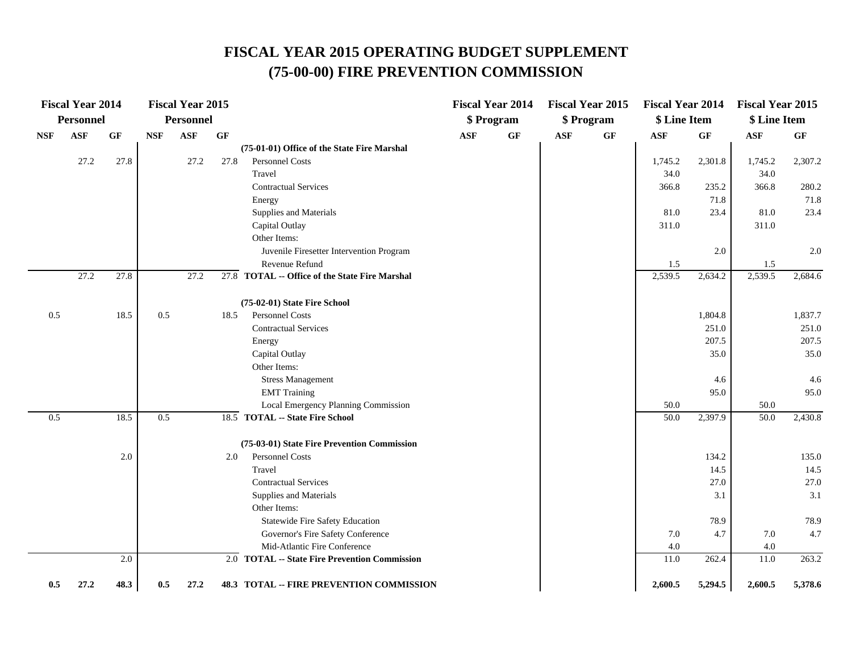# **FISCAL YEAR 2015 OPERATING BUDGET SUPPLEMENT (75-00-00) FIRE PREVENTION COMMISSION**

|            | <b>Fiscal Year 2014</b> |      |            | <b>Fiscal Year 2015</b> |                 |                                                 |                | <b>Fiscal Year 2014</b> |            | <b>Fiscal Year 2015</b> | <b>Fiscal Year 2014</b> |                 | <b>Fiscal Year 2015</b> |         |
|------------|-------------------------|------|------------|-------------------------|-----------------|-------------------------------------------------|----------------|-------------------------|------------|-------------------------|-------------------------|-----------------|-------------------------|---------|
|            | <b>Personnel</b>        |      |            | Personnel               |                 |                                                 |                | \$ Program              |            | \$ Program              | \$ Line Item            |                 | \$ Line Item            |         |
| <b>NSF</b> | <b>ASF</b>              | GF   | <b>NSF</b> | <b>ASF</b>              | $\bf{G} \bf{F}$ |                                                 | $\mathbf{ASF}$ | $\bf{G} \bf{F}$         | <b>ASF</b> | $\bf{G} \bf{F}$         | <b>ASF</b>              | $\bf{G} \bf{F}$ | $\mathbf{ASF}$          | GF      |
|            |                         |      |            |                         |                 | (75-01-01) Office of the State Fire Marshal     |                |                         |            |                         |                         |                 |                         |         |
|            | 27.2                    | 27.8 |            | 27.2                    | 27.8            | <b>Personnel Costs</b>                          |                |                         |            |                         | 1,745.2                 | 2,301.8         | 1,745.2                 | 2,307.2 |
|            |                         |      |            |                         |                 | Travel                                          |                |                         |            |                         | 34.0                    |                 | 34.0                    |         |
|            |                         |      |            |                         |                 | <b>Contractual Services</b>                     |                |                         |            |                         | 366.8                   | 235.2           | 366.8                   | 280.2   |
|            |                         |      |            |                         |                 | Energy                                          |                |                         |            |                         |                         | 71.8            |                         | 71.8    |
|            |                         |      |            |                         |                 | Supplies and Materials                          |                |                         |            |                         | 81.0                    | 23.4            | 81.0                    | 23.4    |
|            |                         |      |            |                         |                 | Capital Outlay                                  |                |                         |            |                         | 311.0                   |                 | 311.0                   |         |
|            |                         |      |            |                         |                 | Other Items:                                    |                |                         |            |                         |                         |                 |                         |         |
|            |                         |      |            |                         |                 | Juvenile Firesetter Intervention Program        |                |                         |            |                         |                         | 2.0             |                         | 2.0     |
|            |                         |      |            |                         |                 | Revenue Refund                                  |                |                         |            |                         | 1.5                     |                 | 1.5                     |         |
|            | 27.2                    | 27.8 |            | 27.2                    |                 | 27.8 TOTAL -- Office of the State Fire Marshal  |                |                         |            |                         | 2,539.5                 | 2,634.2         | 2,539.5                 | 2,684.6 |
|            |                         |      |            |                         |                 | (75-02-01) State Fire School                    |                |                         |            |                         |                         |                 |                         |         |
| $0.5\,$    |                         | 18.5 | 0.5        |                         | 18.5            | Personnel Costs                                 |                |                         |            |                         |                         | 1,804.8         |                         | 1,837.7 |
|            |                         |      |            |                         |                 | <b>Contractual Services</b>                     |                |                         |            |                         |                         | 251.0           |                         | 251.0   |
|            |                         |      |            |                         |                 | Energy                                          |                |                         |            |                         |                         | 207.5           |                         | 207.5   |
|            |                         |      |            |                         |                 | Capital Outlay                                  |                |                         |            |                         |                         | 35.0            |                         | 35.0    |
|            |                         |      |            |                         |                 | Other Items:                                    |                |                         |            |                         |                         |                 |                         |         |
|            |                         |      |            |                         |                 | <b>Stress Management</b>                        |                |                         |            |                         |                         | 4.6             |                         | 4.6     |
|            |                         |      |            |                         |                 | <b>EMT</b> Training                             |                |                         |            |                         |                         | 95.0            |                         | 95.0    |
|            |                         |      |            |                         |                 | Local Emergency Planning Commission             |                |                         |            |                         | 50.0                    |                 | 50.0                    |         |
| 0.5        |                         | 18.5 | 0.5        |                         |                 | 18.5 TOTAL -- State Fire School                 |                |                         |            |                         | 50.0                    | 2,397.9         | 50.0                    | 2,430.8 |
|            |                         |      |            |                         |                 | (75-03-01) State Fire Prevention Commission     |                |                         |            |                         |                         |                 |                         |         |
|            |                         | 2.0  |            |                         | 2.0             | Personnel Costs                                 |                |                         |            |                         |                         | 134.2           |                         | 135.0   |
|            |                         |      |            |                         |                 | Travel                                          |                |                         |            |                         |                         | 14.5            |                         | 14.5    |
|            |                         |      |            |                         |                 | <b>Contractual Services</b>                     |                |                         |            |                         |                         | 27.0            |                         | 27.0    |
|            |                         |      |            |                         |                 | Supplies and Materials                          |                |                         |            |                         |                         | 3.1             |                         | 3.1     |
|            |                         |      |            |                         |                 | Other Items:                                    |                |                         |            |                         |                         |                 |                         |         |
|            |                         |      |            |                         |                 | Statewide Fire Safety Education                 |                |                         |            |                         |                         | 78.9            |                         | 78.9    |
|            |                         |      |            |                         |                 | Governor's Fire Safety Conference               |                |                         |            |                         | 7.0                     | 4.7             | $7.0\,$                 | 4.7     |
|            |                         |      |            |                         |                 | Mid-Atlantic Fire Conference                    |                |                         |            |                         | 4.0                     |                 | 4.0                     |         |
|            |                         | 2.0  |            |                         |                 | 2.0 TOTAL -- State Fire Prevention Commission   |                |                         |            |                         | 11.0                    | 262.4           | 11.0                    | 263.2   |
| 0.5        | 27.2                    | 48.3 | 0.5        | 27.2                    |                 | <b>48.3 TOTAL -- FIRE PREVENTION COMMISSION</b> |                |                         |            |                         | 2,600.5                 | 5,294.5         | 2,600.5                 | 5,378.6 |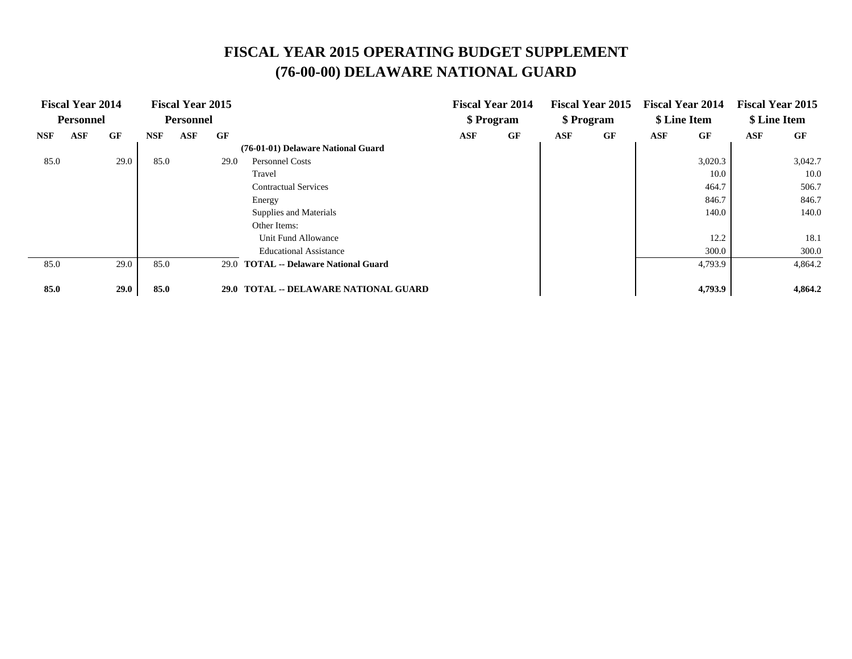# **FISCAL YEAR 2015 OPERATING BUDGET SUPPLEMENT (76-00-00) DELAWARE NATIONAL GUARD**

|            | <b>Fiscal Year 2014</b> |      |            | <b>Fiscal Year 2015</b> |             |                                         |     | <b>Fiscal Year 2014</b> |     | <b>Fiscal Year 2015</b> |     | <b>Fiscal Year 2014</b> |     | <b>Fiscal Year 2015</b> |
|------------|-------------------------|------|------------|-------------------------|-------------|-----------------------------------------|-----|-------------------------|-----|-------------------------|-----|-------------------------|-----|-------------------------|
|            | <b>Personnel</b>        |      |            | <b>Personnel</b>        |             |                                         |     | \$ Program              |     | \$ Program              |     | \$ Line Item            |     | \$ Line Item            |
| <b>NSF</b> | ASF                     | GF   | <b>NSF</b> | <b>ASF</b>              | GF          |                                         | ASF | GF                      | ASF | GF                      | ASF | GF                      | ASF | GF                      |
|            |                         |      |            |                         |             | (76-01-01) Delaware National Guard      |     |                         |     |                         |     |                         |     |                         |
| 85.0       |                         | 29.0 | 85.0       |                         | 29.0        | <b>Personnel Costs</b>                  |     |                         |     |                         |     | 3,020.3                 |     | 3,042.7                 |
|            |                         |      |            |                         |             | Travel                                  |     |                         |     |                         |     | 10.0                    |     | 10.0                    |
|            |                         |      |            |                         |             | <b>Contractual Services</b>             |     |                         |     |                         |     | 464.7                   |     | 506.7                   |
|            |                         |      |            |                         |             | Energy                                  |     |                         |     |                         |     | 846.7                   |     | 846.7                   |
|            |                         |      |            |                         |             | Supplies and Materials                  |     |                         |     |                         |     | 140.0                   |     | 140.0                   |
|            |                         |      |            |                         |             | Other Items:                            |     |                         |     |                         |     |                         |     |                         |
|            |                         |      |            |                         |             | Unit Fund Allowance                     |     |                         |     |                         |     | 12.2                    |     | 18.1                    |
|            |                         |      |            |                         |             | <b>Educational Assistance</b>           |     |                         |     |                         |     | 300.0                   |     | 300.0                   |
| 85.0       |                         | 29.0 | 85.0       |                         |             | 29.0 TOTAL -- Delaware National Guard   |     |                         |     |                         |     | 4,793.9                 |     | 4,864.2                 |
|            |                         |      |            |                         |             |                                         |     |                         |     |                         |     |                         |     |                         |
| 85.0       |                         | 29.0 | 85.0       |                         | <b>29.0</b> | <b>TOTAL -- DELAWARE NATIONAL GUARD</b> |     |                         |     |                         |     | 4,793.9                 |     | 4,864.2                 |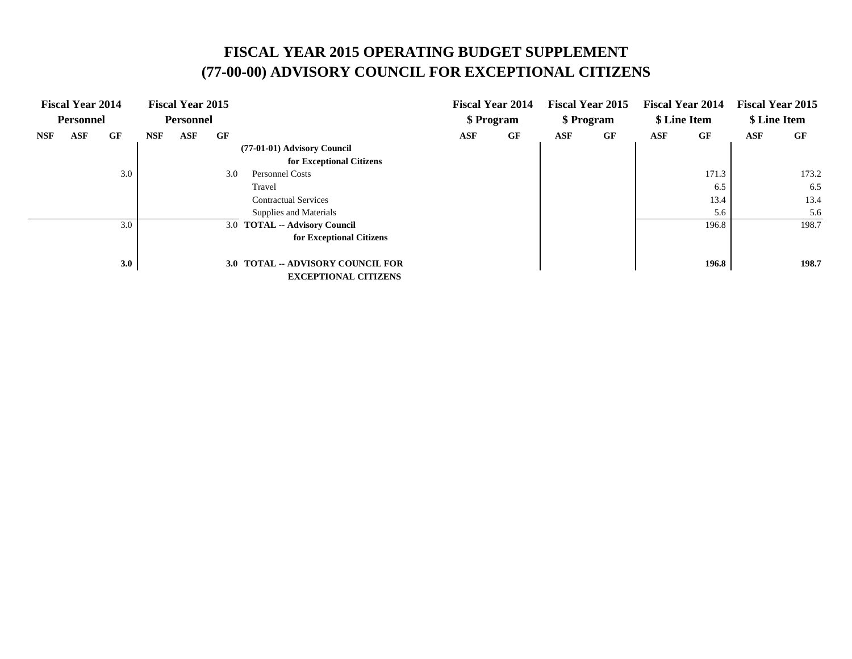# **FISCAL YEAR 2015 OPERATING BUDGET SUPPLEMENT (77-00-00) ADVISORY COUNCIL FOR EXCEPTIONAL CITIZENS**

| <b>Fiscal Year 2014</b><br><b>Personnel</b> | <b>Fiscal Year 2015</b><br><b>Personnel</b>                             | <b>Fiscal Year 2014</b><br>\$ Program |    | <b>Fiscal Year 2015</b><br>\$ Program |    | <b>Fiscal Year 2014</b><br>\$ Line Item |       | <b>Fiscal Year 2015</b><br>\$ Line Item |       |
|---------------------------------------------|-------------------------------------------------------------------------|---------------------------------------|----|---------------------------------------|----|-----------------------------------------|-------|-----------------------------------------|-------|
| GF<br><b>ASF</b><br><b>NSF</b>              | GF<br>ASF<br>NSF                                                        | <b>ASF</b>                            | GF | ASF                                   | GF | ASF                                     | GF    | <b>ASF</b>                              | GF    |
|                                             | (77-01-01) Advisory Council<br>for Exceptional Citizens                 |                                       |    |                                       |    |                                         |       |                                         |       |
| 3.0                                         | 3.0<br><b>Personnel Costs</b>                                           |                                       |    |                                       |    |                                         | 171.3 |                                         | 173.2 |
|                                             | Travel                                                                  |                                       |    |                                       |    |                                         | 6.5   |                                         | 6.5   |
|                                             | <b>Contractual Services</b>                                             |                                       |    |                                       |    |                                         | 13.4  |                                         | 13.4  |
|                                             | Supplies and Materials                                                  |                                       |    |                                       |    |                                         | 5.6   |                                         | 5.6   |
| 3.0                                         | 3.0 TOTAL -- Advisory Council                                           |                                       |    |                                       |    |                                         | 196.8 |                                         | 198.7 |
|                                             | for Exceptional Citizens                                                |                                       |    |                                       |    |                                         |       |                                         |       |
| 3.0                                         | <b>3.0 TOTAL -- ADVISORY COUNCIL FOR</b><br><b>EXCEPTIONAL CITIZENS</b> |                                       |    |                                       |    |                                         | 196.8 |                                         | 198.7 |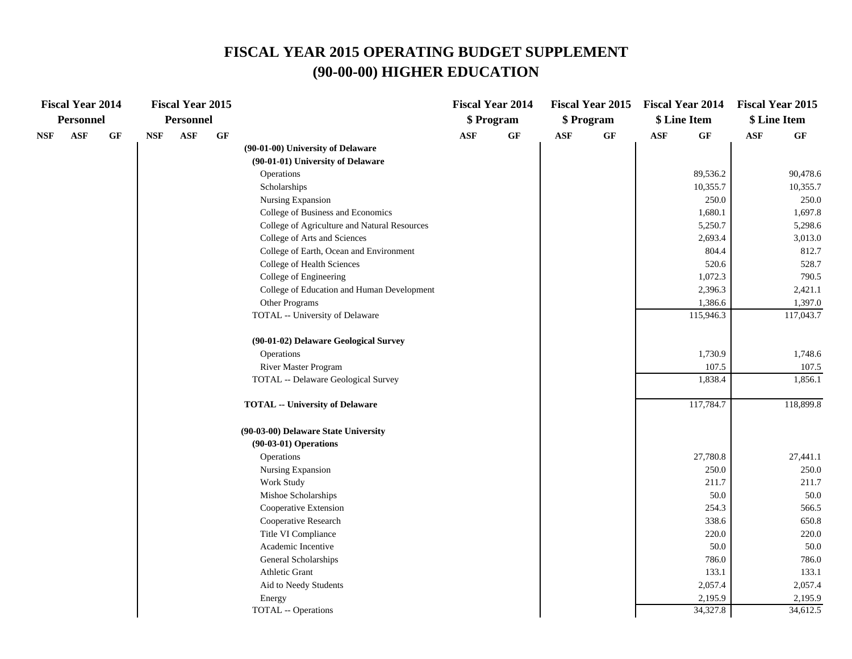#### **FISCAL YEAR 2015 OPERATING BUDGET SUPPLEMENT (90-00-00) HIGHER EDUCATION**

|     | <b>Fiscal Year 2014</b> |    |            | <b>Fiscal Year 2015</b> |    |                                              |                | <b>Fiscal Year 2014</b> |            | <b>Fiscal Year 2015</b> | <b>Fiscal Year 2014</b> |           | <b>Fiscal Year 2015</b> |              |
|-----|-------------------------|----|------------|-------------------------|----|----------------------------------------------|----------------|-------------------------|------------|-------------------------|-------------------------|-----------|-------------------------|--------------|
|     | <b>Personnel</b>        |    |            | <b>Personnel</b>        |    |                                              |                | \$Program               |            | \$ Program              | \$ Line Item            |           |                         | \$ Line Item |
| NSF | <b>ASF</b>              | GF | <b>NSF</b> | <b>ASF</b>              | GF |                                              | $\mathbf{ASF}$ | GF                      | <b>ASF</b> | GF                      | $\mathbf{ASF}$          | GF        | <b>ASF</b>              | GF           |
|     |                         |    |            |                         |    | (90-01-00) University of Delaware            |                |                         |            |                         |                         |           |                         |              |
|     |                         |    |            |                         |    | (90-01-01) University of Delaware            |                |                         |            |                         |                         |           |                         |              |
|     |                         |    |            |                         |    | Operations                                   |                |                         |            |                         |                         | 89,536.2  |                         | 90,478.6     |
|     |                         |    |            |                         |    | Scholarships                                 |                |                         |            |                         |                         | 10,355.7  |                         | 10,355.7     |
|     |                         |    |            |                         |    | Nursing Expansion                            |                |                         |            |                         |                         | 250.0     |                         | 250.0        |
|     |                         |    |            |                         |    | College of Business and Economics            |                |                         |            |                         |                         | 1,680.1   |                         | 1,697.8      |
|     |                         |    |            |                         |    | College of Agriculture and Natural Resources |                |                         |            |                         |                         | 5,250.7   |                         | 5,298.6      |
|     |                         |    |            |                         |    | College of Arts and Sciences                 |                |                         |            |                         |                         | 2,693.4   |                         | 3,013.0      |
|     |                         |    |            |                         |    | College of Earth, Ocean and Environment      |                |                         |            |                         |                         | 804.4     |                         | 812.7        |
|     |                         |    |            |                         |    | College of Health Sciences                   |                |                         |            |                         |                         | 520.6     |                         | 528.7        |
|     |                         |    |            |                         |    | College of Engineering                       |                |                         |            |                         |                         | 1,072.3   |                         | 790.5        |
|     |                         |    |            |                         |    | College of Education and Human Development   |                |                         |            |                         |                         | 2,396.3   |                         | 2,421.1      |
|     |                         |    |            |                         |    | Other Programs                               |                |                         |            |                         |                         | 1,386.6   |                         | 1,397.0      |
|     |                         |    |            |                         |    | TOTAL -- University of Delaware              |                |                         |            |                         |                         | 115,946.3 |                         | 117,043.7    |
|     |                         |    |            |                         |    | (90-01-02) Delaware Geological Survey        |                |                         |            |                         |                         |           |                         |              |
|     |                         |    |            |                         |    | Operations                                   |                |                         |            |                         |                         | 1,730.9   |                         | 1,748.6      |
|     |                         |    |            |                         |    | River Master Program                         |                |                         |            |                         |                         | 107.5     |                         | 107.5        |
|     |                         |    |            |                         |    | TOTAL -- Delaware Geological Survey          |                |                         |            |                         |                         | 1,838.4   |                         | 1,856.1      |
|     |                         |    |            |                         |    | <b>TOTAL -- University of Delaware</b>       |                |                         |            |                         |                         | 117,784.7 |                         | 118,899.8    |
|     |                         |    |            |                         |    | (90-03-00) Delaware State University         |                |                         |            |                         |                         |           |                         |              |
|     |                         |    |            |                         |    | $(90-03-01)$ Operations                      |                |                         |            |                         |                         |           |                         |              |
|     |                         |    |            |                         |    | Operations                                   |                |                         |            |                         |                         | 27,780.8  |                         | 27,441.1     |
|     |                         |    |            |                         |    | Nursing Expansion                            |                |                         |            |                         |                         | 250.0     |                         | 250.0        |
|     |                         |    |            |                         |    | Work Study                                   |                |                         |            |                         |                         | 211.7     |                         | 211.7        |
|     |                         |    |            |                         |    | Mishoe Scholarships                          |                |                         |            |                         |                         | 50.0      |                         | 50.0         |
|     |                         |    |            |                         |    | Cooperative Extension                        |                |                         |            |                         |                         | 254.3     |                         | 566.5        |
|     |                         |    |            |                         |    | Cooperative Research                         |                |                         |            |                         |                         | 338.6     |                         | 650.8        |
|     |                         |    |            |                         |    | Title VI Compliance                          |                |                         |            |                         |                         | 220.0     |                         | 220.0        |
|     |                         |    |            |                         |    | Academic Incentive                           |                |                         |            |                         |                         | 50.0      |                         | 50.0         |
|     |                         |    |            |                         |    | General Scholarships                         |                |                         |            |                         |                         | 786.0     |                         | 786.0        |
|     |                         |    |            |                         |    | Athletic Grant                               |                |                         |            |                         |                         | 133.1     |                         | 133.1        |
|     |                         |    |            |                         |    | Aid to Needy Students                        |                |                         |            |                         |                         | 2,057.4   |                         | 2,057.4      |
|     |                         |    |            |                         |    | Energy                                       |                |                         |            |                         |                         | 2,195.9   |                         | 2,195.9      |
|     |                         |    |            |                         |    | TOTAL -- Operations                          |                |                         |            |                         |                         | 34,327.8  |                         | 34,612.5     |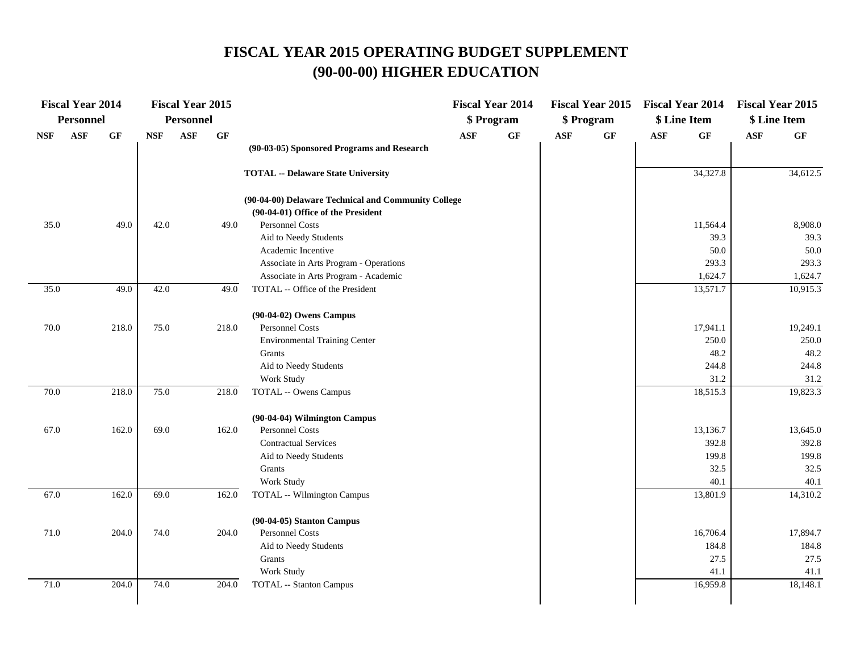# **FISCAL YEAR 2015 OPERATING BUDGET SUPPLEMENT (90-00-00) HIGHER EDUCATION**

|            | <b>Fiscal Year 2014</b> |                 |            | <b>Fiscal Year 2015</b> |       |                                                       |                | <b>Fiscal Year 2014</b> |                | <b>Fiscal Year 2015</b> | <b>Fiscal Year 2014</b> |                   | <b>Fiscal Year 2015</b> |                   |
|------------|-------------------------|-----------------|------------|-------------------------|-------|-------------------------------------------------------|----------------|-------------------------|----------------|-------------------------|-------------------------|-------------------|-------------------------|-------------------|
|            | Personnel               |                 |            | <b>Personnel</b>        |       |                                                       |                | \$ Program              |                | \$ Program              | \$ Line Item            |                   |                         | \$ Line Item      |
| <b>NSF</b> | <b>ASF</b>              | $\bf{G} \bf{F}$ | <b>NSF</b> | <b>ASF</b>              | GF    |                                                       | $\mathbf{ASF}$ | $\bf{G} \bf{F}$         | $\mathbf{ASF}$ | $\bf{G} \bf{F}$         | $\mathbf{ASF}$          | $\bf{G} \bf{F}$   | $\mathbf{ASF}$          | $\bf{G} \bf{F}$   |
|            |                         |                 |            |                         |       | (90-03-05) Sponsored Programs and Research            |                |                         |                |                         |                         |                   |                         |                   |
|            |                         |                 |            |                         |       | <b>TOTAL -- Delaware State University</b>             |                |                         |                |                         |                         | 34,327.8          |                         | 34,612.5          |
|            |                         |                 |            |                         |       | (90-04-00) Delaware Technical and Community College   |                |                         |                |                         |                         |                   |                         |                   |
|            |                         |                 | 42.0       |                         | 49.0  | (90-04-01) Office of the President<br>Personnel Costs |                |                         |                |                         |                         |                   |                         |                   |
| 35.0       |                         | 49.0            |            |                         |       | Aid to Needy Students                                 |                |                         |                |                         |                         | 11,564.4<br>39.3  |                         | 8,908.0<br>39.3   |
|            |                         |                 |            |                         |       | Academic Incentive                                    |                |                         |                |                         |                         | 50.0              |                         | 50.0              |
|            |                         |                 |            |                         |       | Associate in Arts Program - Operations                |                |                         |                |                         |                         | 293.3             |                         | 293.3             |
|            |                         |                 |            |                         |       | Associate in Arts Program - Academic                  |                |                         |                |                         |                         | 1,624.7           |                         | 1,624.7           |
| 35.0       |                         | 49.0            | 42.0       |                         | 49.0  | TOTAL -- Office of the President                      |                |                         |                |                         |                         | 13,571.7          |                         | 10,915.3          |
|            |                         |                 |            |                         |       | (90-04-02) Owens Campus                               |                |                         |                |                         |                         |                   |                         |                   |
| 70.0       |                         | 218.0           | 75.0       |                         | 218.0 | Personnel Costs                                       |                |                         |                |                         |                         | 17,941.1          |                         | 19,249.1          |
|            |                         |                 |            |                         |       | <b>Environmental Training Center</b>                  |                |                         |                |                         |                         | 250.0             |                         | 250.0             |
|            |                         |                 |            |                         |       | Grants                                                |                |                         |                |                         |                         | 48.2              |                         | 48.2              |
|            |                         |                 |            |                         |       | Aid to Needy Students                                 |                |                         |                |                         |                         | 244.8             |                         | 244.8             |
|            |                         |                 |            |                         |       | Work Study                                            |                |                         |                |                         |                         | 31.2              |                         | 31.2              |
| 70.0       |                         | 218.0           | 75.0       |                         | 218.0 | <b>TOTAL -- Owens Campus</b>                          |                |                         |                |                         |                         | 18,515.3          |                         | 19,823.3          |
|            |                         |                 |            |                         |       | (90-04-04) Wilmington Campus                          |                |                         |                |                         |                         |                   |                         |                   |
| 67.0       |                         | 162.0           | 69.0       |                         | 162.0 | Personnel Costs                                       |                |                         |                |                         |                         | 13,136.7          |                         | 13,645.0          |
|            |                         |                 |            |                         |       | <b>Contractual Services</b>                           |                |                         |                |                         |                         | 392.8             |                         | 392.8             |
|            |                         |                 |            |                         |       | Aid to Needy Students                                 |                |                         |                |                         |                         | 199.8             |                         | 199.8             |
|            |                         |                 |            |                         |       | Grants                                                |                |                         |                |                         |                         | 32.5              |                         | 32.5              |
|            |                         |                 |            |                         |       | Work Study                                            |                |                         |                |                         |                         | 40.1              |                         | 40.1              |
| 67.0       |                         | 162.0           | 69.0       |                         | 162.0 | <b>TOTAL -- Wilmington Campus</b>                     |                |                         |                |                         |                         | 13,801.9          |                         | 14,310.2          |
|            |                         |                 |            |                         |       | $(90-04-05)$ Stanton Campus<br><b>Personnel Costs</b> |                |                         |                |                         |                         |                   |                         |                   |
| $71.0\,$   |                         | 204.0           | 74.0       |                         | 204.0 | Aid to Needy Students                                 |                |                         |                |                         |                         | 16,706.4<br>184.8 |                         | 17,894.7<br>184.8 |
|            |                         |                 |            |                         |       | Grants                                                |                |                         |                |                         |                         | 27.5              |                         | 27.5              |
|            |                         |                 |            |                         |       | Work Study                                            |                |                         |                |                         |                         | 41.1              |                         | 41.1              |
| 71.0       |                         | 204.0           | 74.0       |                         | 204.0 | <b>TOTAL -- Stanton Campus</b>                        |                |                         |                |                         |                         | 16,959.8          |                         | 18,148.1          |
|            |                         |                 |            |                         |       |                                                       |                |                         |                |                         |                         |                   |                         |                   |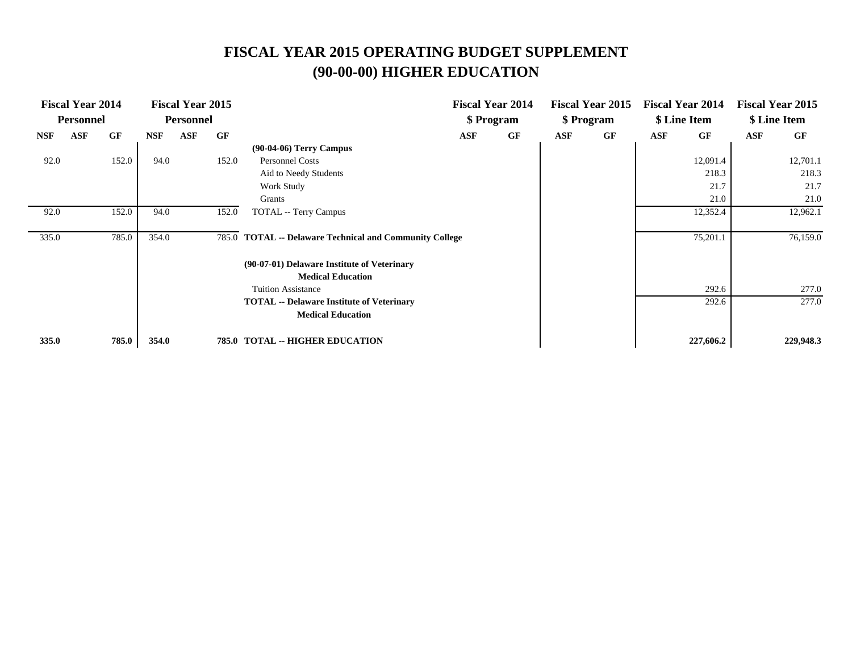# **FISCAL YEAR 2015 OPERATING BUDGET SUPPLEMENT (90-00-00) HIGHER EDUCATION**

|            | <b>Fiscal Year 2014</b> |       |            | <b>Fiscal Year 2015</b> |           |                                                          |     | <b>Fiscal Year 2014</b> |     | <b>Fiscal Year 2015</b> |     | <b>Fiscal Year 2014</b> |            | <b>Fiscal Year 2015</b> |
|------------|-------------------------|-------|------------|-------------------------|-----------|----------------------------------------------------------|-----|-------------------------|-----|-------------------------|-----|-------------------------|------------|-------------------------|
|            | <b>Personnel</b>        |       |            | <b>Personnel</b>        |           |                                                          |     | \$ Program              |     | \$ Program              |     | \$ Line Item            |            | \$ Line Item            |
| <b>NSF</b> | <b>ASF</b>              | GF    | <b>NSF</b> | ASF                     | <b>GF</b> |                                                          | ASF | GF                      | ASF | GF                      | ASF | GF                      | <b>ASF</b> | GF                      |
|            |                         |       |            |                         |           | $(90-04-06)$ Terry Campus                                |     |                         |     |                         |     |                         |            |                         |
| 92.0       |                         | 152.0 | 94.0       |                         | 152.0     | Personnel Costs                                          |     |                         |     |                         |     | 12,091.4                |            | 12,701.1                |
|            |                         |       |            |                         |           | Aid to Needy Students                                    |     |                         |     |                         |     | 218.3                   |            | 218.3                   |
|            |                         |       |            |                         |           | Work Study                                               |     |                         |     |                         |     | 21.7                    |            | 21.7                    |
|            |                         |       |            |                         |           | Grants                                                   |     |                         |     |                         |     | 21.0                    |            | 21.0                    |
| 92.0       |                         | 152.0 | 94.0       |                         | 152.0     | <b>TOTAL</b> -- Terry Campus                             |     |                         |     |                         |     | 12,352.4                |            | 12,962.1                |
|            |                         |       |            |                         |           |                                                          |     |                         |     |                         |     |                         |            |                         |
| 335.0      |                         | 785.0 | 354.0      |                         | 785.0     | <b>TOTAL -- Delaware Technical and Community College</b> |     |                         |     |                         |     | 75,201.1                |            | 76,159.0                |
|            |                         |       |            |                         |           | (90-07-01) Delaware Institute of Veterinary              |     |                         |     |                         |     |                         |            |                         |
|            |                         |       |            |                         |           | <b>Medical Education</b>                                 |     |                         |     |                         |     |                         |            |                         |
|            |                         |       |            |                         |           | <b>Tuition Assistance</b>                                |     |                         |     |                         |     | 292.6                   |            | 277.0                   |
|            |                         |       |            |                         |           | <b>TOTAL</b> -- Delaware Institute of Veterinary         |     |                         |     |                         |     | 292.6                   |            | 277.0                   |
|            |                         |       |            |                         |           | <b>Medical Education</b>                                 |     |                         |     |                         |     |                         |            |                         |
| 335.0      |                         | 785.0 | 354.0      |                         |           | <b>785.0 TOTAL -- HIGHER EDUCATION</b>                   |     |                         |     |                         |     | 227,606.2               |            | 229,948.3               |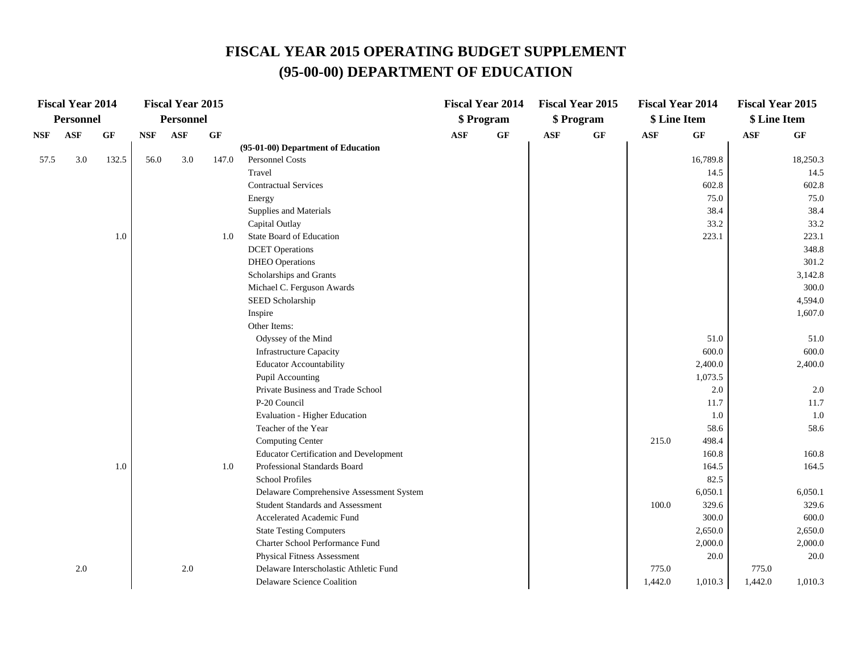|      | <b>Fiscal Year 2014</b> |       |            | <b>Fiscal Year 2015</b> |       |                                               |            | <b>Fiscal Year 2014</b> |            | <b>Fiscal Year 2015</b> | <b>Fiscal Year 2014</b> |          | <b>Fiscal Year 2015</b> |          |
|------|-------------------------|-------|------------|-------------------------|-------|-----------------------------------------------|------------|-------------------------|------------|-------------------------|-------------------------|----------|-------------------------|----------|
|      | Personnel               |       |            | <b>Personnel</b>        |       |                                               |            | \$ Program              |            | \$ Program              | \$ Line Item            |          | \$ Line Item            |          |
| NSF  | <b>ASF</b>              | GF    | <b>NSF</b> | ASF                     | GF    |                                               | <b>ASF</b> | $\bf{G} \bf{F}$         | <b>ASF</b> | GF                      | $\bf{ASF}$              | GF       | <b>ASF</b>              | GF       |
|      |                         |       |            |                         |       | (95-01-00) Department of Education            |            |                         |            |                         |                         |          |                         |          |
| 57.5 | 3.0                     | 132.5 | 56.0       | 3.0                     | 147.0 | <b>Personnel Costs</b>                        |            |                         |            |                         |                         | 16,789.8 |                         | 18,250.3 |
|      |                         |       |            |                         |       | Travel                                        |            |                         |            |                         |                         | 14.5     |                         | 14.5     |
|      |                         |       |            |                         |       | <b>Contractual Services</b>                   |            |                         |            |                         |                         | 602.8    |                         | 602.8    |
|      |                         |       |            |                         |       | Energy                                        |            |                         |            |                         |                         | 75.0     |                         | 75.0     |
|      |                         |       |            |                         |       | Supplies and Materials                        |            |                         |            |                         |                         | 38.4     |                         | 38.4     |
|      |                         |       |            |                         |       | Capital Outlay                                |            |                         |            |                         |                         | 33.2     |                         | 33.2     |
|      |                         | 1.0   |            |                         | 1.0   | State Board of Education                      |            |                         |            |                         |                         | 223.1    |                         | 223.1    |
|      |                         |       |            |                         |       | <b>DCET</b> Operations                        |            |                         |            |                         |                         |          |                         | 348.8    |
|      |                         |       |            |                         |       | <b>DHEO</b> Operations                        |            |                         |            |                         |                         |          |                         | 301.2    |
|      |                         |       |            |                         |       | Scholarships and Grants                       |            |                         |            |                         |                         |          |                         | 3,142.8  |
|      |                         |       |            |                         |       | Michael C. Ferguson Awards                    |            |                         |            |                         |                         |          |                         | 300.0    |
|      |                         |       |            |                         |       | SEED Scholarship                              |            |                         |            |                         |                         |          |                         | 4,594.0  |
|      |                         |       |            |                         |       | Inspire                                       |            |                         |            |                         |                         |          |                         | 1,607.0  |
|      |                         |       |            |                         |       | Other Items:                                  |            |                         |            |                         |                         |          |                         |          |
|      |                         |       |            |                         |       | Odyssey of the Mind                           |            |                         |            |                         |                         | 51.0     |                         | 51.0     |
|      |                         |       |            |                         |       | <b>Infrastructure Capacity</b>                |            |                         |            |                         |                         | 600.0    |                         | 600.0    |
|      |                         |       |            |                         |       | <b>Educator Accountability</b>                |            |                         |            |                         |                         | 2,400.0  |                         | 2,400.0  |
|      |                         |       |            |                         |       | Pupil Accounting                              |            |                         |            |                         |                         | 1,073.5  |                         |          |
|      |                         |       |            |                         |       | Private Business and Trade School             |            |                         |            |                         |                         | 2.0      |                         | 2.0      |
|      |                         |       |            |                         |       | P-20 Council                                  |            |                         |            |                         |                         | 11.7     |                         | 11.7     |
|      |                         |       |            |                         |       | Evaluation - Higher Education                 |            |                         |            |                         |                         | 1.0      |                         | 1.0      |
|      |                         |       |            |                         |       | Teacher of the Year                           |            |                         |            |                         |                         | 58.6     |                         | 58.6     |
|      |                         |       |            |                         |       | <b>Computing Center</b>                       |            |                         |            |                         | 215.0                   | 498.4    |                         |          |
|      |                         |       |            |                         |       | <b>Educator Certification and Development</b> |            |                         |            |                         |                         | 160.8    |                         | 160.8    |
|      |                         | 1.0   |            |                         | 1.0   | Professional Standards Board                  |            |                         |            |                         |                         | 164.5    |                         | 164.5    |
|      |                         |       |            |                         |       | <b>School Profiles</b>                        |            |                         |            |                         |                         | 82.5     |                         |          |
|      |                         |       |            |                         |       | Delaware Comprehensive Assessment System      |            |                         |            |                         |                         | 6,050.1  |                         | 6,050.1  |
|      |                         |       |            |                         |       | <b>Student Standards and Assessment</b>       |            |                         |            |                         | 100.0                   | 329.6    |                         | 329.6    |
|      |                         |       |            |                         |       | Accelerated Academic Fund                     |            |                         |            |                         |                         | 300.0    |                         | 600.0    |
|      |                         |       |            |                         |       | <b>State Testing Computers</b>                |            |                         |            |                         |                         | 2,650.0  |                         | 2,650.0  |
|      |                         |       |            |                         |       | Charter School Performance Fund               |            |                         |            |                         |                         | 2,000.0  |                         | 2,000.0  |
|      |                         |       |            |                         |       | Physical Fitness Assessment                   |            |                         |            |                         |                         | 20.0     |                         | 20.0     |
|      | 2.0                     |       |            | 2.0                     |       | Delaware Interscholastic Athletic Fund        |            |                         |            |                         | 775.0                   |          | 775.0                   |          |
|      |                         |       |            |                         |       | Delaware Science Coalition                    |            |                         |            |                         | 1,442.0                 | 1,010.3  | 1,442.0                 | 1,010.3  |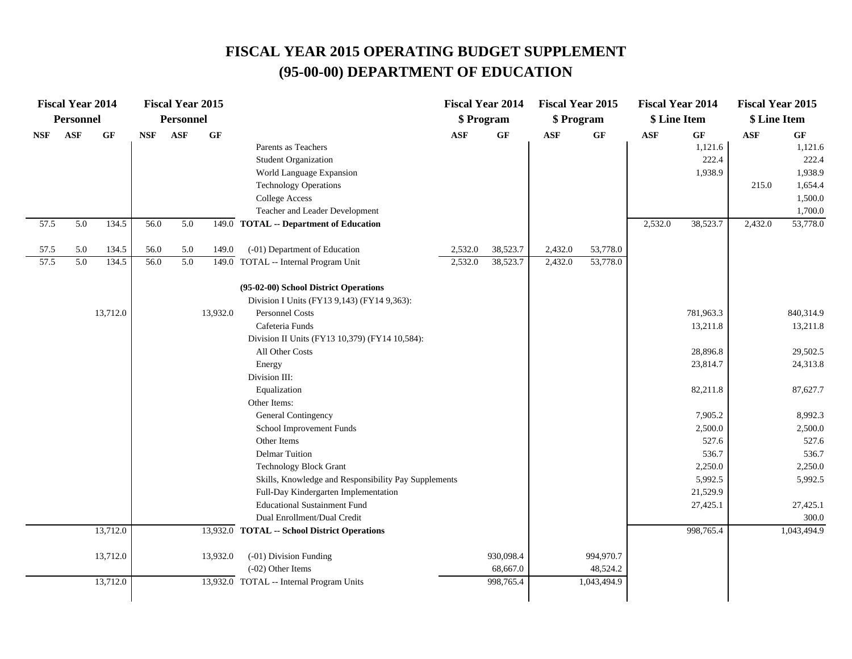|            | <b>Fiscal Year 2014</b> |          |            | <b>Fiscal Year 2015</b> |          |                                                      | <b>Fiscal Year 2014</b> |                 | <b>Fiscal Year 2015</b> |             | <b>Fiscal Year 2014</b> |           | <b>Fiscal Year 2015</b> |             |
|------------|-------------------------|----------|------------|-------------------------|----------|------------------------------------------------------|-------------------------|-----------------|-------------------------|-------------|-------------------------|-----------|-------------------------|-------------|
|            | <b>Personnel</b>        |          |            | <b>Personnel</b>        |          |                                                      | \$ Program              |                 | \$ Program              |             | \$ Line Item            |           | \$ Line Item            |             |
| <b>NSF</b> | ASF                     | GF       | <b>NSF</b> | <b>ASF</b>              | GF       |                                                      | $\mathbf{ASF}$          | $\bf{G} \bf{F}$ | <b>ASF</b>              | $\bf GF$    | $\mathbf{ASF}$          | GF        | <b>ASF</b>              | GF          |
|            |                         |          |            |                         |          | Parents as Teachers                                  |                         |                 |                         |             |                         | 1,121.6   |                         | 1,121.6     |
|            |                         |          |            |                         |          | <b>Student Organization</b>                          |                         |                 |                         |             |                         | 222.4     |                         | 222.4       |
|            |                         |          |            |                         |          | World Language Expansion                             |                         |                 |                         |             |                         | 1,938.9   |                         | 1,938.9     |
|            |                         |          |            |                         |          | <b>Technology Operations</b>                         |                         |                 |                         |             |                         |           | 215.0                   | 1,654.4     |
|            |                         |          |            |                         |          | <b>College Access</b>                                |                         |                 |                         |             |                         |           |                         | 1,500.0     |
|            |                         |          |            |                         |          | Teacher and Leader Development                       |                         |                 |                         |             |                         |           |                         | 1,700.0     |
| 57.5       | 5.0                     | 134.5    | 56.0       | 5.0                     |          | 149.0 TOTAL -- Department of Education               |                         |                 |                         |             | 2,532.0                 | 38,523.7  | 2,432.0                 | 53,778.0    |
| 57.5       | 5.0                     | 134.5    | 56.0       | 5.0                     | 149.0    | (-01) Department of Education                        | 2,532.0                 | 38,523.7        | 2,432.0                 | 53,778.0    |                         |           |                         |             |
| 57.5       | 5.0                     | 134.5    | 56.0       | 5.0                     |          | 149.0 TOTAL -- Internal Program Unit                 | 2,532.0                 | 38,523.7        | 2,432.0                 | 53,778.0    |                         |           |                         |             |
|            |                         |          |            |                         |          | (95-02-00) School District Operations                |                         |                 |                         |             |                         |           |                         |             |
|            |                         |          |            |                         |          | Division I Units (FY13 9,143) (FY14 9,363):          |                         |                 |                         |             |                         |           |                         |             |
|            |                         | 13,712.0 |            |                         | 13,932.0 | <b>Personnel Costs</b>                               |                         |                 |                         |             |                         | 781,963.3 |                         | 840,314.9   |
|            |                         |          |            |                         |          | Cafeteria Funds                                      |                         |                 |                         |             |                         | 13,211.8  |                         | 13,211.8    |
|            |                         |          |            |                         |          | Division II Units (FY13 10,379) (FY14 10,584):       |                         |                 |                         |             |                         |           |                         |             |
|            |                         |          |            |                         |          | All Other Costs                                      |                         |                 |                         |             |                         | 28,896.8  |                         | 29,502.5    |
|            |                         |          |            |                         |          | Energy                                               |                         |                 |                         |             |                         | 23,814.7  |                         | 24,313.8    |
|            |                         |          |            |                         |          | Division III:                                        |                         |                 |                         |             |                         |           |                         |             |
|            |                         |          |            |                         |          | Equalization                                         |                         |                 |                         |             |                         | 82,211.8  |                         | 87,627.7    |
|            |                         |          |            |                         |          | Other Items:                                         |                         |                 |                         |             |                         |           |                         |             |
|            |                         |          |            |                         |          | General Contingency                                  |                         |                 |                         |             |                         | 7,905.2   |                         | 8,992.3     |
|            |                         |          |            |                         |          | School Improvement Funds                             |                         |                 |                         |             |                         | 2,500.0   |                         | 2,500.0     |
|            |                         |          |            |                         |          | Other Items                                          |                         |                 |                         |             |                         | 527.6     |                         | 527.6       |
|            |                         |          |            |                         |          | <b>Delmar Tuition</b>                                |                         |                 |                         |             |                         | 536.7     |                         | 536.7       |
|            |                         |          |            |                         |          | <b>Technology Block Grant</b>                        |                         |                 |                         |             |                         | 2,250.0   |                         | 2,250.0     |
|            |                         |          |            |                         |          | Skills, Knowledge and Responsibility Pay Supplements |                         |                 |                         |             |                         | 5,992.5   |                         | 5,992.5     |
|            |                         |          |            |                         |          | Full-Day Kindergarten Implementation                 |                         |                 |                         |             |                         | 21,529.9  |                         |             |
|            |                         |          |            |                         |          | <b>Educational Sustainment Fund</b>                  |                         |                 |                         |             |                         | 27,425.1  |                         | 27,425.1    |
|            |                         |          |            |                         |          | Dual Enrollment/Dual Credit                          |                         |                 |                         |             |                         |           |                         | 300.0       |
|            |                         | 13,712.0 |            |                         |          | 13,932.0 TOTAL -- School District Operations         |                         |                 |                         |             |                         | 998,765.4 |                         | 1,043,494.9 |
|            |                         | 13,712.0 |            |                         | 13,932.0 | (-01) Division Funding                               |                         | 930,098.4       |                         | 994,970.7   |                         |           |                         |             |
|            |                         |          |            |                         |          | $(-02)$ Other Items                                  |                         | 68,667.0        |                         | 48,524.2    |                         |           |                         |             |
|            |                         | 13,712.0 |            |                         |          | 13,932.0 TOTAL -- Internal Program Units             |                         | 998,765.4       |                         | 1,043,494.9 |                         |           |                         |             |
|            |                         |          |            |                         |          |                                                      |                         |                 |                         |             |                         |           |                         |             |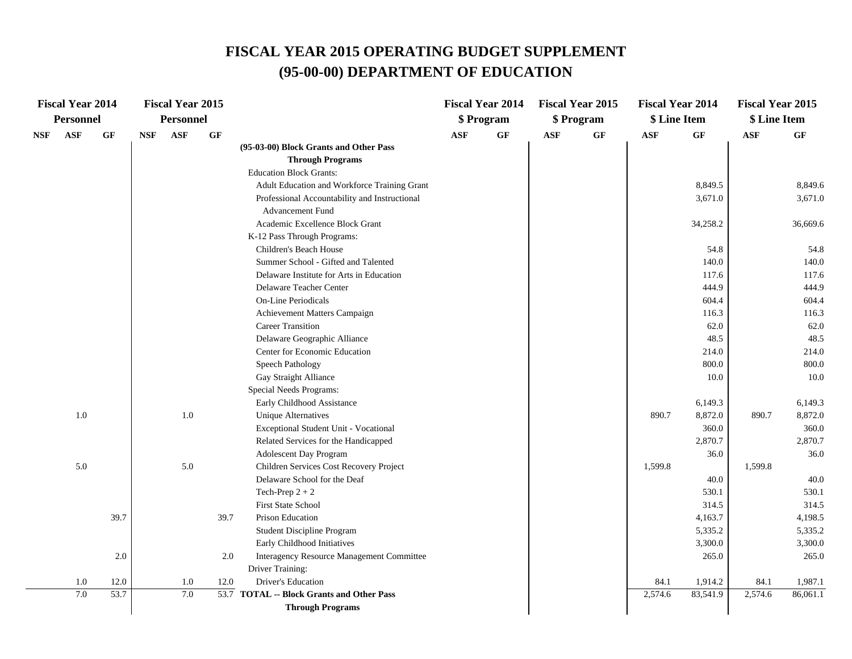|     | <b>Fiscal Year 2014</b> |      |            | <b>Fiscal Year 2015</b> |      |                                               |            | <b>Fiscal Year 2014</b> |     | <b>Fiscal Year 2015</b> | <b>Fiscal Year 2014</b> |          | <b>Fiscal Year 2015</b> |          |
|-----|-------------------------|------|------------|-------------------------|------|-----------------------------------------------|------------|-------------------------|-----|-------------------------|-------------------------|----------|-------------------------|----------|
|     | <b>Personnel</b>        |      |            | <b>Personnel</b>        |      |                                               |            | \$ Program              |     | \$ Program              | \$ Line Item            |          | \$ Line Item            |          |
| NSF | <b>ASF</b>              | GF   | <b>NSF</b> | <b>ASF</b>              | GF   |                                               | <b>ASF</b> | $\bf{G} \bf{F}$         | ASF | GF                      | <b>ASF</b>              | GF       | <b>ASF</b>              | GF       |
|     |                         |      |            |                         |      | (95-03-00) Block Grants and Other Pass        |            |                         |     |                         |                         |          |                         |          |
|     |                         |      |            |                         |      | <b>Through Programs</b>                       |            |                         |     |                         |                         |          |                         |          |
|     |                         |      |            |                         |      | <b>Education Block Grants:</b>                |            |                         |     |                         |                         |          |                         |          |
|     |                         |      |            |                         |      | Adult Education and Workforce Training Grant  |            |                         |     |                         |                         | 8,849.5  |                         | 8,849.6  |
|     |                         |      |            |                         |      | Professional Accountability and Instructional |            |                         |     |                         |                         | 3,671.0  |                         | 3,671.0  |
|     |                         |      |            |                         |      | <b>Advancement Fund</b>                       |            |                         |     |                         |                         |          |                         |          |
|     |                         |      |            |                         |      | Academic Excellence Block Grant               |            |                         |     |                         |                         | 34,258.2 |                         | 36,669.6 |
|     |                         |      |            |                         |      | K-12 Pass Through Programs:                   |            |                         |     |                         |                         |          |                         |          |
|     |                         |      |            |                         |      | Children's Beach House                        |            |                         |     |                         |                         | 54.8     |                         | 54.8     |
|     |                         |      |            |                         |      | Summer School - Gifted and Talented           |            |                         |     |                         |                         | 140.0    |                         | 140.0    |
|     |                         |      |            |                         |      | Delaware Institute for Arts in Education      |            |                         |     |                         |                         | 117.6    |                         | 117.6    |
|     |                         |      |            |                         |      | Delaware Teacher Center                       |            |                         |     |                         |                         | 444.9    |                         | 444.9    |
|     |                         |      |            |                         |      | <b>On-Line Periodicals</b>                    |            |                         |     |                         |                         | 604.4    |                         | 604.4    |
|     |                         |      |            |                         |      | Achievement Matters Campaign                  |            |                         |     |                         |                         | 116.3    |                         | 116.3    |
|     |                         |      |            |                         |      | <b>Career Transition</b>                      |            |                         |     |                         |                         | 62.0     |                         | 62.0     |
|     |                         |      |            |                         |      | Delaware Geographic Alliance                  |            |                         |     |                         |                         | 48.5     |                         | 48.5     |
|     |                         |      |            |                         |      | Center for Economic Education                 |            |                         |     |                         |                         | 214.0    |                         | 214.0    |
|     |                         |      |            |                         |      | Speech Pathology                              |            |                         |     |                         |                         | 800.0    |                         | 800.0    |
|     |                         |      |            |                         |      | Gay Straight Alliance                         |            |                         |     |                         |                         | 10.0     |                         | 10.0     |
|     |                         |      |            |                         |      | Special Needs Programs:                       |            |                         |     |                         |                         |          |                         |          |
|     |                         |      |            |                         |      | Early Childhood Assistance                    |            |                         |     |                         |                         | 6,149.3  |                         | 6,149.3  |
|     | 1.0                     |      |            | 1.0                     |      | <b>Unique Alternatives</b>                    |            |                         |     |                         | 890.7                   | 8,872.0  | 890.7                   | 8,872.0  |
|     |                         |      |            |                         |      | Exceptional Student Unit - Vocational         |            |                         |     |                         |                         | 360.0    |                         | 360.0    |
|     |                         |      |            |                         |      | Related Services for the Handicapped          |            |                         |     |                         |                         | 2,870.7  |                         | 2,870.7  |
|     |                         |      |            |                         |      | <b>Adolescent Day Program</b>                 |            |                         |     |                         |                         | 36.0     |                         | 36.0     |
|     | 5.0                     |      |            | 5.0                     |      | Children Services Cost Recovery Project       |            |                         |     |                         | 1,599.8                 |          | 1,599.8                 |          |
|     |                         |      |            |                         |      | Delaware School for the Deaf                  |            |                         |     |                         |                         | 40.0     |                         | 40.0     |
|     |                         |      |            |                         |      | Tech-Prep $2 + 2$                             |            |                         |     |                         |                         | 530.1    |                         | 530.1    |
|     |                         |      |            |                         |      | <b>First State School</b>                     |            |                         |     |                         |                         | 314.5    |                         | 314.5    |
|     |                         | 39.7 |            |                         | 39.7 | Prison Education                              |            |                         |     |                         |                         | 4,163.7  |                         | 4,198.5  |
|     |                         |      |            |                         |      | <b>Student Discipline Program</b>             |            |                         |     |                         |                         | 5,335.2  |                         | 5,335.2  |
|     |                         |      |            |                         |      | Early Childhood Initiatives                   |            |                         |     |                         |                         | 3,300.0  |                         | 3,300.0  |
|     |                         | 2.0  |            |                         | 2.0  | Interagency Resource Management Committee     |            |                         |     |                         |                         | 265.0    |                         | 265.0    |
|     |                         |      |            |                         |      | Driver Training:                              |            |                         |     |                         |                         |          |                         |          |
|     | 1.0                     | 12.0 |            | 1.0                     | 12.0 | Driver's Education                            |            |                         |     |                         | 84.1                    | 1,914.2  | 84.1                    | 1,987.1  |
|     | 7.0                     | 53.7 |            | 7.0                     |      | 53.7 TOTAL -- Block Grants and Other Pass     |            |                         |     |                         | 2,574.6                 | 83,541.9 | 2,574.6                 | 86,061.1 |
|     |                         |      |            |                         |      | <b>Through Programs</b>                       |            |                         |     |                         |                         |          |                         |          |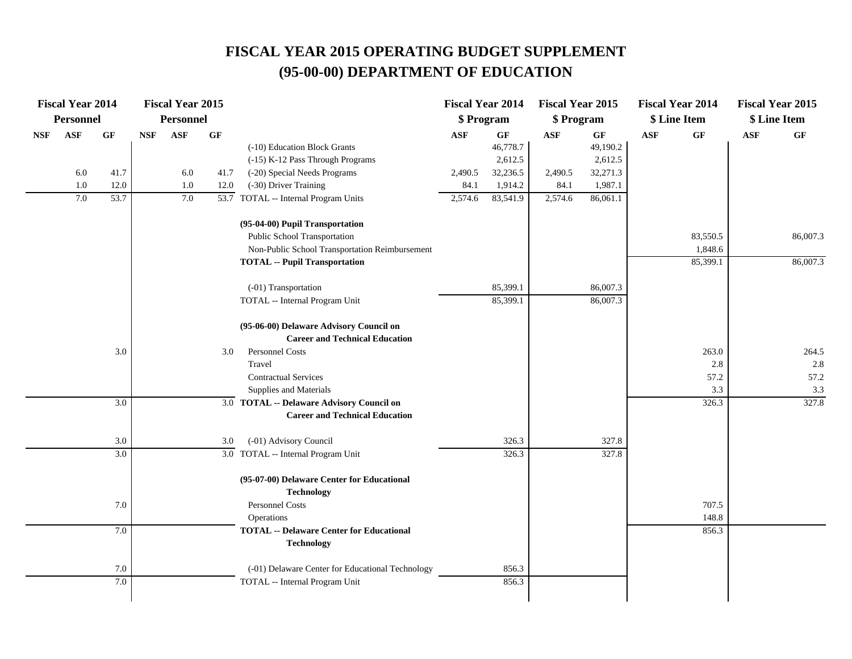|            | <b>Fiscal Year 2014</b> |      |            | <b>Fiscal Year 2015</b> |                 |                                                                      | <b>Fiscal Year 2014</b> |          | <b>Fiscal Year 2015</b> |          |            | <b>Fiscal Year 2014</b> | <b>Fiscal Year 2015</b> |          |
|------------|-------------------------|------|------------|-------------------------|-----------------|----------------------------------------------------------------------|-------------------------|----------|-------------------------|----------|------------|-------------------------|-------------------------|----------|
|            | <b>Personnel</b>        |      |            | <b>Personnel</b>        |                 |                                                                      | \$ Program              |          | \$ Program              |          |            | \$ Line Item            | \$ Line Item            |          |
| <b>NSF</b> | ASF                     | GF   | <b>NSF</b> | <b>ASF</b>              | $\bf{G} \bf{F}$ |                                                                      | <b>ASF</b>              | GF       | <b>ASF</b>              | GF       | <b>ASF</b> | GF                      | <b>ASF</b>              | GF       |
|            |                         |      |            |                         |                 | (-10) Education Block Grants                                         |                         | 46,778.7 |                         | 49,190.2 |            |                         |                         |          |
|            |                         |      |            |                         |                 | (-15) K-12 Pass Through Programs                                     |                         | 2,612.5  |                         | 2,612.5  |            |                         |                         |          |
|            | 6.0                     | 41.7 |            | 6.0                     | 41.7            | (-20) Special Needs Programs                                         | 2,490.5                 | 32,236.5 | 2,490.5                 | 32,271.3 |            |                         |                         |          |
|            | 1.0                     | 12.0 |            | $1.0\,$                 | 12.0            | (-30) Driver Training                                                | 84.1                    | 1,914.2  | 84.1                    | 1,987.1  |            |                         |                         |          |
|            | 7.0                     | 53.7 |            | 7.0                     |                 | 53.7 TOTAL -- Internal Program Units                                 | 2,574.6                 | 83,541.9 | 2,574.6                 | 86,061.1 |            |                         |                         |          |
|            |                         |      |            |                         |                 | (95-04-00) Pupil Transportation                                      |                         |          |                         |          |            |                         |                         |          |
|            |                         |      |            |                         |                 | Public School Transportation                                         |                         |          |                         |          |            | 83,550.5                |                         | 86,007.3 |
|            |                         |      |            |                         |                 | Non-Public School Transportation Reimbursement                       |                         |          |                         |          |            | 1,848.6                 |                         |          |
|            |                         |      |            |                         |                 | <b>TOTAL -- Pupil Transportation</b>                                 |                         |          |                         |          |            | 85,399.1                |                         | 86,007.3 |
|            |                         |      |            |                         |                 | (-01) Transportation                                                 |                         | 85,399.1 |                         | 86,007.3 |            |                         |                         |          |
|            |                         |      |            |                         |                 | TOTAL -- Internal Program Unit                                       |                         | 85,399.1 |                         | 86,007.3 |            |                         |                         |          |
|            |                         |      |            |                         |                 | (95-06-00) Delaware Advisory Council on                              |                         |          |                         |          |            |                         |                         |          |
|            |                         |      |            |                         |                 | <b>Career and Technical Education</b>                                |                         |          |                         |          |            |                         |                         |          |
|            |                         | 3.0  |            |                         | 3.0             | <b>Personnel Costs</b>                                               |                         |          |                         |          |            | 263.0                   |                         | 264.5    |
|            |                         |      |            |                         |                 | Travel                                                               |                         |          |                         |          |            | 2.8                     |                         | 2.8      |
|            |                         |      |            |                         |                 | <b>Contractual Services</b>                                          |                         |          |                         |          |            | 57.2                    |                         | 57.2     |
|            |                         |      |            |                         |                 | Supplies and Materials                                               |                         |          |                         |          |            | 3.3                     |                         | 3.3      |
|            |                         | 3.0  |            |                         |                 | 3.0 TOTAL -- Delaware Advisory Council on                            |                         |          |                         |          |            | 326.3                   |                         | 327.8    |
|            |                         |      |            |                         |                 | <b>Career and Technical Education</b>                                |                         |          |                         |          |            |                         |                         |          |
|            |                         | 3.0  |            |                         | 3.0             | (-01) Advisory Council                                               |                         | 326.3    |                         | 327.8    |            |                         |                         |          |
|            |                         | 3.0  |            |                         |                 | 3.0 TOTAL -- Internal Program Unit                                   |                         | 326.3    |                         | 327.8    |            |                         |                         |          |
|            |                         |      |            |                         |                 | (95-07-00) Delaware Center for Educational                           |                         |          |                         |          |            |                         |                         |          |
|            |                         |      |            |                         |                 | <b>Technology</b>                                                    |                         |          |                         |          |            |                         |                         |          |
|            |                         | 7.0  |            |                         |                 | Personnel Costs                                                      |                         |          |                         |          |            | 707.5                   |                         |          |
|            |                         |      |            |                         |                 | Operations                                                           |                         |          |                         |          |            | 148.8                   |                         |          |
|            |                         | 7.0  |            |                         |                 | <b>TOTAL -- Delaware Center for Educational</b><br><b>Technology</b> |                         |          |                         |          |            | 856.3                   |                         |          |
|            |                         |      |            |                         |                 |                                                                      |                         |          |                         |          |            |                         |                         |          |
|            |                         | 7.0  |            |                         |                 | (-01) Delaware Center for Educational Technology                     |                         | 856.3    |                         |          |            |                         |                         |          |
|            |                         | 7.0  |            |                         |                 | TOTAL -- Internal Program Unit                                       |                         | 856.3    |                         |          |            |                         |                         |          |
|            |                         |      |            |                         |                 |                                                                      |                         |          |                         |          |            |                         |                         |          |